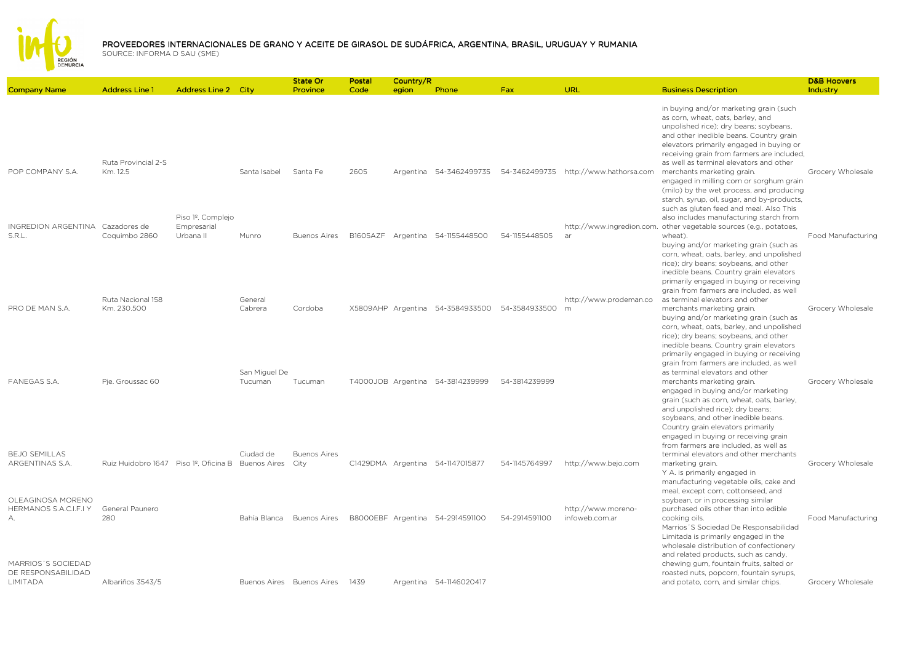

|                                                                                             |                                                    |                                               |                          | State Or                                              | Postal   | Country/R |                                                             |               |                                       |                                                                                                                                                                                                                                                                                                                                                          | <b>D&amp;B Hoovers</b>                  |
|---------------------------------------------------------------------------------------------|----------------------------------------------------|-----------------------------------------------|--------------------------|-------------------------------------------------------|----------|-----------|-------------------------------------------------------------|---------------|---------------------------------------|----------------------------------------------------------------------------------------------------------------------------------------------------------------------------------------------------------------------------------------------------------------------------------------------------------------------------------------------------------|-----------------------------------------|
| <b>Company Name</b>                                                                         | <b>Address Line 1</b>                              | <b>Address Line 2 City</b>                    |                          | Province                                              | Code     | egion     | Phone                                                       | Fax:          | <b>URL</b>                            | <b>Business Description</b>                                                                                                                                                                                                                                                                                                                              | Industry                                |
| POP COMPANY S.A.                                                                            | Ruta Provincial 2-S<br>Km. 12.5                    |                                               | Santa Isabel             | Santa Fe                                              | 2605     |           | Argentina 54-3462499735                                     |               | 54-3462499735 http://www.hathorsa.com | in buying and/or marketing grain (such<br>as corn, wheat, oats, barley, and<br>unpolished rice); dry beans; soybeans,<br>and other inedible beans. Country grain<br>elevators primarily engaged in buying or<br>receiving grain from farmers are included.<br>as well as terminal elevators and other<br>merchants marketing grain.                      | Grocery Wholesale                       |
| INGREDION ARGENTINA                                                                         | Cazadores de                                       | Piso 1 <sup>º</sup> , Complejo<br>Empresarial |                          |                                                       |          |           |                                                             |               |                                       | engaged in milling corn or sorghum grain<br>(milo) by the wet process, and producing<br>starch, syrup, oil, sugar, and by-products,<br>such as gluten feed and meal. Also This<br>also includes manufacturing starch from<br>http://www.ingredion.com. other vegetable sources (e.g., potatoes,                                                          |                                         |
| S.R.L.                                                                                      | Coquimbo 2860<br>Ruta Nacional 158                 | Urbana II                                     | Munro<br>General         | <b>Buenos Aires</b>                                   | B1605AZF |           | Argentina 54-1155448500                                     | 54-1155448505 | ar<br>http://www.prodeman.co          | wheat).<br>buying and/or marketing grain (such as<br>corn, wheat, oats, barley, and unpolished<br>rice); dry beans; soybeans, and other<br>inedible beans. Country grain elevators<br>primarily engaged in buying or receiving<br>grain from farmers are included, as well<br>as terminal elevators and other                                            | Food Manufacturing                      |
| PRO DE MAN S.A.                                                                             | Km. 230.500                                        |                                               | Cabrera<br>San Miguel De | Cordoba                                               |          |           | X5809AHP Argentina 54-3584933500                            | 54-3584933500 | m                                     | merchants marketing grain.<br>buying and/or marketing grain (such as<br>corn, wheat, oats, barley, and unpolished<br>rice); dry beans; soybeans, and other<br>inedible beans. Country grain elevators<br>primarily engaged in buying or receiving<br>grain from farmers are included, as well<br>as terminal elevators and other                         | Grocery Wholesale                       |
| <b>FANEGAS S.A.</b><br><b>BEJO SEMILLAS</b>                                                 | Pie. Groussac 60                                   |                                               | Tucuman<br>Ciudad de     | Tucuman<br><b>Buenos Aires</b>                        |          |           | T4000JOB Argentina 54-3814239999                            | 54-3814239999 |                                       | merchants marketing grain.<br>engaged in buying and/or marketing<br>grain (such as corn, wheat, oats, barley,<br>and unpolished rice); dry beans;<br>soybeans, and other inedible beans.<br>Country grain elevators primarily<br>engaged in buying or receiving grain<br>from farmers are included, as well as<br>terminal elevators and other merchants | Grocery Wholesale                       |
| ARGENTINAS S.A.<br>OLEAGINOSA MORENO                                                        | Ruiz Huidobro 1647 Piso 1º, Oficina B Buenos Aires |                                               |                          | City                                                  |          |           | C1429DMA Argentina 54-1147015877                            | 54-1145764997 | http://www.bejo.com                   | marketing grain.<br>Y A. is primarily engaged in<br>manufacturing vegetable oils, cake and<br>meal, except corn, cottonseed, and<br>soybean, or in processing similar                                                                                                                                                                                    | Grocery Wholesale                       |
| HERMANOS S.A.C.I.F.I Y<br>А.<br>MARRIOS'S SOCIEDAD<br>DE RESPONSABILIDAD<br><b>LIMITADA</b> | General Paunero<br>280<br>Albariños 3543/5         |                                               | Bahía Blanca             | <b>Buenos Aires</b><br>Buenos Aires Buenos Aires 1439 |          |           | B8000EBF Argentina 54-2914591100<br>Argentina 54-1146020417 | 54-2914591100 | http://www.moreno-<br>infoweb.com.ar  | purchased oils other than into edible<br>cooking oils.<br>Marrios'S Sociedad De Responsabilidad<br>Limitada is primarily engaged in the<br>wholesale distribution of confectionery<br>and related products, such as candy,<br>chewing gum, fountain fruits, salted or<br>roasted nuts, popcorn, fountain syrups,<br>and potato, corn, and similar chips. | Food Manufacturing<br>Grocery Wholesale |
|                                                                                             |                                                    |                                               |                          |                                                       |          |           |                                                             |               |                                       |                                                                                                                                                                                                                                                                                                                                                          |                                         |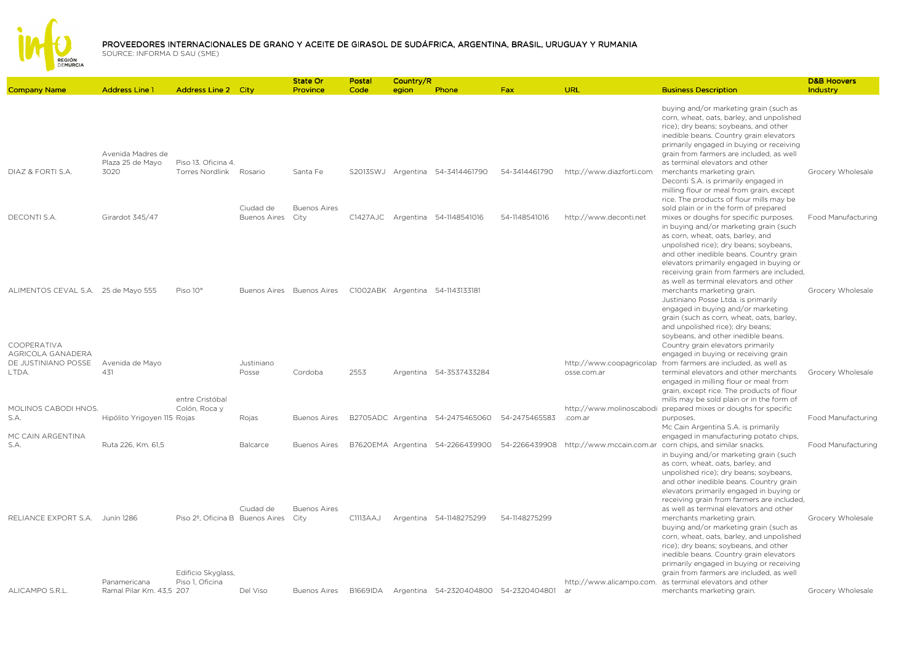

|                                                                         |                                          |                                                                    |                      | State Or                        | Postal   | Country/R |                                                |               |                                         |                                                                                                                                                                                                                                                                                                                                                                  | <b>D&amp;B Hoovers</b> |
|-------------------------------------------------------------------------|------------------------------------------|--------------------------------------------------------------------|----------------------|---------------------------------|----------|-----------|------------------------------------------------|---------------|-----------------------------------------|------------------------------------------------------------------------------------------------------------------------------------------------------------------------------------------------------------------------------------------------------------------------------------------------------------------------------------------------------------------|------------------------|
| <b>Company Name</b>                                                     | <b>Address Line 1</b>                    | <b>Address Line 2 City</b>                                         |                      | Province                        | Code     | egion     | Phone                                          | Fax           | URL                                     | <b>Business Description</b>                                                                                                                                                                                                                                                                                                                                      | Industry               |
|                                                                         | Avenida Madres de                        |                                                                    |                      |                                 |          |           |                                                |               |                                         | buying and/or marketing grain (such as<br>corn, wheat, oats, barley, and unpolished<br>rice); dry beans; soybeans, and other<br>inedible beans. Country grain elevators<br>primarily engaged in buying or receiving<br>grain from farmers are included, as well                                                                                                  |                        |
| DIAZ & FORTI S.A.                                                       | Plaza 25 de Mayo<br>3020                 | Piso 13. Oficina 4.<br><b>Torres Nordlink</b>                      | Rosario<br>Ciudad de | Santa Fe<br><b>Buenos Aires</b> |          |           | S2013SWJ Argentina 54-3414461790               | 54-3414461790 | http://www.diazforti.com                | as terminal elevators and other<br>merchants marketing grain.<br>Deconti S.A. is primarily engaged in<br>milling flour or meal from grain, except<br>rice. The products of flour mills may be<br>sold plain or in the form of prepared                                                                                                                           | Grocery Wholesale      |
| DECONTI S.A.                                                            | Girardot 345/47                          |                                                                    | <b>Buenos Aires</b>  | City                            |          |           | C1427AJC Argentina 54-1148541016               | 54-1148541016 | http://www.deconti.net                  | mixes or doughs for specific purposes.<br>in buying and/or marketing grain (such<br>as corn, wheat, oats, barley, and<br>unpolished rice); dry beans; soybeans,<br>and other inedible beans. Country grain<br>elevators primarily engaged in buying or<br>receiving grain from farmers are included,<br>as well as terminal elevators and other                  | Food Manufacturing     |
| ALIMENTOS CEVAL S.A. 25 de Mayo 555<br>COOPERATIVA<br>AGRICOLA GANADERA |                                          | Piso 10°                                                           |                      | Buenos Aires Buenos Aires       |          |           | C1002ABK Argentina 54-1143133181               |               |                                         | merchants marketing grain.<br>Justiniano Posse Ltda. is primarily<br>engaged in buying and/or marketing<br>grain (such as corn, wheat, oats, barley,<br>and unpolished rice); dry beans;<br>soybeans, and other inedible beans.<br>Country grain elevators primarily<br>engaged in buying or receiving grain                                                     | Grocery Wholesale      |
| DE JUSTINIANO POSSE<br>LTDA.                                            | Avenida de Mayo<br>431                   | entre Cristóbal                                                    | Justiniano<br>Posse  | Cordoba                         | 2553     |           | Argentina 54-3537433284                        |               | http://www.coopagricolap<br>osse.com.ar | from farmers are included, as well as<br>terminal elevators and other merchants<br>engaged in milling flour or meal from<br>grain, except rice. The products of flour<br>mills may be sold plain or in the form of                                                                                                                                               | Grocery Wholesale      |
| MOLINOS CABODI HNOS.<br>S.A.                                            | Hipólito Yrigoyen 115 Rojas              | Colón, Roca y                                                      | Rojas                | <b>Buenos Aires</b>             |          |           | B2705ADC Argentina 54-2475465060               | 54-2475465583 | .com.ar                                 | http://www.molinoscabodi prepared mixes or doughs for specific<br>purposes.<br>Mc Cain Argentina S.A. is primarily                                                                                                                                                                                                                                               | Food Manufacturing     |
| MC CAIN ARGENTINA<br>S.A.                                               | Ruta 226, Km. 61,5                       |                                                                    | Balcarce             | <b>Buenos Aires</b>             |          |           | B7620EMA Argentina 54-2266439900               | 54-2266439908 |                                         | engaged in manufacturing potato chips,<br>http://www.mccain.com.ar corn chips, and similar snacks.<br>in buying and/or marketing grain (such<br>as corn, wheat, oats, barley, and<br>unpolished rice); dry beans; soybeans,<br>and other inedible beans. Country grain<br>elevators primarily engaged in buying or<br>receiving grain from farmers are included. | Food Manufacturing     |
| RELIANCE EXPORT S.A. Junín 1286                                         |                                          | Piso 2 <sup>º</sup> , Oficina B Buenos Aires<br>Edificio Skyglass, | Ciudad de            | <b>Buenos Aires</b><br>City     | C1113AAJ |           | Argentina 54-1148275299                        | 54-1148275299 |                                         | as well as terminal elevators and other<br>merchants marketing grain.<br>buying and/or marketing grain (such as<br>corn, wheat, oats, barley, and unpolished<br>rice); dry beans; soybeans, and other<br>inedible beans. Country grain elevators<br>primarily engaged in buying or receiving<br>grain from farmers are included, as well                         | Grocery Wholesale      |
| ALICAMPO S.R.L.                                                         | Panamericana<br>Ramal Pilar Km. 43,5 207 | Piso 1, Oficina                                                    | Del Viso             | <b>Buenos Aires</b>             |          |           | B1669IDA Argentina 54-2320404800 54-2320404801 |               | http://www.alicampo.com.<br>ar          | as terminal elevators and other<br>merchants marketing grain.                                                                                                                                                                                                                                                                                                    | Grocery Wholesale      |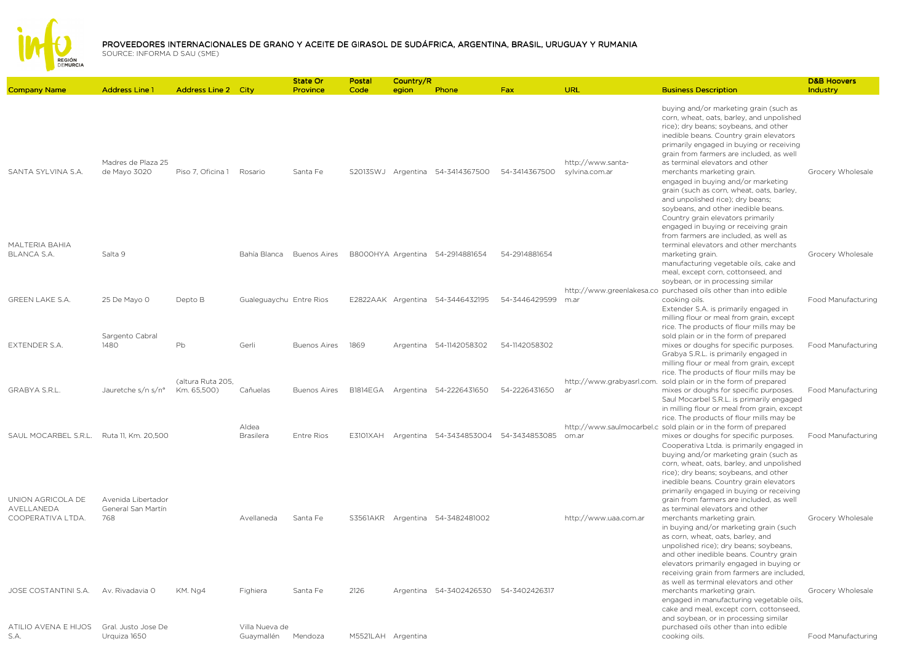

| <b>Company Name</b>                                  | <b>Address Line 1</b>                           | <b>Address Line 2 City</b>       |                              | State Or<br>Province      | Postal<br>Code     | Country/R<br>egion | Phone                                 | <b>Fax</b>    | <b>URL</b>                          | <b>Business Description</b>                                                                                                                                                                                                                                                                                                                                                                                                                                                                                                                                                 | <b>D&amp;B Hoovers</b><br>Industry |
|------------------------------------------------------|-------------------------------------------------|----------------------------------|------------------------------|---------------------------|--------------------|--------------------|---------------------------------------|---------------|-------------------------------------|-----------------------------------------------------------------------------------------------------------------------------------------------------------------------------------------------------------------------------------------------------------------------------------------------------------------------------------------------------------------------------------------------------------------------------------------------------------------------------------------------------------------------------------------------------------------------------|------------------------------------|
| SANTA SYLVINA S.A.                                   | Madres de Plaza 25<br>de Mayo 3020              | Piso 7, Oficina 1 Rosario        |                              | Santa Fe                  |                    |                    | S2013SWJ Argentina 54-3414367500      | 54-3414367500 | http://www.santa-<br>sylvina.com.ar | buying and/or marketing grain (such as<br>corn, wheat, oats, barley, and unpolished<br>rice); dry beans; soybeans, and other<br>inedible beans. Country grain elevators<br>primarily engaged in buying or receiving<br>grain from farmers are included, as well<br>as terminal elevators and other<br>merchants marketing grain.<br>engaged in buying and/or marketing<br>grain (such as corn, wheat, oats, barley,<br>and unpolished rice); dry beans;<br>soybeans, and other inedible beans.<br>Country grain elevators primarily<br>engaged in buying or receiving grain | Grocery Wholesale                  |
| <b>MALTERIA BAHIA</b><br><b>BLANCA S.A.</b>          | Salta 9                                         |                                  |                              | Bahía Blanca Buenos Aires |                    |                    | B8000HYA Argentina 54-2914881654      | 54-2914881654 |                                     | from farmers are included, as well as<br>terminal elevators and other merchants<br>marketing grain.<br>manufacturing vegetable oils, cake and<br>meal, except corn, cottonseed, and<br>soybean, or in processing similar                                                                                                                                                                                                                                                                                                                                                    | Grocery Wholesale                  |
| <b>GREEN LAKE S.A.</b>                               | 25 De Mayo 0                                    | Depto B                          | Gualeguaychu Entre Rios      |                           |                    |                    | E2822AAK Argentina 54-3446432195      | 54-3446429599 | m.ar                                | http://www.greenlakesa.co purchased oils other than into edible<br>cooking oils.<br>Extender S.A. is primarily engaged in<br>milling flour or meal from grain, except<br>rice. The products of flour mills may be                                                                                                                                                                                                                                                                                                                                                           | Food Manufacturing                 |
| <b>EXTENDER S.A.</b>                                 | Sargento Cabral<br>1480                         | Pb                               | Gerli                        | <b>Buenos Aires</b>       | 1869               |                    | Argentina 54-1142058302               | 54-1142058302 |                                     | sold plain or in the form of prepared<br>mixes or doughs for specific purposes.<br>Grabya S.R.L. is primarily engaged in<br>milling flour or meal from grain, except<br>rice. The products of flour mills may be                                                                                                                                                                                                                                                                                                                                                            | Food Manufacturing                 |
| <b>GRABYA S.R.L.</b>                                 | Jauretche s/n s/n°                              | (altura Ruta 205,<br>Km. 65,500) | Cañuelas                     | <b>Buenos Aires</b>       | B1814EGA           |                    | Argentina 54-2226431650               | 54-2226431650 | http://www.grabyasrl.com.<br>ar     | sold plain or in the form of prepared<br>mixes or doughs for specific purposes.<br>Saul Mocarbel S.R.L. is primarily engaged<br>in milling flour or meal from grain, except<br>rice. The products of flour mills may be                                                                                                                                                                                                                                                                                                                                                     | Food Manufacturing                 |
| SAUL MOCARBEL S.R.L. Ruta 11, Km. 20,500             |                                                 |                                  | Aldea<br><b>Brasilera</b>    | <b>Entre Rios</b>         | E3101XAH           |                    | Argentina 54-3434853004 54-3434853085 |               | om.ar                               | http://www.saulmocarbel.c sold plain or in the form of prepared<br>mixes or doughs for specific purposes.<br>Cooperativa Ltda. is primarily engaged in<br>buying and/or marketing grain (such as<br>corn, wheat, oats, barley, and unpolished<br>rice); dry beans; soybeans, and other<br>inedible beans. Country grain elevators                                                                                                                                                                                                                                           | Food Manufacturing                 |
| UNION AGRICOLA DE<br>AVELLANEDA<br>COOPERATIVA LTDA. | Avenida Libertador<br>General San Martín<br>768 |                                  | Avellaneda                   | Santa Fe                  |                    |                    | S3561AKR Argentina 54-3482481002      |               | http://www.uaa.com.ar               | primarily engaged in buying or receiving<br>grain from farmers are included, as well<br>as terminal elevators and other<br>merchants marketing grain.<br>in buying and/or marketing grain (such<br>as corn, wheat, oats, barley, and<br>unpolished rice); dry beans; soybeans,<br>and other inedible beans. Country grain                                                                                                                                                                                                                                                   | Grocery Wholesale                  |
| JOSE COSTANTINI S.A.                                 | Av. Rivadavia 0                                 | KM. Ng4                          | Fighiera                     | Santa Fe                  | 2126               |                    | Argentina 54-3402426530 54-3402426317 |               |                                     | elevators primarily engaged in buying or<br>receiving grain from farmers are included,<br>as well as terminal elevators and other<br>merchants marketing grain.<br>engaged in manufacturing vegetable oils,<br>cake and meal, except corn, cottonseed,<br>and soybean, or in processing similar                                                                                                                                                                                                                                                                             | Grocery Wholesale                  |
| ATILIO AVENA E HIJOS<br>S.A.                         | Gral, Justo Jose De<br>Urquiza 1650             |                                  | Villa Nueva de<br>Guaymallén | Mendoza                   | M5521LAH Argentina |                    |                                       |               |                                     | purchased oils other than into edible<br>cooking oils.                                                                                                                                                                                                                                                                                                                                                                                                                                                                                                                      | Food Manufacturing                 |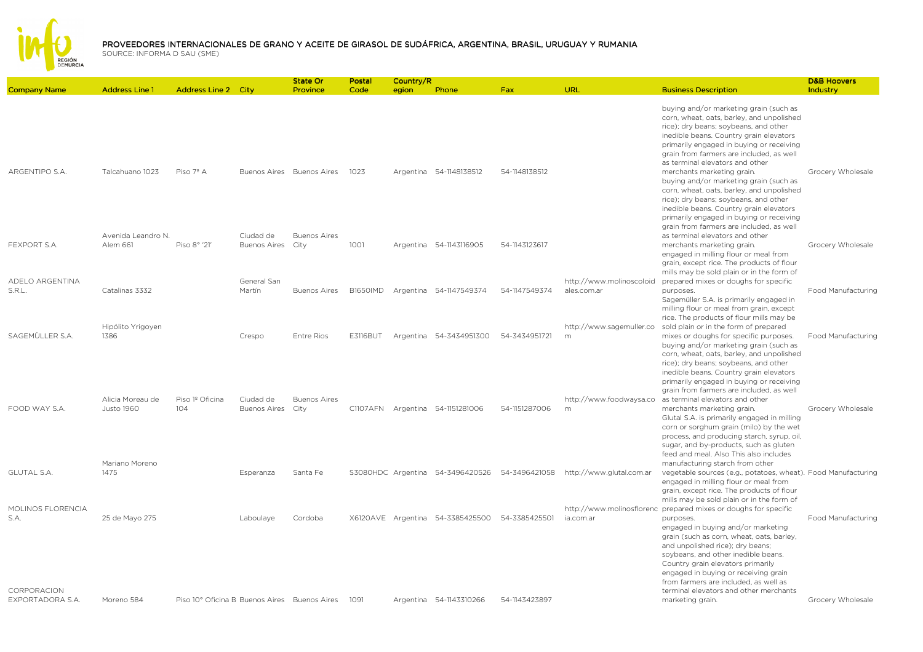

|                                  |                                                  |                                              |                                  | <b>State Or</b>                                  | Postal          | Country/R |                                                |               |                                                                     |                                                                                                                                                                                                                                                                                                                                                                  | <b>D&amp;B Hoovers</b>    |
|----------------------------------|--------------------------------------------------|----------------------------------------------|----------------------------------|--------------------------------------------------|-----------------|-----------|------------------------------------------------|---------------|---------------------------------------------------------------------|------------------------------------------------------------------------------------------------------------------------------------------------------------------------------------------------------------------------------------------------------------------------------------------------------------------------------------------------------------------|---------------------------|
| <b>Company Name</b>              | <b>Address Line 1</b>                            | <b>Address Line 2 City</b>                   |                                  | Province                                         | Code            | egion     | Phone                                          | Fax           | URL                                                                 | <b>Business Description</b>                                                                                                                                                                                                                                                                                                                                      | Industry                  |
|                                  |                                                  |                                              |                                  |                                                  |                 |           |                                                |               |                                                                     | buying and/or marketing grain (such as<br>corn, wheat, oats, barley, and unpolished<br>rice); dry beans; soybeans, and other<br>inedible beans. Country grain elevators<br>primarily engaged in buying or receiving<br>grain from farmers are included, as well<br>as terminal elevators and other                                                               |                           |
| ARGENTIPO S.A.                   | Talcahuano 1023<br>Avenida Leandro N.            | Piso 7º A                                    | Ciudad de                        | Buenos Aires Buenos Aires<br><b>Buenos Aires</b> | 1023            |           | Argentina 54-1148138512                        | 54-1148138512 |                                                                     | merchants marketing grain.<br>buying and/or marketing grain (such as<br>corn, wheat, oats, barley, and unpolished<br>rice); dry beans; soybeans, and other<br>inedible beans. Country grain elevators<br>primarily engaged in buying or receiving<br>grain from farmers are included, as well<br>as terminal elevators and other                                 | Grocery Wholesale         |
| FEXPORT S.A.                     | Alem 661                                         | Piso 8° '21'                                 | Buenos Aires City                |                                                  | 1001            |           | Argentina 54-1143116905                        | 54-1143123617 |                                                                     | merchants marketing grain.<br>engaged in milling flour or meal from<br>grain, except rice. The products of flour<br>mills may be sold plain or in the form of                                                                                                                                                                                                    | Grocery Wholesale         |
| <b>ADELO ARGENTINA</b><br>S.R.L. | Catalinas 3332<br>Hipólito Yrigoyen              |                                              | General San<br>Martín            | <b>Buenos Aires</b>                              | <b>B1650IMD</b> |           | Argentina 54-1147549374                        | 54-1147549374 | http://www.molinoscoloid<br>ales.com.ar<br>http://www.sagemuller.co | prepared mixes or doughs for specific<br>purposes.<br>Sagemüller S.A. is primarily engaged in<br>milling flour or meal from grain, except<br>rice. The products of flour mills may be<br>sold plain or in the form of prepared                                                                                                                                   | Food Manufacturing        |
| SAGEMÜLLER S.A.                  | 1386                                             |                                              | Crespo                           | Entre Rios                                       | E3116BUT        |           | Argentina 54-3434951300                        | 54-3434951721 | m                                                                   | mixes or doughs for specific purposes.<br>buying and/or marketing grain (such as<br>corn, wheat, oats, barley, and unpolished<br>rice); dry beans; soybeans, and other<br>inedible beans. Country grain elevators<br>primarily engaged in buying or receiving<br>grain from farmers are included, as well                                                        | Food Manufacturing        |
| FOOD WAY S.A.                    | Alicia Moreau de<br>Justo 1960<br>Mariano Moreno | Piso 1º Oficina<br>104                       | Ciudad de<br><b>Buenos Aires</b> | <b>Buenos Aires</b><br>City                      |                 |           | C1107AFN Argentina 54-1151281006               | 54-1151287006 | $\,$ m $\,$                                                         | http://www.foodwaysa.co as terminal elevators and other<br>merchants marketing grain.<br>Glutal S.A. is primarily engaged in milling<br>corn or sorghum grain (milo) by the wet<br>process, and producing starch, syrup, oil,<br>sugar, and by-products, such as gluten<br>feed and meal. Also This also includes<br>manufacturing starch from other             | Grocery Wholesale         |
| <b>GLUTAL S.A.</b>               | 1475                                             |                                              | Esperanza                        | Santa Fe                                         |                 |           | S3080HDC Argentina 54-3496420526 54-3496421058 |               | http://www.glutal.com.ar                                            | vegetable sources (e.g., potatoes, wheat). Food Manufacturing<br>engaged in milling flour or meal from<br>grain, except rice. The products of flour<br>mills may be sold plain or in the form of                                                                                                                                                                 |                           |
| MOLINOS FLORENCIA<br>S.A.        | 25 de Mayo 275                                   |                                              | Laboulaye                        | Cordoba                                          |                 |           | X6120AVE Argentina 54-3385425500               | 54-3385425501 | ia.com.ar                                                           | http://www.molinosflorenc prepared mixes or doughs for specific<br>purposes.<br>engaged in buying and/or marketing<br>grain (such as corn, wheat, oats, barley,<br>and unpolished rice); dry beans;<br>soybeans, and other inedible beans.<br>Country grain elevators primarily<br>engaged in buying or receiving grain<br>from farmers are included, as well as | <b>Food Manufacturing</b> |
| CORPORACION<br>EXPORTADORA S.A.  | Moreno 584                                       | Piso 10° Oficina B Buenos Aires Buenos Aires |                                  |                                                  | 1091            |           | Argentina 54-1143310266                        | 54-1143423897 |                                                                     | terminal elevators and other merchants<br>marketing grain.                                                                                                                                                                                                                                                                                                       | Grocery Wholesale         |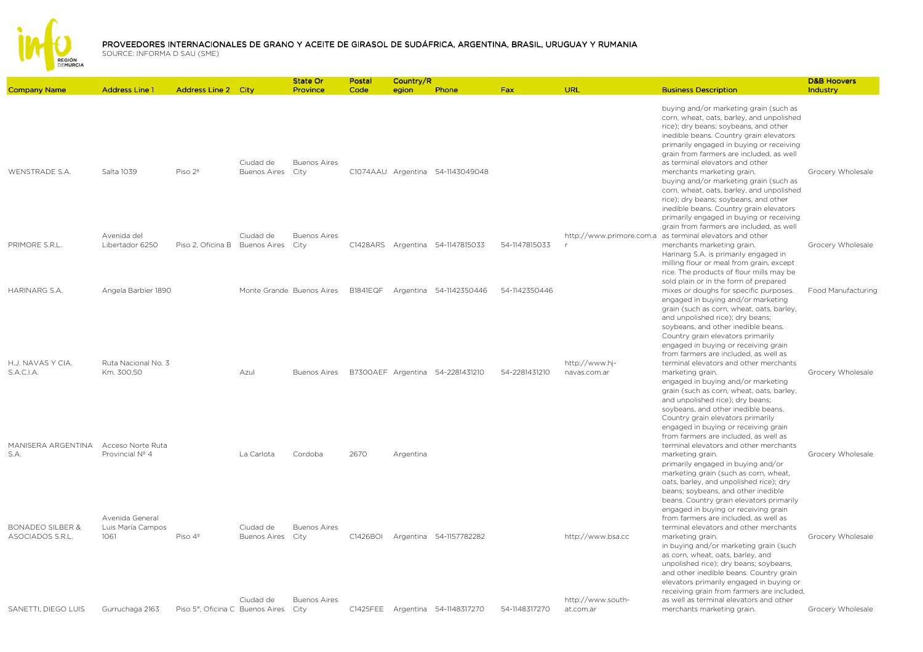

D&B Hoovers Industry

Company Name Address Line 1 Address Line 2 City State Or ProvincePostal CodeCountry/Region Ph<mark>one</mark> **Phone Fax Example Fax URL Business Description Description** WENSTRADE S.A. Salta 1039 Piso 2º Ciudad de Buenos AiresBuenos Aires C1074AAU Argentina 54-1143049048 buying and/or marketing grain (such as corn, wheat, oats, barley, and unpolished rice); dry beans; soybeans, and other inedible beans. Country grain elevators primarily engaged in buying or receiving grain from farmers are included, as well as terminal elevators and other merchants marketing grain. Grocery Wholesale PRIMORE S.R.L. Avenida del Libertador 6250 Libertador 6250 Piso 2, Oficina B Buenos AiresCiudad de Buenos Aires C1428ARS Argentina 54-1147815033 54-1147815033 http://www.primore.com.a as terminal elevators and other rbuying and/or marketing grain (such as corn, wheat, oats, barley, and unpolished rice); dry beans; soybeans, and other inedible beans. Country grain elevators primarily engaged in buying or receiving grain from farmers are included, as well merchants marketing grain. Grocery Wholesale HARINARG S.A. Angela Barbier 1890 Monte Grande Buenos Aires B1841EQF Argentina 54-1142350446 54-1142350446Harinarg S.A. is primarily engaged in milling flour or meal from grain, except rice. The products of flour mills may be sold plain or in the form of prepared mixes or doughs for specific purposes. Food ManufacturingH.J. NAVAS Y CIA. S.A.C.I.A.Ruta Nacional No. 3 Km. 300,50 Azul Buenos Aires B7300AEF Argentina 54-2281431210 54-2281431210 http://www.hjnavas.com.arengaged in buying and/or marketing grain (such as corn, wheat, oats, barley, and unpolished rice); dry beans; soybeans, and other inedible beans. Country grain elevators primarily engaged in buying or receiving grain from farmers are included, as well as terminal elevators and other merchants marketing grain. The contract of the Grocery Wholesale engaged in buying and/or marketing grain (such as corn, wheat, oats, barley, and unpolished rice); dry beans; soybeans, and other inedible beans. Country grain elevators primarily

MANISERA ARGENTINA Acceso Norte Ruta S.A.Provincial Nº 4 La Carlota Cordoba <sup>2670</sup> Argentina engaged in buying or receiving grain from farmers are included, as well as terminal elevators and other merchants marketing grain. The contract of the Grocery Wholesale BONADEO SILBER & ASOCIADOS S.R.L.Avenida General Luis María Campos  $1061$  Piso  $4^{\circ}$ Ciudad de Buenos AiresBuenos Aires C1426BOI Argentina 54-1157782282 http://www.bsa.cc primarily engaged in buying and/or marketing grain (such as corn, wheat, oats, barley, and unpolished rice); dry beans; soybeans, and other inedible beans. Country grain elevators primarily engaged in buying or receiving grain from farmers are included, as well as terminal elevators and other merchants marketing grain. The contract of the Grocery Wholesale SANETTI, DIEGO LUIS Gurruchaga 2163 Ciudad de Buenos AiresBuenos Aires C1425FEE Argentina 54-1148317270 54-1148317270 http://www.southat.com.arin buying and/or marketing grain (such as corn, wheat, oats, barley, and unpolished rice); dry beans; soybeans, and other inedible beans. Country grain elevators primarily engaged in buying or receiving grain from farmers are included, as well as terminal elevators and other merchants marketing grain. Grocery Wholesale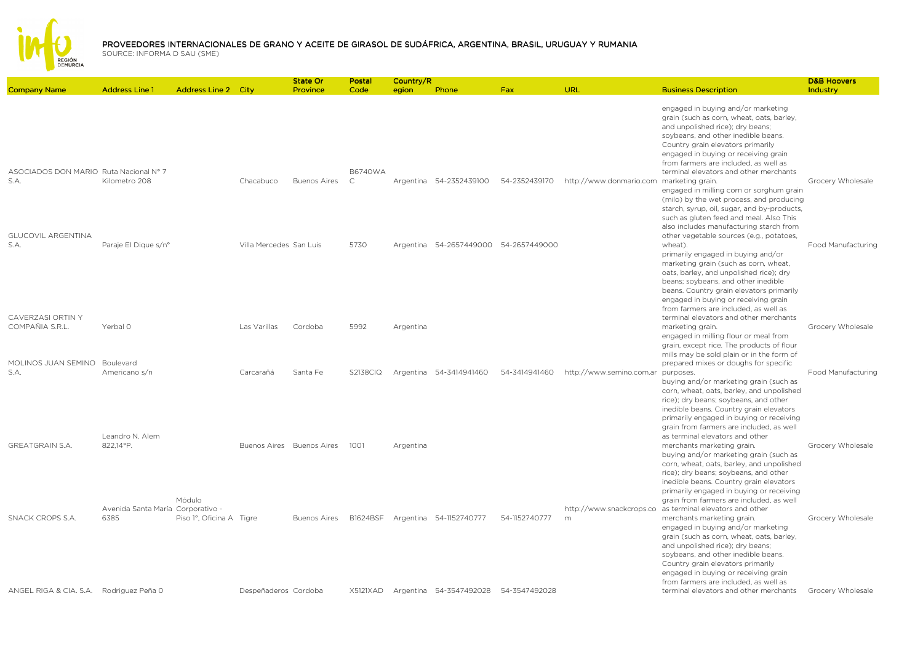

|                                                                             |                                           |                            |                         | State Or                  | Postal                         | Country/R |                                       |               |                                          |                                                                                                                                                                                                                                                                                                                                                                            | <b>D&amp;B Hoovers</b> |
|-----------------------------------------------------------------------------|-------------------------------------------|----------------------------|-------------------------|---------------------------|--------------------------------|-----------|---------------------------------------|---------------|------------------------------------------|----------------------------------------------------------------------------------------------------------------------------------------------------------------------------------------------------------------------------------------------------------------------------------------------------------------------------------------------------------------------------|------------------------|
| <b>Company Name</b>                                                         | <b>Address Line 1</b>                     | <b>Address Line 2 City</b> |                         | Province                  | Code                           | egion     | Phone                                 | <b>Fax</b>    | URL                                      | <b>Business Description</b>                                                                                                                                                                                                                                                                                                                                                | Industry               |
|                                                                             |                                           |                            |                         |                           |                                |           |                                       |               |                                          | engaged in buying and/or marketing<br>grain (such as corn, wheat, oats, barley,<br>and unpolished rice); dry beans;<br>soybeans, and other inedible beans.<br>Country grain elevators primarily<br>engaged in buying or receiving grain<br>from farmers are included, as well as                                                                                           |                        |
| ASOCIADOS DON MARIO Ruta Nacional Nº 7<br>S.A.<br><b>GLUCOVIL ARGENTINA</b> | Kilometro 208                             |                            | Chacabuco               | <b>Buenos Aires</b>       | <b>B6740WA</b><br>$\mathsf{C}$ |           | Argentina 54-2352439100               | 54-2352439170 | http://www.donmario.com marketing grain. | terminal elevators and other merchants<br>engaged in milling corn or sorghum grain<br>(milo) by the wet process, and producing<br>starch, syrup, oil, sugar, and by-products,<br>such as gluten feed and meal. Also This<br>also includes manufacturing starch from<br>other vegetable sources (e.g., potatoes,                                                            | Grocery Wholesale      |
| S.A.                                                                        | Paraje El Dique s/n°                      |                            | Villa Mercedes San Luis |                           | 5730                           |           | Argentina 54-2657449000 54-2657449000 |               |                                          | wheat).<br>primarily engaged in buying and/or<br>marketing grain (such as corn, wheat,<br>oats, barley, and unpolished rice); dry<br>beans; soybeans, and other inedible<br>beans. Country grain elevators primarily<br>engaged in buying or receiving grain<br>from farmers are included, as well as                                                                      | Food Manufacturing     |
| CAVERZASI ORTIN Y<br>COMPAÑIA S.R.L.                                        | Yerbal O                                  |                            | Las Varillas            | Cordoba                   | 5992                           | Argentina |                                       |               |                                          | terminal elevators and other merchants<br>marketing grain.<br>engaged in milling flour or meal from<br>grain, except rice. The products of flour<br>mills may be sold plain or in the form of                                                                                                                                                                              | Grocery Wholesale      |
| MOLINOS JUAN SEMINO Boulevard<br>S.A.                                       | Americano s/n                             |                            | Carcarañá               | Santa Fe                  | <b>S2138CIQ</b>                |           | Argentina 54-3414941460               | 54-3414941460 | http://www.semino.com.ar purposes.       | prepared mixes or doughs for specific<br>buying and/or marketing grain (such as<br>corn, wheat, oats, barley, and unpolished<br>rice); dry beans; soybeans, and other<br>inedible beans. Country grain elevators<br>primarily engaged in buying or receiving<br>grain from farmers are included, as well                                                                   | Food Manufacturing     |
| <b>GREATGRAIN S.A.</b>                                                      | Leandro N. Alem<br>822.14°P.              | Módulo                     |                         | Buenos Aires Buenos Aires | 1001                           | Argentina |                                       |               |                                          | as terminal elevators and other<br>merchants marketing grain.<br>buying and/or marketing grain (such as<br>corn, wheat, oats, barley, and unpolished<br>rice); dry beans; soybeans, and other<br>inedible beans. Country grain elevators<br>primarily engaged in buying or receiving<br>grain from farmers are included, as well                                           | Grocery Wholesale      |
| SNACK CROPS S.A.                                                            | Avenida Santa María Corporativo -<br>6385 | Piso 1°, Oficina A Tigre   |                         | <b>Buenos Aires</b>       | <b>B1624BSF</b>                |           | Argentina 54-1152740777               | 54-1152740777 | m                                        | http://www.snackcrops.co as terminal elevators and other<br>merchants marketing grain.<br>engaged in buying and/or marketing<br>grain (such as corn, wheat, oats, barley,<br>and unpolished rice); dry beans;<br>soybeans, and other inedible beans.<br>Country grain elevators primarily<br>engaged in buying or receiving grain<br>from farmers are included, as well as | Grocery Wholesale      |
| ANGEL RIGA & CIA. S.A. Rodriguez Peña 0                                     |                                           |                            | Despeñaderos Cordoba    |                           | X5121XAD                       |           | Argentina 54-3547492028 54-3547492028 |               |                                          | terminal elevators and other merchants                                                                                                                                                                                                                                                                                                                                     | Grocery Wholesale      |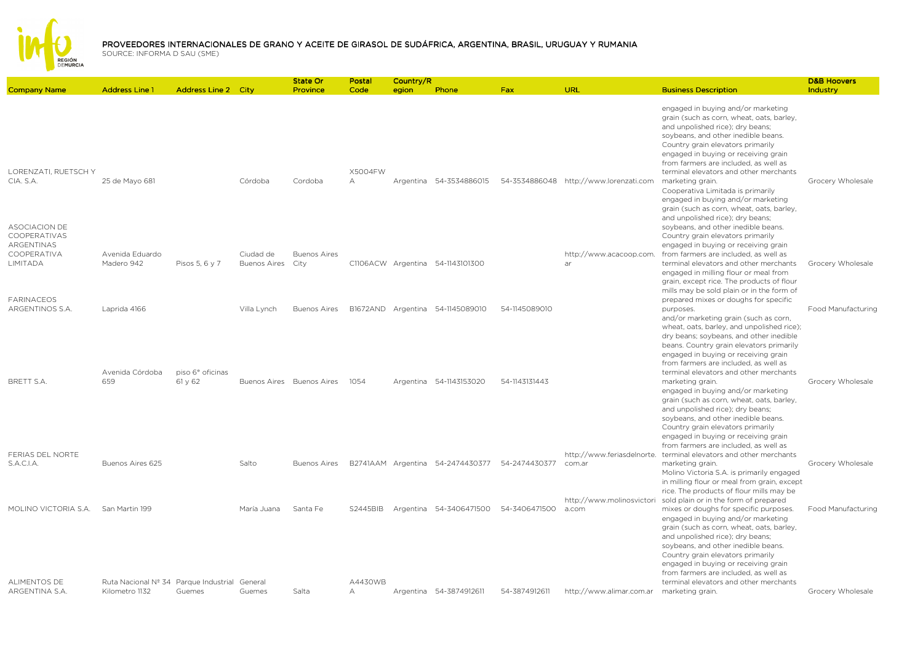

|                                                            |                                                                 |                             |                     | State Or                  | Postal               | Country/R |                                  |               |                                        |                                                                                                                                                                                                                                                                                                                                                                     | <b>D&amp;B Hoovers</b> |
|------------------------------------------------------------|-----------------------------------------------------------------|-----------------------------|---------------------|---------------------------|----------------------|-----------|----------------------------------|---------------|----------------------------------------|---------------------------------------------------------------------------------------------------------------------------------------------------------------------------------------------------------------------------------------------------------------------------------------------------------------------------------------------------------------------|------------------------|
| <b>Company Name</b>                                        | <b>Address Line 1</b>                                           | <b>Address Line 2 City</b>  |                     | Province                  | Code                 | egion     | Phone                            | <b>Fax</b>    | URL                                    | <b>Business Description</b>                                                                                                                                                                                                                                                                                                                                         | Industry               |
|                                                            |                                                                 |                             |                     |                           |                      |           |                                  |               |                                        | engaged in buying and/or marketing<br>grain (such as corn, wheat, oats, barley,<br>and unpolished rice); dry beans;<br>soybeans, and other inedible beans.<br>Country grain elevators primarily<br>engaged in buying or receiving grain<br>from farmers are included, as well as                                                                                    |                        |
| <b>LORENZATL RUETSCH Y</b><br>CIA. S.A.                    | 25 de Mayo 681                                                  |                             | Córdoba             | Cordoba                   | X5004FW<br>$\forall$ |           | Argentina 54-3534886015          |               | 54-3534886048 http://www.lorenzati.com | terminal elevators and other merchants<br>marketing grain.<br>Cooperativa Limitada is primarily<br>engaged in buying and/or marketing<br>grain (such as corn, wheat, oats, barley,<br>and unpolished rice); dry beans;                                                                                                                                              | Grocery Wholesale      |
| ASOCIACION DE<br>COOPERATIVAS<br>ARGENTINAS<br>COOPERATIVA | Avenida Eduardo                                                 |                             | Ciudad de           | <b>Buenos Aires</b>       |                      |           |                                  |               | http://www.acacoop.com.                | soybeans, and other inedible beans.<br>Country grain elevators primarily<br>engaged in buying or receiving grain<br>from farmers are included, as well as                                                                                                                                                                                                           |                        |
| LIMITADA<br><b>FARINACEOS</b>                              | Madero 942                                                      | Pisos 5, 6 y 7              | <b>Buenos Aires</b> | City                      |                      |           | C1106ACW Argentina 54-1143101300 |               | ar                                     | terminal elevators and other merchants<br>engaged in milling flour or meal from<br>grain, except rice. The products of flour<br>mills may be sold plain or in the form of<br>prepared mixes or doughs for specific                                                                                                                                                  | Grocery Wholesale      |
| ARGENTINOS S.A.                                            | Laprida 4166                                                    |                             | Villa Lynch         | <b>Buenos Aires</b>       |                      |           | B1672AND Argentina 54-1145089010 | 54-1145089010 |                                        | purposes.<br>and/or marketing grain (such as corn,<br>wheat, oats, barley, and unpolished rice);<br>dry beans; soybeans, and other inedible<br>beans. Country grain elevators primarily<br>engaged in buying or receiving grain<br>from farmers are included, as well as                                                                                            | Food Manufacturing     |
| BRETT S.A.                                                 | Avenida Córdoba<br>659                                          | piso 6° oficinas<br>61 y 62 |                     | Buenos Aires Buenos Aires | 1054                 |           | Argentina 54-1143153020          | 54-1143131443 |                                        | terminal elevators and other merchants<br>marketing grain.<br>engaged in buying and/or marketing<br>grain (such as corn, wheat, oats, barley,<br>and unpolished rice); dry beans;<br>soybeans, and other inedible beans.<br>Country grain elevators primarily<br>engaged in buying or receiving grain                                                               | Grocery Wholesale      |
| FERIAS DEL NORTE<br>S.A.C.I.A.                             | Buenos Aires 625                                                |                             | Salto               | <b>Buenos Aires</b>       |                      |           | B2741AAM Argentina 54-2474430377 | 54-2474430377 | com.ar                                 | from farmers are included, as well as<br>http://www.feriasdelnorte. terminal elevators and other merchants<br>marketing grain.<br>Molino Victoria S.A. is primarily engaged<br>in milling flour or meal from grain, except<br>rice. The products of flour mills may be                                                                                              | Grocery Wholesale      |
| MOLINO VICTORIA S.A.                                       | San Martin 199                                                  |                             | María Juana         | Santa Fe                  | <b>S2445BIB</b>      |           | Argentina 54-3406471500          | 54-3406471500 | http://www.molinosvictori<br>a.com     | sold plain or in the form of prepared<br>mixes or doughs for specific purposes.<br>engaged in buying and/or marketing<br>grain (such as corn, wheat, oats, barley,<br>and unpolished rice); dry beans;<br>soybeans, and other inedible beans.<br>Country grain elevators primarily<br>engaged in buying or receiving grain<br>from farmers are included, as well as | Food Manufacturing     |
| <b>ALIMENTOS DE</b><br>ARGENTINA S.A.                      | Ruta Nacional Nº 34 Parque Industrial General<br>Kilometro 1132 | Guemes                      | Guemes              | Salta                     | A4430WB<br>$\forall$ |           | Argentina 54-3874912611          | 54-3874912611 | http://www.alimar.com.ar               | terminal elevators and other merchants<br>marketing grain.                                                                                                                                                                                                                                                                                                          | Grocery Wholesale      |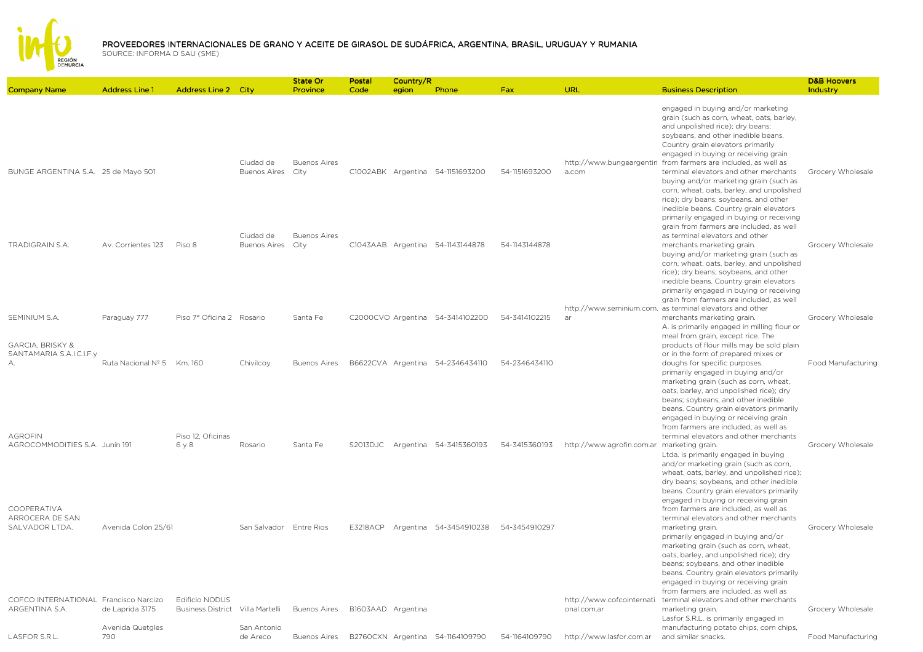

| <b>Company Name</b>                                     | <b>Address Line 1</b>      | <b>Address Line 2 City</b>                                |                                  | State Or<br>Province        | Postal<br>Code     | Country/R<br>egion | Phone                            | <b>Fax</b>    | <b>URL</b>                                 | <b>Business Description</b>                                                                                                                                                                                                                                                                                                                                                                                       | <b>D&amp;B Hoovers</b><br>Industry |
|---------------------------------------------------------|----------------------------|-----------------------------------------------------------|----------------------------------|-----------------------------|--------------------|--------------------|----------------------------------|---------------|--------------------------------------------|-------------------------------------------------------------------------------------------------------------------------------------------------------------------------------------------------------------------------------------------------------------------------------------------------------------------------------------------------------------------------------------------------------------------|------------------------------------|
|                                                         |                            |                                                           |                                  |                             |                    |                    |                                  |               |                                            |                                                                                                                                                                                                                                                                                                                                                                                                                   |                                    |
| BUNGE ARGENTINA S.A. 25 de Mayo 501                     |                            |                                                           | Ciudad de<br><b>Buenos Aires</b> | <b>Buenos Aires</b><br>City |                    |                    | C1002ABK Argentina 54-1151693200 | 54-1151693200 | http://www.bungeargentin<br>a.com          | engaged in buying and/or marketing<br>grain (such as corn, wheat, oats, barley,<br>and unpolished rice); dry beans;<br>soybeans, and other inedible beans.<br>Country grain elevators primarily<br>engaged in buying or receiving grain<br>from farmers are included, as well as<br>terminal elevators and other merchants<br>buying and/or marketing grain (such as<br>corn, wheat, oats, barley, and unpolished | Grocery Wholesale                  |
| TRADIGRAIN S.A.                                         | Av. Corrientes 123         | Piso 8                                                    | Ciudad de<br><b>Buenos Aires</b> | <b>Buenos Aires</b><br>City |                    |                    | C1043AAB Argentina 54-1143144878 | 54-1143144878 |                                            | rice); dry beans; soybeans, and other<br>inedible beans. Country grain elevators<br>primarily engaged in buying or receiving<br>grain from farmers are included, as well<br>as terminal elevators and other<br>merchants marketing grain.                                                                                                                                                                         | Grocery Wholesale                  |
|                                                         |                            |                                                           |                                  |                             |                    |                    |                                  |               |                                            | buying and/or marketing grain (such as<br>corn, wheat, oats, barley, and unpolished<br>rice); dry beans; soybeans, and other<br>inedible beans. Country grain elevators<br>primarily engaged in buying or receiving<br>grain from farmers are included, as well                                                                                                                                                   |                                    |
| SEMINIUM S.A.                                           | Paraguay 777               | Piso 7º Oficina 2 Rosario                                 |                                  | Santa Fe                    |                    |                    | C2000CVO Argentina 54-3414102200 | 54-3414102215 | ar                                         | http://www.seminium.com. as terminal elevators and other<br>merchants marketing grain.                                                                                                                                                                                                                                                                                                                            | Grocery Wholesale                  |
|                                                         |                            |                                                           |                                  |                             |                    |                    |                                  |               |                                            | A. is primarily engaged in milling flour or                                                                                                                                                                                                                                                                                                                                                                       |                                    |
| <b>GARCIA, BRISKY &amp;</b><br>SANTAMARIA S.A.I.C.I.F.y |                            |                                                           |                                  |                             |                    |                    |                                  |               |                                            | meal from grain, except rice. The<br>products of flour mills may be sold plain<br>or in the form of prepared mixes or                                                                                                                                                                                                                                                                                             |                                    |
| А.<br><b>AGROFIN</b>                                    | Ruta Nacional Nº 5 Km. 160 | Piso 12, Oficinas                                         | Chivilcoy                        | <b>Buenos Aires</b>         |                    |                    | B6622CVA Argentina 54-2346434110 | 54-2346434110 |                                            | doughs for specific purposes.<br>primarily engaged in buying and/or<br>marketing grain (such as corn, wheat,<br>oats, barley, and unpolished rice); dry<br>beans; soybeans, and other inedible<br>beans. Country grain elevators primarily<br>engaged in buying or receiving grain<br>from farmers are included, as well as<br>terminal elevators and other merchants                                             | Food Manufacturing                 |
| AGROCOMMODITIES S.A. Junín 191                          |                            | 6y8                                                       | Rosario                          | Santa Fe                    | S2013DJC           |                    | Argentina 54-3415360193          | 54-3415360193 | http://www.agrofin.com.ar marketing grain. | Ltda. is primarily engaged in buying<br>and/or marketing grain (such as corn,<br>wheat, oats, barley, and unpolished rice);<br>dry beans; soybeans, and other inedible<br>beans. Country grain elevators primarily<br>engaged in buying or receiving grain                                                                                                                                                        | Grocery Wholesale                  |
| <b>COOPERATIVA</b><br>ARROCERA DE SAN<br>SALVADOR LTDA. | Avenida Colón 25/61        |                                                           | San Salvador Entre Rios          |                             | <b>E3218ACP</b>    |                    | Argentina 54-3454910238          | 54-3454910297 |                                            | from farmers are included, as well as<br>terminal elevators and other merchants<br>marketing grain.<br>primarily engaged in buying and/or<br>marketing grain (such as corn, wheat,<br>oats, barley, and unpolished rice); dry<br>beans; soybeans, and other inedible<br>beans. Country grain elevators primarily                                                                                                  | Grocery Wholesale                  |
|                                                         |                            |                                                           |                                  |                             |                    |                    |                                  |               |                                            | engaged in buying or receiving grain<br>from farmers are included, as well as                                                                                                                                                                                                                                                                                                                                     |                                    |
| COFCO INTERNATIONAL Francisco Narcizo<br>ARGENTINA S.A. | de Laprida 3175            | <b>Edificio NODUS</b><br>Business District Villa Martelli |                                  | <b>Buenos Aires</b>         | B1603AAD Argentina |                    |                                  |               | http://www.cofcointernati<br>onal.com.ar   | terminal elevators and other merchants<br>marketing grain.<br>Lasfor S.R.L. is primarily engaged in                                                                                                                                                                                                                                                                                                               | Grocery Wholesale                  |
| <b>LASFOR S.R.L</b>                                     | Avenida Quetgles<br>790    |                                                           | San Antonio<br>de Areco          | <b>Buenos Aires</b>         |                    |                    | B2760CXN Argentina 54-1164109790 | 54-1164109790 | http://www.lasfor.com.ar                   | manufacturing potato chips, corn chips,<br>and similar snacks.                                                                                                                                                                                                                                                                                                                                                    | Food Manufacturing                 |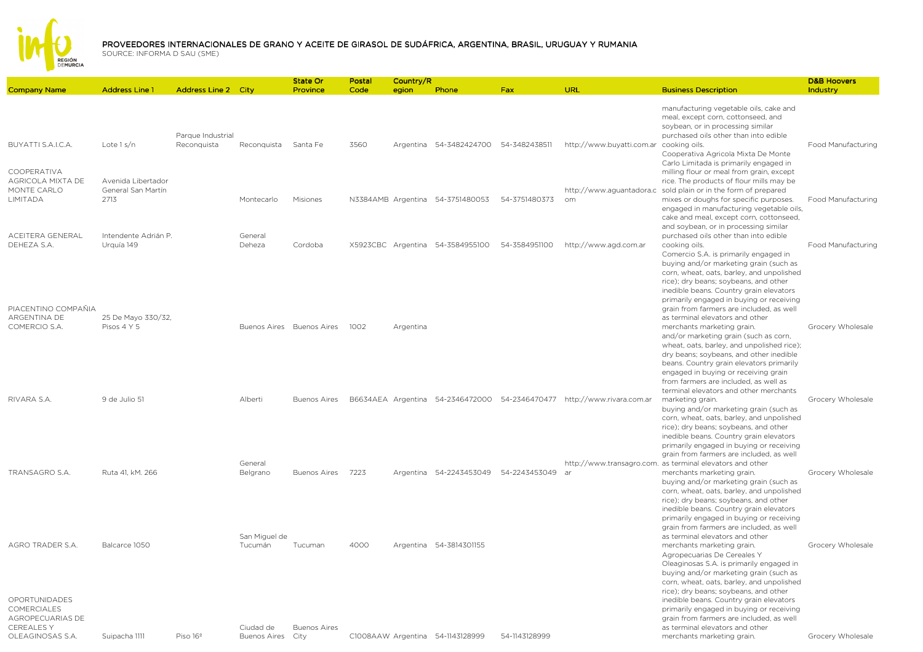

| <b>Company Name</b>                                         | <b>Address Line 1</b>                            | <b>Address Line 2 City</b>       |                                | <b>State Or</b><br>Province | Postal<br>Code | Country/R | Phone                                 | Fax           | URL                                                                     | <b>Business Description</b>                                                                                                                                                                                                                                                                                                                                                                                                                                                                                                                            | <b>D&amp;B Hoovers</b><br>Industry |
|-------------------------------------------------------------|--------------------------------------------------|----------------------------------|--------------------------------|-----------------------------|----------------|-----------|---------------------------------------|---------------|-------------------------------------------------------------------------|--------------------------------------------------------------------------------------------------------------------------------------------------------------------------------------------------------------------------------------------------------------------------------------------------------------------------------------------------------------------------------------------------------------------------------------------------------------------------------------------------------------------------------------------------------|------------------------------------|
|                                                             |                                                  |                                  |                                |                             |                | egion     |                                       |               |                                                                         |                                                                                                                                                                                                                                                                                                                                                                                                                                                                                                                                                        |                                    |
| BUYATTI S.A.I.C.A.                                          | Lote $1 s/n$                                     | Parque Industrial<br>Reconquista | Reconquista Santa Fe           |                             | 3560           |           | Argentina 54-3482424700 54-3482438511 |               | http://www.buyatti.com.ar                                               | manufacturing vegetable oils, cake and<br>meal, except corn, cottonseed, and<br>soybean, or in processing similar<br>purchased oils other than into edible<br>cooking oils.<br>Cooperativa Agricola Mixta De Monte<br>Carlo Limitada is primarily engaged in                                                                                                                                                                                                                                                                                           | Food Manufacturing                 |
| COOPERATIVA<br>AGRICOLA MIXTA DE<br>MONTE CARLO<br>LIMITADA | Avenida Libertador<br>General San Martín<br>2713 |                                  | Montecarlo                     | Misiones                    |                |           | N3384AMB Argentina 54-3751480053      | 54-3751480373 | om                                                                      | milling flour or meal from grain, except<br>rice. The products of flour mills may be<br>http://www.aguantadora.c sold plain or in the form of prepared<br>mixes or doughs for specific purposes.<br>engaged in manufacturing vegetable oils,<br>cake and meal, except corn, cottonseed,<br>and soybean, or in processing similar                                                                                                                                                                                                                       | Food Manufacturing                 |
| ACEITERA GENERAL<br>DEHEZA S.A.                             | Intendente Adrián P.<br>Urquía 149               |                                  | General<br>Deheza              | Cordoba                     |                |           | X5923CBC Argentina 54-3584955100      | 54-3584951100 | http://www.agd.com.ar                                                   | purchased oils other than into edible<br>cooking oils.<br>Comercio S.A. is primarily engaged in                                                                                                                                                                                                                                                                                                                                                                                                                                                        | Food Manufacturing                 |
| PIACENTINO COMPAÑIA<br>ARGENTINA DE<br>COMERCIO S.A.        | 25 De Mayo 330/32,<br>Pisos 4 Y 5                |                                  |                                | Buenos Aires Buenos Aires   | 1002           | Argentina |                                       |               |                                                                         | buying and/or marketing grain (such as<br>corn, wheat, oats, barley, and unpolished<br>rice); dry beans; soybeans, and other<br>inedible beans. Country grain elevators<br>primarily engaged in buying or receiving<br>grain from farmers are included, as well<br>as terminal elevators and other<br>merchants marketing grain.<br>and/or marketing grain (such as corn,<br>wheat, oats, barley, and unpolished rice);<br>dry beans; soybeans, and other inedible<br>beans. Country grain elevators primarily<br>engaged in buying or receiving grain | Grocery Wholesale                  |
| RIVARA S.A.                                                 | 9 de Julio 51                                    |                                  | Alberti                        | <b>Buenos Aires</b>         |                |           |                                       |               | B6634AEA Argentina 54-2346472000 54-2346470477 http://www.rivara.com.ar | from farmers are included, as well as<br>terminal elevators and other merchants<br>marketing grain.<br>buying and/or marketing grain (such as<br>corn, wheat, oats, barley, and unpolished<br>rice); dry beans; soybeans, and other<br>inedible beans. Country grain elevators<br>primarily engaged in buying or receiving                                                                                                                                                                                                                             | Grocery Wholesale                  |
| TRANSAGRO S.A.                                              | Ruta 41, kM. 266                                 |                                  | General<br>Belgrano            | Buenos Aires                | 7223           |           | Argentina 54-2243453049 54-2243453049 |               | ar                                                                      | grain from farmers are included, as well<br>http://www.transagro.com. as terminal elevators and other<br>merchants marketing grain.<br>buying and/or marketing grain (such as<br>corn, wheat, oats, barley, and unpolished<br>rice); dry beans; soybeans, and other<br>inedible beans. Country grain elevators<br>primarily engaged in buying or receiving                                                                                                                                                                                             | Grocery Wholesale                  |
| AGRO TRADER S.A.<br>OPORTUNIDADES<br>COMERCIALES            | Balcarce 1050                                    |                                  | San Miguel de<br>Tucumán       | Tucuman                     | 4000           |           | Argentina 54-3814301155               |               |                                                                         | grain from farmers are included, as well<br>as terminal elevators and other<br>merchants marketing grain.<br>Agropecuarias De Cereales Y<br>Oleaginosas S.A. is primarily engaged in<br>buying and/or marketing grain (such as<br>corn, wheat, oats, barley, and unpolished<br>rice); dry beans; soybeans, and other<br>inedible beans. Country grain elevators<br>primarily engaged in buying or receiving                                                                                                                                            | Grocery Wholesale                  |
| AGROPECUARIAS DE<br><b>CEREALESY</b><br>OLEAGINOSAS S.A.    | Suipacha 1111                                    | Piso 16 <sup>°</sup>             | Ciudad de<br>Buenos Aires City | <b>Buenos Aires</b>         |                |           | C1008AAW Argentina 54-1143128999      | 54-1143128999 |                                                                         | grain from farmers are included, as well<br>as terminal elevators and other<br>merchants marketing grain.                                                                                                                                                                                                                                                                                                                                                                                                                                              | Grocery Wholesale                  |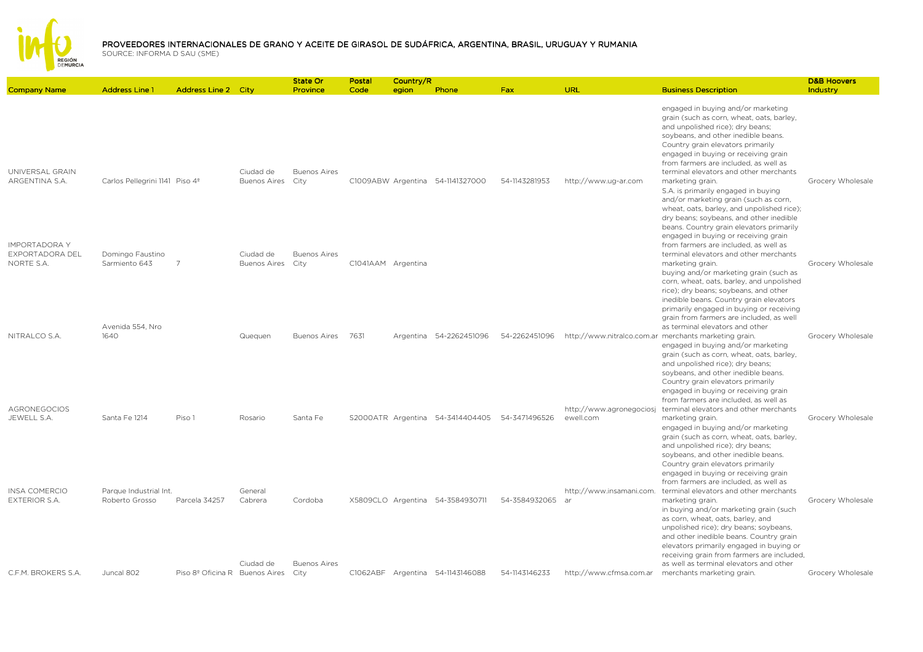

|                                                       |                                            |                                |                                  | State Or                    | Postal             | Country/R |                                  |               |                                       |                                                                                                                                                                                                                                                                                                                                                                                                                                                                                                                         | <b>D&amp;B Hoovers</b> |
|-------------------------------------------------------|--------------------------------------------|--------------------------------|----------------------------------|-----------------------------|--------------------|-----------|----------------------------------|---------------|---------------------------------------|-------------------------------------------------------------------------------------------------------------------------------------------------------------------------------------------------------------------------------------------------------------------------------------------------------------------------------------------------------------------------------------------------------------------------------------------------------------------------------------------------------------------------|------------------------|
| <b>Company Name</b>                                   | <b>Address Line 1</b>                      | <b>Address Line 2 City</b>     |                                  | Province                    | Code               | egion     | Phone                            | <b>Fax</b>    | URL                                   | <b>Business Description</b>                                                                                                                                                                                                                                                                                                                                                                                                                                                                                             | Industry               |
| UNIVERSAL GRAIN<br>ARGENTINA S.A.                     | Carlos Pellegrini 1141 Piso 4 <sup>°</sup> |                                | Ciudad de<br><b>Buenos Aires</b> | <b>Buenos Aires</b><br>City |                    |           | C1009ABW Argentina 54-1141327000 | 54-1143281953 | http://www.ug-ar.com                  | engaged in buying and/or marketing<br>grain (such as corn, wheat, oats, barley,<br>and unpolished rice); dry beans;<br>soybeans, and other inedible beans.<br>Country grain elevators primarily<br>engaged in buying or receiving grain<br>from farmers are included, as well as<br>terminal elevators and other merchants<br>marketing grain.<br>S.A. is primarily engaged in buying<br>and/or marketing grain (such as corn,<br>wheat, oats, barley, and unpolished rice);<br>dry beans; soybeans, and other inedible | Grocery Wholesale      |
| <b>IMPORTADORA Y</b><br>EXPORTADORA DEL<br>NORTE S.A. | Domingo Faustino<br>Sarmiento 643          | $\overline{7}$                 | Ciudad de<br><b>Buenos Aires</b> | <b>Buenos Aires</b><br>City | C1041AAM Argentina |           |                                  |               |                                       | beans. Country grain elevators primarily<br>engaged in buying or receiving grain<br>from farmers are included, as well as<br>terminal elevators and other merchants<br>marketing grain.<br>buying and/or marketing grain (such as<br>corn, wheat, oats, barley, and unpolished<br>rice); dry beans; soybeans, and other<br>inedible beans. Country grain elevators                                                                                                                                                      | Grocery Wholesale      |
| NITRALCO S.A.                                         | Avenida 554, Nro<br>1640                   |                                | Quequen                          | <b>Buenos Aires</b>         | 7631               |           | Argentina 54-2262451096          | 54-2262451096 |                                       | primarily engaged in buying or receiving<br>grain from farmers are included, as well<br>as terminal elevators and other<br>http://www.nitralco.com.ar merchants marketing grain.<br>engaged in buying and/or marketing<br>grain (such as corn, wheat, oats, barley,<br>and unpolished rice); dry beans;<br>soybeans, and other inedible beans.<br>Country grain elevators primarily                                                                                                                                     | Grocery Wholesale      |
| <b>AGRONEGOCIOS</b><br>JEWELL S.A.                    | Santa Fe 1214                              | Piso 1                         | Rosario                          | Santa Fe                    |                    |           | S2000ATR Argentina 54-3414404405 | 54-3471496526 | http://www.agronegociosj<br>ewell.com | engaged in buying or receiving grain<br>from farmers are included, as well as<br>terminal elevators and other merchants<br>marketing grain.<br>engaged in buying and/or marketing<br>grain (such as corn, wheat, oats, barley,<br>and unpolished rice); dry beans;<br>soybeans, and other inedible beans.                                                                                                                                                                                                               | Grocery Wholesale      |
| <b>INSA COMERCIO</b><br><b>EXTERIOR S.A.</b>          | Parque Industrial Int.<br>Roberto Grosso   | Parcela 34257                  | General<br>Cabrera               | Cordoba                     |                    |           | X5809CLO Argentina 54-3584930711 | 54-3584932065 | http://www.insamani.com.<br>-ar       | Country grain elevators primarily<br>engaged in buying or receiving grain<br>from farmers are included, as well as<br>terminal elevators and other merchants<br>marketing grain.<br>in buying and/or marketing grain (such<br>as corn, wheat, oats, barley, and<br>unpolished rice); dry beans; soybeans,<br>and other inedible beans. Country grain                                                                                                                                                                    | Grocery Wholesale      |
| C.F.M. BROKERS S.A.                                   | Juncal 802                                 | Piso 8º Oficina R Buenos Aires | Ciudad de                        | <b>Buenos Aires</b><br>City |                    |           | C1062ABF Argentina 54-1143146088 | 54-1143146233 | http://www.cfmsa.com.ar               | elevators primarily engaged in buying or<br>receiving grain from farmers are included,<br>as well as terminal elevators and other<br>merchants marketing grain.                                                                                                                                                                                                                                                                                                                                                         | Grocery Wholesale      |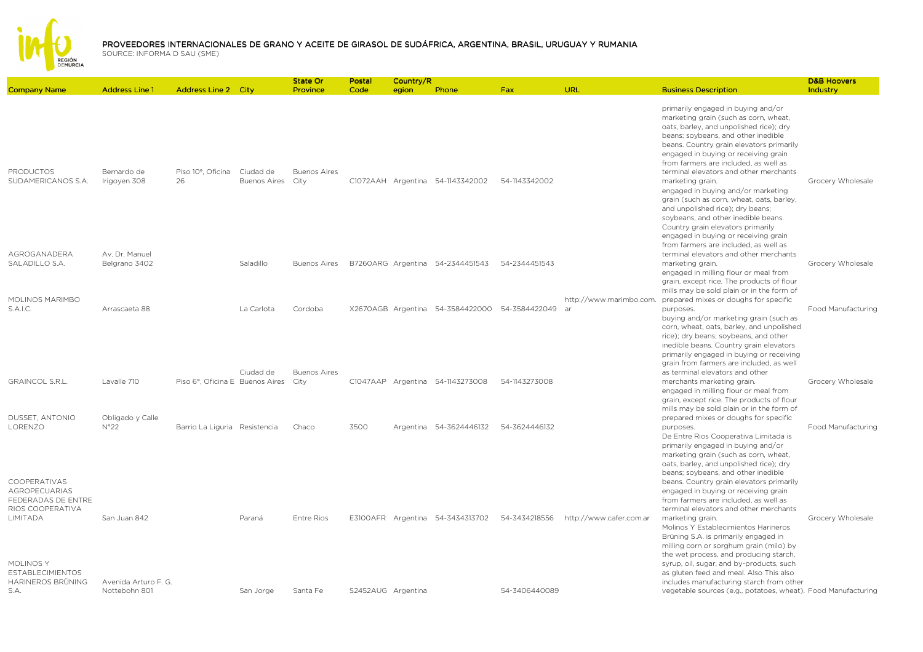

|                                                                                |                                       |                                      |                                  | State Or                    | Postal             | Country/R |                                                |               |                               |                                                                                                                                                                                                                                                                                                                                                                                                                                                                                                                                                             | <b>D&amp;B Hoovers</b> |
|--------------------------------------------------------------------------------|---------------------------------------|--------------------------------------|----------------------------------|-----------------------------|--------------------|-----------|------------------------------------------------|---------------|-------------------------------|-------------------------------------------------------------------------------------------------------------------------------------------------------------------------------------------------------------------------------------------------------------------------------------------------------------------------------------------------------------------------------------------------------------------------------------------------------------------------------------------------------------------------------------------------------------|------------------------|
| <b>Company Name</b>                                                            | <b>Address Line 1</b>                 | <b>Address Line 2 City</b>           |                                  | Province                    | Code               | egion     | Phone                                          | <b>Fax</b>    | URL                           | <b>Business Description</b>                                                                                                                                                                                                                                                                                                                                                                                                                                                                                                                                 | Industry               |
| <b>PRODUCTOS</b><br>SUDAMERICANOS S.A.                                         | Bernardo de<br>Irigoven 308           | Piso 10 <sup>°</sup> , Oficina<br>26 | Ciudad de<br><b>Buenos Aires</b> | <b>Buenos Aires</b><br>City |                    |           | C1072AAH Argentina 54-1143342002               | 54-1143342002 |                               | primarily engaged in buying and/or<br>marketing grain (such as corn, wheat,<br>oats, barley, and unpolished rice); dry<br>beans; soybeans, and other inedible<br>beans. Country grain elevators primarily<br>engaged in buying or receiving grain<br>from farmers are included, as well as<br>terminal elevators and other merchants<br>marketing grain.<br>engaged in buying and/or marketing<br>grain (such as corn, wheat, oats, barley,<br>and unpolished rice); dry beans;<br>soybeans, and other inedible beans.<br>Country grain elevators primarily | Grocery Wholesale      |
| AGROGANADERA                                                                   | Av. Dr. Manuel                        |                                      |                                  |                             |                    |           |                                                |               |                               | engaged in buying or receiving grain<br>from farmers are included, as well as<br>terminal elevators and other merchants                                                                                                                                                                                                                                                                                                                                                                                                                                     |                        |
| SALADILLO S.A.                                                                 | Belgrano 3402                         |                                      | Saladillo                        | <b>Buenos Aires</b>         |                    |           | B7260ARG Argentina 54-2344451543               | 54-2344451543 |                               | marketing grain.<br>engaged in milling flour or meal from<br>grain, except rice. The products of flour<br>mills may be sold plain or in the form of                                                                                                                                                                                                                                                                                                                                                                                                         | Grocery Wholesale      |
| MOLINOS MARIMBO<br>S.A.I.C.                                                    | Arrascaeta 88                         |                                      | La Carlota                       | Cordoba                     |                    |           | X2670AGB Argentina 54-3584422000 54-3584422049 |               | http://www.marimbo.com.<br>ar | prepared mixes or doughs for specific<br>purposes.<br>buying and/or marketing grain (such as<br>corn, wheat, oats, barley, and unpolished<br>rice); dry beans; soybeans, and other<br>inedible beans. Country grain elevators<br>primarily engaged in buying or receiving                                                                                                                                                                                                                                                                                   | Food Manufacturing     |
| <b>GRAINCOL S.R.L.</b>                                                         | Lavalle 710                           | Piso 6°, Oficina E Buenos Aires      | Ciudad de                        | <b>Buenos Aires</b><br>City |                    |           | C1047AAP Argentina 54-1143273008               | 54-1143273008 |                               | grain from farmers are included, as well<br>as terminal elevators and other<br>merchants marketing grain.<br>engaged in milling flour or meal from<br>grain, except rice. The products of flour<br>mills may be sold plain or in the form of                                                                                                                                                                                                                                                                                                                | Grocery Wholesale      |
| DUSSET, ANTONIO<br>LORENZO                                                     | Obligado y Calle<br>N°22              | Barrio La Liguria Resistencia        |                                  | Chaco                       | 3500               |           | Argentina 54-3624446132                        | 54-3624446132 |                               | prepared mixes or doughs for specific<br>purposes.<br>De Entre Rios Cooperativa Limitada is<br>primarily engaged in buying and/or<br>marketing grain (such as corn, wheat,<br>oats, barley, and unpolished rice); dry                                                                                                                                                                                                                                                                                                                                       | Food Manufacturing     |
| COOPERATIVAS<br><b>AGROPECUARIAS</b><br>FEDERADAS DE ENTRE<br>RIOS COOPERATIVA |                                       |                                      |                                  |                             |                    |           |                                                |               |                               | beans; soybeans, and other inedible<br>beans. Country grain elevators primarily<br>engaged in buying or receiving grain<br>from farmers are included, as well as<br>terminal elevators and other merchants                                                                                                                                                                                                                                                                                                                                                  |                        |
| LIMITADA<br>MOLINOS Y                                                          | San Juan 842                          |                                      | Paraná                           | <b>Entre Rios</b>           |                    |           | E3100AFR Argentina 54-3434313702               | 54-3434218556 | http://www.cafer.com.ar       | marketing grain.<br>Molinos Y Establecimientos Harineros<br>Brüning S.A. is primarily engaged in<br>milling corn or sorghum grain (milo) by<br>the wet process, and producing starch,<br>syrup, oil, sugar, and by-products, such                                                                                                                                                                                                                                                                                                                           | Grocery Wholesale      |
| <b>ESTABLECIMIENTOS</b><br>HARINEROS BRÜNING<br>S.A.                           | Avenida Arturo F. G.<br>Nottebohn 801 |                                      | San Jorge                        | Santa Fe                    | S2452AUG Argentina |           |                                                | 54-3406440089 |                               | as gluten feed and meal. Also This also<br>includes manufacturing starch from other<br>vegetable sources (e.g., potatoes, wheat). Food Manufacturing                                                                                                                                                                                                                                                                                                                                                                                                        |                        |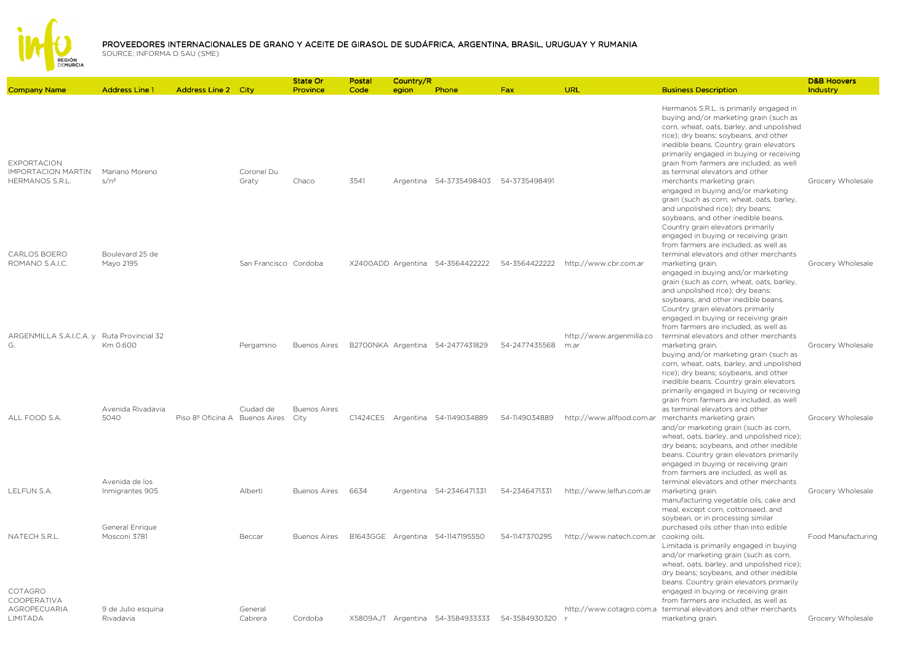

| <b>Company Name</b>                                                | <b>Address Line 1</b>             | <b>Address Line 2 City</b>     |                       | State Or<br>Province        | Postal<br>Code | Country/R<br>egion | Phone                                 | Fax                                            | URL                                    | <b>Business Description</b>                                                                                                                                                                                                                                                                                                                                                                                                                                                                                                                                                    | <b>D&amp;B Hoovers</b><br><b>Industry</b> |
|--------------------------------------------------------------------|-----------------------------------|--------------------------------|-----------------------|-----------------------------|----------------|--------------------|---------------------------------------|------------------------------------------------|----------------------------------------|--------------------------------------------------------------------------------------------------------------------------------------------------------------------------------------------------------------------------------------------------------------------------------------------------------------------------------------------------------------------------------------------------------------------------------------------------------------------------------------------------------------------------------------------------------------------------------|-------------------------------------------|
| <b>EXPORTACION</b><br><b>IMPORTACION MARTIN</b><br>HERMANOS S.R.L. | Mariano Moreno<br>$s/n^{\circ}$   |                                | Coronel Du<br>Graty   | Chaco                       | 3541           |                    | Argentina 54-3735498403 54-3735498491 |                                                |                                        | Hermanos S.R.L. is primarily engaged in<br>buying and/or marketing grain (such as<br>corn, wheat, oats, barley, and unpolished<br>rice); dry beans; soybeans, and other<br>inedible beans. Country grain elevators<br>primarily engaged in buying or receiving<br>grain from farmers are included, as well<br>as terminal elevators and other<br>merchants marketing grain.<br>engaged in buying and/or marketing<br>grain (such as corn, wheat, oats, barley,<br>and unpolished rice); dry beans;<br>soybeans, and other inedible beans.<br>Country grain elevators primarily | Grocery Wholesale                         |
| CARLOS BOERO<br>ROMANO S.A.I.C.                                    | Boulevard 25 de<br>Mayo 2195      |                                | San Francisco Cordoba |                             |                |                    | X2400ADD Argentina 54-3564422222      | 54-3564422222                                  | http://www.cbr.com.ar                  | engaged in buying or receiving grain<br>from farmers are included, as well as<br>terminal elevators and other merchants<br>marketing grain.<br>engaged in buying and/or marketing<br>grain (such as corn, wheat, oats, barley,<br>and unpolished rice); dry beans;<br>soybeans, and other inedible beans.<br>Country grain elevators primarily                                                                                                                                                                                                                                 | Grocery Wholesale                         |
| ARGENMILLA S.A.I.C.A. y Ruta Provincial 32<br>G.                   | Km 0.600                          |                                | Pergamino             | <b>Buenos Aires</b>         |                |                    | B2700NKA Argentina 54-2477431829      | 54-2477435568                                  | http://www.argenmilla.co<br>m.ar       | engaged in buying or receiving grain<br>from farmers are included, as well as<br>terminal elevators and other merchants<br>marketing grain.<br>buying and/or marketing grain (such as<br>corn, wheat, oats, barley, and unpolished<br>rice); dry beans; soybeans, and other<br>inedible beans. Country grain elevators                                                                                                                                                                                                                                                         | Grocery Wholesale                         |
| ALL FOOD S.A.                                                      | Avenida Rivadavia<br>5040         | Piso 8º Oficina A Buenos Aires | Ciudad de             | <b>Buenos Aires</b><br>City |                |                    | C1424CES Argentina 54-1149034889      | 54-1149034889                                  | http://www.allfood.com.ar              | primarily engaged in buying or receiving<br>grain from farmers are included, as well<br>as terminal elevators and other<br>merchants marketing grain.<br>and/or marketing grain (such as corn,<br>wheat, oats, barley, and unpolished rice);<br>dry beans; soybeans, and other inedible<br>beans. Country grain elevators primarily                                                                                                                                                                                                                                            | Grocery Wholesale                         |
| LELFUN S.A.                                                        | Avenida de los<br>Inmigrantes 905 |                                | Alberti               | <b>Buenos Aires</b>         | 6634           |                    | Argentina 54-2346471331               | 54-2346471331                                  | http://www.lelfun.com.ar               | engaged in buying or receiving grain<br>from farmers are included, as well as<br>terminal elevators and other merchants<br>marketing grain.<br>manufacturing vegetable oils, cake and<br>meal, except corn, cottonseed, and<br>soybean, or in processing similar                                                                                                                                                                                                                                                                                                               | Grocery Wholesale                         |
| NATECH S.R.L.<br>COTAGRO                                           | General Enrique<br>Mosconi 3781   |                                | Beccar                | Buenos Aires                |                |                    | B1643GGE Argentina 54-1147195550      | 54-1147370295                                  | http://www.natech.com.ar cooking oils. | purchased oils other than into edible<br>Limitada is primarily engaged in buying<br>and/or marketing grain (such as corn,<br>wheat, oats, barley, and unpolished rice);<br>dry beans; soybeans, and other inedible<br>beans. Country grain elevators primarily<br>engaged in buying or receiving grain                                                                                                                                                                                                                                                                         | Food Manufacturing                        |
| COOPERATIVA<br><b>AGROPECUARIA</b><br>LIMITADA                     | 9 de Julio esquina<br>Rivadavia   |                                | General<br>Cabrera    | Cordoba                     |                |                    |                                       | X5809AJT Argentina 54-3584933333 54-3584930320 |                                        | from farmers are included, as well as<br>http://www.cotagro.com.a terminal elevators and other merchants<br>marketing grain.                                                                                                                                                                                                                                                                                                                                                                                                                                                   | Grocery Wholesale                         |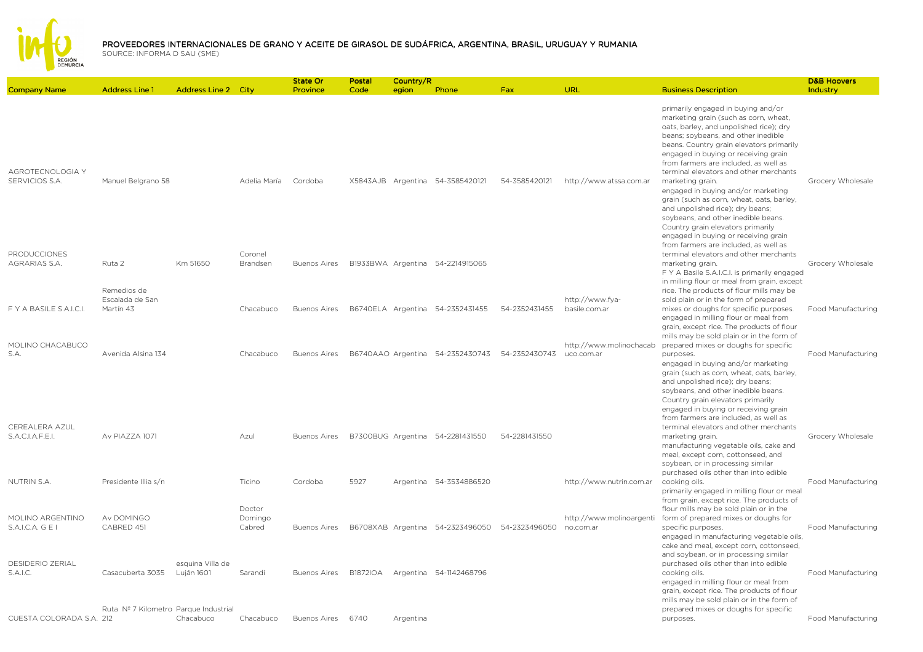

|                                             |                                             |                            |                     | <b>State Or</b>     | Postal   | Country/R |                                  |               |                                       |                                                                                                                                                                                                                                                                                                                                                                                                                                                                                 | <b>D&amp;B Hoovers</b>    |
|---------------------------------------------|---------------------------------------------|----------------------------|---------------------|---------------------|----------|-----------|----------------------------------|---------------|---------------------------------------|---------------------------------------------------------------------------------------------------------------------------------------------------------------------------------------------------------------------------------------------------------------------------------------------------------------------------------------------------------------------------------------------------------------------------------------------------------------------------------|---------------------------|
| <b>Company Name</b>                         | <b>Address Line 1</b>                       | <b>Address Line 2 City</b> |                     | Province            | Code     | egion     | Phone                            | Fax           | URL                                   | <b>Business Description</b>                                                                                                                                                                                                                                                                                                                                                                                                                                                     | Industry                  |
| AGROTECNOLOGIA Y<br>SERVICIOS S.A.          | Manuel Belgrano 58                          |                            | Adelia María        | Cordoba             |          |           | X5843AJB Argentina 54-3585420121 | 54-3585420121 | http://www.atssa.com.ar               | primarily engaged in buying and/or<br>marketing grain (such as corn, wheat,<br>oats, barley, and unpolished rice); dry<br>beans; soybeans, and other inedible<br>beans. Country grain elevators primarily<br>engaged in buying or receiving grain<br>from farmers are included, as well as<br>terminal elevators and other merchants<br>marketing grain.<br>engaged in buying and/or marketing<br>grain (such as corn, wheat, oats, barley,<br>and unpolished rice); dry beans; | Grocery Wholesale         |
| PRODUCCIONES<br>AGRARIAS S.A.               | Ruta 2                                      | Km 51650                   | Coronel<br>Brandsen | <b>Buenos Aires</b> |          |           | B1933BWA Argentina 54-2214915065 |               |                                       | soybeans, and other inedible beans.<br>Country grain elevators primarily<br>engaged in buying or receiving grain<br>from farmers are included, as well as<br>terminal elevators and other merchants<br>marketing grain.                                                                                                                                                                                                                                                         | Grocery Wholesale         |
|                                             |                                             |                            |                     |                     |          |           |                                  |               |                                       | F Y A Basile S.A.I.C.I. is primarily engaged                                                                                                                                                                                                                                                                                                                                                                                                                                    |                           |
| F Y A BASILE S.A.I.C.I.                     | Remedios de<br>Escalada de San<br>Martín 43 |                            | Chacabuco           | <b>Buenos Aires</b> |          |           | B6740ELA Argentina 54-2352431455 | 54-2352431455 | http://www.fya-<br>basile.com.ar      | in milling flour or meal from grain, except<br>rice. The products of flour mills may be<br>sold plain or in the form of prepared<br>mixes or doughs for specific purposes.                                                                                                                                                                                                                                                                                                      | Food Manufacturing        |
|                                             |                                             |                            |                     |                     |          |           |                                  |               |                                       | engaged in milling flour or meal from<br>grain, except rice. The products of flour<br>mills may be sold plain or in the form of                                                                                                                                                                                                                                                                                                                                                 |                           |
| MOLINO CHACABUCO<br>S.A.                    | Avenida Alsina 134                          |                            | Chacabuco           | <b>Buenos Aires</b> |          |           | B6740AAO Argentina 54-2352430743 | 54-2352430743 | http://www.molinochacab<br>uco.com.ar | prepared mixes or doughs for specific<br>purposes.<br>engaged in buying and/or marketing                                                                                                                                                                                                                                                                                                                                                                                        | <b>Food Manufacturing</b> |
| CEREALERA AZUL                              |                                             |                            |                     |                     |          |           |                                  |               |                                       | grain (such as corn, wheat, oats, barley,<br>and unpolished rice); dry beans;<br>soybeans, and other inedible beans.<br>Country grain elevators primarily<br>engaged in buying or receiving grain<br>from farmers are included, as well as<br>terminal elevators and other merchants                                                                                                                                                                                            |                           |
| S.A.C.I.A.F.E.I.                            | Av PIAZZA 1071                              |                            | Azul                | <b>Buenos Aires</b> |          |           | B7300BUG Argentina 54-2281431550 | 54-2281431550 |                                       | marketing grain.<br>manufacturing vegetable oils, cake and<br>meal, except corn, cottonseed, and<br>soybean, or in processing similar<br>purchased oils other than into edible                                                                                                                                                                                                                                                                                                  | Grocery Wholesale         |
| <b>NUTRIN S.A.</b>                          | Presidente Illia s/n                        |                            | Ticino              | Cordoba             | 5927     |           | Argentina 54-3534886520          |               | http://www.nutrin.com.ar              | cooking oils.<br>primarily engaged in milling flour or meal<br>from grain, except rice. The products of                                                                                                                                                                                                                                                                                                                                                                         | Food Manufacturing        |
| MOLINO ARGENTINO                            | Av DOMINGO                                  |                            | Doctor<br>Domingo   |                     |          |           |                                  |               | http://www.molinoargenti              | flour mills may be sold plain or in the<br>form of prepared mixes or doughs for                                                                                                                                                                                                                                                                                                                                                                                                 |                           |
| S.A.I.C.A. G E I<br><b>DESIDERIO ZERIAL</b> | CABRED 451                                  | esquina Villa de           | Cabred              | <b>Buenos Aires</b> |          |           | B6708XAB Argentina 54-2323496050 | 54-2323496050 | no.com.ar                             | specific purposes.<br>engaged in manufacturing vegetable oils,<br>cake and meal, except corn, cottonseed,<br>and soybean, or in processing similar<br>purchased oils other than into edible                                                                                                                                                                                                                                                                                     | Food Manufacturing        |
| S.A.I.C.                                    | Casacuberta 3035                            | Luján 1601                 | Sarandí             | <b>Buenos Aires</b> | B1872IOA |           | Argentina 54-1142468796          |               |                                       | cooking oils.<br>engaged in milling flour or meal from<br>grain, except rice. The products of flour<br>mills may be sold plain or in the form of                                                                                                                                                                                                                                                                                                                                | <b>Food Manufacturing</b> |
| CUESTA COLORADA S.A. 212                    | Ruta Nº 7 Kilometro Parque Industrial       | Chacabuco                  | Chacabuco           | Buenos Aires 6740   |          | Argentina |                                  |               |                                       | prepared mixes or doughs for specific<br>purposes.                                                                                                                                                                                                                                                                                                                                                                                                                              | Food Manufacturing        |
|                                             |                                             |                            |                     |                     |          |           |                                  |               |                                       |                                                                                                                                                                                                                                                                                                                                                                                                                                                                                 |                           |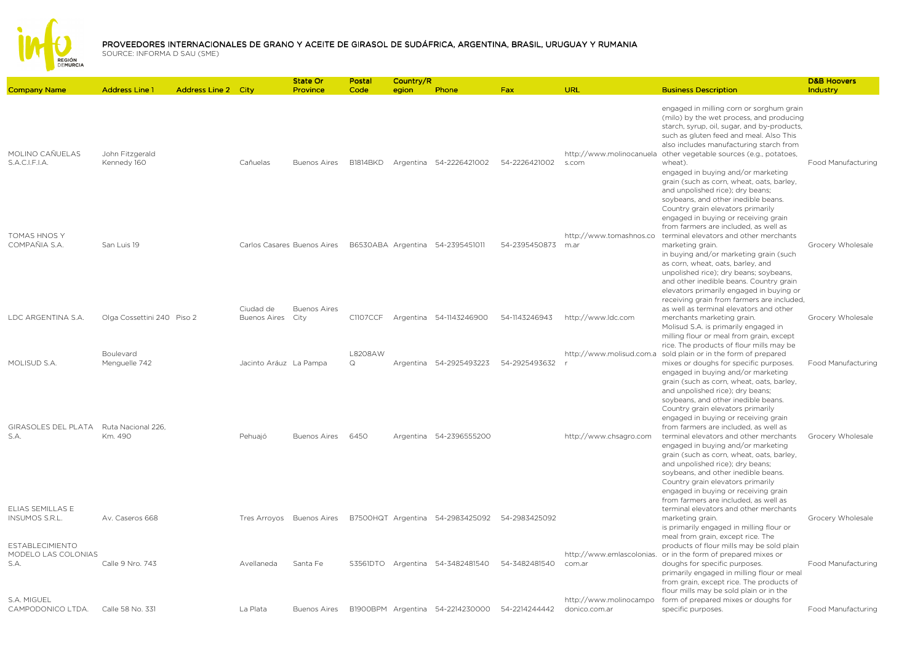

|                                                                     |                                                     |                                  | State Or                    | Postal              | Country/R |                                                |               |                                         |                                                                                                                                                                                                                                                                                                                                                                                                                                                                                                                                                                      | <b>D&amp;B Hoovers</b> |
|---------------------------------------------------------------------|-----------------------------------------------------|----------------------------------|-----------------------------|---------------------|-----------|------------------------------------------------|---------------|-----------------------------------------|----------------------------------------------------------------------------------------------------------------------------------------------------------------------------------------------------------------------------------------------------------------------------------------------------------------------------------------------------------------------------------------------------------------------------------------------------------------------------------------------------------------------------------------------------------------------|------------------------|
| <b>Company Name</b>                                                 | <b>Address Line 1</b><br><b>Address Line 2 City</b> |                                  | Province                    | Code                | egion     | Phone                                          | Fax           | URL                                     | <b>Business Description</b>                                                                                                                                                                                                                                                                                                                                                                                                                                                                                                                                          | Industry               |
| MOLINO CAÑUELAS<br>S.A.C.I.F.I.A.                                   | John Fitzgerald<br>Kennedy 160                      | Cañuelas                         | <b>Buenos Aires</b>         | <b>B1814BKD</b>     |           | Argentina 54-2226421002                        | 54-2226421002 | http://www.molinocanuela<br>s.com       | engaged in milling corn or sorghum grain<br>(milo) by the wet process, and producing<br>starch, syrup, oil, sugar, and by-products,<br>such as gluten feed and meal. Also This<br>also includes manufacturing starch from<br>other vegetable sources (e.g., potatoes,<br>wheat).<br>engaged in buying and/or marketing<br>grain (such as corn, wheat, oats, barley,<br>and unpolished rice); dry beans;<br>soybeans, and other inedible beans.<br>Country grain elevators primarily<br>engaged in buying or receiving grain<br>from farmers are included, as well as | Food Manufacturing     |
| <b>TOMAS HNOS Y</b><br>COMPAÑIA S.A.                                | San Luis 19                                         |                                  | Carlos Casares Buenos Aires |                     |           | B6530ABA Argentina 54-2395451011               | 54-2395450873 | http://www.tomashnos.co<br>m.ar         | terminal elevators and other merchants<br>marketing grain.<br>in buying and/or marketing grain (such<br>as corn, wheat, oats, barley, and<br>unpolished rice); dry beans; soybeans,<br>and other inedible beans. Country grain<br>elevators primarily engaged in buying or<br>receiving grain from farmers are included,                                                                                                                                                                                                                                             | Grocery Wholesale      |
| LDC ARGENTINA S.A.                                                  | Olga Cossettini 240 Piso 2                          | Ciudad de<br><b>Buenos Aires</b> | <b>Buenos Aires</b><br>City | C1107CCF            |           | Argentina 54-1143246900                        | 54-1143246943 | http://www.ldc.com                      | as well as terminal elevators and other<br>merchants marketing grain.<br>Molisud S.A. is primarily engaged in<br>milling flour or meal from grain, except<br>rice. The products of flour mills may be                                                                                                                                                                                                                                                                                                                                                                | Grocery Wholesale      |
| MOLISUD S.A.<br>GIRASOLES DEL PLATA                                 | Boulevard<br>Menguelle 742<br>Ruta Nacional 226.    | Jacinto Aráuz La Pampa           |                             | L8208AW<br>$\Omega$ |           | Argentina 54-2925493223                        | 54-2925493632 | http://www.molisud.com.a                | sold plain or in the form of prepared<br>mixes or doughs for specific purposes.<br>engaged in buying and/or marketing<br>grain (such as corn, wheat, oats, barley,<br>and unpolished rice); dry beans;<br>soybeans, and other inedible beans.<br>Country grain elevators primarily<br>engaged in buying or receiving grain<br>from farmers are included, as well as                                                                                                                                                                                                  | Food Manufacturing     |
| S.A.                                                                | Km. 490                                             | Pehuajó                          | <b>Buenos Aires</b>         | 6450                |           | Argentina 54-2396555200                        |               | http://www.chsagro.com                  | terminal elevators and other merchants<br>engaged in buying and/or marketing<br>grain (such as corn, wheat, oats, barley,<br>and unpolished rice); dry beans;<br>soybeans, and other inedible beans.<br>Country grain elevators primarily<br>engaged in buying or receiving grain<br>from farmers are included, as well as                                                                                                                                                                                                                                           | Grocery Wholesale      |
| ELIAS SEMILLAS E<br><b>INSUMOS S.R.L.</b><br><b>ESTABLECIMIENTO</b> | Av. Caseros 668                                     |                                  | Tres Arroyos Buenos Aires   |                     |           | B7500HQT Argentina 54-2983425092               | 54-2983425092 |                                         | terminal elevators and other merchants<br>marketing grain.<br>is primarily engaged in milling flour or<br>meal from grain, except rice. The<br>products of flour mills may be sold plain                                                                                                                                                                                                                                                                                                                                                                             | Grocery Wholesale      |
| MODELO LAS COLONIAS<br>S.A.                                         | Calle 9 Nro. 743                                    | Avellaneda                       | Santa Fe                    | S3561DTO            |           | Argentina 54-3482481540                        | 54-3482481540 | com.ar                                  | http://www.emlascolonias. or in the form of prepared mixes or<br>doughs for specific purposes.<br>primarily engaged in milling flour or meal<br>from grain, except rice. The products of<br>flour mills may be sold plain or in the                                                                                                                                                                                                                                                                                                                                  | Food Manufacturing     |
| S.A. MIGUEL<br>CAMPODONICO LTDA.                                    | Calle 58 No. 331                                    | La Plata                         | <b>Buenos Aires</b>         |                     |           | B1900BPM Argentina 54-2214230000 54-2214244442 |               | http://www.molinocampo<br>donico.com.ar | form of prepared mixes or doughs for<br>specific purposes.                                                                                                                                                                                                                                                                                                                                                                                                                                                                                                           | Food Manufacturing     |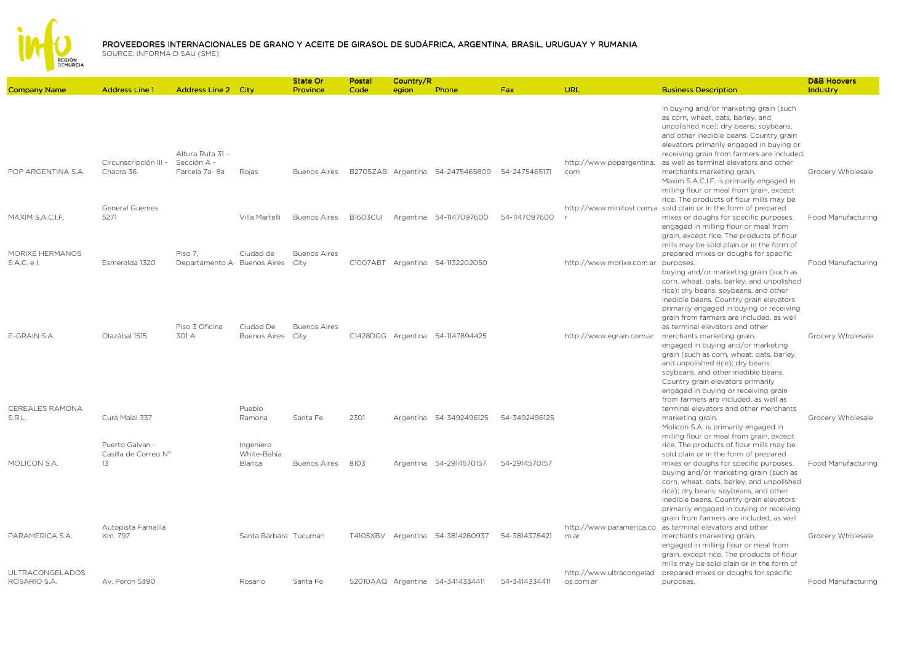

|                                        |                                               |                                                  |                                    | State Or                    | Postal          | Country/R |                                  |               |                                       |                                                                                                                                                                                                                                                                                                                                                                              | <b>D&amp;B Hoovers</b> |
|----------------------------------------|-----------------------------------------------|--------------------------------------------------|------------------------------------|-----------------------------|-----------------|-----------|----------------------------------|---------------|---------------------------------------|------------------------------------------------------------------------------------------------------------------------------------------------------------------------------------------------------------------------------------------------------------------------------------------------------------------------------------------------------------------------------|------------------------|
| <b>Company Name</b>                    | <b>Address Line 1</b>                         | <b>Address Line 2 City</b>                       |                                    | Province                    | Code            | egion     | Phone                            | <b>Fax</b>    | URL                                   | <b>Business Description</b>                                                                                                                                                                                                                                                                                                                                                  | Industry               |
|                                        |                                               |                                                  |                                    |                             |                 |           |                                  |               |                                       | in buying and/or marketing grain (such<br>as corn, wheat, oats, barley, and<br>unpolished rice); dry beans; soybeans,<br>and other inedible beans. Country grain<br>elevators primarily engaged in buying or                                                                                                                                                                 |                        |
| POP ARGENTINA S.A.                     | Circunscripción III -<br>Chacra 36            | Altura Ruta 31 -<br>Sección A -<br>Parcela 7a-8a | Rojas                              | <b>Buenos Aires</b>         |                 |           | B2705ZAB Argentina 54-2475465809 | 54-2475465171 | http://www.popargentina.<br>com       | receiving grain from farmers are included,<br>as well as terminal elevators and other<br>merchants marketing grain.<br>Maxim S.A.C.I.F. is primarily engaged in<br>milling flour or meal from grain, except                                                                                                                                                                  | Grocery Wholesale      |
| MAXIM S.A.C.I.F.                       | General Guemes<br>5271                        |                                                  | Villa Martelli                     | <b>Buenos Aires</b>         | <b>B1603CUI</b> |           | Argentina 54-1147097600          | 54-1147097600 |                                       | rice. The products of flour mills may be<br>http://www.minitost.com.a sold plain or in the form of prepared<br>mixes or doughs for specific purposes.<br>engaged in milling flour or meal from<br>grain, except rice. The products of flour                                                                                                                                  | Food Manufacturing     |
| MORIXE HERMANOS<br>S.A.C. e I.         | Esmeralda 1320                                | Piso 7.<br>Departamento A Buenos Aires           | Ciudad de                          | <b>Buenos Aires</b><br>City |                 |           | C1007ABT Argentina 54-1132202050 |               | http://www.morixe.com.ar              | mills may be sold plain or in the form of<br>prepared mixes or doughs for specific<br>purposes.<br>buying and/or marketing grain (such as<br>corn, wheat, oats, barley, and unpolished                                                                                                                                                                                       | Food Manufacturing     |
|                                        |                                               | Piso 3 Oficina                                   | Ciudad De                          | <b>Buenos Aires</b>         |                 |           |                                  |               |                                       | rice); dry beans; soybeans, and other<br>inedible beans. Country grain elevators<br>primarily engaged in buying or receiving<br>grain from farmers are included, as well<br>as terminal elevators and other                                                                                                                                                                  |                        |
| E-GRAIN S.A.                           | Olazábal 1515                                 | 301 A                                            | <b>Buenos Aires</b>                | City                        |                 |           | C1428DGG Argentina 54-1147894425 |               | http://www.egrain.com.ar              | merchants marketing grain.<br>engaged in buying and/or marketing<br>grain (such as corn, wheat, oats, barley,<br>and unpolished rice); dry beans;<br>soybeans, and other inedible beans.<br>Country grain elevators primarily<br>engaged in buying or receiving grain                                                                                                        | Grocery Wholesale      |
| CEREALES RAMONA<br>S.R.L.              | Cura Malal 337                                |                                                  | Pueblo<br>Ramona                   | Santa Fe                    | 2301            |           | Argentina 54-3492496125          | 54-3492496125 |                                       | from farmers are included, as well as<br>terminal elevators and other merchants<br>marketing grain.<br>Molicon S.A. is primarily engaged in<br>milling flour or meal from grain, except                                                                                                                                                                                      | Grocery Wholesale      |
| MOLICON S.A.                           | Puerto Galvan -<br>Casilla de Correo Nº<br>13 |                                                  | Ingeniero<br>White-Bahía<br>Blanca | <b>Buenos Aires</b>         | 8103            |           | Argentina 54-2914570157          | 54-2914570157 |                                       | rice. The products of flour mills may be<br>sold plain or in the form of prepared<br>mixes or doughs for specific purposes.<br>buying and/or marketing grain (such as<br>corn, wheat, oats, barley, and unpolished                                                                                                                                                           | Food Manufacturing     |
| PARAMERICA S.A.                        | Autopista Famaillá<br>Km. 797                 |                                                  | Santa Bárbara Tucuman              |                             |                 |           | T4105XBV Argentina 54-3814260937 | 54-3814378421 | http://www.paramerica.co<br>m.ar      | rice); dry beans; soybeans, and other<br>inedible beans. Country grain elevators<br>primarily engaged in buying or receiving<br>grain from farmers are included, as well<br>as terminal elevators and other<br>merchants marketing grain.<br>engaged in milling flour or meal from<br>grain, except rice. The products of flour<br>mills may be sold plain or in the form of | Grocery Wholesale      |
| <b>ULTRACONGELADOS</b><br>ROSARIO S.A. | Av. Peron 5390                                |                                                  | Rosario                            | Santa Fe                    |                 |           | S2010AAQ Argentina 54-3414334411 | 54-3414334411 | http://www.ultracongelad<br>os.com.ar | prepared mixes or doughs for specific<br>purposes.                                                                                                                                                                                                                                                                                                                           | Food Manufacturing     |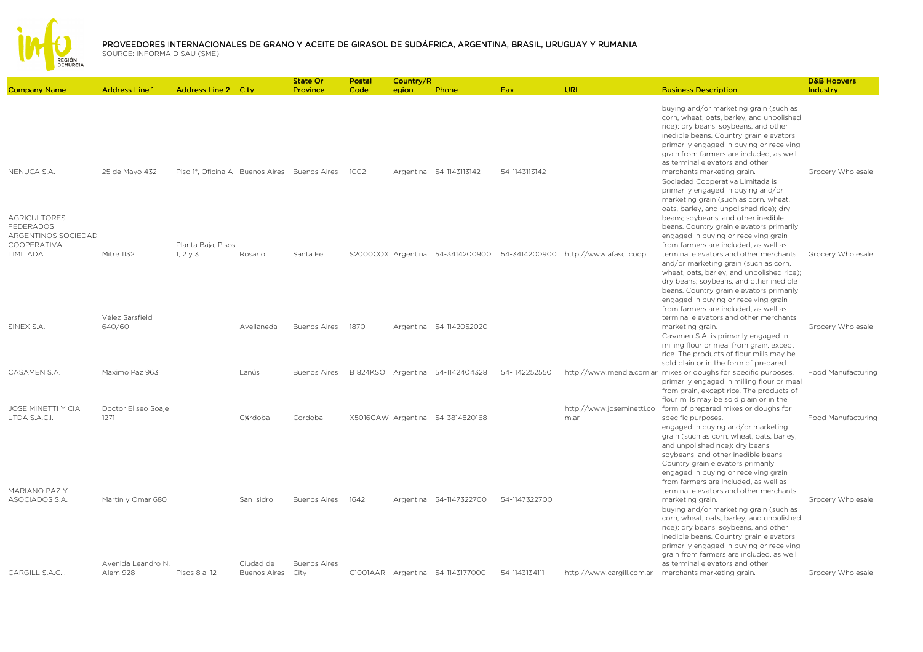

|                                                        |                                |                                              |                                  | State Or                    | Postal | Country/R |                                  |               |                                                                       |                                                                                                                                                                                                                                                                                                                                                | <b>D&amp;B Hoovers</b> |
|--------------------------------------------------------|--------------------------------|----------------------------------------------|----------------------------------|-----------------------------|--------|-----------|----------------------------------|---------------|-----------------------------------------------------------------------|------------------------------------------------------------------------------------------------------------------------------------------------------------------------------------------------------------------------------------------------------------------------------------------------------------------------------------------------|------------------------|
| <b>Company Name</b>                                    | <b>Address Line 1</b>          | <b>Address Line 2 City</b>                   |                                  | Province                    | Code   | egion     | Phone                            | Fax           | URL                                                                   | <b>Business Description</b>                                                                                                                                                                                                                                                                                                                    | Industry               |
|                                                        |                                |                                              |                                  |                             |        |           |                                  |               |                                                                       | buying and/or marketing grain (such as<br>corn, wheat, oats, barley, and unpolished<br>rice); dry beans; soybeans, and other<br>inedible beans. Country grain elevators<br>primarily engaged in buying or receiving<br>grain from farmers are included, as well<br>as terminal elevators and other                                             |                        |
| NENUCA S.A.<br><b>AGRICULTORES</b>                     | 25 de Mayo 432                 | Piso 1º, Oficina A Buenos Aires Buenos Aires |                                  |                             | 1002   |           | Argentina 54-1143113142          | 54-1143113142 |                                                                       | merchants marketing grain.<br>Sociedad Cooperativa Limitada is<br>primarily engaged in buying and/or<br>marketing grain (such as corn, wheat,<br>oats, barley, and unpolished rice); dry<br>beans; soybeans, and other inedible                                                                                                                | Grocery Wholesale      |
| <b>FEDERADOS</b><br>ARGENTINOS SOCIEDAD<br>COOPERATIVA |                                | Planta Baja, Pisos                           |                                  |                             |        |           |                                  |               |                                                                       | beans. Country grain elevators primarily<br>engaged in buying or receiving grain<br>from farmers are included, as well as                                                                                                                                                                                                                      |                        |
| LIMITADA                                               | Mitre 1132                     | $1, 2 \vee 3$                                | Rosario                          | Santa Fe                    |        |           |                                  |               | S2000COX Argentina 54-3414200900 54-3414200900 http://www.afascl.coop | terminal elevators and other merchants<br>and/or marketing grain (such as corn,<br>wheat, oats, barley, and unpolished rice);<br>dry beans; soybeans, and other inedible<br>beans. Country grain elevators primarily<br>engaged in buying or receiving grain<br>from farmers are included, as well as                                          | Grocery Wholesale      |
| SINEX S.A.                                             | Vélez Sarsfield<br>640/60      |                                              | Avellaneda                       | <b>Buenos Aires</b>         | 1870   |           | Argentina 54-1142052020          |               |                                                                       | terminal elevators and other merchants<br>marketing grain.<br>Casamen S.A. is primarily engaged in<br>milling flour or meal from grain, except<br>rice. The products of flour mills may be<br>sold plain or in the form of prepared                                                                                                            | Grocery Wholesale      |
| CASAMEN S.A.                                           | Maximo Paz 963                 |                                              | Lanús                            | <b>Buenos Aires</b>         |        |           | B1824KSO Argentina 54-1142404328 | 54-1142252550 |                                                                       | http://www.mendia.com.ar mixes or doughs for specific purposes.<br>primarily engaged in milling flour or meal<br>from grain, except rice. The products of<br>flour mills may be sold plain or in the                                                                                                                                           | Food Manufacturing     |
| <b>JOSE MINETTI Y CIA</b><br>LTDA S.A.C.I.             | Doctor Eliseo Soaie<br>1271    |                                              | C%rdoba                          | Cordoba                     |        |           | X5016CAW Argentina 54-3814820168 |               | http://www.joseminetti.co<br>m.ar                                     | form of prepared mixes or doughs for<br>specific purposes.<br>engaged in buying and/or marketing<br>grain (such as corn, wheat, oats, barley,<br>and unpolished rice); dry beans;<br>soybeans, and other inedible beans.<br>Country grain elevators primarily<br>engaged in buying or receiving grain<br>from farmers are included, as well as | Food Manufacturing     |
| MARIANO PAZ Y<br>ASOCIADOS S.A.                        | Martín y Omar 680              |                                              | San Isidro                       | Buenos Aires                | 1642   |           | Argentina 54-1147322700          | 54-1147322700 |                                                                       | terminal elevators and other merchants<br>marketing grain.<br>buying and/or marketing grain (such as<br>corn, wheat, oats, barley, and unpolished<br>rice); dry beans; soybeans, and other<br>inedible beans. Country grain elevators<br>primarily engaged in buying or receiving<br>grain from farmers are included, as well                  | Grocery Wholesale      |
| CARGILL S.A.C.I.                                       | Avenida Leandro N.<br>Alem 928 | Pisos 8 al 12                                | Ciudad de<br><b>Buenos Aires</b> | <b>Buenos Aires</b><br>City |        |           | C1001AAR Argentina 54-1143177000 | 54-1143134111 | http://www.cargill.com.ar                                             | as terminal elevators and other<br>merchants marketing grain.                                                                                                                                                                                                                                                                                  | Grocery Wholesale      |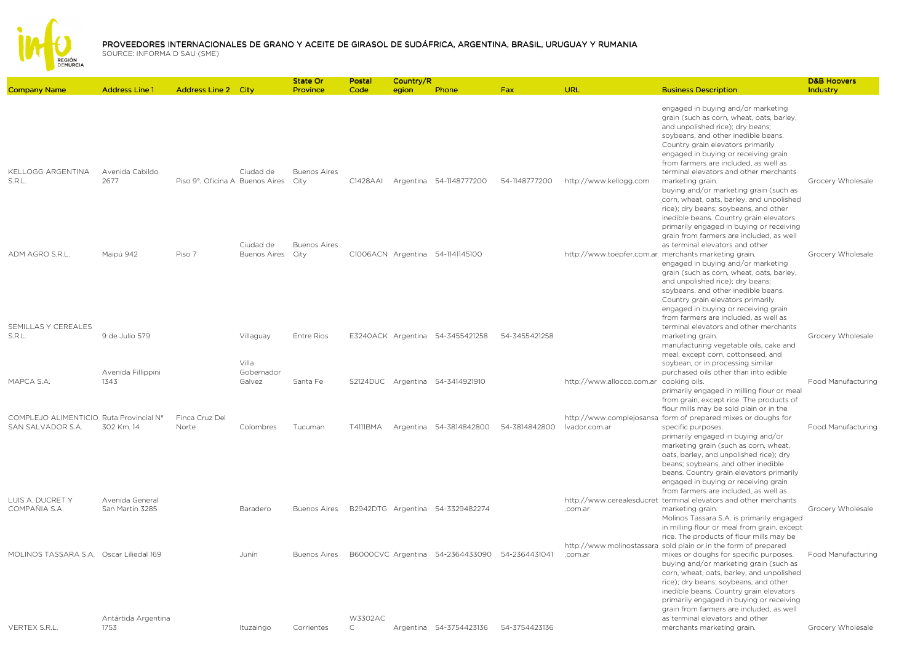

| <b>Company Name</b>                                                              | <b>Address Line 1</b>         | <b>Address Line 2 City</b>      |                     | State Or<br>Province        | Postal<br>Code          | Country/R<br>egion | Phone                            | <b>Fax</b>    | <b>URL</b>                              | <b>Business Description</b>                                                                                                                                                                                                                                                                                                                                                                                                                           | <b>D&amp;B Hoovers</b><br>Industry |
|----------------------------------------------------------------------------------|-------------------------------|---------------------------------|---------------------|-----------------------------|-------------------------|--------------------|----------------------------------|---------------|-----------------------------------------|-------------------------------------------------------------------------------------------------------------------------------------------------------------------------------------------------------------------------------------------------------------------------------------------------------------------------------------------------------------------------------------------------------------------------------------------------------|------------------------------------|
|                                                                                  |                               |                                 |                     |                             |                         |                    |                                  |               |                                         |                                                                                                                                                                                                                                                                                                                                                                                                                                                       |                                    |
| KELLOGG ARGENTINA                                                                | Avenida Cabildo               |                                 | Ciudad de           | <b>Buenos Aires</b>         |                         |                    |                                  |               |                                         | engaged in buying and/or marketing<br>grain (such as corn, wheat, oats, barley,<br>and unpolished rice); dry beans;<br>soybeans, and other inedible beans.<br>Country grain elevators primarily<br>engaged in buying or receiving grain<br>from farmers are included, as well as<br>terminal elevators and other merchants                                                                                                                            |                                    |
| S.R.L.                                                                           | 2677                          | Piso 9°, Oficina A Buenos Aires | Ciudad de           | City<br><b>Buenos Aires</b> | C1428AAI                |                    | Argentina 54-1148777200          | 54-1148777200 | http://www.kellogg.com                  | marketing grain.<br>buying and/or marketing grain (such as<br>corn, wheat, oats, barley, and unpolished<br>rice); dry beans; soybeans, and other<br>inedible beans. Country grain elevators<br>primarily engaged in buying or receiving<br>grain from farmers are included, as well<br>as terminal elevators and other                                                                                                                                | Grocery Wholesale                  |
| ADM AGRO S.R.L.                                                                  | Maipú 942                     | Piso 7                          | <b>Buenos Aires</b> | City                        |                         |                    | C1006ACN Argentina 54-1141145100 |               |                                         | http://www.toepfer.com.ar merchants marketing grain.<br>engaged in buying and/or marketing<br>grain (such as corn, wheat, oats, barley,<br>and unpolished rice); dry beans;<br>soybeans, and other inedible beans.<br>Country grain elevators primarily<br>engaged in buying or receiving grain<br>from farmers are included, as well as                                                                                                              | Grocery Wholesale                  |
| SEMILLAS Y CEREALES<br>S.R.L.                                                    | 9 de Julio 579                |                                 | Villaguay<br>Villa  | Entre Rios                  |                         |                    | E3240ACK Argentina 54-3455421258 | 54-3455421258 |                                         | terminal elevators and other merchants<br>marketing grain.<br>manufacturing vegetable oils, cake and<br>meal, except corn, cottonseed, and<br>soybean, or in processing similar                                                                                                                                                                                                                                                                       | Grocery Wholesale                  |
|                                                                                  | Avenida Fillippini            |                                 | Gobernador          |                             |                         |                    |                                  |               |                                         | purchased oils other than into edible                                                                                                                                                                                                                                                                                                                                                                                                                 |                                    |
| MAPCA S.A.                                                                       | 1343                          |                                 | Galvez              | Santa Fe                    |                         |                    | S2124DUC Argentina 54-3414921910 |               | http://www.allocco.com.ar cooking oils. | primarily engaged in milling flour or meal<br>from grain, except rice. The products of<br>flour mills may be sold plain or in the                                                                                                                                                                                                                                                                                                                     | Food Manufacturing                 |
| COMPLEJO ALIMENTICIO Ruta Provincial Nº<br>SAN SALVADOR S.A.<br>LUIS A. DUCRET Y | 302 Km. 14<br>Avenida General | Finca Cruz Del<br>Norte         | Colombres           | Tucuman                     | T4111BMA                |                    | Argentina 54-3814842800          | 54-3814842800 | Ivador.com.ar                           | http://www.complejosansa_form of prepared mixes or doughs for<br>specific purposes.<br>primarily engaged in buying and/or<br>marketing grain (such as corn, wheat,<br>oats, barley, and unpolished rice); dry<br>beans; soybeans, and other inedible<br>beans. Country grain elevators primarily<br>engaged in buying or receiving grain<br>from farmers are included, as well as<br>http://www.cerealesducret_terminal elevators and other merchants | Food Manufacturing                 |
| COMPAÑIA S.A.                                                                    | San Martin 3285               |                                 | Baradero            | <b>Buenos Aires</b>         |                         |                    | B2942DTG Argentina 54-3329482274 |               | .com.ar                                 | marketing grain.<br>Molinos Tassara S.A. is primarily engaged<br>in milling flour or meal from grain, except<br>rice. The products of flour mills may be                                                                                                                                                                                                                                                                                              | Grocery Wholesale                  |
| MOLINOS TASSARA S.A. Oscar Liliedal 169                                          |                               |                                 | Junín               | <b>Buenos Aires</b>         |                         |                    | B6000CVC Argentina 54-2364433090 | 54-2364431041 | .com.ar                                 | http://www.molinostassara sold plain or in the form of prepared<br>mixes or doughs for specific purposes.<br>buying and/or marketing grain (such as<br>corn, wheat, oats, barley, and unpolished<br>rice); dry beans; soybeans, and other<br>inedible beans. Country grain elevators<br>primarily engaged in buying or receiving<br>grain from farmers are included, as well                                                                          | <b>Food Manufacturing</b>          |
| VERTEX S.R.L.                                                                    | Antártida Argentina<br>1753   |                                 | Ituzaingo           | Corrientes                  | W3302AC<br>$\mathsf{C}$ |                    | Argentina 54-3754423136          | 54-3754423136 |                                         | as terminal elevators and other<br>merchants marketing grain.                                                                                                                                                                                                                                                                                                                                                                                         | Grocery Wholesale                  |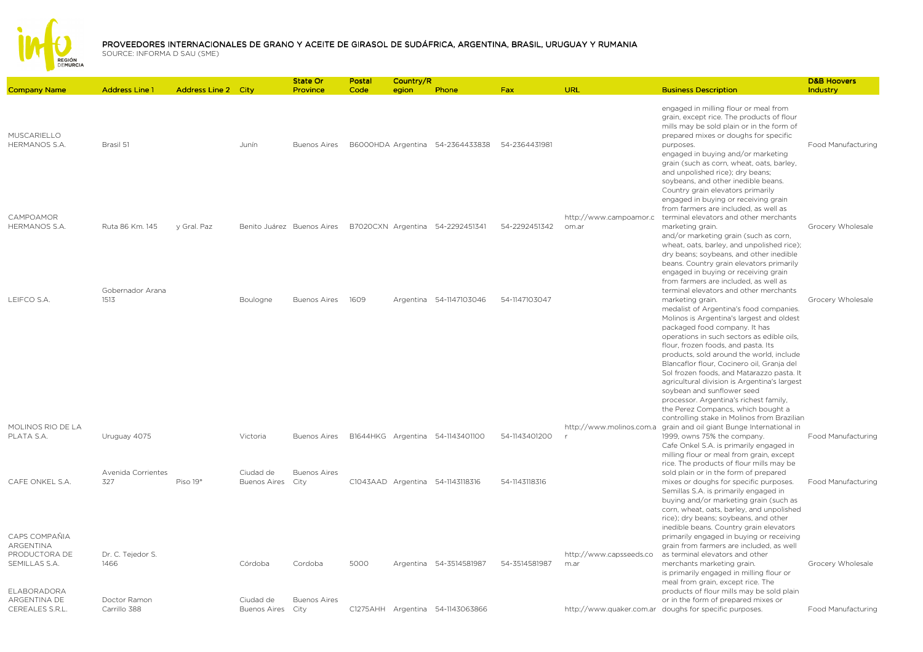

|                                                                     |                              |                            |                                | <b>State Or</b>            | Postal | Country/R |                                                |               |                                 |                                                                                                                                                                                                                                                                                                                                                                                          | <b>D&amp;B Hoovers</b> |
|---------------------------------------------------------------------|------------------------------|----------------------------|--------------------------------|----------------------------|--------|-----------|------------------------------------------------|---------------|---------------------------------|------------------------------------------------------------------------------------------------------------------------------------------------------------------------------------------------------------------------------------------------------------------------------------------------------------------------------------------------------------------------------------------|------------------------|
| <b>Company Name</b>                                                 | <b>Address Line 1</b>        | <b>Address Line 2 City</b> |                                | Province                   | Code   | egion     | Phone                                          | Fax           | URL                             | <b>Business Description</b>                                                                                                                                                                                                                                                                                                                                                              | Industry               |
| MUSCARIELLO<br>HERMANOS S.A.                                        | Brasil 51                    |                            | Junín                          | <b>Buenos Aires</b>        |        |           | B6000HDA Argentina 54-2364433838 54-2364431981 |               |                                 | engaged in milling flour or meal from<br>grain, except rice. The products of flour<br>mills may be sold plain or in the form of<br>prepared mixes or doughs for specific<br>purposes.<br>engaged in buying and/or marketing<br>grain (such as corn, wheat, oats, barley,<br>and unpolished rice); dry beans;<br>soybeans, and other inedible beans.<br>Country grain elevators primarily | Food Manufacturing     |
| CAMPOAMOR<br>HERMANOS S.A.                                          | Ruta 86 Km. 145              | y Gral. Paz                |                                | Benito Juárez Buenos Aires |        |           | B7020CXN Argentina 54-2292451341               | 54-2292451342 | http://www.campoamor.c<br>om.ar | engaged in buying or receiving grain<br>from farmers are included, as well as<br>terminal elevators and other merchants<br>marketing grain.<br>and/or marketing grain (such as corn,<br>wheat, oats, barley, and unpolished rice);<br>dry beans; soybeans, and other inedible<br>beans. Country grain elevators primarily                                                                | Grocery Wholesale      |
| LEIFCO S.A.                                                         | Gobernador Arana<br>1513     |                            | Boulogne                       | <b>Buenos Aires</b>        | 1609   |           | Argentina 54-1147103046                        | 54-1147103047 |                                 | engaged in buying or receiving grain<br>from farmers are included, as well as<br>terminal elevators and other merchants<br>marketing grain.<br>medalist of Argentina's food companies.<br>Molinos is Argentina's largest and oldest<br>packaged food company. It has<br>operations in such sectors as edible oils,                                                                       | Grocery Wholesale      |
|                                                                     |                              |                            |                                |                            |        |           |                                                |               |                                 | flour, frozen foods, and pasta. Its<br>products, sold around the world, include<br>Blancaflor flour, Cocinero oil, Granja del<br>Sol frozen foods, and Matarazzo pasta. It<br>agricultural division is Argentina's largest<br>soybean and sunflower seed<br>processor. Argentina's richest family,<br>the Perez Compancs, which bought a                                                 |                        |
| MOLINOS RIO DE LA<br>PLATA S.A.                                     | Uruguay 4075                 |                            | Victoria                       | <b>Buenos Aires</b>        |        |           | B1644HKG Argentina 54-1143401100               | 54-1143401200 | http://www.molinos.com.a        | controlling stake in Molinos from Brazilian<br>grain and oil giant Bunge International in<br>1999, owns 75% the company.<br>Cafe Onkel S.A. is primarily engaged in<br>milling flour or meal from grain, except                                                                                                                                                                          | Food Manufacturing     |
| CAFE ONKEL S.A.                                                     | Avenida Corrientes<br>327    | Piso 19°                   | Ciudad de<br>Buenos Aires City | <b>Buenos Aires</b>        |        |           | C1043AAD Argentina 54-1143118316               | 54-1143118316 |                                 | rice. The products of flour mills may be<br>sold plain or in the form of prepared<br>mixes or doughs for specific purposes.<br>Semillas S.A. is primarily engaged in<br>buying and/or marketing grain (such as<br>corn, wheat, oats, barley, and unpolished                                                                                                                              | Food Manufacturing     |
| CAPS COMPAÑIA<br><b>ARGENTINA</b><br>PRODUCTORA DE<br>SEMILLAS S.A. | Dr. C. Tejedor S.<br>1466    |                            | Córdoba                        | Cordoba                    | 5000   |           | Argentina 54-3514581987                        | 54-3514581987 | http://www.capsseeds.co<br>m.ar | rice); dry beans; soybeans, and other<br>inedible beans. Country grain elevators<br>primarily engaged in buying or receiving<br>grain from farmers are included, as well<br>as terminal elevators and other<br>merchants marketing grain.<br>is primarily engaged in milling flour or                                                                                                    | Grocery Wholesale      |
| ELABORADORA<br>ARGENTINA DE<br>CEREALES S.R.L.                      | Doctor Ramon<br>Carrillo 388 |                            | Ciudad de<br>Buenos Aires City | <b>Buenos Aires</b>        |        |           | C1275AHH Argentina 54-1143063866               |               |                                 | meal from grain, except rice. The<br>products of flour mills may be sold plain<br>or in the form of prepared mixes or<br>http://www.quaker.com.ar doughs for specific purposes.                                                                                                                                                                                                          | Food Manufacturing     |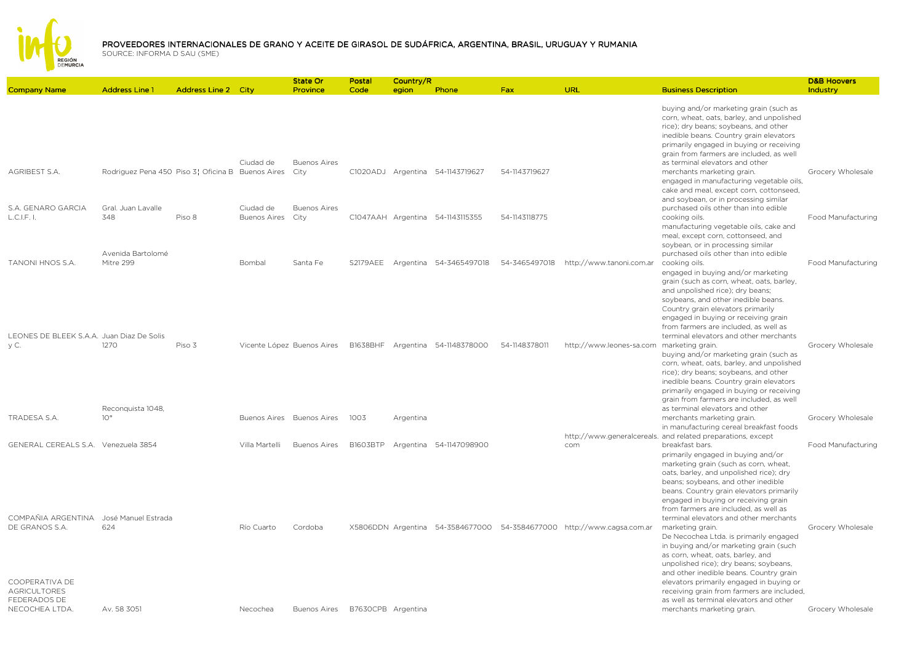

|                                                                         |                                                   |                            |                                  | State Or                    | Postal             | Country/R |                                  |               |                                                                        |                                                                                                                                                                                                                                                                                                                                                                              | <b>D&amp;B Hoovers</b> |
|-------------------------------------------------------------------------|---------------------------------------------------|----------------------------|----------------------------------|-----------------------------|--------------------|-----------|----------------------------------|---------------|------------------------------------------------------------------------|------------------------------------------------------------------------------------------------------------------------------------------------------------------------------------------------------------------------------------------------------------------------------------------------------------------------------------------------------------------------------|------------------------|
| <b>Company Name</b>                                                     | <b>Address Line 1</b>                             | <b>Address Line 2 City</b> |                                  | Province                    | Code               | egion     | Phone                            | <b>Fax</b>    | URL                                                                    | <b>Business Description</b>                                                                                                                                                                                                                                                                                                                                                  | Industry               |
|                                                                         |                                                   |                            |                                  |                             |                    |           |                                  |               |                                                                        | buying and/or marketing grain (such as<br>corn, wheat, oats, barley, and unpolished<br>rice); dry beans; soybeans, and other<br>inedible beans. Country grain elevators<br>primarily engaged in buying or receiving<br>grain from farmers are included, as well                                                                                                              |                        |
| <b>AGRIBEST S.A.</b>                                                    | Rodriguez Pena 450 Piso 3¦ Oficina B Buenos Aires |                            | Ciudad de                        | <b>Buenos Aires</b><br>City |                    |           | C1020ADJ Argentina 54-1143719627 | 54-1143719627 |                                                                        | as terminal elevators and other<br>merchants marketing grain.<br>engaged in manufacturing vegetable oils,<br>cake and meal, except corn, cottonseed,<br>and soybean, or in processing similar                                                                                                                                                                                | Grocery Wholesale      |
| S.A. GENARO GARCIA<br>L.C.I.F. I.                                       | Gral. Juan Lavalle<br>348                         | Piso 8                     | Ciudad de<br><b>Buenos Aires</b> | <b>Buenos Aires</b><br>City |                    |           | C1047AAH Argentina 54-1143115355 | 54-1143118775 |                                                                        | purchased oils other than into edible<br>cooking oils.<br>manufacturing vegetable oils, cake and<br>meal, except corn, cottonseed, and<br>soybean, or in processing similar                                                                                                                                                                                                  | Food Manufacturing     |
| <b>TANONI HNOS S.A.</b>                                                 | Avenida Bartolomé<br>Mitre 299                    |                            | Bombal                           | Santa Fe                    | <b>S2179AEE</b>    |           | Argentina 54-3465497018          | 54-3465497018 | http://www.tanoni.com.ar                                               | purchased oils other than into edible<br>cooking oils.<br>engaged in buying and/or marketing<br>grain (such as corn, wheat, oats, barley,<br>and unpolished rice); dry beans;<br>soybeans, and other inedible beans.<br>Country grain elevators primarily<br>engaged in buying or receiving grain<br>from farmers are included, as well as                                   | Food Manufacturing     |
| LEONES DE BLEEK S.A.A. Juan Diaz De Solis<br>vC.                        | 1270                                              | Piso 3                     |                                  | Vicente López Buenos Aires  |                    |           | B1638BHF Argentina 54-1148378000 | 54-1148378011 | http://www.leones-sa.com                                               | terminal elevators and other merchants<br>marketing grain.<br>buying and/or marketing grain (such as<br>corn, wheat, oats, barley, and unpolished<br>rice); dry beans; soybeans, and other<br>inedible beans. Country grain elevators<br>primarily engaged in buying or receiving<br>grain from farmers are included, as well                                                | Grocery Wholesale      |
| TRADESA S.A.                                                            | Reconquista 1048,<br>$10^{\circ}$                 |                            |                                  | Buenos Aires Buenos Aires   | 1003               | Argentina |                                  |               |                                                                        | as terminal elevators and other<br>merchants marketing grain.<br>in manufacturing cereal breakfast foods                                                                                                                                                                                                                                                                     | Grocery Wholesale      |
| GENERAL CEREALS S.A. Venezuela 3854                                     |                                                   |                            | Villa Martelli                   | <b>Buenos Aires</b>         | B1603BTP           |           | Argentina 54-1147098900          |               | com                                                                    | http://www.generalcereals. and related preparations, except<br>breakfast bars.<br>primarily engaged in buying and/or<br>marketing grain (such as corn, wheat,<br>oats, barley, and unpolished rice); dry<br>beans; soybeans, and other inedible<br>beans. Country grain elevators primarily<br>engaged in buying or receiving grain<br>from farmers are included, as well as | Food Manufacturing     |
| COMPAÑIA ARGENTINA<br>DE GRANOS S.A.                                    | José Manuel Estrada<br>624                        |                            | Río Cuarto                       | Cordoba                     |                    |           |                                  |               | X5806DDN Argentina 54-3584677000 54-3584677000 http://www.cagsa.com.ar | terminal elevators and other merchants<br>marketing grain.<br>De Necochea Ltda. is primarily engaged<br>in buying and/or marketing grain (such<br>as corn, wheat, oats, barley, and<br>unpolished rice); dry beans; soybeans,<br>and other inedible beans. Country grain                                                                                                     | Grocery Wholesale      |
| COOPERATIVA DE<br><b>AGRICULTORES</b><br>FEDERADOS DE<br>NECOCHEA LTDA. | Av. 58 3051                                       |                            | Necochea                         | <b>Buenos Aires</b>         | B7630CPB Argentina |           |                                  |               |                                                                        | elevators primarily engaged in buying or<br>receiving grain from farmers are included,<br>as well as terminal elevators and other<br>merchants marketing grain.                                                                                                                                                                                                              | Grocery Wholesale      |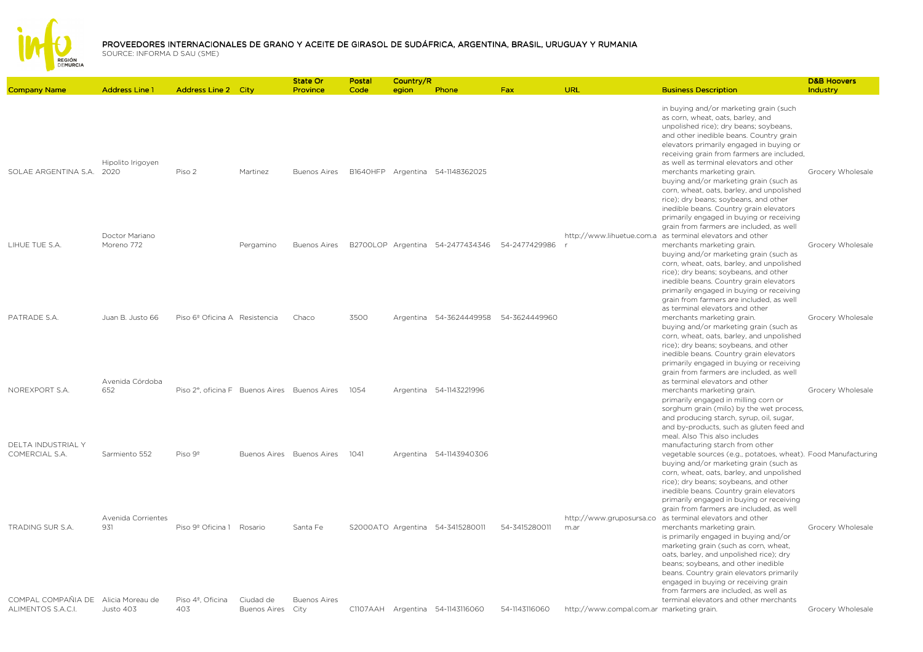REGIÓN<br>DEMURCIA

|                                        |                                               |                                               |              | <b>State Or</b>                 | Postal | Country/R |                                                |               |                                           |                                                                                                                                                                                                                                                                                                                                                                                                          | <b>D&amp;B Hoovers</b> |
|----------------------------------------|-----------------------------------------------|-----------------------------------------------|--------------|---------------------------------|--------|-----------|------------------------------------------------|---------------|-------------------------------------------|----------------------------------------------------------------------------------------------------------------------------------------------------------------------------------------------------------------------------------------------------------------------------------------------------------------------------------------------------------------------------------------------------------|------------------------|
| <b>Company Name</b>                    | <b>Address Line 1</b>                         | <b>Address Line 2 City</b>                    |              | Province                        | Code   | egion     | Phone                                          | Fax           | URL                                       | <b>Business Description</b>                                                                                                                                                                                                                                                                                                                                                                              | Industry               |
|                                        | Hipolito Irigoyen                             |                                               |              |                                 |        |           |                                                |               |                                           | in buying and/or marketing grain (such<br>as corn, wheat, oats, barley, and<br>unpolished rice); dry beans; soybeans,<br>and other inedible beans. Country grain<br>elevators primarily engaged in buying or<br>receiving grain from farmers are included,<br>as well as terminal elevators and other                                                                                                    |                        |
| SOLAE ARGENTINA S.A. 2020              | Doctor Mariano                                | Piso 2                                        | Martinez     | Buenos Aires                    |        |           | B1640HFP Argentina 54-1148362025               |               |                                           | merchants marketing grain.<br>buying and/or marketing grain (such as<br>corn, wheat, oats, barley, and unpolished<br>rice); dry beans; soybeans, and other<br>inedible beans. Country grain elevators<br>primarily engaged in buying or receiving<br>grain from farmers are included, as well<br>http://www.lihuetue.com.a as terminal elevators and other                                               | Grocery Wholesale      |
| LIHUE TUE S.A.                         | Moreno 772                                    |                                               | Pergamino    | <b>Buenos Aires</b>             |        |           | B2700LOP Argentina 54-2477434346 54-2477429986 |               |                                           | merchants marketing grain.<br>buying and/or marketing grain (such as<br>corn, wheat, oats, barley, and unpolished<br>rice); dry beans; soybeans, and other<br>inedible beans. Country grain elevators<br>primarily engaged in buying or receiving<br>grain from farmers are included, as well<br>as terminal elevators and other                                                                         | Grocery Wholesale      |
| PATRADE S.A.                           | Juan B. Justo 66<br>Avenida Córdoba           | Piso 6º Oficina A Resistencia                 |              | Chaco                           | 3500   |           | Argentina 54-3624449958 54-3624449960          |               |                                           | merchants marketing grain.<br>buying and/or marketing grain (such as<br>corn, wheat, oats, barley, and unpolished<br>rice); dry beans; soybeans, and other<br>inedible beans. Country grain elevators<br>primarily engaged in buying or receiving<br>grain from farmers are included, as well<br>as terminal elevators and other                                                                         | Grocery Wholesale      |
| NOREXPORT S.A.<br>DELTA INDUSTRIAL Y   | 652                                           | Piso 2°, oficina F Buenos Aires Buenos Aires  |              |                                 | 1054   |           | Argentina 54-1143221996                        |               |                                           | merchants marketing grain.<br>primarily engaged in milling corn or<br>sorghum grain (milo) by the wet process,<br>and producing starch, syrup, oil, sugar,<br>and by-products, such as gluten feed and<br>meal. Also This also includes<br>manufacturing starch from other                                                                                                                               | Grocery Wholesale      |
| COMERCIAL S.A.                         | Sarmiento 552                                 | Piso 9 <sup>°</sup>                           |              | Buenos Aires Buenos Aires       | 1041   |           | Argentina 54-1143940306                        |               |                                           | vegetable sources (e.g., potatoes, wheat). Food Manufacturing<br>buying and/or marketing grain (such as<br>corn, wheat, oats, barley, and unpolished<br>rice); dry beans; soybeans, and other<br>inedible beans. Country grain elevators<br>primarily engaged in buying or receiving<br>grain from farmers are included, as well                                                                         |                        |
| TRADING SUR S.A.<br>COMPAL COMPAÑIA DE | Avenida Corrientes<br>931<br>Alicia Moreau de | Piso 9º Oficina 1 Rosario<br>Piso 4º. Oficina | Ciudad de    | Santa Fe<br><b>Buenos Aires</b> |        |           | S2000ATO Argentina 54-3415280011               | 54-3415280011 | http://www.gruposursa.co<br>m.ar          | as terminal elevators and other<br>merchants marketing grain.<br>is primarily engaged in buying and/or<br>marketing grain (such as corn, wheat,<br>oats, barley, and unpolished rice); dry<br>beans; soybeans, and other inedible<br>beans. Country grain elevators primarily<br>engaged in buying or receiving grain<br>from farmers are included, as well as<br>terminal elevators and other merchants | Grocery Wholesale      |
| ALIMENTOS S.A.C.I.                     | Justo 403                                     | 403                                           | Buenos Aires | City                            |        |           | C1107AAH Argentina 54-1143116060               | 54-1143116060 | http://www.compal.com.ar marketing grain. |                                                                                                                                                                                                                                                                                                                                                                                                          | Grocery Wholesale      |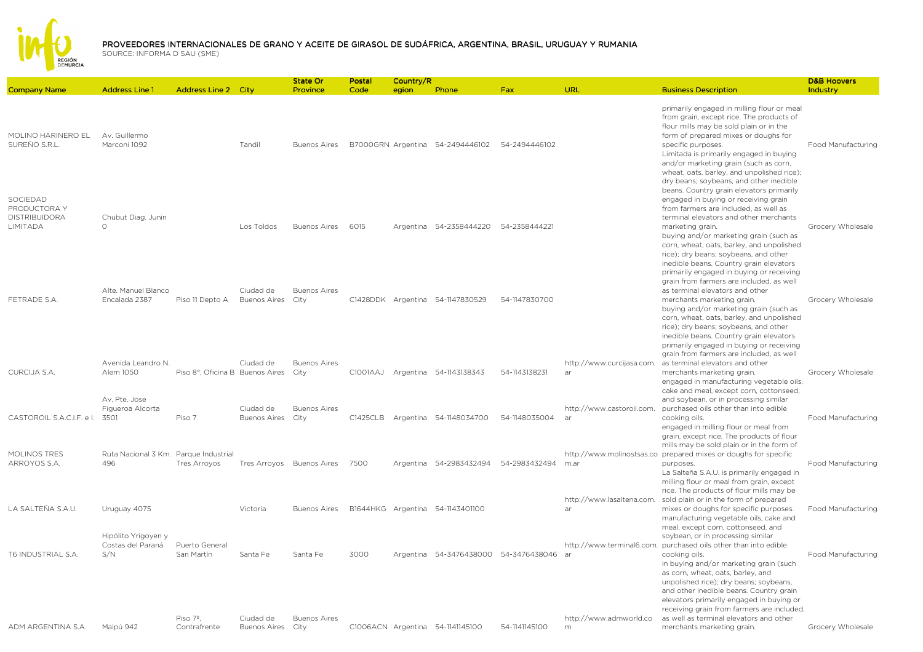

| <b>Company Name</b>                                                 | <b>Address Line 1</b>                    | <b>Address Line 2 City</b>           |                                  | State Or<br>Province            | Postal<br>Code | Country/R<br>egion | Phone                                 | Fax                                   | URL                                 | <b>Business Description</b>                                                                                                                                                                                                                                                                                                                                                  | <b>D&amp;B Hoovers</b><br>Industry |
|---------------------------------------------------------------------|------------------------------------------|--------------------------------------|----------------------------------|---------------------------------|----------------|--------------------|---------------------------------------|---------------------------------------|-------------------------------------|------------------------------------------------------------------------------------------------------------------------------------------------------------------------------------------------------------------------------------------------------------------------------------------------------------------------------------------------------------------------------|------------------------------------|
|                                                                     |                                          |                                      |                                  |                                 |                |                    |                                       |                                       |                                     |                                                                                                                                                                                                                                                                                                                                                                              |                                    |
| MOLINO HARINERO EL<br>SUREÑO S.R.L.                                 | Av. Guillermo<br>Marconi 1092            |                                      | Tandil                           | <b>Buenos Aires</b>             |                |                    | B7000GRN Argentina 54-2494446102      | 54-2494446102                         |                                     | primarily engaged in milling flour or meal<br>from grain, except rice. The products of<br>flour mills may be sold plain or in the<br>form of prepared mixes or doughs for<br>specific purposes.<br>Limitada is primarily engaged in buying<br>and/or marketing grain (such as corn,<br>wheat, oats, barley, and unpolished rice);<br>dry beans; soybeans, and other inedible | Food Manufacturing                 |
| SOCIEDAD<br>PRODUCTORA Y<br><b>DISTRIBUIDORA</b><br><b>LIMITADA</b> | Chubut Diag. Junin<br>$\bigcap$          |                                      | Los Toldos                       | <b>Buenos Aires</b>             | 6015           |                    | Argentina 54-2358444220               | 54-2358444221                         |                                     | beans. Country grain elevators primarily<br>engaged in buying or receiving grain<br>from farmers are included, as well as<br>terminal elevators and other merchants<br>marketing grain.<br>buying and/or marketing grain (such as<br>corn, wheat, oats, barley, and unpolished<br>rice); dry beans; soybeans, and other<br>inedible beans. Country grain elevators           | Grocery Wholesale                  |
| FETRADE S.A.                                                        | Alte, Manuel Blanco<br>Encalada 2387     | Piso 11 Depto A                      | Ciudad de<br><b>Buenos Aires</b> | <b>Buenos Aires</b><br>City     |                |                    | C1428DDK Argentina 54-1147830529      | 54-1147830700                         |                                     | primarily engaged in buying or receiving<br>grain from farmers are included, as well<br>as terminal elevators and other<br>merchants marketing grain.<br>buying and/or marketing grain (such as<br>corn, wheat, oats, barley, and unpolished<br>rice); dry beans; soybeans, and other<br>inedible beans. Country grain elevators                                             | Grocery Wholesale                  |
|                                                                     |                                          |                                      |                                  |                                 |                |                    |                                       |                                       |                                     | primarily engaged in buying or receiving<br>grain from farmers are included, as well                                                                                                                                                                                                                                                                                         |                                    |
| CURCIJA S.A.                                                        | Avenida Leandro N.<br>Alem 1050          | Piso 8°, Oficina B Buenos Aires City | Ciudad de                        | <b>Buenos Aires</b>             |                |                    | C1001AAJ Argentina 54-1143138343      | 54-1143138231                         | http://www.curcijasa.com.<br>ar     | as terminal elevators and other<br>merchants marketing grain.<br>engaged in manufacturing vegetable oils,                                                                                                                                                                                                                                                                    | Grocery Wholesale                  |
| CASTOROIL S.A.C.I.F. e I. 3501                                      | Av. Pte. Jose<br>Figueroa Alcorta        | Piso 7                               | Ciudad de<br>Buenos Aires City   | <b>Buenos Aires</b>             |                |                    | C1425CLB Argentina 54-1148034700      | 54-1148035004                         | http://www.castoroil.com.<br>ar     | cake and meal, except corn, cottonseed,<br>and soybean, or in processing similar<br>purchased oils other than into edible<br>cooking oils.<br>engaged in milling flour or meal from                                                                                                                                                                                          | Food Manufacturing                 |
| MOLINOS TRES                                                        | Ruta Nacional 3 Km. Parque Industrial    |                                      |                                  |                                 |                |                    |                                       |                                       |                                     | grain, except rice. The products of flour<br>mills may be sold plain or in the form of<br>http://www.molinostsas.co prepared mixes or doughs for specific                                                                                                                                                                                                                    |                                    |
| ARROYOS S.A.                                                        | 496                                      | Tres Arroyos                         |                                  | Tres Arroyos Buenos Aires       | 7500           |                    | Argentina 54-2983432494 54-2983432494 |                                       | m.ar                                | purposes.<br>La Salteña S.A.U. is primarily engaged in<br>milling flour or meal from grain, except<br>rice. The products of flour mills may be                                                                                                                                                                                                                               | Food Manufacturing                 |
| LA SALTEÑA S.A.U.                                                   | Uruguay 4075                             |                                      | Victoria                         | Buenos Aires                    |                |                    | B1644HKG Argentina 54-1143401100      |                                       | http://www.lasaltena.com.<br>ar     | sold plain or in the form of prepared<br>mixes or doughs for specific purposes.<br>manufacturing vegetable oils, cake and                                                                                                                                                                                                                                                    | Food Manufacturing                 |
|                                                                     | Hipólito Yrigoyen y<br>Costas del Paraná | Puerto General                       |                                  |                                 |                |                    |                                       |                                       |                                     | meal, except corn, cottonseed, and<br>soybean, or in processing similar<br>http://www.terminal6.com. purchased oils other than into edible                                                                                                                                                                                                                                   |                                    |
| T6 INDUSTRIAL S.A.                                                  | S/N                                      | San Martín<br>Piso 7 <sup>°</sup> .  | Santa Fe                         | Santa Fe<br><b>Buenos Aires</b> | 3000           |                    |                                       | Argentina 54-3476438000 54-3476438046 | ar                                  | cooking oils.<br>in buying and/or marketing grain (such<br>as corn, wheat, oats, barley, and<br>unpolished rice); dry beans; soybeans,<br>and other inedible beans. Country grain<br>elevators primarily engaged in buying or<br>receiving grain from farmers are included,                                                                                                  | Food Manufacturing                 |
| ADM ARGENTINA S.A.                                                  | Maipú 942                                | Contrafrente                         | Ciudad de<br><b>Buenos Aires</b> | City                            |                |                    | C1006ACN Argentina 54-1141145100      | 54-1141145100                         | http://www.admworld.co<br>${\sf m}$ | as well as terminal elevators and other<br>merchants marketing grain.                                                                                                                                                                                                                                                                                                        | Grocery Wholesale                  |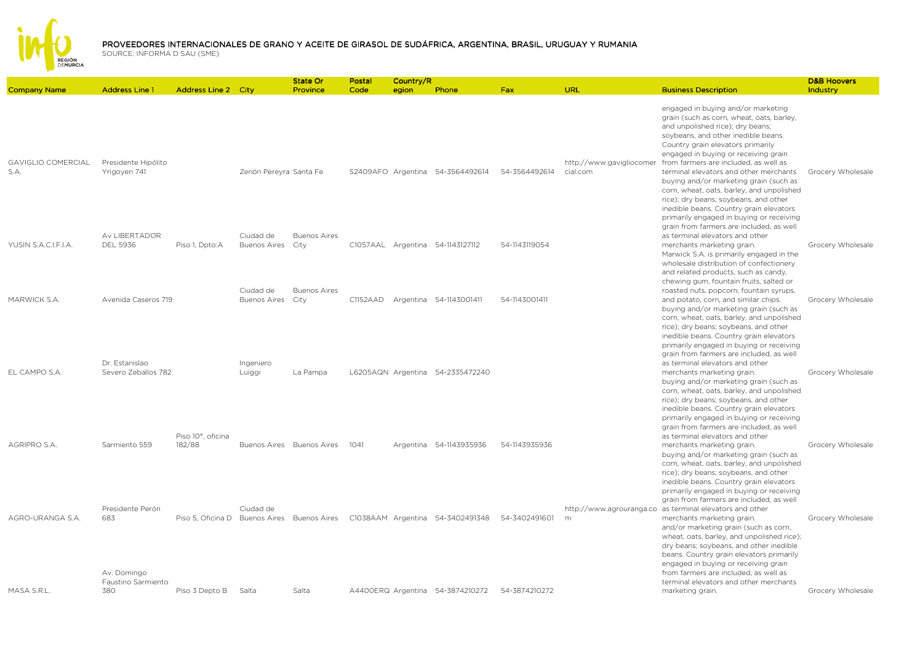

|                                   |                                          |                                             |                                  | State Or                    | Postal   | Country/R |                                  |               |                                      |                                                                                                                                                                                                                                                                                                                                                                                                                                                                                                                                                   | <b>D&amp;B Hoovers</b> |
|-----------------------------------|------------------------------------------|---------------------------------------------|----------------------------------|-----------------------------|----------|-----------|----------------------------------|---------------|--------------------------------------|---------------------------------------------------------------------------------------------------------------------------------------------------------------------------------------------------------------------------------------------------------------------------------------------------------------------------------------------------------------------------------------------------------------------------------------------------------------------------------------------------------------------------------------------------|------------------------|
| <b>Company Name</b>               | <b>Address Line 1</b>                    | <b>Address Line 2 City</b>                  |                                  | Province                    | Code     | egion     | Phone                            | <b>Fax</b>    | <b>URL</b>                           | <b>Business Description</b>                                                                                                                                                                                                                                                                                                                                                                                                                                                                                                                       | Industry               |
| <b>GAVIGLIO COMERCIAL</b><br>S.A. | Presidente Hipólito<br>Yrigoyen 741      |                                             | Zenón Pereyra Santa Fe           |                             |          |           | S2409AFO Argentina 54-3564492614 | 54-3564492614 | http://www.gavigliocomer<br>cial.com | engaged in buying and/or marketing<br>grain (such as corn, wheat, oats, barley,<br>and unpolished rice); dry beans;<br>soybeans, and other inedible beans.<br>Country grain elevators primarily<br>engaged in buying or receiving grain<br>from farmers are included, as well as<br>terminal elevators and other merchants<br>buying and/or marketing grain (such as<br>corn, wheat, oats, barley, and unpolished<br>rice); dry beans; soybeans, and other<br>inedible beans. Country grain elevators<br>primarily engaged in buying or receiving | Grocery Wholesale      |
| YUSIN S.A.C.I.F.I.A.              | Av LIBERTADOR<br><b>DEL 5936</b>         | Piso 1, Dpto:A                              | Ciudad de<br><b>Buenos Aires</b> | <b>Buenos Aires</b><br>City |          |           | C1057AAL Argentina 54-1143127112 | 54-1143119054 |                                      | grain from farmers are included, as well<br>as terminal elevators and other<br>merchants marketing grain.<br>Marwick S.A. is primarily engaged in the<br>wholesale distribution of confectionery<br>and related products, such as candy,                                                                                                                                                                                                                                                                                                          | Grocery Wholesale      |
| MARWICK S.A.                      | Avenida Caseros 719                      |                                             | Ciudad de<br><b>Buenos Aires</b> | <b>Buenos Aires</b><br>City | C1152AAD |           | Argentina 54-1143001411          | 54-1143001411 |                                      | chewing gum, fountain fruits, salted or<br>roasted nuts, popcorn, fountain syrups,<br>and potato, corn, and similar chips.<br>buying and/or marketing grain (such as<br>corn, wheat, oats, barley, and unpolished<br>rice); dry beans; soybeans, and other                                                                                                                                                                                                                                                                                        | Grocery Wholesale      |
| EL CAMPO S.A.                     | Dr. Estanislao<br>Severo Zeballos 782    |                                             | Ingeniero<br>Luiggi              | La Pampa                    |          |           | L6205AQN Argentina 54-2335472240 |               |                                      | inedible beans. Country grain elevators<br>primarily engaged in buying or receiving<br>grain from farmers are included, as well<br>as terminal elevators and other<br>merchants marketing grain.<br>buying and/or marketing grain (such as<br>corn, wheat, oats, barley, and unpolished<br>rice); dry beans; soybeans, and other<br>inedible beans. Country grain elevators                                                                                                                                                                       | Grocery Wholesale      |
| AGRIPRO S.A.                      | Sarmiento 559                            | Piso 10°, oficina<br>182/88                 | Buenos Aires Buenos Aires        |                             | 1041     |           | Argentina 54-1143935936          | 54-1143935936 |                                      | primarily engaged in buying or receiving<br>grain from farmers are included, as well<br>as terminal elevators and other<br>merchants marketing grain.<br>buying and/or marketing grain (such as<br>corn, wheat, oats, barley, and unpolished<br>rice); dry beans; soybeans, and other<br>inedible beans. Country grain elevators                                                                                                                                                                                                                  | Grocery Wholesale      |
| AGRO-URANGA S.A.                  | Presidente Perón<br>683                  | Piso 5, Oficina D Buenos Aires Buenos Aires | Ciudad de                        |                             |          |           | C1038AAM Argentina 54-3402491348 | 54-3402491601 | m                                    | primarily engaged in buying or receiving<br>grain from farmers are included, as well<br>http://www.agrouranga.co as terminal elevators and other<br>merchants marketing grain.<br>and/or marketing grain (such as corn,<br>wheat, oats, barley, and unpolished rice);<br>dry beans; soybeans, and other inedible<br>beans. Country grain elevators primarily<br>engaged in buying or receiving grain                                                                                                                                              | Grocery Wholesale      |
| MASA S.R.L.                       | Av. Domingo<br>Faustino Sarmiento<br>380 | Piso 3 Depto B                              | Salta                            | Salta                       |          |           | A4400ERQ Argentina 54-3874210272 | 54-3874210272 |                                      | from farmers are included, as well as<br>terminal elevators and other merchants<br>marketing grain.                                                                                                                                                                                                                                                                                                                                                                                                                                               | Grocery Wholesale      |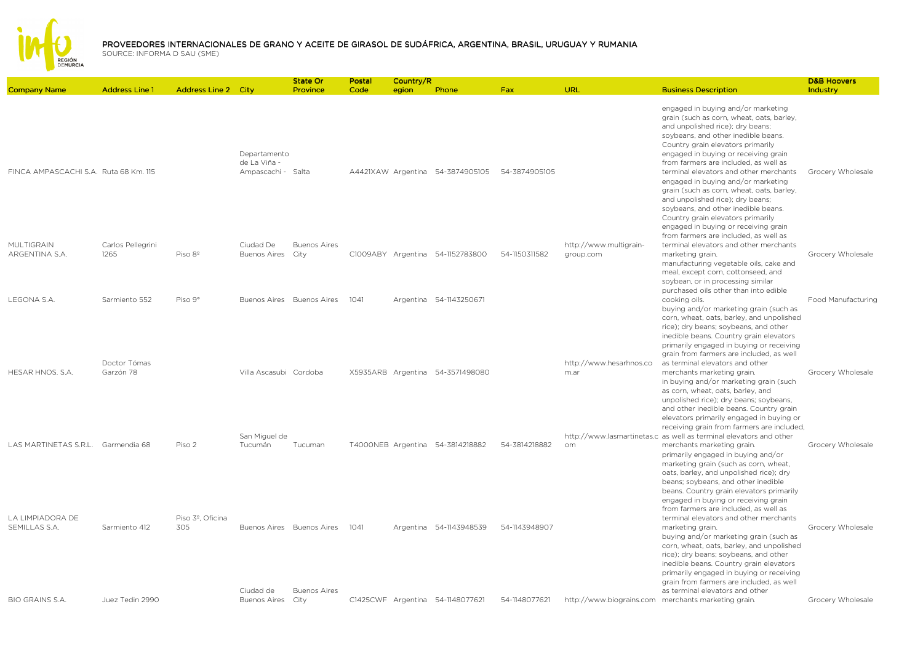

|                                       |                           |                            |                                  | <b>State Or</b>             | Postal | Country/R |                                  |               |                                     |                                                                                                                                                                                                                                                                                                                                                                                                | <b>D&amp;B Hoovers</b> |
|---------------------------------------|---------------------------|----------------------------|----------------------------------|-----------------------------|--------|-----------|----------------------------------|---------------|-------------------------------------|------------------------------------------------------------------------------------------------------------------------------------------------------------------------------------------------------------------------------------------------------------------------------------------------------------------------------------------------------------------------------------------------|------------------------|
| <b>Company Name</b>                   | <b>Address Line 1</b>     | <b>Address Line 2 City</b> |                                  | Province                    | Code   | egion     | Phone                            | Fax           | URL                                 | <b>Business Description</b>                                                                                                                                                                                                                                                                                                                                                                    | Industry               |
|                                       |                           |                            | Departamento<br>de La Viña -     |                             |        |           |                                  |               |                                     | engaged in buying and/or marketing<br>grain (such as corn, wheat, oats, barley,<br>and unpolished rice); dry beans;<br>soybeans, and other inedible beans.<br>Country grain elevators primarily<br>engaged in buying or receiving grain<br>from farmers are included, as well as                                                                                                               |                        |
| FINCA AMPASCACHI S.A. Ruta 68 Km. 115 |                           |                            | Ampascachi - Salta               |                             |        |           | A4421XAW Argentina 54-3874905105 | 54-3874905105 |                                     | terminal elevators and other merchants<br>engaged in buying and/or marketing<br>grain (such as corn, wheat, oats, barley,<br>and unpolished rice); dry beans;<br>soybeans, and other inedible beans.<br>Country grain elevators primarily<br>engaged in buying or receiving grain<br>from farmers are included, as well as                                                                     | Grocery Wholesale      |
| MULTIGRAIN<br>ARGENTINA S.A.          | Carlos Pellegrini<br>1265 | Piso 8 <sup>°</sup>        | Ciudad De<br><b>Buenos Aires</b> | <b>Buenos Aires</b><br>City |        |           | C1009ABY Argentina 54-1152783800 | 54-1150311582 | http://www.multigrain-<br>group.com | terminal elevators and other merchants<br>marketing grain.<br>manufacturing vegetable oils, cake and<br>meal, except corn, cottonseed, and<br>soybean, or in processing similar<br>purchased oils other than into edible                                                                                                                                                                       | Grocery Wholesale      |
| LEGONA S.A.                           | Sarmiento 552             | Piso 9°                    |                                  | Buenos Aires Buenos Aires   | 1041   |           | Argentina 54-1143250671          |               |                                     | cooking oils.<br>buying and/or marketing grain (such as<br>corn, wheat, oats, barley, and unpolished<br>rice); dry beans; soybeans, and other<br>inedible beans. Country grain elevators<br>primarily engaged in buying or receiving<br>grain from farmers are included, as well                                                                                                               | Food Manufacturing     |
| HESAR HNOS, S.A.                      | Doctor Tómas<br>Garzón 78 |                            | Villa Ascasubi Cordoba           |                             |        |           | X5935ARB Argentina 54-3571498080 |               | http://www.hesarhnos.co<br>m.ar     | as terminal elevators and other<br>merchants marketing grain.<br>in buying and/or marketing grain (such<br>as corn, wheat, oats, barley, and<br>unpolished rice); dry beans; soybeans,<br>and other inedible beans. Country grain<br>elevators primarily engaged in buying or<br>receiving grain from farmers are included,                                                                    | Grocery Wholesale      |
| LAS MARTINETAS S.R.L. Garmendia 68    |                           | Piso 2                     | San Miguel de<br>Tucumán         | Tucuman                     |        |           | T4000NEB Argentina 54-3814218882 | 54-3814218882 | om                                  | http://www.lasmartinetas.c as well as terminal elevators and other<br>merchants marketing grain.<br>primarily engaged in buying and/or<br>marketing grain (such as corn, wheat,<br>oats, barley, and unpolished rice); dry<br>beans; soybeans, and other inedible<br>beans. Country grain elevators primarily<br>engaged in buying or receiving grain<br>from farmers are included, as well as | Grocery Wholesale      |
| LA LIMPIADORA DE<br>SEMILLAS S.A.     | Sarmiento 412             | Piso 3º. Oficina<br>305    |                                  | Buenos Aires Buenos Aires   | 1041   |           | Argentina 54-1143948539          | 54-1143948907 |                                     | terminal elevators and other merchants<br>marketing grain.<br>buying and/or marketing grain (such as<br>corn, wheat, oats, barley, and unpolished<br>rice); dry beans; soybeans, and other<br>inedible beans. Country grain elevators<br>primarily engaged in buying or receiving<br>grain from farmers are included, as well                                                                  | Grocery Wholesale      |
| <b>BIO GRAINS S.A.</b>                | Juez Tedin 2990           |                            | Ciudad de<br>Buenos Aires City   | <b>Buenos Aires</b>         |        |           | C1425CWF Argentina 54-1148077621 | 54-1148077621 | http://www.biograins.com            | as terminal elevators and other<br>merchants marketing grain.                                                                                                                                                                                                                                                                                                                                  | Grocery Wholesale      |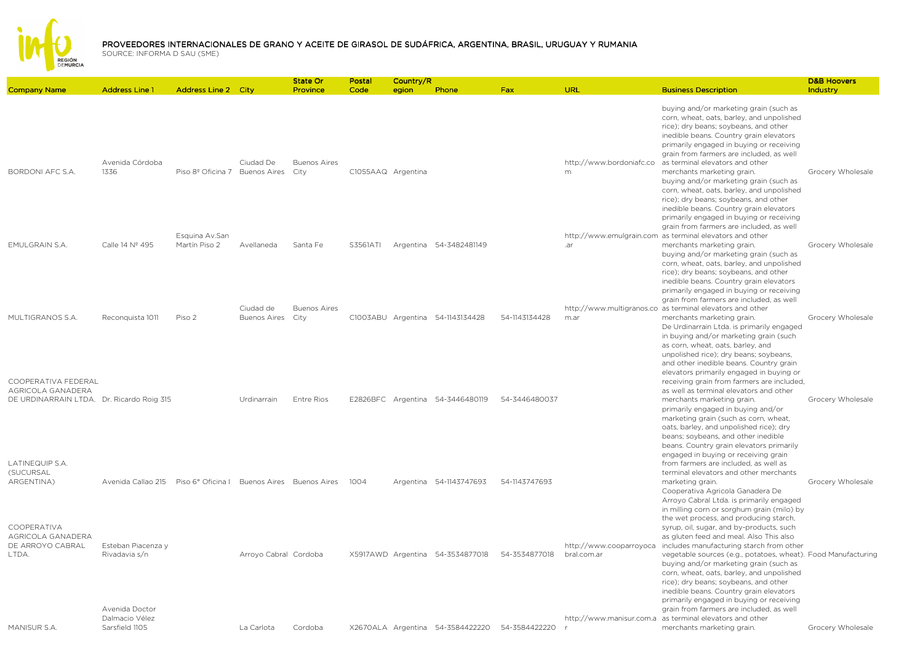

|                                                                                       |                                                    |                                             |                                  | <b>State Or</b>             | Postal             | Country/R |                                  |               |                                        |                                                                                                                                                                                                                                                                                                                                                                                                                                                                                                             | <b>D&amp;B Hoovers</b> |
|---------------------------------------------------------------------------------------|----------------------------------------------------|---------------------------------------------|----------------------------------|-----------------------------|--------------------|-----------|----------------------------------|---------------|----------------------------------------|-------------------------------------------------------------------------------------------------------------------------------------------------------------------------------------------------------------------------------------------------------------------------------------------------------------------------------------------------------------------------------------------------------------------------------------------------------------------------------------------------------------|------------------------|
| <b>Company Name</b>                                                                   | <b>Address Line 1</b>                              | <b>Address Line 2 City</b>                  |                                  | Province                    | Code               | egion     | Phone                            | Fax           | URL                                    | <b>Business Description</b>                                                                                                                                                                                                                                                                                                                                                                                                                                                                                 | Industry               |
| BORDONI AFC S.A.                                                                      | Avenida Córdoba<br>1336                            | Piso 8º Oficina 7 Buenos Aires              | Ciudad De                        | <b>Buenos Aires</b><br>City | C1055AAQ Argentina |           |                                  |               | http://www.bordoniafc.co<br>m          | buying and/or marketing grain (such as<br>corn, wheat, oats, barley, and unpolished<br>rice); dry beans; soybeans, and other<br>inedible beans. Country grain elevators<br>primarily engaged in buying or receiving<br>grain from farmers are included, as well<br>as terminal elevators and other<br>merchants marketing grain.<br>buying and/or marketing grain (such as<br>corn, wheat, oats, barley, and unpolished<br>rice); dry beans; soybeans, and other<br>inedible beans. Country grain elevators | Grocery Wholesale      |
| <b>EMULGRAIN S.A.</b>                                                                 | Calle 14 Nº 495                                    | Esquina Av.San<br>Martín Piso 2             | Avellaneda                       | Santa Fe                    | S3561ATI           |           | Argentina 54-3482481149          |               | .ar                                    | primarily engaged in buying or receiving<br>grain from farmers are included, as well<br>http://www.emulgrain.com as terminal elevators and other<br>merchants marketing grain.<br>buying and/or marketing grain (such as<br>corn, wheat, oats, barley, and unpolished<br>rice); dry beans; soybeans, and other<br>inedible beans. Country grain elevators                                                                                                                                                   | Grocery Wholesale      |
| MULTIGRANOS S.A.                                                                      | Reconquista 1011                                   | Piso 2                                      | Ciudad de<br><b>Buenos Aires</b> | <b>Buenos Aires</b><br>City |                    |           | C1003ABU Argentina 54-1143134428 | 54-1143134428 | m.ar                                   | primarily engaged in buying or receiving<br>grain from farmers are included, as well<br>http://www.multigranos.co as terminal elevators and other<br>merchants marketing grain.<br>De Urdinarrain Ltda, is primarily engaged<br>in buying and/or marketing grain (such<br>as corn, wheat, oats, barley, and                                                                                                                                                                                                 | Grocery Wholesale      |
| COOPERATIVA FEDERAL<br>AGRICOLA GANADERA<br>DE URDINARRAIN LTDA. Dr. Ricardo Roig 315 |                                                    |                                             | Urdinarrain                      | <b>Entre Rios</b>           |                    |           | E2826BFC Argentina 54-3446480119 | 54-3446480037 |                                        | unpolished rice); dry beans; soybeans,<br>and other inedible beans. Country grain<br>elevators primarily engaged in buying or<br>receiving grain from farmers are included,<br>as well as terminal elevators and other<br>merchants marketing grain.<br>primarily engaged in buying and/or<br>marketing grain (such as corn, wheat,<br>oats, barley, and unpolished rice); dry<br>beans; soybeans, and other inedible                                                                                       | Grocery Wholesale      |
| LATINEQUIP S.A.<br>(SUCURSAL<br>ARGENTINA)                                            | Avenida Callao 215                                 | Piso 6° Oficina I Buenos Aires Buenos Aires |                                  |                             | 1004               |           | Argentina 54-1143747693          | 54-1143747693 |                                        | beans. Country grain elevators primarily<br>engaged in buying or receiving grain<br>from farmers are included, as well as<br>terminal elevators and other merchants<br>marketing grain.<br>Cooperativa Agricola Ganadera De<br>Arroyo Cabral Ltda. is primarily engaged<br>in milling corn or sorghum grain (milo) by<br>the wet process, and producing starch,                                                                                                                                             | Grocery Wholesale      |
| COOPERATIVA<br>AGRICOLA GANADERA<br>DE ARROYO CABRAL<br>LTDA.                         | Esteban Piacenza y<br>Rivadavia s/n                |                                             | Arroyo Cabral Cordoba            |                             |                    |           | X5917AWD Argentina 54-3534877018 | 54-3534877018 | http://www.cooparroyoca<br>bral.com.ar | syrup, oil, sugar, and by-products, such<br>as gluten feed and meal. Also This also<br>includes manufacturing starch from other<br>vegetable sources (e.g., potatoes, wheat). Food Manufacturing<br>buying and/or marketing grain (such as<br>corn, wheat, oats, barley, and unpolished<br>rice); dry beans; soybeans, and other<br>inedible beans. Country grain elevators<br>primarily engaged in buying or receiving                                                                                     |                        |
| MANISUR S.A.                                                                          | Avenida Doctor<br>Dalmacio Vélez<br>Sarsfield 1105 |                                             | La Carlota                       | Cordoba                     |                    |           | X2670ALA Argentina 54-3584422220 | 54-3584422220 |                                        | grain from farmers are included, as well<br>http://www.manisur.com.a as terminal elevators and other<br>merchants marketing grain.                                                                                                                                                                                                                                                                                                                                                                          | Grocery Wholesale      |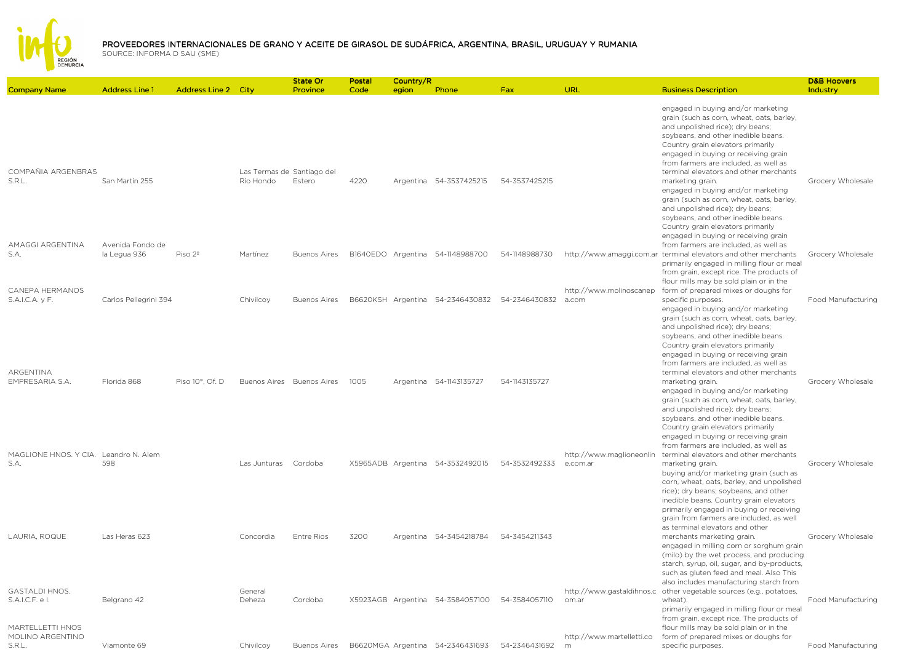

|                                                                                         |                                  |                            |                                         | State Or                  | Postal | Country/R |                                  |               |                                      |                                                                                                                                                                                                                                                                                                                                                | <b>D&amp;B Hoovers</b> |
|-----------------------------------------------------------------------------------------|----------------------------------|----------------------------|-----------------------------------------|---------------------------|--------|-----------|----------------------------------|---------------|--------------------------------------|------------------------------------------------------------------------------------------------------------------------------------------------------------------------------------------------------------------------------------------------------------------------------------------------------------------------------------------------|------------------------|
| <b>Company Name</b>                                                                     | <b>Address Line 1</b>            | <b>Address Line 2 City</b> |                                         | Province                  | Code   | egion     | Phone                            | Fax           | URL                                  | <b>Business Description</b>                                                                                                                                                                                                                                                                                                                    | Industry               |
| COMPAÑIA ARGENBRAS                                                                      |                                  |                            |                                         |                           |        |           |                                  |               |                                      | engaged in buying and/or marketing<br>grain (such as corn, wheat, oats, barley,<br>and unpolished rice); dry beans;<br>soybeans, and other inedible beans.<br>Country grain elevators primarily<br>engaged in buying or receiving grain<br>from farmers are included, as well as<br>terminal elevators and other merchants                     |                        |
| S.R.L.                                                                                  | San Martín 255                   |                            | Las Termas de Santiago del<br>Río Hondo | Estero                    | 4220   |           | Argentina 54-3537425215          | 54-3537425215 |                                      | marketing grain.<br>engaged in buying and/or marketing<br>grain (such as corn, wheat, oats, barley,<br>and unpolished rice); dry beans;<br>soybeans, and other inedible beans.<br>Country grain elevators primarily<br>engaged in buying or receiving grain                                                                                    | Grocery Wholesale      |
| AMAGGI ARGENTINA<br>S.A.<br>CANEPA HERMANOS                                             | Avenida Fondo de<br>la Legua 936 | Piso 2 <sup>°</sup>        | Martínez                                | <b>Buenos Aires</b>       |        |           | B1640EDO Argentina 54-1148988700 | 54-1148988730 |                                      | from farmers are included, as well as<br>http://www.amaggi.com.ar terminal elevators and other merchants<br>primarily engaged in milling flour or meal<br>from grain, except rice. The products of<br>flour mills may be sold plain or in the                                                                                                  | Grocery Wholesale      |
| S.A.I.C.A. y F.                                                                         | Carlos Pellegrini 394            |                            | Chivilcoy                               | <b>Buenos Aires</b>       |        |           | B6620KSH Argentina 54-2346430832 | 54-2346430832 | http://www.molinoscanep<br>a.com     | form of prepared mixes or doughs for<br>specific purposes.<br>engaged in buying and/or marketing<br>grain (such as corn, wheat, oats, barley,<br>and unpolished rice); dry beans;<br>soybeans, and other inedible beans.<br>Country grain elevators primarily<br>engaged in buying or receiving grain<br>from farmers are included, as well as | Food Manufacturing     |
| ARGENTINA<br>EMPRESARIA S.A.                                                            | Florida 868                      | Piso 10°, Of. D            |                                         | Buenos Aires Buenos Aires | 1005   |           | Argentina 54-1143135727          | 54-1143135727 |                                      | terminal elevators and other merchants<br>marketing grain.<br>engaged in buying and/or marketing<br>grain (such as corn, wheat, oats, barley,<br>and unpolished rice); dry beans;<br>soybeans, and other inedible beans.<br>Country grain elevators primarily<br>engaged in buying or receiving grain<br>from farmers are included, as well as | Grocery Wholesale      |
| MAGLIONE HNOS, Y CIA. Leandro N. Alem<br>S.A.                                           | 598                              |                            | Las Junturas Cordoba                    |                           |        |           | X5965ADB Argentina 54-3532492015 | 54-3532492333 | http://www.maglioneonlin<br>e.com.ar | terminal elevators and other merchants<br>marketing grain.<br>buying and/or marketing grain (such as<br>corn, wheat, oats, barley, and unpolished<br>rice); dry beans; soybeans, and other<br>inedible beans. Country grain elevators<br>primarily engaged in buying or receiving<br>grain from farmers are included, as well                  | Grocery Wholesale      |
| LAURIA, ROQUE                                                                           | Las Heras 623                    |                            | Concordia                               | <b>Entre Rios</b>         | 3200   |           | Argentina 54-3454218784          | 54-3454211343 |                                      | as terminal elevators and other<br>merchants marketing grain.<br>engaged in milling corn or sorghum grain<br>(milo) by the wet process, and producing<br>starch, syrup, oil, sugar, and by-products,<br>such as gluten feed and meal. Also This<br>also includes manufacturing starch from                                                     | Grocery Wholesale      |
| <b>GASTALDI HNOS.</b><br>S.A.I.C.F. e I.<br><b>MARTELLETTI HNOS</b><br>MOLINO ARGENTINO | Belgrano 42                      |                            | General<br>Deheza                       | Cordoba                   |        |           | X5923AGB Argentina 54-3584057100 | 54-3584057110 | om.ar<br>http://www.martelletti.co   | http://www.gastaldihnos.c other vegetable sources (e.g., potatoes,<br>wheat).<br>primarily engaged in milling flour or meal<br>from grain, except rice. The products of<br>flour mills may be sold plain or in the<br>form of prepared mixes or doughs for                                                                                     | Food Manufacturing     |
| S.R.L.                                                                                  | Viamonte 69                      |                            | Chivilcov                               | <b>Buenos Aires</b>       |        |           | B6620MGA Argentina 54-2346431693 | 54-2346431692 | m                                    | specific purposes.                                                                                                                                                                                                                                                                                                                             | Food Manufacturing     |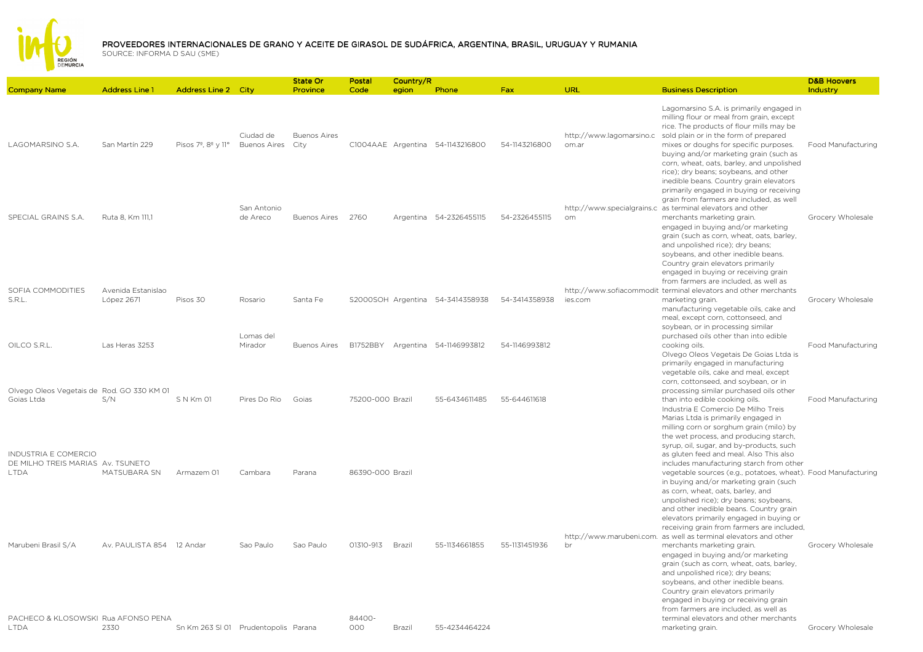

Country/R

Postal

State Or

Company Name Address Line 1 Address Line 2 City ProvinceCodeegion Ph<mark>one</mark> **Phone Fax URL Business Description Case of Business Description** IndustryLAGOMARSINO S.A. San Martín 229 Pisos 7º, 8º y 11º Buenos Aires Ciudad de Buenos Aires C1004AAE Argentina 54-1143216800 54-1143216800 http://www.lagomarsino.csold plain or in the form of prepared om.arLagomarsino S.A. is primarily engaged in milling flour or meal from grain, except rice. The products of flour mills may be mixes or doughs for specific purposes. Food ManufacturingSPECIAL GRAINS S.A. Ruta 8, Km 111.1 San Antonio de Areco Buenos Aires <sup>2760</sup> Argentina 54-2326455115 54-2326455115http://www.specialgrains.c\_as terminal elevators and other ombuying and/or marketing grain (such as corn, wheat, oats, barley, and unpolished rice); dry beans; soybeans, and other inedible beans. Country grain elevators primarily engaged in buying or receiving grain from farmers are included, as well merchants marketing grain. Grocery Wholesale SOFIA COMMODITIES S.R.L.Avenida Estanislao López 2671 Pisos 30 Rosario Santa Fe S2000SOH Argentina 54-3414358938 54-3414358938http://www.sofiacommodit terminal elevators and other merchants ies.comengaged in buying and/or marketing grain (such as corn, wheat, oats, barley, and unpolished rice); dry beans; soybeans, and other inedible beans. Country grain elevators primarily engaged in buying or receiving grain from farmers are included, as well as marketing grain. The contract of the Grocery Wholesale OILCO S.R.L. Las Heras 3253 Lomas del Mirador Buenos Aires B1752BBY Argentina 54-1146993812 54-1146993812manufacturing vegetable oils, cake and meal, except corn, cottonseed, and soybean, or in processing similar purchased oils other than into edible cooking oils. Food ManufacturingOlvego Oleos Vegetais de Rod. GO 330 KM 01 Goias LtdaS/N S N Km 01 Pires Do Rio Goias 75200-000 Brazil 55-6434611485 55-644611618Olvego Oleos Vegetais De Goias Ltda is primarily engaged in manufacturing vegetable oils, cake and meal, except corn, cottonseed, and soybean, or in processing similar purchased oils other than into edible cooking oils. The Food Manufacturing INDUSTRIA E COMERCIO DE MILHO TREIS MARIAS Av. TSUNETO LTDA MATSUBARA SN Armazem 01 Cambara Parana 86390-000 Brazil Industria E Comercio De Milho Treis Marias Ltda is primarily engaged in milling corn or sorghum grain (milo) by the wet process, and producing starch, syrup, oil, sugar, and by-products, such as gluten feed and meal. Also This also includes manufacturing starch from other vegetable sources (e.g., potatoes, wheat). Food ManufacturingMarubeni Brasil S/A Av. PAULISTA 854 12 Andar Sao Paulo Sao Paulo 01310-913 Brazil 55-1134661855 55-1131451936http://www.marubeni.com. as well as terminal elevators and other brin buying and/or marketing grain (such as corn, wheat, oats, barley, and unpolished rice); dry beans; soybeans, and other inedible beans. Country grain elevators primarily engaged in buying or receiving grain from farmers are included, merchants marketing grain. Grocery Wholesale engaged in buying and/or marketing grain (such as corn, wheat, oats, barley, and unpolished rice); dry beans; soybeans, and other inedible beans. Country grain elevators primarily engaged in buying or receiving grain from farmers are included, as well as

terminal elevators and other merchants

D&B Hoovers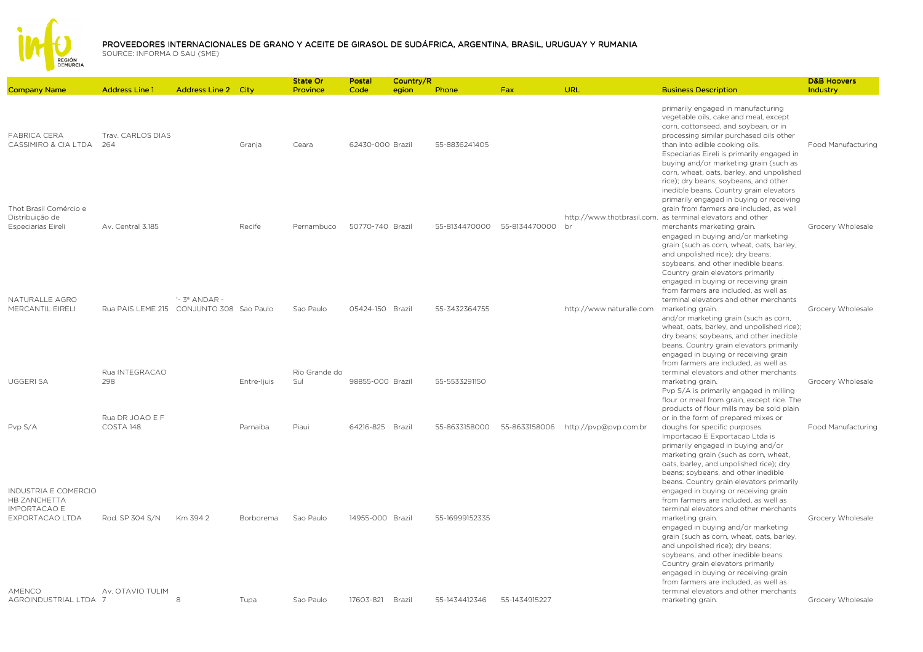

|                                                                                       |                                          |                            |             | State Or             | Postal           | Country/R |                |               |                          |                                                                                                                                                                                                                                                                                                                                                                                                                                 | <b>D&amp;B Hoovers</b> |
|---------------------------------------------------------------------------------------|------------------------------------------|----------------------------|-------------|----------------------|------------------|-----------|----------------|---------------|--------------------------|---------------------------------------------------------------------------------------------------------------------------------------------------------------------------------------------------------------------------------------------------------------------------------------------------------------------------------------------------------------------------------------------------------------------------------|------------------------|
| <b>Company Name</b>                                                                   | <b>Address Line 1</b>                    | <b>Address Line 2 City</b> |             | Province             | Code             | egion     | Phone          | Fax           | URL                      | <b>Business Description</b>                                                                                                                                                                                                                                                                                                                                                                                                     | Industry               |
| <b>FABRICA CERA</b><br>CASSIMIRO & CIA LTDA                                           | Trav. CARLOS DIAS<br>- 264               |                            | Granja      | Ceara                | 62430-000 Brazil |           | 55-8836241405  |               |                          | primarily engaged in manufacturing<br>vegetable oils, cake and meal, except<br>corn, cottonseed, and soybean, or in<br>processing similar purchased oils other<br>than into edible cooking oils.<br>Especiarias Eireli is primarily engaged in<br>buying and/or marketing grain (such as<br>corn, wheat, oats, barley, and unpolished<br>rice); dry beans; soybeans, and other                                                  | Food Manufacturing     |
| Thot Brasil Comércio e<br>Distribuição de<br>Especiarias Eireli                       | Av. Central 3.185                        |                            | Recife      | Pernambuco           | 50770-740 Brazil |           | 55-8134470000  | 55-8134470000 | br                       | inedible beans. Country grain elevators<br>primarily engaged in buying or receiving<br>grain from farmers are included, as well<br>http://www.thotbrasil.com. as terminal elevators and other<br>merchants marketing grain.<br>engaged in buying and/or marketing<br>grain (such as corn, wheat, oats, barley,<br>and unpolished rice); dry beans;<br>soybeans, and other inedible beans.<br>Country grain elevators primarily  | Grocery Wholesale      |
| NATURALLE AGRO<br>MERCANTIL EIRELI                                                    | Rua PAIS LEME 215 CONJUNTO 308 Sao Paulo | $-39$ ANDAR -              |             | Sao Paulo            | 05424-150 Brazil |           | 55-3432364755  |               | http://www.naturalle.com | engaged in buying or receiving grain<br>from farmers are included, as well as<br>terminal elevators and other merchants<br>marketing grain.<br>and/or marketing grain (such as corn,<br>wheat, oats, barley, and unpolished rice);<br>dry beans; soybeans, and other inedible<br>beans. Country grain elevators primarily<br>engaged in buying or receiving grain                                                               | Grocery Wholesale      |
| <b>UGGERI SA</b>                                                                      | Rua INTEGRACAO<br>298                    |                            | Entre-ljuis | Rio Grande do<br>Sul | 98855-000 Brazil |           | 55-5533291150  |               |                          | from farmers are included, as well as<br>terminal elevators and other merchants<br>marketing grain.<br>Pvp S/A is primarily engaged in milling<br>flour or meal from grain, except rice. The<br>products of flour mills may be sold plain                                                                                                                                                                                       | Grocery Wholesale      |
| Pvp S/A                                                                               | Rua DR JOAO E F<br>COSTA 148             |                            | Parnaiba    | Piaui                | 64216-825 Brazil |           | 55-8633158000  | 55-8633158006 | http://pvp@pvp.com.br    | or in the form of prepared mixes or<br>doughs for specific purposes.<br>Importacao E Exportacao Ltda is<br>primarily engaged in buying and/or<br>marketing grain (such as corn, wheat,<br>oats, barley, and unpolished rice); dry<br>beans; soybeans, and other inedible<br>beans. Country grain elevators primarily                                                                                                            | Food Manufacturing     |
| <b>INDUSTRIA E COMERCIO</b><br>HB ZANCHETTA<br><b>IMPORTACAO E</b><br>EXPORTACAO LTDA | Rod. SP 304 S/N                          | Km 394 2                   | Borborema   | Sao Paulo            | 14955-000 Brazil |           | 55-16999152335 |               |                          | engaged in buying or receiving grain<br>from farmers are included, as well as<br>terminal elevators and other merchants<br>marketing grain.<br>engaged in buying and/or marketing<br>grain (such as corn, wheat, oats, barley,<br>and unpolished rice); dry beans;<br>soybeans, and other inedible beans.<br>Country grain elevators primarily<br>engaged in buying or receiving grain<br>from farmers are included, as well as | Grocery Wholesale      |
| AMENCO<br>AGROINDUSTRIAL LTDA 7                                                       | Av. OTAVIO TULIM                         | 8                          | Tupa        | Sao Paulo            | 17603-821        | Brazil    | 55-1434412346  | 55-1434915227 |                          | terminal elevators and other merchants<br>marketing grain.                                                                                                                                                                                                                                                                                                                                                                      | Grocery Wholesale      |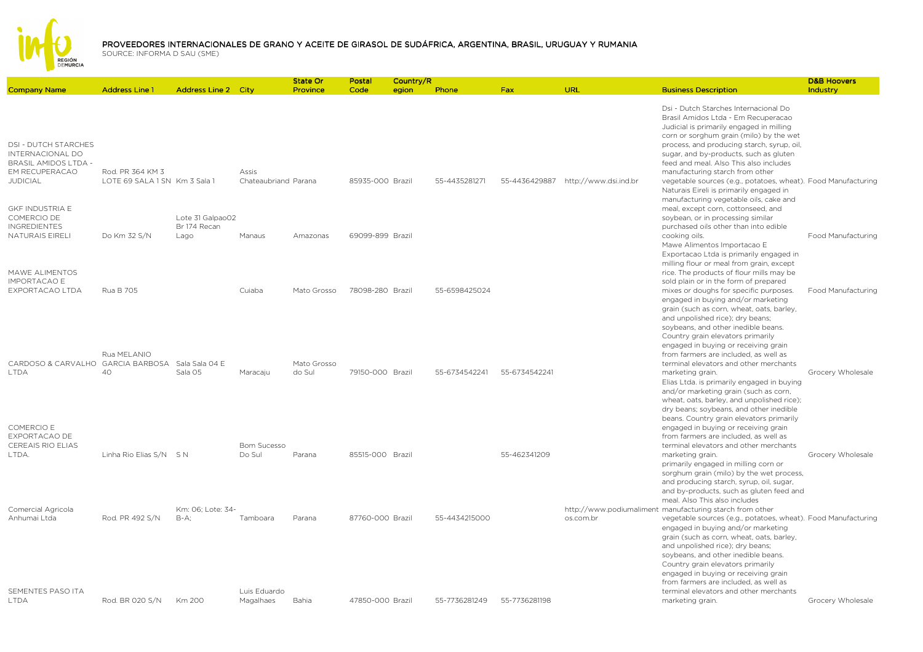

|                                                                         |                                                   |                                          |                               | <b>State Or</b>       | Postal           | Country/R |               |               |                       |                                                                                                                                                                                                                                                                                                                                                                                                               | <b>D&amp;B Hoovers</b> |
|-------------------------------------------------------------------------|---------------------------------------------------|------------------------------------------|-------------------------------|-----------------------|------------------|-----------|---------------|---------------|-----------------------|---------------------------------------------------------------------------------------------------------------------------------------------------------------------------------------------------------------------------------------------------------------------------------------------------------------------------------------------------------------------------------------------------------------|------------------------|
| <b>Company Name</b>                                                     | <b>Address Line 1</b>                             | <b>Address Line 2 City</b>               |                               | Province              | Code             | egion     | Phone         | <b>Fax</b>    | URL                   | <b>Business Description</b>                                                                                                                                                                                                                                                                                                                                                                                   | Industry               |
| <b>DSI - DUTCH STARCHES</b><br>INTERNACIONAL DO<br>BRASIL AMIDOS LTDA - |                                                   |                                          |                               |                       |                  |           |               |               |                       | Dsi - Dutch Starches Internacional Do<br>Brasil Amidos Ltda - Em Recuperacao<br>Judicial is primarily engaged in milling<br>corn or sorghum grain (milo) by the wet<br>process, and producing starch, syrup, oil,<br>sugar, and by-products, such as gluten<br>feed and meal. Also This also includes                                                                                                         |                        |
| EM RECUPERACAO<br><b>JUDICIAL</b><br><b>GKF INDUSTRIA E</b>             | Rod. PR 364 KM 3<br>LOTE 69 SALA 1 SN Km 3 Sala 1 |                                          | Assis<br>Chateaubriand Parana |                       | 85935-000 Brazil |           | 55-4435281271 | 55-4436429887 | http://www.dsi.ind.br | manufacturing starch from other<br>vegetable sources (e.g., potatoes, wheat). Food Manufacturing<br>Naturais Eireli is primarily engaged in<br>manufacturing vegetable oils, cake and<br>meal, except corn, cottonseed, and                                                                                                                                                                                   |                        |
| COMERCIO DE<br><b>INGREDIENTES</b><br>NATURAIS EIRELI                   | Do Km 32 S/N                                      | Lote 31 Galpao02<br>Br 174 Recan<br>Lago | Manaus                        | Amazonas              | 69099-899 Brazil |           |               |               |                       | soybean, or in processing similar<br>purchased oils other than into edible<br>cooking oils.                                                                                                                                                                                                                                                                                                                   | Food Manufacturing     |
| MAWE ALIMENTOS<br><b>IMPORTACAO E</b>                                   |                                                   |                                          |                               |                       |                  |           |               |               |                       | Mawe Alimentos Importacao E<br>Exportacao Ltda is primarily engaged in<br>milling flour or meal from grain, except<br>rice. The products of flour mills may be<br>sold plain or in the form of prepared                                                                                                                                                                                                       |                        |
| EXPORTACAO LTDA                                                         | Rua B 705                                         |                                          | Cuiaba                        | Mato Grosso           | 78098-280 Brazil |           | 55-6598425024 |               |                       | mixes or doughs for specific purposes.<br>engaged in buying and/or marketing<br>grain (such as corn, wheat, oats, barley,<br>and unpolished rice); dry beans;<br>soybeans, and other inedible beans.<br>Country grain elevators primarily<br>engaged in buying or receiving grain                                                                                                                             | Food Manufacturing     |
| CARDOSO & CARVALHO GARCIA BARBOSA<br><b>LTDA</b>                        | Rua MELANIO<br>40                                 | Sala Sala 04 E<br>Sala 05                | Maracaju                      | Mato Grosso<br>do Sul | 79150-000 Brazil |           | 55-6734542241 | 55-6734542241 |                       | from farmers are included, as well as<br>terminal elevators and other merchants<br>marketing grain.<br>Elias Ltda. is primarily engaged in buying<br>and/or marketing grain (such as corn,<br>wheat, oats, barley, and unpolished rice);<br>dry beans; soybeans, and other inedible                                                                                                                           | Grocery Wholesale      |
| COMERCIO E<br><b>EXPORTACAO DE</b><br><b>CEREAIS RIO ELIAS</b><br>LTDA. | Linha Rio Elias S/N S N                           |                                          | <b>Bom Sucesso</b><br>Do Sul  | Parana                | 85515-000 Brazil |           |               | 55-462341209  |                       | beans. Country grain elevators primarily<br>engaged in buying or receiving grain<br>from farmers are included, as well as<br>terminal elevators and other merchants<br>marketing grain.                                                                                                                                                                                                                       | Grocery Wholesale      |
|                                                                         |                                                   |                                          |                               |                       |                  |           |               |               |                       | primarily engaged in milling corn or<br>sorghum grain (milo) by the wet process,<br>and producing starch, syrup, oil, sugar,<br>and by-products, such as gluten feed and<br>meal. Also This also includes                                                                                                                                                                                                     |                        |
| Comercial Agricola<br>Anhumai Ltda                                      | Rod. PR 492 S/N                                   | Km: 06: Lote: 34-<br>$B-A$ :             | Tamboara                      | Parana                | 87760-000 Brazil |           | 55-4434215000 |               | os.com.br             | http://www.podiumaliment_manufacturing_starch_from_other<br>vegetable sources (e.g., potatoes, wheat). Food Manufacturing<br>engaged in buying and/or marketing<br>grain (such as corn, wheat, oats, barley,<br>and unpolished rice); dry beans;<br>soybeans, and other inedible beans.<br>Country grain elevators primarily<br>engaged in buying or receiving grain<br>from farmers are included, as well as |                        |
| SEMENTES PASO ITA<br><b>LTDA</b>                                        | Rod. BR 020 S/N                                   | Km 200                                   | Luis Eduardo<br>Magalhaes     | Bahia                 | 47850-000 Brazil |           | 55-7736281249 | 55-7736281198 |                       | terminal elevators and other merchants<br>marketing grain.                                                                                                                                                                                                                                                                                                                                                    | Grocery Wholesale      |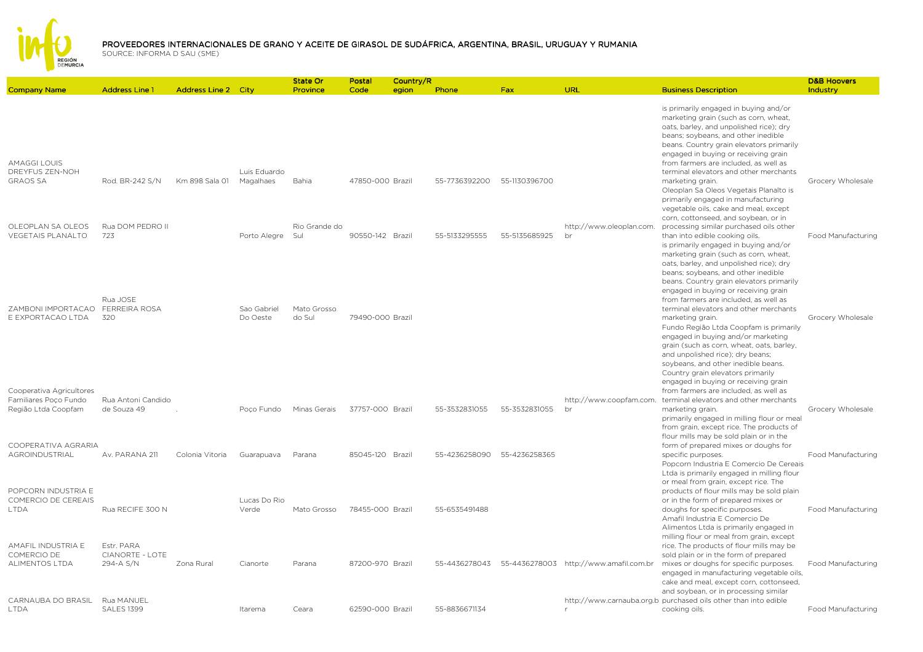

|                                                                          |                                                   |                            |                           | State Or<br>Province  | Postal<br>Code   | Country/R | Phone         | Fax           | URL                                                        |                                                                                                                                                                                                                                                                                                                                                   | <b>D&amp;B Hoovers</b><br>Industry |
|--------------------------------------------------------------------------|---------------------------------------------------|----------------------------|---------------------------|-----------------------|------------------|-----------|---------------|---------------|------------------------------------------------------------|---------------------------------------------------------------------------------------------------------------------------------------------------------------------------------------------------------------------------------------------------------------------------------------------------------------------------------------------------|------------------------------------|
| <b>Company Name</b>                                                      | <b>Address Line 1</b>                             | <b>Address Line 2 City</b> |                           |                       |                  | egion     |               |               |                                                            | <b>Business Description</b>                                                                                                                                                                                                                                                                                                                       |                                    |
| <b>AMAGGI LOUIS</b>                                                      |                                                   |                            |                           |                       |                  |           |               |               |                                                            | is primarily engaged in buying and/or<br>marketing grain (such as corn, wheat,<br>oats, barley, and unpolished rice); dry<br>beans; soybeans, and other inedible<br>beans. Country grain elevators primarily<br>engaged in buying or receiving grain<br>from farmers are included, as well as                                                     |                                    |
| DREYFUS ZEN-NOH<br><b>GRAOS SA</b>                                       | Rod. BR-242 S/N                                   | Km 898 Sala 01             | Luis Eduardo<br>Magalhaes | Bahia                 | 47850-000 Brazil |           | 55-7736392200 | 55-1130396700 |                                                            | terminal elevators and other merchants<br>marketing grain.<br>Oleoplan Sa Oleos Vegetais Planalto is<br>primarily engaged in manufacturing<br>vegetable oils, cake and meal, except                                                                                                                                                               | Grocery Wholesale                  |
| OLEOPLAN SA OLEOS<br>VEGETAIS PLANALTO                                   | Rua DOM PEDRO II<br>723                           |                            | Porto Alegre              | Rio Grande do<br>Sul  | 90550-142 Brazil |           | 55-5133295555 | 55-5135685925 | http://www.oleoplan.com.<br>br                             | corn, cottonseed, and soybean, or in<br>processing similar purchased oils other<br>than into edible cooking oils.<br>is primarily engaged in buying and/or<br>marketing grain (such as corn, wheat,<br>oats, barley, and unpolished rice); dry                                                                                                    | Food Manufacturing                 |
| ZAMBONI IMPORTACAO<br>E EXPORTACAO LTDA                                  | Rua JOSE<br><b>FERREIRA ROSA</b><br>320           |                            | Sao Gabriel<br>Do Oeste   | Mato Grosso<br>do Sul | 79490-000 Brazil |           |               |               |                                                            | beans; soybeans, and other inedible<br>beans. Country grain elevators primarily<br>engaged in buying or receiving grain<br>from farmers are included, as well as<br>terminal elevators and other merchants<br>marketing grain.<br>Fundo Região Ltda Coopfam is primarily<br>engaged in buying and/or marketing                                    | Grocery Wholesale                  |
| Cooperativa Agricultores<br>Familiares Poco Fundo<br>Região Ltda Coopfam | Rua Antoni Candido<br>de Souza 49                 |                            | Poco Fundo                | Minas Gerais          | 37757-000 Brazil |           | 55-3532831055 | 55-3532831055 | http://www.coopfam.com.<br>br                              | grain (such as corn, wheat, oats, barley,<br>and unpolished rice); dry beans;<br>soybeans, and other inedible beans.<br>Country grain elevators primarily<br>engaged in buying or receiving grain<br>from farmers are included, as well as<br>terminal elevators and other merchants<br>marketing grain.                                          | Grocery Wholesale                  |
| COOPERATIVA AGRARIA<br><b>AGROINDUSTRIAL</b>                             | Av. PARANA 211                                    | Colonia Vitoria            | Guarapuava                | Parana                | 85045-120 Brazil |           | 55-4236258090 | 55-4236258365 |                                                            | primarily engaged in milling flour or meal<br>from grain, except rice. The products of<br>flour mills may be sold plain or in the<br>form of prepared mixes or doughs for<br>specific purposes.                                                                                                                                                   | Food Manufacturing                 |
| POPCORN INDUSTRIA E<br>COMERCIO DE CEREAIS<br><b>LTDA</b>                | Rua RECIFE 300 N                                  |                            | Lucas Do Rio<br>Verde     | Mato Grosso           | 78455-000 Brazil |           | 55-6535491488 |               |                                                            | Popcorn Industria E Comercio De Cereais<br>Ltda is primarily engaged in milling flour<br>or meal from grain, except rice. The<br>products of flour mills may be sold plain<br>or in the form of prepared mixes or<br>doughs for specific purposes.<br>Amafil Industria E Comercio De                                                              | Food Manufacturing                 |
| AMAFIL INDUSTRIA E<br>COMERCIO DE<br><b>ALIMENTOS LTDA</b>               | Estr. PARA<br><b>CIANORTE - LOTE</b><br>294-A S/N | Zona Rural                 | Cianorte                  | Parana                | 87200-970 Brazil |           |               |               | 55-4436278043    55-4436278003    http://www.amafil.com.br | Alimentos Ltda is primarily engaged in<br>milling flour or meal from grain, except<br>rice. The products of flour mills may be<br>sold plain or in the form of prepared<br>mixes or doughs for specific purposes.<br>engaged in manufacturing vegetable oils,<br>cake and meal, except corn, cottonseed,<br>and soybean, or in processing similar | Food Manufacturing                 |
| CARNAUBA DO BRASIL<br><b>LTDA</b>                                        | Rua MANUEL<br><b>SALES 1399</b>                   |                            | Itarema                   | Ceara                 | 62590-000 Brazil |           | 55-8836671134 |               |                                                            | http://www.carnauba.org.b purchased oils other than into edible<br>cooking oils.                                                                                                                                                                                                                                                                  | Food Manufacturing                 |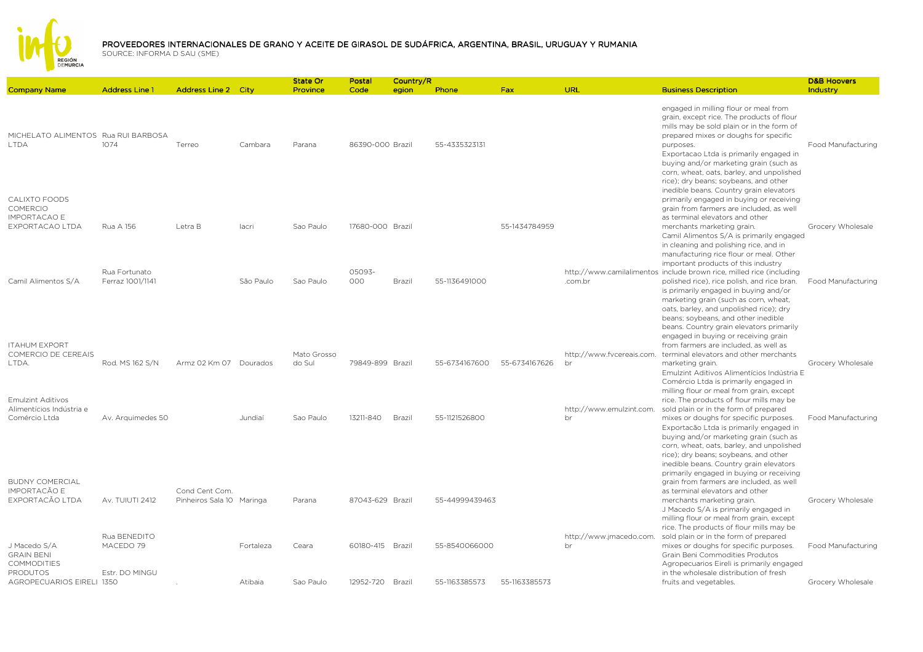

|                                             |                           |           | State Or                                                                                     | Postal        |        |                                                                                                                         |                            |                                 |                                                                                                                                                                                                                                                                                                                                                                  | <b>D&amp;B Hoovers</b>                                                                                                                                                                                                                                                                                                                                                                                                                                                          |
|---------------------------------------------|---------------------------|-----------|----------------------------------------------------------------------------------------------|---------------|--------|-------------------------------------------------------------------------------------------------------------------------|----------------------------|---------------------------------|------------------------------------------------------------------------------------------------------------------------------------------------------------------------------------------------------------------------------------------------------------------------------------------------------------------------------------------------------------------|---------------------------------------------------------------------------------------------------------------------------------------------------------------------------------------------------------------------------------------------------------------------------------------------------------------------------------------------------------------------------------------------------------------------------------------------------------------------------------|
| <b>Address Line 1</b>                       |                           |           | Province                                                                                     | Code          | egion  | Phone                                                                                                                   | Fax                        | URL                             | <b>Business Description</b>                                                                                                                                                                                                                                                                                                                                      | Industry                                                                                                                                                                                                                                                                                                                                                                                                                                                                        |
| MICHELATO ALIMENTOS Rua RUI BARBOSA<br>1074 | Terreo                    | Cambara   | Parana                                                                                       |               |        | 55-4335323131                                                                                                           |                            |                                 | engaged in milling flour or meal from<br>grain, except rice. The products of flour<br>mills may be sold plain or in the form of<br>prepared mixes or doughs for specific<br>purposes.<br>Exportacao Ltda is primarily engaged in<br>buying and/or marketing grain (such as<br>corn, wheat, oats, barley, and unpolished<br>rice); dry beans; soybeans, and other | Food Manufacturing                                                                                                                                                                                                                                                                                                                                                                                                                                                              |
| Rua A 156                                   | Letra B                   | lacri     | Sao Paulo                                                                                    |               |        |                                                                                                                         | 55-1434784959              |                                 | primarily engaged in buying or receiving<br>grain from farmers are included, as well<br>as terminal elevators and other<br>merchants marketing grain.<br>in cleaning and polishing rice, and in                                                                                                                                                                  | Grocery Wholesale                                                                                                                                                                                                                                                                                                                                                                                                                                                               |
| Rua Fortunato<br>Ferraz 1001/1141           |                           | São Paulo | Sao Paulo                                                                                    | 05093-<br>000 | Brazil | 55-1136491000                                                                                                           |                            | .com.br                         | important products of this industry<br>polished rice), rice polish, and rice bran.<br>is primarily engaged in buying and/or<br>marketing grain (such as corn, wheat,<br>oats, barley, and unpolished rice); dry                                                                                                                                                  | Food Manufacturing                                                                                                                                                                                                                                                                                                                                                                                                                                                              |
| Rod. MS 162 S/N                             |                           |           | Mato Grosso<br>do Sul                                                                        |               |        | 55-6734167600                                                                                                           | 55-6734167626              | br                              | beans. Country grain elevators primarily<br>engaged in buying or receiving grain<br>from farmers are included, as well as<br>marketing grain.                                                                                                                                                                                                                    | Grocery Wholesale                                                                                                                                                                                                                                                                                                                                                                                                                                                               |
| Av. Arguimedes 50                           |                           | Jundiaí   | Sao Paulo                                                                                    | 13211-840     | Brazil | 55-1121526800                                                                                                           |                            | http://www.emulzint.com.<br>br  | milling flour or meal from grain, except<br>rice. The products of flour mills may be<br>sold plain or in the form of prepared<br>mixes or doughs for specific purposes.<br>Exportação Ltda is primarily engaged in<br>buying and/or marketing grain (such as                                                                                                     | Food Manufacturing                                                                                                                                                                                                                                                                                                                                                                                                                                                              |
| Av. TUIUTI 2412                             | Cond Cent Com.            |           | Parana                                                                                       |               |        |                                                                                                                         |                            |                                 | rice); dry beans; soybeans, and other<br>inedible beans. Country grain elevators<br>primarily engaged in buying or receiving<br>grain from farmers are included, as well<br>as terminal elevators and other<br>merchants marketing grain.<br>J Macedo S/A is primarily engaged in<br>milling flour or meal from grain, except                                    | Grocery Wholesale                                                                                                                                                                                                                                                                                                                                                                                                                                                               |
| Rua BENEDITO<br>MACEDO 79<br>Estr. DO MINGU |                           | Fortaleza | Ceara                                                                                        |               |        | 55-8540066000                                                                                                           |                            | http://www.jmacedo.com.<br>br   | rice. The products of flour mills may be<br>sold plain or in the form of prepared<br>mixes or doughs for specific purposes.<br>Grain Beni Commodities Produtos<br>Agropecuarios Eireli is primarily engaged<br>in the wholesale distribution of fresh                                                                                                            | <b>Food Manufacturing</b><br>Grocery Wholesale                                                                                                                                                                                                                                                                                                                                                                                                                                  |
|                                             | AGROPECUARIOS EIRELI 1350 |           | <b>Address Line 2 City</b><br>Armz 02 Km 07 Dourados<br>Pinheiros Sala 10 Maringa<br>Atibaia | Sao Paulo     |        | 86390-000 Brazil<br>17680-000 Brazil<br>79849-899 Brazil<br>87043-629 Brazil<br>60180-415 Brazil<br>12952-720<br>Brazil | Country/R<br>55-1163385573 | 55-44999439463<br>55-1163385573 |                                                                                                                                                                                                                                                                                                                                                                  | inedible beans. Country grain elevators<br>Camil Alimentos S/A is primarily engaged<br>manufacturing rice flour or meal. Other<br>http://www.camilalimentos_include brown rice, milled rice (including<br>beans; soybeans, and other inedible<br>http://www.fvcereais.com. terminal elevators and other merchants<br>Emulzint Aditivos Alimentícios Indústria E<br>Comércio Ltda is primarily engaged in<br>corn, wheat, oats, barley, and unpolished<br>fruits and vegetables. |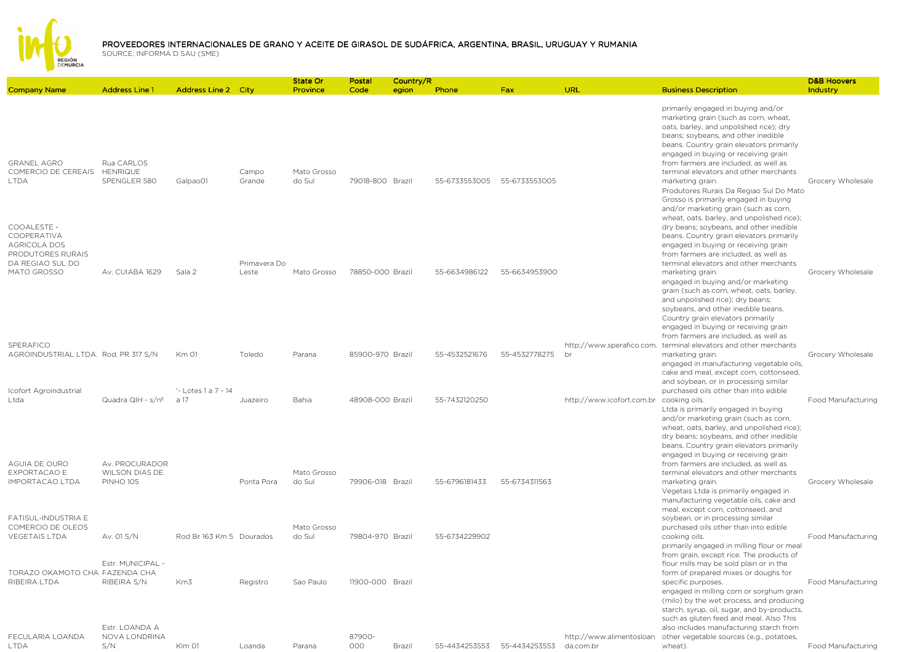

| <b>Address Line 2 City</b><br>primarily engaged in buying and/or<br>marketing grain (such as corn, wheat,<br>oats, barley, and unpolished rice); dry<br>beans; soybeans, and other inedible<br>beans. Country grain elevators primarily<br>engaged in buying or receiving grain<br><b>GRANEL AGRO</b><br>Rua CARLOS<br>from farmers are included, as well as<br>COMERCIO DE CEREAIS<br><b>HENRIQUE</b><br>Campo<br>Mato Grosso<br>terminal elevators and other merchants<br>SPENGLER 580<br>Grande<br>do Sul<br>79018-800 Brazil<br>55-6733553005<br>55-6733553005<br><b>LTDA</b><br>Galpao01<br>marketing grain.<br>Grocery Wholesale<br>Produtores Rurais Da Regiao Sul Do Mato<br>Grosso is primarily engaged in buying<br>and/or marketing grain (such as corn,<br>wheat, oats, barley, and unpolished rice);<br>COOALESTE -<br>dry beans; soybeans, and other inedible<br>COOPERATIVA<br>beans. Country grain elevators primarily<br><b>AGRICOLA DOS</b><br>engaged in buying or receiving grain<br>PRODUTORES RURAIS<br>from farmers are included, as well as<br>DA REGIAO SUL DO<br>Primavera Do<br>terminal elevators and other merchants<br>MATO GROSSO<br>Av. CUIABA 1629<br>Sala 2<br>Leste<br>Mato Grosso<br>78850-000 Brazil<br>55-6634986122<br>55-6634953900<br>Grocery Wholesale<br>marketing grain.<br>engaged in buying and/or marketing<br>grain (such as corn, wheat, oats, barley,<br>and unpolished rice); dry beans;<br>soybeans, and other inedible beans.<br>Country grain elevators primarily<br>engaged in buying or receiving grain<br>from farmers are included, as well as<br>SPERAFICO<br>http://www.sperafico.com.<br>terminal elevators and other merchants<br>AGROINDUSTRIAL LTDA. Rod. PR 317 S/N<br>Km 01<br>Toledo<br>Parana<br>85900-970 Brazil<br>55-4532521676<br>55-4532778275<br>br<br>marketing grain.<br>engaged in manufacturing vegetable oils,<br>cake and meal, except corn, cottonseed,<br>and soybean, or in processing similar<br>'- Lotes 1 a 7 - 14<br>Icofort Agroindustrial<br>purchased oils other than into edible<br>Quadra QIH - s/nº<br>a 17<br>48908-000 Brazil<br>55-7432120250<br>Ltda<br>Juazeiro<br>Bahia<br>http://www.icofort.com.br<br>cooking oils.<br>Ltda is primarily engaged in buying<br>and/or marketing grain (such as corn,<br>wheat, oats, barley, and unpolished rice);<br>dry beans; soybeans, and other inedible<br>beans. Country grain elevators primarily<br>engaged in buying or receiving grain<br>AGUIA DE OURO<br>Av. PROCURADOR<br>from farmers are included, as well as<br><b>EXPORTACAO E</b><br>WILSON DIAS DE<br>Mato Grosso<br>terminal elevators and other merchants<br>IMPORTACAO LTDA<br><b>PINHO 105</b><br>Ponta Pora<br>do Sul<br>79906-018 Brazil<br>55-6796181433<br>55-6734311563<br>Grocery Wholesale<br>marketing grain.<br>Vegetais Ltda is primarily engaged in<br>manufacturing vegetable oils, cake and<br>meal, except corn, cottonseed, and<br>FATISUL-INDUSTRIA E<br>soybean, or in processing similar<br>COMERCIO DE OLEOS<br>Mato Grosso<br>purchased oils other than into edible<br>Av. 01 S/N<br>Rod Br 163 Km 5 Dourados<br>do Sul<br>79804-970 Brazil<br>55-6734229902<br><b>VEGETAIS LTDA</b><br>cooking oils.<br>primarily engaged in milling flour or meal<br>from grain, except rice. The products of<br>Estr. MUNICIPAL -<br>flour mills may be sold plain or in the<br>TORAZO OKAMOTO CHA FAZENDA CHA<br>form of prepared mixes or doughs for<br>RIBEIRA LTDA<br>RIBEIRA S/N<br>Km3<br>Sao Paulo<br>11900-000 Brazil<br>Registro<br>specific purposes.<br>engaged in milling corn or sorghum grain<br>(milo) by the wet process, and producing<br>starch, syrup, oil, sugar, and by-products,<br>such as gluten feed and meal. Also This<br>Estr. LOANDA A<br>also includes manufacturing starch from<br>FECULARIA LOANDA<br>NOVA LONDRINA<br>87900-<br>http://www.alimentosloan<br>other vegetable sources (e.g., potatoes,<br>S/N<br>000<br><b>Klm 01</b><br>Brazil<br>55-4434253553<br>55-4434253553<br>da.com.br<br><b>LTDA</b><br>Loanda<br>Parana<br>wheat). |                     |                       |  | <b>State Or</b> | Postal | Country/R |       |     |     |                             | <b>D&amp;B Hoovers</b> |
|------------------------------------------------------------------------------------------------------------------------------------------------------------------------------------------------------------------------------------------------------------------------------------------------------------------------------------------------------------------------------------------------------------------------------------------------------------------------------------------------------------------------------------------------------------------------------------------------------------------------------------------------------------------------------------------------------------------------------------------------------------------------------------------------------------------------------------------------------------------------------------------------------------------------------------------------------------------------------------------------------------------------------------------------------------------------------------------------------------------------------------------------------------------------------------------------------------------------------------------------------------------------------------------------------------------------------------------------------------------------------------------------------------------------------------------------------------------------------------------------------------------------------------------------------------------------------------------------------------------------------------------------------------------------------------------------------------------------------------------------------------------------------------------------------------------------------------------------------------------------------------------------------------------------------------------------------------------------------------------------------------------------------------------------------------------------------------------------------------------------------------------------------------------------------------------------------------------------------------------------------------------------------------------------------------------------------------------------------------------------------------------------------------------------------------------------------------------------------------------------------------------------------------------------------------------------------------------------------------------------------------------------------------------------------------------------------------------------------------------------------------------------------------------------------------------------------------------------------------------------------------------------------------------------------------------------------------------------------------------------------------------------------------------------------------------------------------------------------------------------------------------------------------------------------------------------------------------------------------------------------------------------------------------------------------------------------------------------------------------------------------------------------------------------------------------------------------------------------------------------------------------------------------------------------------------------------------------------------------------------------------------------------------------------------------------------------------------------------------------------------------------------------------------------------------------------------------------------------------------------------------------------------------------------------------------------------------------------------------------------------------------------------------------------------------------------------------------------|---------------------|-----------------------|--|-----------------|--------|-----------|-------|-----|-----|-----------------------------|------------------------|
|                                                                                                                                                                                                                                                                                                                                                                                                                                                                                                                                                                                                                                                                                                                                                                                                                                                                                                                                                                                                                                                                                                                                                                                                                                                                                                                                                                                                                                                                                                                                                                                                                                                                                                                                                                                                                                                                                                                                                                                                                                                                                                                                                                                                                                                                                                                                                                                                                                                                                                                                                                                                                                                                                                                                                                                                                                                                                                                                                                                                                                                                                                                                                                                                                                                                                                                                                                                                                                                                                                                                                                                                                                                                                                                                                                                                                                                                                                                                                                                                                                                                                                | <b>Company Name</b> | <b>Address Line 1</b> |  | Province        | Code   | egion     | Phone | Fax | URL | <b>Business Description</b> | Industry               |
|                                                                                                                                                                                                                                                                                                                                                                                                                                                                                                                                                                                                                                                                                                                                                                                                                                                                                                                                                                                                                                                                                                                                                                                                                                                                                                                                                                                                                                                                                                                                                                                                                                                                                                                                                                                                                                                                                                                                                                                                                                                                                                                                                                                                                                                                                                                                                                                                                                                                                                                                                                                                                                                                                                                                                                                                                                                                                                                                                                                                                                                                                                                                                                                                                                                                                                                                                                                                                                                                                                                                                                                                                                                                                                                                                                                                                                                                                                                                                                                                                                                                                                |                     |                       |  |                 |        |           |       |     |     |                             |                        |
|                                                                                                                                                                                                                                                                                                                                                                                                                                                                                                                                                                                                                                                                                                                                                                                                                                                                                                                                                                                                                                                                                                                                                                                                                                                                                                                                                                                                                                                                                                                                                                                                                                                                                                                                                                                                                                                                                                                                                                                                                                                                                                                                                                                                                                                                                                                                                                                                                                                                                                                                                                                                                                                                                                                                                                                                                                                                                                                                                                                                                                                                                                                                                                                                                                                                                                                                                                                                                                                                                                                                                                                                                                                                                                                                                                                                                                                                                                                                                                                                                                                                                                |                     |                       |  |                 |        |           |       |     |     |                             |                        |
|                                                                                                                                                                                                                                                                                                                                                                                                                                                                                                                                                                                                                                                                                                                                                                                                                                                                                                                                                                                                                                                                                                                                                                                                                                                                                                                                                                                                                                                                                                                                                                                                                                                                                                                                                                                                                                                                                                                                                                                                                                                                                                                                                                                                                                                                                                                                                                                                                                                                                                                                                                                                                                                                                                                                                                                                                                                                                                                                                                                                                                                                                                                                                                                                                                                                                                                                                                                                                                                                                                                                                                                                                                                                                                                                                                                                                                                                                                                                                                                                                                                                                                |                     |                       |  |                 |        |           |       |     |     |                             |                        |
|                                                                                                                                                                                                                                                                                                                                                                                                                                                                                                                                                                                                                                                                                                                                                                                                                                                                                                                                                                                                                                                                                                                                                                                                                                                                                                                                                                                                                                                                                                                                                                                                                                                                                                                                                                                                                                                                                                                                                                                                                                                                                                                                                                                                                                                                                                                                                                                                                                                                                                                                                                                                                                                                                                                                                                                                                                                                                                                                                                                                                                                                                                                                                                                                                                                                                                                                                                                                                                                                                                                                                                                                                                                                                                                                                                                                                                                                                                                                                                                                                                                                                                |                     |                       |  |                 |        |           |       |     |     |                             | Grocery Wholesale      |
|                                                                                                                                                                                                                                                                                                                                                                                                                                                                                                                                                                                                                                                                                                                                                                                                                                                                                                                                                                                                                                                                                                                                                                                                                                                                                                                                                                                                                                                                                                                                                                                                                                                                                                                                                                                                                                                                                                                                                                                                                                                                                                                                                                                                                                                                                                                                                                                                                                                                                                                                                                                                                                                                                                                                                                                                                                                                                                                                                                                                                                                                                                                                                                                                                                                                                                                                                                                                                                                                                                                                                                                                                                                                                                                                                                                                                                                                                                                                                                                                                                                                                                |                     |                       |  |                 |        |           |       |     |     |                             | Food Manufacturing     |
|                                                                                                                                                                                                                                                                                                                                                                                                                                                                                                                                                                                                                                                                                                                                                                                                                                                                                                                                                                                                                                                                                                                                                                                                                                                                                                                                                                                                                                                                                                                                                                                                                                                                                                                                                                                                                                                                                                                                                                                                                                                                                                                                                                                                                                                                                                                                                                                                                                                                                                                                                                                                                                                                                                                                                                                                                                                                                                                                                                                                                                                                                                                                                                                                                                                                                                                                                                                                                                                                                                                                                                                                                                                                                                                                                                                                                                                                                                                                                                                                                                                                                                |                     |                       |  |                 |        |           |       |     |     |                             |                        |
|                                                                                                                                                                                                                                                                                                                                                                                                                                                                                                                                                                                                                                                                                                                                                                                                                                                                                                                                                                                                                                                                                                                                                                                                                                                                                                                                                                                                                                                                                                                                                                                                                                                                                                                                                                                                                                                                                                                                                                                                                                                                                                                                                                                                                                                                                                                                                                                                                                                                                                                                                                                                                                                                                                                                                                                                                                                                                                                                                                                                                                                                                                                                                                                                                                                                                                                                                                                                                                                                                                                                                                                                                                                                                                                                                                                                                                                                                                                                                                                                                                                                                                |                     |                       |  |                 |        |           |       |     |     |                             | Food Manufacturing     |
|                                                                                                                                                                                                                                                                                                                                                                                                                                                                                                                                                                                                                                                                                                                                                                                                                                                                                                                                                                                                                                                                                                                                                                                                                                                                                                                                                                                                                                                                                                                                                                                                                                                                                                                                                                                                                                                                                                                                                                                                                                                                                                                                                                                                                                                                                                                                                                                                                                                                                                                                                                                                                                                                                                                                                                                                                                                                                                                                                                                                                                                                                                                                                                                                                                                                                                                                                                                                                                                                                                                                                                                                                                                                                                                                                                                                                                                                                                                                                                                                                                                                                                |                     |                       |  |                 |        |           |       |     |     |                             | Food Manufacturing     |
|                                                                                                                                                                                                                                                                                                                                                                                                                                                                                                                                                                                                                                                                                                                                                                                                                                                                                                                                                                                                                                                                                                                                                                                                                                                                                                                                                                                                                                                                                                                                                                                                                                                                                                                                                                                                                                                                                                                                                                                                                                                                                                                                                                                                                                                                                                                                                                                                                                                                                                                                                                                                                                                                                                                                                                                                                                                                                                                                                                                                                                                                                                                                                                                                                                                                                                                                                                                                                                                                                                                                                                                                                                                                                                                                                                                                                                                                                                                                                                                                                                                                                                |                     |                       |  |                 |        |           |       |     |     |                             | Food Manufacturing     |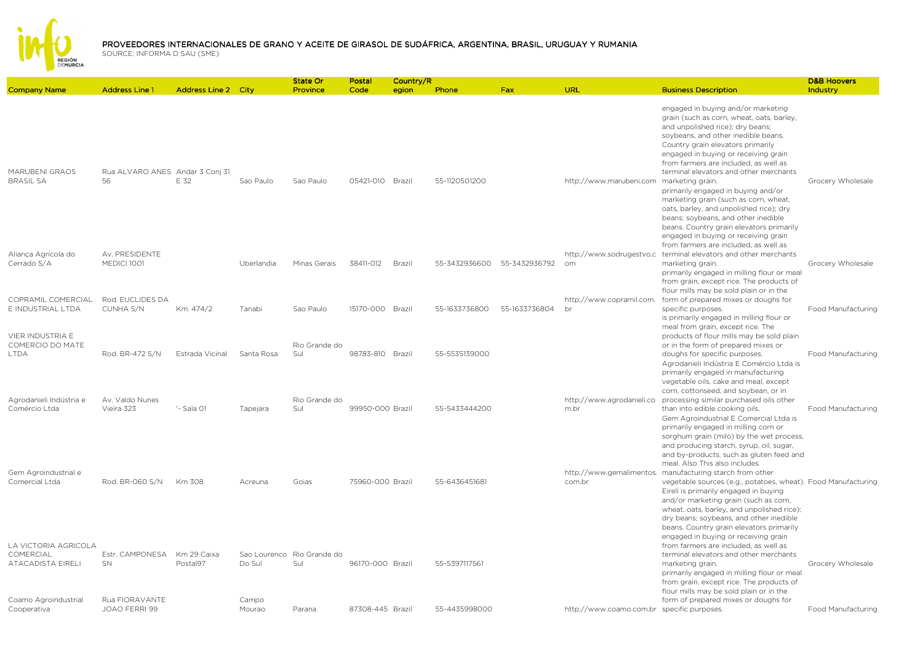

| <b>Company Name</b>                                    | <b>Address Line 1</b>                 | <b>Address Line 2 City</b> |                        | <b>State Or</b><br>Province | Postal<br>Code   | Country/R<br>egion | Phone         | Fax           | URL                                        | <b>Business Description</b>                                                                                                                                                                                                                                                                                                                                                                                                                                                                                                             | <b>D&amp;B Hoovers</b><br>Industry |
|--------------------------------------------------------|---------------------------------------|----------------------------|------------------------|-----------------------------|------------------|--------------------|---------------|---------------|--------------------------------------------|-----------------------------------------------------------------------------------------------------------------------------------------------------------------------------------------------------------------------------------------------------------------------------------------------------------------------------------------------------------------------------------------------------------------------------------------------------------------------------------------------------------------------------------------|------------------------------------|
| MARUBENI GRAOS<br><b>BRASIL SA</b>                     | Rua ALVARO ANES Andar 3 Conj 31<br>56 | E 32                       | Sao Paulo              | Sao Paulo                   | 05421-010 Brazil |                    | 55-1120501200 |               | http://www.marubeni.com marketing grain.   | engaged in buying and/or marketing<br>grain (such as corn, wheat, oats, barley,<br>and unpolished rice); dry beans;<br>soybeans, and other inedible beans.<br>Country grain elevators primarily<br>engaged in buying or receiving grain<br>from farmers are included, as well as<br>terminal elevators and other merchants<br>primarily engaged in buying and/or<br>marketing grain (such as corn, wheat,<br>oats, barley, and unpolished rice); dry<br>beans; soybeans, and other inedible<br>beans. Country grain elevators primarily | Grocery Wholesale                  |
|                                                        |                                       |                            |                        |                             |                  |                    |               |               |                                            | engaged in buying or receiving grain<br>from farmers are included, as well as                                                                                                                                                                                                                                                                                                                                                                                                                                                           |                                    |
| Aliança Agrícola do<br>Cerrado S/A                     | Av. PRESIDENTE<br><b>MEDICI 1001</b>  |                            | Uberlandia             | Minas Gerais                | 38411-012        | Brazil             | 55-3432936600 | 55-3432936792 | om                                         | http://www.sodrugestvo.c terminal elevators and other merchants<br>marketing grain.<br>primarily engaged in milling flour or meal<br>from grain, except rice. The products of<br>flour mills may be sold plain or in the                                                                                                                                                                                                                                                                                                                | Grocery Wholesale                  |
| COPRAMIL COMERCIAL<br>E INDUSTRIAL LTDA                | Rod. EUCLIDES DA<br>CUNHA S/N         | Km. 474/2                  | Tanabi                 | Sao Paulo                   | 15170-000 Brazil |                    | 55-1633736800 | 55-1633736804 | http://www.copramil.com.<br>br             | form of prepared mixes or doughs for<br>specific purposes.<br>is primarily engaged in milling flour or<br>meal from grain, except rice. The                                                                                                                                                                                                                                                                                                                                                                                             | Food Manufacturing                 |
| VIER INDUSTRIA E<br>COMERCIO DO MATE<br><b>LTDA</b>    | Rod. BR-472 S/N                       | Estrada Vicinal            | Santa Rosa             | Rio Grande do<br>Sul        | 98783-810 Brazil |                    | 55-5535139000 |               |                                            | products of flour mills may be sold plain<br>or in the form of prepared mixes or<br>doughs for specific purposes.<br>Agrodanieli Indústria E Comércio Ltda is<br>primarily engaged in manufacturing<br>vegetable oils, cake and meal, except                                                                                                                                                                                                                                                                                            | Food Manufacturing                 |
| Agrodanieli Indústria e<br>Comércio Ltda               | Av. Valdo Nunes<br>Vieira 323         | '- Sala 01                 | Tapejara               | Rio Grande do<br>Sul        | 99950-000 Brazil |                    | 55-5433444200 |               | http://www.agrodanieli.co<br>m.br          | corn, cottonseed, and soybean, or in<br>processing similar purchased oils other<br>than into edible cooking oils.<br>Gem Agroindustrial E Comercial Ltda is<br>primarily engaged in milling corn or<br>sorghum grain (milo) by the wet process,                                                                                                                                                                                                                                                                                         | Food Manufacturing                 |
| Gem Agroindustrial e<br>Comercial Ltda                 | Rod. BR-060 S/N                       | Km 308                     | Acreuna                | Goias                       | 75960-000 Brazil |                    | 55-6436451681 |               | http://www.gemalimentos.<br>com.br         | and producing starch, syrup, oil, sugar,<br>and by-products, such as gluten feed and<br>meal. Also This also includes<br>manufacturing starch from other<br>vegetable sources (e.g., potatoes, wheat). Food Manufacturing<br>Eireli is primarily engaged in buying<br>and/or marketing grain (such as corn,<br>wheat, oats, barley, and unpolished rice);<br>dry beans; soybeans, and other inedible                                                                                                                                    |                                    |
| LA VICTORIA AGRICOLA<br>COMERCIAL<br>ATACADISTA EIRELI | Estr. CAMPONESA<br>SN                 | Km 29 Caixa<br>Postal97    | Sao Lourenco<br>Do Sul | Rio Grande do<br>Sul        | 96170-000 Brazil |                    | 55-5397117561 |               |                                            | beans. Country grain elevators primarily<br>engaged in buying or receiving grain<br>from farmers are included, as well as<br>terminal elevators and other merchants<br>marketing grain.<br>primarily engaged in milling flour or meal<br>from grain, except rice. The products of<br>flour mills may be sold plain or in the                                                                                                                                                                                                            | Grocery Wholesale                  |
| Coamo Agroindustrial<br>Cooperativa                    | Rua FIORAVANTE<br>JOAO FERRI 99       |                            | Campo<br>Mourao        | Parana                      | 87308-445 Brazil |                    | 55-4435998000 |               | http://www.coamo.com.br specific purposes. | form of prepared mixes or doughs for                                                                                                                                                                                                                                                                                                                                                                                                                                                                                                    | Food Manufacturing                 |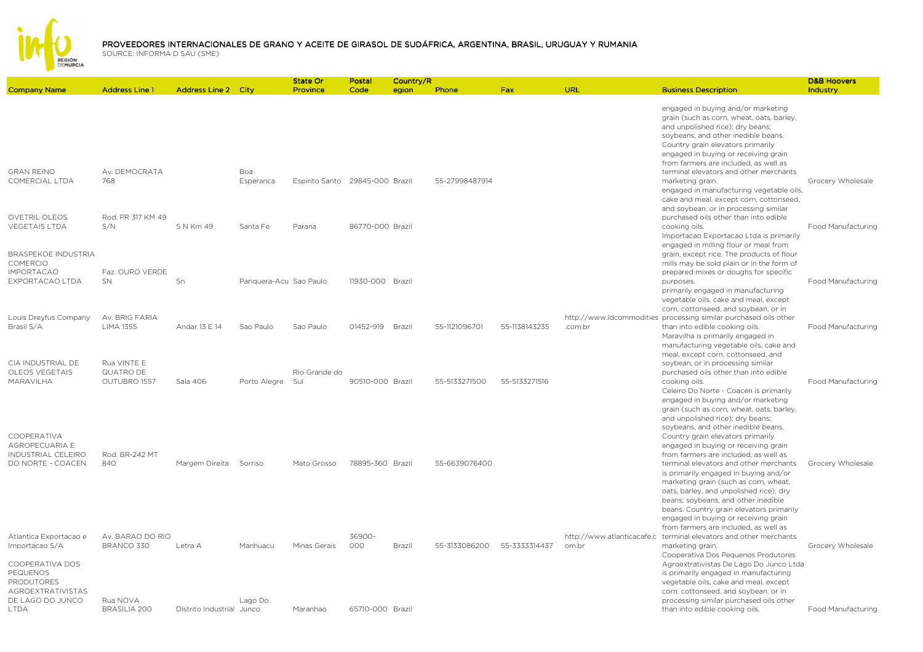

|                                                                            |                                          |                            |                         | State Or                        | Postal           | Country/R |                |               |                                     |                                                                                                                                                                                                                                                                                                                                         | <b>D&amp;B Hoovers</b> |
|----------------------------------------------------------------------------|------------------------------------------|----------------------------|-------------------------|---------------------------------|------------------|-----------|----------------|---------------|-------------------------------------|-----------------------------------------------------------------------------------------------------------------------------------------------------------------------------------------------------------------------------------------------------------------------------------------------------------------------------------------|------------------------|
| <b>Company Name</b>                                                        | <b>Address Line 1</b>                    | <b>Address Line 2 City</b> |                         | Province                        | Code             | egion     | Phone          | Fax           | URL                                 | <b>Business Description</b>                                                                                                                                                                                                                                                                                                             | Industry               |
|                                                                            |                                          |                            |                         |                                 |                  |           |                |               |                                     | engaged in buying and/or marketing<br>grain (such as corn, wheat, oats, barley,<br>and unpolished rice); dry beans;<br>soybeans, and other inedible beans.<br>Country grain elevators primarily<br>engaged in buying or receiving grain<br>from farmers are included, as well as                                                        |                        |
| <b>GRAN REINO</b><br>COMERCIAL LTDA                                        | Av. DEMOCRATA<br>768                     |                            | Boa<br>Esperanca        | Espirito Santo 29845-000 Brazil |                  |           | 55-27998487914 |               |                                     | terminal elevators and other merchants<br>marketing grain.<br>engaged in manufacturing vegetable oils,<br>cake and meal, except corn, cottonseed,<br>and soybean, or in processing similar                                                                                                                                              | Grocery Wholesale      |
| <b>OVETRIL OLEOS</b><br><b>VEGETAIS LTDA</b><br><b>BRASPEKOE INDUSTRIA</b> | Rod, PR 317 KM 49<br>S/N                 | S N Km 49                  | Santa Fe                | Parana                          | 86770-000 Brazil |           |                |               |                                     | purchased oils other than into edible<br>cooking oils.<br>Importacao Exportacao Ltda is primarily<br>engaged in milling flour or meal from                                                                                                                                                                                              | Food Manufacturing     |
| <b>COMERCIO</b><br><b>IMPORTACAO</b><br>EXPORTACAO LTDA                    | Faz. OURO VERDE<br>SN                    | Sn                         | Pariquera-Acu Sao Paulo |                                 | 11930-000 Brazil |           |                |               |                                     | grain, except rice. The products of flour<br>mills may be sold plain or in the form of<br>prepared mixes or doughs for specific<br>purposes.<br>primarily engaged in manufacturing                                                                                                                                                      | Food Manufacturing     |
| Louis Dreyfus Company<br>Brasil S/A                                        | Av. BRIG FARIA<br>LIMA 1355              | Andar 13 E 14              | Sao Paulo               | Sao Paulo                       | 01452-919        | Brazil    | 55-1121096701  | 55-1138143235 | .com.br                             | vegetable oils, cake and meal, except<br>corn, cottonseed, and soybean, or in<br>http://www.ldcommodities_processing similar purchased oils other<br>than into edible cooking oils.<br>Maravilha is primarily engaged in                                                                                                                | Food Manufacturing     |
| CIA INDUSTRIAL DE<br>OLEOS VEGETAIS<br>MARAVILHA                           | Rua VINTE E<br>QUATRO DE<br>OUTUBRO 1557 | Sala 406                   | Porto Alegre            | Rio Grande do<br>Sul            | 90510-000 Brazil |           | 55-5133271500  | 55-5133271516 |                                     | manufacturing vegetable oils, cake and<br>meal, except corn, cottonseed, and<br>soybean, or in processing similar<br>purchased oils other than into edible<br>cooking oils.<br>Celeiro Do Norte - Coacen is primarily                                                                                                                   | Food Manufacturing     |
| COOPERATIVA<br>AGROPECUARIA E                                              |                                          |                            |                         |                                 |                  |           |                |               |                                     | engaged in buying and/or marketing<br>grain (such as corn, wheat, oats, barley,<br>and unpolished rice); dry beans;<br>soybeans, and other inedible beans.<br>Country grain elevators primarily<br>engaged in buying or receiving grain                                                                                                 |                        |
| INDUSTRIAL CELEIRO<br>DO NORTE - COACEN                                    | Rod. BR-242 MT<br>840                    | Margem Direita             | Sorriso                 | Mato Grosso                     | 78895-360 Brazil |           | 55-6639076400  |               |                                     | from farmers are included, as well as<br>terminal elevators and other merchants<br>is primarily engaged in buying and/or<br>marketing grain (such as corn, wheat,<br>oats, barley, and unpolished rice); dry<br>beans; soybeans, and other inedible<br>beans. Country grain elevators primarily<br>engaged in buying or receiving grain | Grocery Wholesale      |
| Atlantica Exportacao e<br>Importacao S/A                                   | Av. BARAO DO RIO<br>BRANCO 330           | Letra A                    | Manhuacu                | Minas Gerais                    | 36900-<br>000    | Brazil    | 55-3133086200  | 55-3333314437 | http://www.atlanticacafe.c<br>om.br | from farmers are included, as well as<br>terminal elevators and other merchants<br>marketing grain.                                                                                                                                                                                                                                     | Grocery Wholesale      |
| COOPERATIVA DOS<br>PEQUENOS<br>PRODUTORES<br>AGROEXTRATIVISTAS             |                                          |                            |                         |                                 |                  |           |                |               |                                     | Cooperativa Dos Pequenos Produtores<br>Agroextrativistas De Lago Do Junco Ltda<br>is primarily engaged in manufacturing<br>vegetable oils, cake and meal, except<br>corn, cottonseed, and soybean, or in                                                                                                                                |                        |
| DE LAGO DO JUNCO<br><b>LTDA</b>                                            | Rua NOVA<br><b>BRASILIA 200</b>          | Distrito Industrial Junco  | Lago Do                 | Maranhao                        | 65710-000 Brazil |           |                |               |                                     | processing similar purchased oils other<br>than into edible cooking oils.                                                                                                                                                                                                                                                               | Food Manufacturing     |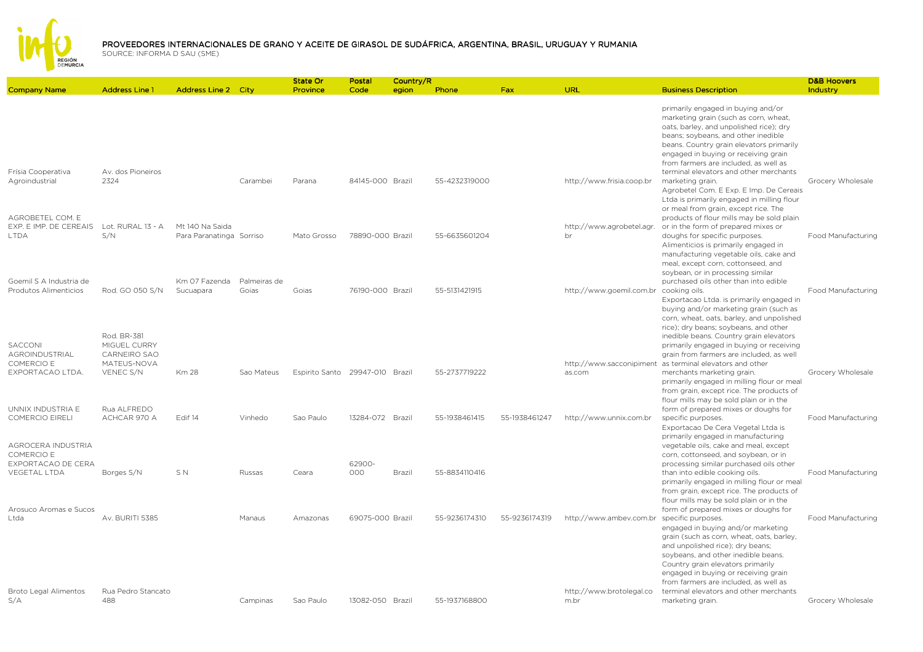

|                                                                               |                                                                                |                                             |                       | State Or                        | Postal           | Country/R |               |               |                                            |                                                                                                                                                                                                                                                                                                                            | <b>D&amp;B Hoovers</b> |
|-------------------------------------------------------------------------------|--------------------------------------------------------------------------------|---------------------------------------------|-----------------------|---------------------------------|------------------|-----------|---------------|---------------|--------------------------------------------|----------------------------------------------------------------------------------------------------------------------------------------------------------------------------------------------------------------------------------------------------------------------------------------------------------------------------|------------------------|
| <b>Company Name</b>                                                           | <b>Address Line 1</b>                                                          | <b>Address Line 2 City</b>                  |                       | Province                        | Code             | egion     | Phone         | Fax           | URL                                        | <b>Business Description</b>                                                                                                                                                                                                                                                                                                | Industry               |
|                                                                               |                                                                                |                                             |                       |                                 |                  |           |               |               |                                            | primarily engaged in buying and/or<br>marketing grain (such as corn, wheat,<br>oats, barley, and unpolished rice); dry<br>beans; soybeans, and other inedible<br>beans. Country grain elevators primarily<br>engaged in buying or receiving grain<br>from farmers are included, as well as                                 |                        |
| Frísia Cooperativa<br>Agroindustrial<br>AGROBETEL COM. E                      | Av. dos Pioneiros<br>2324                                                      |                                             | Carambei              | Parana                          | 84145-000 Brazil |           | 55-4232319000 |               | http://www.frisia.coop.br                  | terminal elevators and other merchants<br>marketing grain.<br>Agrobetel Com. E Exp. E Imp. De Cereais<br>Ltda is primarily engaged in milling flour<br>or meal from grain, except rice. The<br>products of flour mills may be sold plain                                                                                   | Grocery Wholesale      |
| EXP. E IMP. DE CEREAIS<br><b>LTDA</b>                                         | Lot. RURAL 13 - A<br>S/N                                                       | Mt 140 Na Saida<br>Para Paranatinga Sorriso |                       | Mato Grosso                     | 78890-000 Brazil |           | 55-6635601204 |               | http://www.agrobetel.agr.<br>br            | or in the form of prepared mixes or<br>doughs for specific purposes.<br>Alimenticios is primarily engaged in<br>manufacturing vegetable oils, cake and<br>meal, except corn, cottonseed, and<br>soybean, or in processing similar                                                                                          | Food Manufacturing     |
| Goemil S A Industria de<br>Produtos Alimenticios                              | Rod. GO 050 S/N                                                                | Km 07 Fazenda<br>Sucuapara                  | Palmeiras de<br>Goias | Goias                           | 76190-000 Brazil |           | 55-5131421915 |               | http://www.goemil.com.br                   | purchased oils other than into edible<br>cooking oils.<br>Exportacao Ltda. is primarily engaged in<br>buying and/or marketing grain (such as<br>corn, wheat, oats, barley, and unpolished<br>rice); dry beans; soybeans, and other                                                                                         | Food Manufacturing     |
| SACCONI<br>AGROINDUSTRIAL<br>COMERCIO E<br>EXPORTACAO LTDA.                   | Rod. BR-381<br>MIGUEL CURRY<br><b>CARNEIRO SAO</b><br>MATEUS-NOVA<br>VENEC S/N | <b>Km 28</b>                                | Sao Mateus            | Espirito Santo 29947-010 Brazil |                  |           | 55-2737719222 |               | as.com                                     | inedible beans. Country grain elevators<br>primarily engaged in buying or receiving<br>grain from farmers are included, as well<br>http://www.sacconipiment as terminal elevators and other<br>merchants marketing grain.<br>primarily engaged in milling flour or meal<br>from grain, except rice. The products of        | Grocery Wholesale      |
| UNNIX INDUSTRIA E<br><b>COMERCIO EIRELI</b>                                   | Rua ALFREDO<br>ACHCAR 970 A                                                    | Edif 14                                     | Vinhedo               | Sao Paulo                       | 13284-072 Brazil |           | 55-1938461415 | 55-1938461247 | http://www.unnix.com.br                    | flour mills may be sold plain or in the<br>form of prepared mixes or doughs for<br>specific purposes.<br>Exportacao De Cera Vegetal Ltda is<br>primarily engaged in manufacturing                                                                                                                                          | Food Manufacturing     |
| AGROCERA INDUSTRIA<br>COMERCIO E<br>EXPORTACAO DE CERA<br><b>VEGETAL LTDA</b> | Borges S/N                                                                     | S N                                         | Russas                | Ceara                           | 62900-<br>000    | Brazil    | 55-8834110416 |               |                                            | vegetable oils, cake and meal, except<br>corn, cottonseed, and soybean, or in<br>processing similar purchased oils other<br>than into edible cooking oils.<br>primarily engaged in milling flour or meal<br>from grain, except rice. The products of                                                                       | Food Manufacturing     |
| Arosuco Aromas e Sucos<br>Ltda                                                | Av. BURITI 5385                                                                |                                             | Manaus                | Amazonas                        | 69075-000 Brazil |           | 55-9236174310 | 55-9236174319 | http://www.ambev.com.br specific purposes. | flour mills may be sold plain or in the<br>form of prepared mixes or doughs for<br>engaged in buying and/or marketing<br>grain (such as corn, wheat, oats, barley,<br>and unpolished rice); dry beans;<br>soybeans, and other inedible beans.<br>Country grain elevators primarily<br>engaged in buying or receiving grain | Food Manufacturing     |
| Broto Legal Alimentos<br>S/A                                                  | Rua Pedro Stancato<br>488                                                      |                                             | Campinas              | Sao Paulo                       | 13082-050 Brazil |           | 55-1937168800 |               | http://www.brotolegal.co<br>m.br           | from farmers are included, as well as<br>terminal elevators and other merchants<br>marketing grain.                                                                                                                                                                                                                        | Grocery Wholesale      |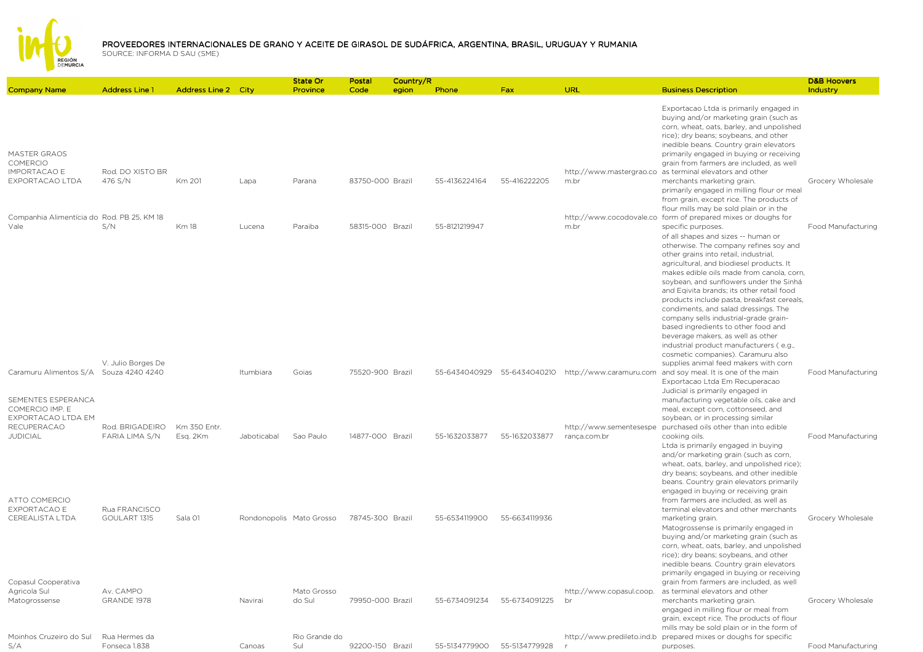

| <b>Company Name</b>                                                                                   | <b>Address Line 1</b>                              | <b>Address Line 2 City</b> |             | State Or<br>Province     | Postal<br>Code   | Country/R<br>egion | Phone         | <b>Fax</b>    | <b>URL</b>                              | <b>Business Description</b>                                                                                                                                                                                                                                                                                                                                                                                                                                                                                                                                                                                                                                                                | <b>D&amp;B Hoovers</b><br>Industry |
|-------------------------------------------------------------------------------------------------------|----------------------------------------------------|----------------------------|-------------|--------------------------|------------------|--------------------|---------------|---------------|-----------------------------------------|--------------------------------------------------------------------------------------------------------------------------------------------------------------------------------------------------------------------------------------------------------------------------------------------------------------------------------------------------------------------------------------------------------------------------------------------------------------------------------------------------------------------------------------------------------------------------------------------------------------------------------------------------------------------------------------------|------------------------------------|
| <b>MASTER GRAOS</b><br><b>COMERCIO</b><br><b>IMPORTACAO E</b>                                         | Rod. DO XISTO BR                                   |                            |             |                          |                  |                    |               |               |                                         | Exportacao Ltda is primarily engaged in<br>buying and/or marketing grain (such as<br>corn, wheat, oats, barley, and unpolished<br>rice); dry beans; soybeans, and other<br>inedible beans. Country grain elevators<br>primarily engaged in buying or receiving<br>grain from farmers are included, as well<br>http://www.mastergrao.co as terminal elevators and other                                                                                                                                                                                                                                                                                                                     |                                    |
| EXPORTACAO LTDA                                                                                       | 476 S/N                                            | Km 201                     | Lapa        | Parana                   | 83750-000 Brazil |                    | 55-4136224164 | 55-416222205  | m.br                                    | merchants marketing grain.<br>primarily engaged in milling flour or meal<br>from grain, except rice. The products of<br>flour mills may be sold plain or in the                                                                                                                                                                                                                                                                                                                                                                                                                                                                                                                            | Grocery Wholesale                  |
| Companhia Alimentícia do Rod. PB 25, KM 18<br>Vale                                                    | S/N<br>V. Julio Borges De                          | <b>Km18</b>                | Lucena      | Paraiba                  | 58315-000 Brazil |                    | 55-8121219947 |               | m.br                                    | http://www.cocodovale.co form of prepared mixes or doughs for<br>specific purposes.<br>of all shapes and sizes -- human or<br>otherwise. The company refines soy and<br>other grains into retail, industrial,<br>agricultural, and biodiesel products. It<br>makes edible oils made from canola, corn,<br>soybean, and sunflowers under the Sinhá<br>and Eqivita brands; its other retail food<br>products include pasta, breakfast cereals,<br>condiments, and salad dressings. The<br>company sells industrial-grade grain-<br>based ingredients to other food and<br>beverage makers, as well as other<br>industrial product manufacturers (e.g.,<br>cosmetic companies). Caramuru also | Food Manufacturing                 |
| Caramuru Alimentos S/A Souza 4240 4240<br>SEMENTES ESPERANCA<br>COMERCIO IMP. E<br>EXPORTACAO LTDA EM |                                                    |                            | Itumbiara   | Goias                    | 75520-900 Brazil |                    | 55-6434040929 | 55-6434040210 |                                         | supplies animal feed makers with corn<br>http://www.caramuru.com and soy meal. It is one of the main<br>Exportacao Ltda Em Recuperacao<br>Judicial is primarily engaged in<br>manufacturing vegetable oils, cake and<br>meal, except corn, cottonseed, and<br>soybean, or in processing similar                                                                                                                                                                                                                                                                                                                                                                                            | Food Manufacturing                 |
| <b>RECUPERACAO</b><br><b>JUDICIAL</b><br>ATTO COMERCIO<br>EXPORTACAO E                                | Rod. BRIGADEIRO<br>FARIA LIMA S/N<br>Rua FRANCISCO | Km 350 Entr.<br>Esg. 2Km   | Jaboticabal | Sao Paulo                | 14877-000 Brazil |                    | 55-1632033877 | 55-1632033877 | http://www.sementesespe<br>ranca.com.br | purchased oils other than into edible<br>cooking oils.<br>Ltda is primarily engaged in buying<br>and/or marketing grain (such as corn,<br>wheat, oats, barley, and unpolished rice);<br>dry beans; soybeans, and other inedible<br>beans. Country grain elevators primarily<br>engaged in buying or receiving grain<br>from farmers are included, as well as<br>terminal elevators and other merchants                                                                                                                                                                                                                                                                                     | Food Manufacturing                 |
| <b>CEREALISTA LTDA</b><br>Copasul Cooperativa                                                         | GOULART 1315                                       | Sala 01                    |             | Rondonopolis Mato Grosso | 78745-300 Brazil |                    | 55-6534119900 | 55-6634119936 |                                         | marketing grain.<br>Matogrossense is primarily engaged in<br>buying and/or marketing grain (such as<br>corn, wheat, oats, barley, and unpolished<br>rice); dry beans; soybeans, and other<br>inedible beans. Country grain elevators<br>primarily engaged in buying or receiving<br>grain from farmers are included, as well                                                                                                                                                                                                                                                                                                                                                               | Grocery Wholesale                  |
| Agricola Sul<br>Matogrossense                                                                         | Av. CAMPO<br>GRANDE 1978                           |                            | Navirai     | Mato Grosso<br>do Sul    | 79950-000 Brazil |                    | 55-6734091234 | 55-6734091225 | http://www.copasul.coop.<br>br          | as terminal elevators and other<br>merchants marketing grain.<br>engaged in milling flour or meal from<br>grain, except rice. The products of flour<br>mills may be sold plain or in the form of                                                                                                                                                                                                                                                                                                                                                                                                                                                                                           | Grocery Wholesale                  |
| Moinhos Cruzeiro do Sul<br>S/A                                                                        | Rua Hermes da<br>Fonseca 1.838                     |                            | Canoas      | Rio Grande do<br>Sul     | 92200-150 Brazil |                    | 55-5134779900 | 55-5134779928 | http://www.predileto.ind.b              | prepared mixes or doughs for specific<br>purposes.                                                                                                                                                                                                                                                                                                                                                                                                                                                                                                                                                                                                                                         | Food Manufacturing                 |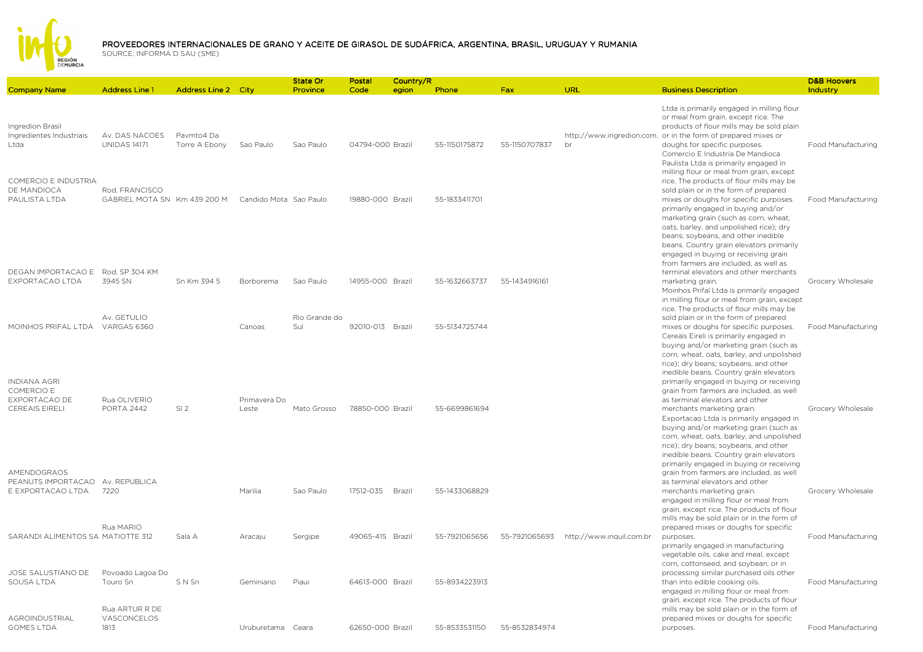

| <b>Company Name</b>                                                  | <b>Address Line 1</b>                                                 | Address Line 2 City         |                       | <b>State Or</b><br>Province | Postal<br>Code   | Country/R<br>egion | Phone         | <b>Fax</b>    | URL                      | <b>Business Description</b>                                                                                                                                                                                                                                                                                                                                                                                               | <b>D&amp;B Hoovers</b><br>Industry |
|----------------------------------------------------------------------|-----------------------------------------------------------------------|-----------------------------|-----------------------|-----------------------------|------------------|--------------------|---------------|---------------|--------------------------|---------------------------------------------------------------------------------------------------------------------------------------------------------------------------------------------------------------------------------------------------------------------------------------------------------------------------------------------------------------------------------------------------------------------------|------------------------------------|
| Ingredion Brasil<br>Ingredientes Industriais<br>Ltda                 | Av. DAS NACOES<br><b>UNIDAS 14171</b>                                 | Pavmto4 Da<br>Torre A Ebony | Sao Paulo             | Sao Paulo                   | 04794-000 Brazil |                    | 55-1150175872 | 55-1150707837 | br                       | Ltda is primarily engaged in milling flour<br>or meal from grain, except rice. The<br>products of flour mills may be sold plain<br>http://www.ingredion.com. or in the form of prepared mixes or<br>doughs for specific purposes.<br>Comercio E Industria De Mandioca<br>Paulista Ltda is primarily engaged in<br>milling flour or meal from grain, except                                                                | Food Manufacturing                 |
| COMERCIO E INDUSTRIA<br>DE MANDIOCA<br>PAULISTA LTDA                 | Rod, FRANCISCO<br>GABRIEL MOTA SN Km 439 200 M Candido Mota Sao Paulo |                             |                       |                             | 19880-000 Brazil |                    | 55-1833411701 |               |                          | rice. The products of flour mills may be<br>sold plain or in the form of prepared<br>mixes or doughs for specific purposes.<br>primarily engaged in buying and/or<br>marketing grain (such as corn, wheat,<br>oats, barley, and unpolished rice); dry<br>beans; soybeans, and other inedible<br>beans. Country grain elevators primarily<br>engaged in buying or receiving grain<br>from farmers are included, as well as | Food Manufacturing                 |
| DEGAN IMPORTACAO E<br>EXPORTACAO LTDA                                | Rod. SP 304 KM<br>3945 SN                                             | Sn Km 394 5                 | Borborema             | Sao Paulo                   | 14955-000 Brazil |                    | 55-1632663737 | 55-1434916161 |                          | terminal elevators and other merchants<br>marketing grain.<br>Moinhos Prifal Ltda is primarily engaged<br>in milling flour or meal from grain, except<br>rice. The products of flour mills may be                                                                                                                                                                                                                         | Grocery Wholesale                  |
| MOINHOS PRIFAL LTDA VARGAS 6360<br><b>INDIANA AGRI</b><br>COMERCIO E | Av. GETULIO                                                           |                             | Canoas                | Rio Grande do<br>Sul        | 92010-013 Brazil |                    | 55-5134725744 |               |                          | sold plain or in the form of prepared<br>mixes or doughs for specific purposes.<br>Cereais Eireli is primarily engaged in<br>buying and/or marketing grain (such as<br>corn, wheat, oats, barley, and unpolished<br>rice); dry beans; soybeans, and other<br>inedible beans. Country grain elevators<br>primarily engaged in buying or receiving<br>grain from farmers are included, as well                              | Food Manufacturing                 |
| EXPORTACAO DE<br><b>CEREAIS EIRELI</b><br>AMENDOGRAOS                | Rua OLIVERIO<br>PORTA 2442                                            | SI <sub>2</sub>             | Primavera Do<br>Leste | Mato Grosso                 | 78850-000 Brazil |                    | 55-6699861694 |               |                          | as terminal elevators and other<br>merchants marketing grain.<br>Exportacao Ltda is primarily engaged in<br>buying and/or marketing grain (such as<br>corn, wheat, oats, barley, and unpolished<br>rice); dry beans; soybeans, and other<br>inedible beans. Country grain elevators<br>primarily engaged in buying or receiving<br>grain from farmers are included, as well                                               | Grocery Wholesale                  |
| PEANUTS IMPORTACAO Av. REPUBLICA<br>E EXPORTACAO LTDA                | 7220                                                                  |                             | Marilia               | Sao Paulo                   | 17512-035 Brazil |                    | 55-1433068829 |               |                          | as terminal elevators and other<br>merchants marketing grain.<br>engaged in milling flour or meal from<br>grain, except rice. The products of flour<br>mills may be sold plain or in the form of                                                                                                                                                                                                                          | Grocery Wholesale                  |
| SARANDI ALIMENTOS SA MATIOTTE 312                                    | Rua MARIO                                                             | Sala A                      | Aracaju               | Sergipe                     | 49065-415 Brazil |                    | 55-7921065656 | 55-7921065693 | http://www.inquil.com.br | prepared mixes or doughs for specific<br>purposes.<br>primarily engaged in manufacturing<br>vegetable oils, cake and meal, except<br>corn, cottonseed, and soybean, or in                                                                                                                                                                                                                                                 | Food Manufacturing                 |
| JOSE SALUSTIANO DE<br>SOUSA LTDA                                     | Povoado Lagoa Do<br>Touro Sn<br>Rua ARTUR R DE                        | SNSn                        | Geminiano             | Piaui                       | 64613-000 Brazil |                    | 55-8934223913 |               |                          | processing similar purchased oils other<br>than into edible cooking oils.<br>engaged in milling flour or meal from<br>grain, except rice. The products of flour<br>mills may be sold plain or in the form of                                                                                                                                                                                                              | Food Manufacturing                 |
| AGROINDUSTRIAL<br><b>GOMES LTDA</b>                                  | VASCONCELOS<br>1813                                                   |                             | Uruburetama Ceara     |                             | 62650-000 Brazil |                    | 55-8533531150 | 55-8532834974 |                          | prepared mixes or doughs for specific<br>purposes.                                                                                                                                                                                                                                                                                                                                                                        | Food Manufacturing                 |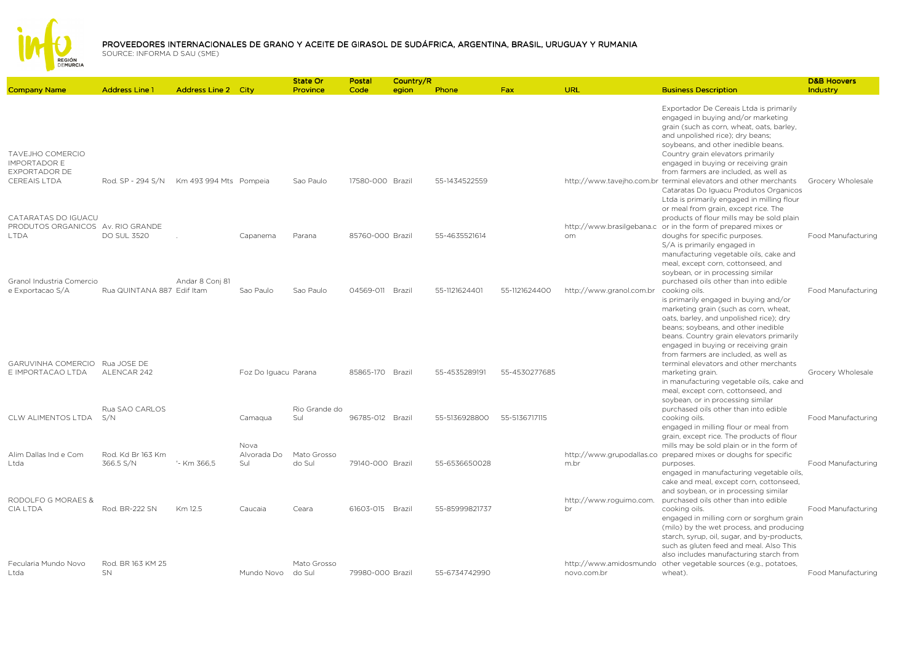

| <b>Company Name</b>                                             | <b>Address Line 1</b>          | <b>Address Line 2 City</b> |                      | <b>State Or</b><br>Province | Postal<br>Code   | Country/R<br>egion | Phone          | Fax           | <b>URL</b>                    | <b>Business Description</b>                                                                                                                                                                                                                                                                                                                             | <b>D&amp;B Hoovers</b><br>Industry |
|-----------------------------------------------------------------|--------------------------------|----------------------------|----------------------|-----------------------------|------------------|--------------------|----------------|---------------|-------------------------------|---------------------------------------------------------------------------------------------------------------------------------------------------------------------------------------------------------------------------------------------------------------------------------------------------------------------------------------------------------|------------------------------------|
| TAVEJHO COMERCIO<br><b>IMPORTADOR E</b><br><b>EXPORTADOR DE</b> |                                |                            |                      |                             |                  |                    |                |               |                               | Exportador De Cereais Ltda is primarily<br>engaged in buying and/or marketing<br>grain (such as corn, wheat, oats, barley,<br>and unpolished rice); dry beans;<br>soybeans, and other inedible beans.<br>Country grain elevators primarily<br>engaged in buying or receiving grain<br>from farmers are included, as well as                             |                                    |
| CEREAIS LTDA<br>CATARATAS DO IGUACU                             | Rod. SP - 294 S/N              | Km 493 994 Mts Pompeia     |                      | Sao Paulo                   | 17580-000 Brazil |                    | 55-1434522559  |               |                               | http://www.tavejho.com.br terminal elevators and other merchants<br>Cataratas Do Iguacu Produtos Organicos<br>Ltda is primarily engaged in milling flour<br>or meal from grain, except rice. The<br>products of flour mills may be sold plain                                                                                                           | Grocery Wholesale                  |
| PRODUTOS ORGANICOS Av. RIO GRANDE<br><b>I TDA</b>               | <b>DO SUL 3520</b>             |                            | Capanema             | Parana                      | 85760-000 Brazil |                    | 55-4635521614  |               | om.                           | http://www.brasilgebana.c or in the form of prepared mixes or<br>doughs for specific purposes.<br>S/A is primarily engaged in<br>manufacturing vegetable oils, cake and<br>meal, except corn, cottonseed, and<br>soybean, or in processing similar                                                                                                      | Food Manufacturing                 |
| Granol Industria Comercio<br>e Exportacao S/A                   | Rua QUINTANA 887 Edif Itam     | Andar 8 Conj 81            | Sao Paulo            | Sao Paulo                   | 04569-011 Brazil |                    | 55-1121624401  | 55-1121624400 | http://www.granol.com.br      | purchased oils other than into edible<br>cooking oils.<br>is primarily engaged in buying and/or<br>marketing grain (such as corn, wheat,<br>oats, barley, and unpolished rice); dry<br>beans; soybeans, and other inedible<br>beans. Country grain elevators primarily<br>engaged in buying or receiving grain<br>from farmers are included, as well as | Food Manufacturing                 |
| <b>GARUVINHA COMERCIO</b><br>E IMPORTACAO LTDA                  | Rua JOSE DE<br>ALENCAR 242     |                            | Foz Do Iguacu Parana |                             | 85865-170 Brazil |                    | 55-4535289191  | 55-4530277685 |                               | terminal elevators and other merchants<br>marketing grain.<br>in manufacturing vegetable oils, cake and<br>meal, except corn, cottonseed, and<br>soybean, or in processing similar                                                                                                                                                                      | Grocery Wholesale                  |
| CLW ALIMENTOS LTDA                                              | Rua SAO CARLOS<br>S/N          |                            | Camagua<br>Nova      | Rio Grande do<br>Sul        | 96785-012 Brazil |                    | 55-5136928800  | 55-5136717115 |                               | purchased oils other than into edible<br>cooking oils.<br>engaged in milling flour or meal from<br>grain, except rice. The products of flour<br>mills may be sold plain or in the form of                                                                                                                                                               | Food Manufacturing                 |
| Alim Dallas Ind e Com<br>Ltda                                   | Rod. Kd Br 163 Km<br>366.5 S/N | '- Km 366.5                | Alvorada Do<br>Sul   | Mato Grosso<br>do Sul       | 79140-000 Brazil |                    | 55-6536650028  |               | m.br                          | http://www.grupodallas.co prepared mixes or doughs for specific<br>purposes.<br>engaged in manufacturing vegetable oils,<br>cake and meal, except corn, cottonseed,<br>and soybean, or in processing similar                                                                                                                                            | Food Manufacturing                 |
| RODOLFO G MORAES &<br><b>CIA LTDA</b>                           | Rod. BR-222 SN                 | Km 12.5                    | Caucaia              | Ceara                       | 61603-015 Brazil |                    | 55-85999821737 |               | http://www.roguimo.com.<br>br | purchased oils other than into edible<br>cooking oils.<br>engaged in milling corn or sorghum grain<br>(milo) by the wet process, and producing<br>starch, syrup, oil, sugar, and by-products,<br>such as gluten feed and meal. Also This<br>also includes manufacturing starch from                                                                     | Food Manufacturing                 |
| Fecularia Mundo Novo<br>Ltda                                    | Rod. BR 163 KM 25<br>SN        |                            | Mundo Novo           | Mato Grosso<br>do Sul       | 79980-000 Brazil |                    | 55-6734742990  |               | novo.com.br                   | http://www.amidosmundo other vegetable sources (e.g., potatoes,<br>wheat).                                                                                                                                                                                                                                                                              | Food Manufacturing                 |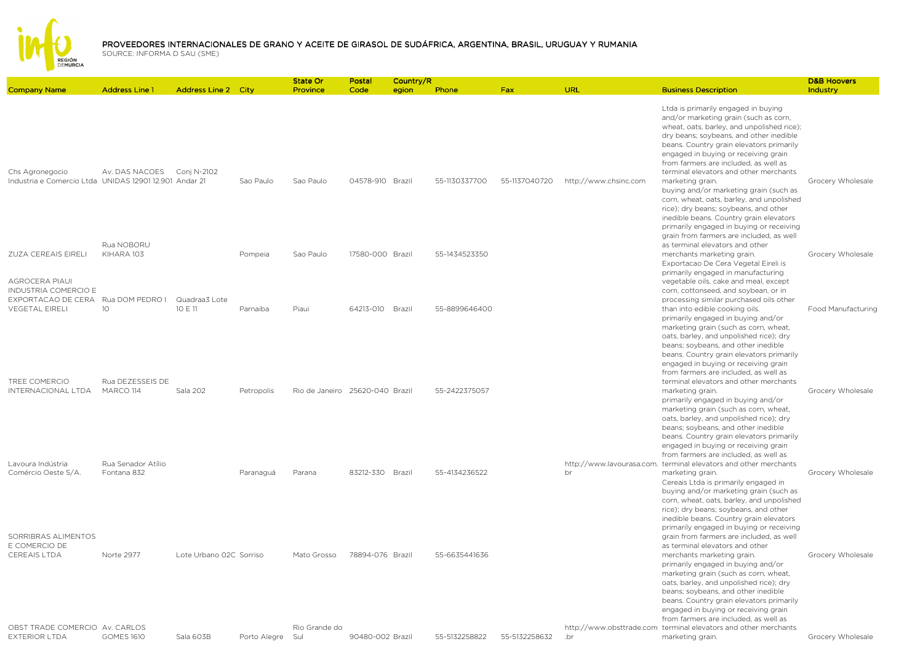

|                                                                                                     |                                   |                            |              | State Or                        | Postal           | Country/R |               |               |                       |                                                                                                                                                                                                                                                                                                                                                                                                                                                                                                                                             | <b>D&amp;B Hoovers</b> |
|-----------------------------------------------------------------------------------------------------|-----------------------------------|----------------------------|--------------|---------------------------------|------------------|-----------|---------------|---------------|-----------------------|---------------------------------------------------------------------------------------------------------------------------------------------------------------------------------------------------------------------------------------------------------------------------------------------------------------------------------------------------------------------------------------------------------------------------------------------------------------------------------------------------------------------------------------------|------------------------|
| <b>Company Name</b>                                                                                 | <b>Address Line 1</b>             | <b>Address Line 2 City</b> |              | Province                        | Code             | egion     | Phone         | <b>Fax</b>    | URL                   | <b>Business Description</b>                                                                                                                                                                                                                                                                                                                                                                                                                                                                                                                 | Industry               |
| Chs Agronegocio<br>Industria e Comercio Ltda UNIDAS 12901 12.901 Andar 21                           | Av. DAS NACOES                    | Conj N-2102                | Sao Paulo    | Sao Paulo                       | 04578-910 Brazil |           | 55-1130337700 | 55-1137040720 | http://www.chsinc.com | Ltda is primarily engaged in buying<br>and/or marketing grain (such as corn,<br>wheat, oats, barley, and unpolished rice);<br>dry beans; soybeans, and other inedible<br>beans. Country grain elevators primarily<br>engaged in buying or receiving grain<br>from farmers are included, as well as<br>terminal elevators and other merchants<br>marketing grain.<br>buying and/or marketing grain (such as<br>corn, wheat, oats, barley, and unpolished<br>rice); dry beans; soybeans, and other<br>inedible beans. Country grain elevators | Grocery Wholesale      |
| ZUZA CEREAIS EIRELI                                                                                 | Rua NOBORU<br>KIHARA 103          |                            | Pompeia      | Sao Paulo                       | 17580-000 Brazil |           | 55-1434523350 |               |                       | primarily engaged in buying or receiving<br>grain from farmers are included, as well<br>as terminal elevators and other<br>merchants marketing grain.<br>Exportacao De Cera Vegetal Eireli is                                                                                                                                                                                                                                                                                                                                               | Grocery Wholesale      |
| <b>AGROCERA PIAUI</b><br><b>INDUSTRIA COMERCIO E</b><br>EXPORTACAO DE CERA<br><b>VEGETAL EIRELI</b> | Rua DOM PEDRO I<br>1O             | Quadraa3 Lote<br>10 E 11   | Parnaiba     | Piaui                           | 64213-010 Brazil |           | 55-8899646400 |               |                       | primarily engaged in manufacturing<br>vegetable oils, cake and meal, except<br>corn, cottonseed, and soybean, or in<br>processing similar purchased oils other<br>than into edible cooking oils.<br>primarily engaged in buying and/or<br>marketing grain (such as corn, wheat,<br>oats, barley, and unpolished rice); dry                                                                                                                                                                                                                  | Food Manufacturing     |
| TREE COMERCIO<br>INTERNACIONAL LTDA                                                                 | Rua DEZESSEIS DE<br>MARCO 114     | Sala 202                   | Petropolis   | Rio de Janeiro 25620-040 Brazil |                  |           | 55-2422375057 |               |                       | beans; soybeans, and other inedible<br>beans. Country grain elevators primarily<br>engaged in buying or receiving grain<br>from farmers are included, as well as<br>terminal elevators and other merchants<br>marketing grain.<br>primarily engaged in buying and/or<br>marketing grain (such as corn, wheat,<br>oats, barley, and unpolished rice); dry                                                                                                                                                                                    | Grocery Wholesale      |
| Lavoura Indústria<br>Comércio Oeste S/A.                                                            | Rua Senador Atílio<br>Fontana 832 |                            | Paranaguá    | Parana                          | 83212-330 Brazil |           | 55-4134236522 |               | br                    | beans; soybeans, and other inedible<br>beans. Country grain elevators primarily<br>engaged in buying or receiving grain<br>from farmers are included, as well as<br>http://www.lavourasa.com. terminal elevators and other merchants<br>marketing grain.<br>Cereais Ltda is primarily engaged in<br>buying and/or marketing grain (such as                                                                                                                                                                                                  | Grocery Wholesale      |
| SORRIBRAS ALIMENTOS<br>E COMERCIO DE<br><b>CEREAIS LTDA</b>                                         | Norte 2977                        | Lote Urbano 02C Sorriso    |              | Mato Grosso                     | 78894-076 Brazil |           | 55-6635441636 |               |                       | corn, wheat, oats, barley, and unpolished<br>rice); dry beans; soybeans, and other<br>inedible beans. Country grain elevators<br>primarily engaged in buying or receiving<br>grain from farmers are included, as well<br>as terminal elevators and other<br>merchants marketing grain.<br>primarily engaged in buying and/or<br>marketing grain (such as corn, wheat,<br>oats, barley, and unpolished rice); dry                                                                                                                            | Grocery Wholesale      |
| OBST TRADE COMERCIO Av. CARLOS<br><b>EXTERIOR LTDA</b>                                              | <b>GOMES 1610</b>                 | Sala 603B                  | Porto Alegre | Rio Grande do<br>Sul            | 90480-002 Brazil |           | 55-5132258822 | 55-5132258632 | .br                   | beans; soybeans, and other inedible<br>beans. Country grain elevators primarily<br>engaged in buying or receiving grain<br>from farmers are included, as well as<br>http://www.obsttrade.com terminal elevators and other merchants<br>marketing grain.                                                                                                                                                                                                                                                                                     | Grocery Wholesale      |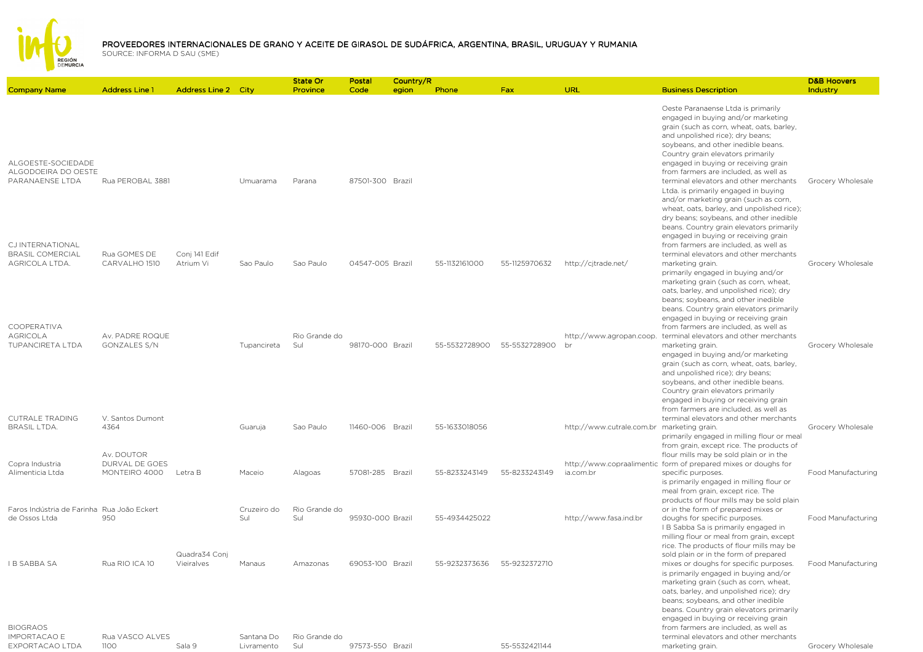

|                                                               |                                        |                             |                          | State Or             | Postal           | Country/R |               |               |                                            |                                                                                                                                                                                                                                                                                                                                                                                                                                                   | <b>D&amp;B Hoovers</b>    |
|---------------------------------------------------------------|----------------------------------------|-----------------------------|--------------------------|----------------------|------------------|-----------|---------------|---------------|--------------------------------------------|---------------------------------------------------------------------------------------------------------------------------------------------------------------------------------------------------------------------------------------------------------------------------------------------------------------------------------------------------------------------------------------------------------------------------------------------------|---------------------------|
| <b>Company Name</b>                                           | <b>Address Line 1</b>                  | <b>Address Line 2 City</b>  |                          | Province             | Code             | egion     | Phone         | Fax           | <b>URL</b>                                 | <b>Business Description</b>                                                                                                                                                                                                                                                                                                                                                                                                                       | Industry                  |
| ALGOESTE-SOCIEDADE<br>ALGODOEIRA DO OESTE<br>PARANAENSE LTDA  | Rua PEROBAL 3881                       |                             | Umuarama                 | Parana               | 87501-300 Brazil |           |               |               |                                            | Oeste Paranaense Ltda is primarily<br>engaged in buying and/or marketing<br>grain (such as corn, wheat, oats, barley,<br>and unpolished rice); dry beans;<br>soybeans, and other inedible beans.<br>Country grain elevators primarily<br>engaged in buying or receiving grain<br>from farmers are included, as well as<br>terminal elevators and other merchants<br>Ltda. is primarily engaged in buying<br>and/or marketing grain (such as corn, | Grocery Wholesale         |
| CJ INTERNATIONAL<br><b>BRASIL COMERCIAL</b><br>AGRICOLA LTDA. | Rua GOMES DE<br>CARVALHO 1510          | Conj 141 Edif<br>Atrium Vi  | Sao Paulo                | Sao Paulo            | 04547-005 Brazil |           | 55-1132161000 | 55-1125970632 | http://cjtrade.net/                        | wheat, oats, barley, and unpolished rice);<br>dry beans; soybeans, and other inedible<br>beans. Country grain elevators primarily<br>engaged in buying or receiving grain<br>from farmers are included, as well as<br>terminal elevators and other merchants<br>marketing grain.                                                                                                                                                                  | Grocery Wholesale         |
| COOPERATIVA                                                   |                                        |                             |                          |                      |                  |           |               |               |                                            | primarily engaged in buying and/or<br>marketing grain (such as corn, wheat,<br>oats, barley, and unpolished rice); dry<br>beans; soybeans, and other inedible<br>beans. Country grain elevators primarily<br>engaged in buying or receiving grain<br>from farmers are included, as well as                                                                                                                                                        |                           |
| <b>AGRICOLA</b><br><b>TUPANCIRETA LTDA</b>                    | Av. PADRE ROQUE<br>GONZALES S/N        |                             | Tupancireta              | Rio Grande do<br>Sul | 98170-000 Brazil |           | 55-5532728900 | 55-5532728900 | http://www.agropan.coop.<br>br             | terminal elevators and other merchants<br>marketing grain.<br>engaged in buying and/or marketing<br>grain (such as corn, wheat, oats, barley,<br>and unpolished rice); dry beans;<br>soybeans, and other inedible beans.<br>Country grain elevators primarily<br>engaged in buying or receiving grain<br>from farmers are included, as well as                                                                                                    | Grocery Wholesale         |
| <b>CUTRALE TRADING</b><br><b>BRASIL LTDA.</b>                 | V. Santos Dumont<br>4364<br>Av. DOUTOR |                             | Guaruja                  | Sao Paulo            | 11460-006 Brazil |           | 55-1633018056 |               | http://www.cutrale.com.br marketing grain. | terminal elevators and other merchants<br>primarily engaged in milling flour or meal<br>from grain, except rice. The products of<br>flour mills may be sold plain or in the                                                                                                                                                                                                                                                                       | Grocery Wholesale         |
| Copra Industria<br>Alimenticia Ltda                           | DURVAL DE GOES<br>MONTEIRO 4000        | Letra B                     | Maceio                   | Alagoas              | 57081-285 Brazil |           | 55-8233243149 | 55-8233243149 | ia.com.br                                  | http://www.copraalimentic form of prepared mixes or doughs for<br>specific purposes.<br>is primarily engaged in milling flour or<br>meal from grain, except rice. The<br>products of flour mills may be sold plain                                                                                                                                                                                                                                | <b>Food Manufacturing</b> |
| Faros Indústria de Farinha Rua João Eckert<br>de Ossos Ltda   | 950                                    |                             | Cruzeiro do<br>Sul       | Rio Grande do<br>Sul | 95930-000 Brazil |           | 55-4934425022 |               | http://www.fasa.ind.br                     | or in the form of prepared mixes or<br>doughs for specific purposes.<br>I B Sabba Sa is primarily engaged in<br>milling flour or meal from grain, except<br>rice. The products of flour mills may be                                                                                                                                                                                                                                              | Food Manufacturing        |
| <b>IB SABBA SA</b><br><b>BIOGRAOS</b>                         | Rua RIO ICA 10                         | Quadra34 Conj<br>Vieiralves | Manaus                   | Amazonas             | 69053-100 Brazil |           | 55-9232373636 | 55-9232372710 |                                            | sold plain or in the form of prepared<br>mixes or doughs for specific purposes.<br>is primarily engaged in buying and/or<br>marketing grain (such as corn, wheat,<br>oats, barley, and unpolished rice); dry<br>beans; soybeans, and other inedible<br>beans. Country grain elevators primarily<br>engaged in buying or receiving grain<br>from farmers are included, as well as                                                                  | Food Manufacturing        |
| <b>IMPORTACAO E</b><br>EXPORTACAO LTDA                        | Rua VASCO ALVES<br>1100                | Sala 9                      | Santana Do<br>Livramento | Rio Grande do<br>Sul | 97573-550 Brazil |           |               | 55-5532421144 |                                            | terminal elevators and other merchants<br>marketing grain.                                                                                                                                                                                                                                                                                                                                                                                        | Grocery Wholesale         |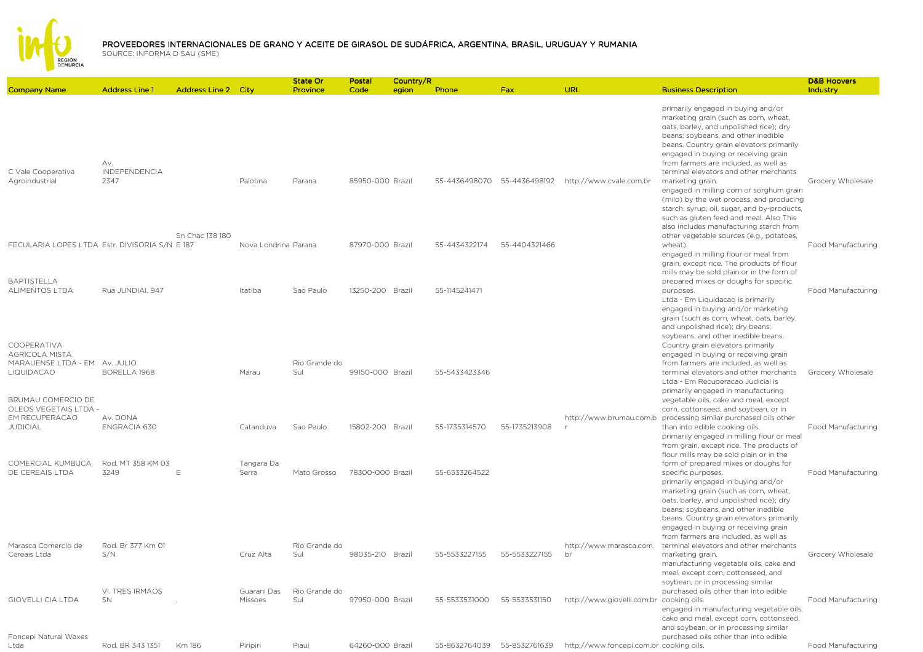

| <b>Address Line 2 City</b><br>primarily engaged in buying and/or<br>marketing grain (such as corn, wheat,<br>oats, barley, and unpolished rice); dry<br>beans; soybeans, and other inedible<br>beans. Country grain elevators primarily<br>engaged in buying or receiving grain<br>Av.<br>from farmers are included, as well as<br><b>INDEPENDENCIA</b><br>C Vale Cooperativa<br>terminal elevators and other merchants<br>Agroindustrial<br>2347<br>Palotina<br>85950-000 Brazil<br>55-4436498070<br>55-4436498192<br>http://www.cvale.com.br<br>Grocery Wholesale<br>Parana<br>marketing grain.<br>engaged in milling corn or sorghum grain<br>(milo) by the wet process, and producing<br>starch, syrup, oil, sugar, and by-products,<br>such as gluten feed and meal. Also This<br>also includes manufacturing starch from<br>Sn Chac 138 180<br>other vegetable sources (e.g., potatoes,<br>FECULARIA LOPES LTDA Estr. DIVISORIA S/N E 187<br>Nova Londrina Parana<br>87970-000 Brazil<br>55-4434322174<br>55-4404321466<br>wheat).<br>engaged in milling flour or meal from<br>grain, except rice. The products of flour<br>mills may be sold plain or in the form of<br><b>BAPTISTELLA</b><br>prepared mixes or doughs for specific<br><b>ALIMENTOS LTDA</b><br>Rua JUNDIAI. 947<br>Sao Paulo<br>13250-200 Brazil<br>55-1145241471<br>Itatiba<br>purposes.<br>Ltda - Em Liquidacao is primarily<br>engaged in buying and/or marketing<br>grain (such as corn, wheat, oats, barley,<br>and unpolished rice); dry beans;<br>soybeans, and other inedible beans.<br>COOPERATIVA<br>Country grain elevators primarily<br><b>AGRICOLA MISTA</b><br>engaged in buying or receiving grain<br>MARAUENSE LTDA - EM Av. JULIO<br>Rio Grande do<br>from farmers are included, as well as<br><b>LIQUIDACAO</b><br>BORELLA 1968<br>Sul<br>99150-000 Brazil<br>55-5433423346<br>terminal elevators and other merchants<br>Marau<br>Grocery Wholesale<br>Ltda - Em Recuperacao Judicial is<br>primarily engaged in manufacturing<br>BRUMAU COMERCIO DE<br>vegetable oils, cake and meal, except<br>OLEOS VEGETAIS LTDA -<br>corn, cottonseed, and soybean, or in<br>EM RECUPERACAO<br>Av. DONA<br>http://www.brumau.com.b<br>processing similar purchased oils other<br><b>JUDICIAL</b><br>ENGRACIA 630<br>Catanduva<br>Sao Paulo<br>15802-200 Brazil<br>55-1735314570<br>55-1735213908<br>than into edible cooking oils.<br>primarily engaged in milling flour or meal<br>from grain, except rice. The products of<br>flour mills may be sold plain or in the<br>COMERCIAL KUMBUCA<br>Rod. MT 358 KM 03<br>Tangara Da<br>form of prepared mixes or doughs for<br>DE CEREAIS LTDA<br>3249<br>55-6533264522<br>F<br>Serra<br>Mato Grosso<br>78300-000 Brazil<br>specific purposes.<br>primarily engaged in buying and/or<br>marketing grain (such as corn, wheat,<br>oats, barley, and unpolished rice); dry<br>beans; soybeans, and other inedible<br>beans. Country grain elevators primarily<br>engaged in buying or receiving grain<br>from farmers are included, as well as<br>Marasca Comercio de<br>Rod. Br 377 Km 01<br>Rio Grande do<br>http://www.marasca.com.<br>terminal elevators and other merchants<br>S/N<br>55-5533227155<br>Cereais Ltda<br>Cruz Alta<br>Sul<br>98035-210 Brazil<br>55-5533227155<br>br<br>marketing grain.<br>Grocery Wholesale<br>manufacturing vegetable oils, cake and<br>meal, except corn, cottonseed, and<br>soybean, or in processing similar<br>VI. TRES IRMAOS<br>Rio Grande do<br>Guarani Das<br>purchased oils other than into edible<br><b>GIOVELLI CIA LTDA</b><br>SN.<br>Sul<br>97950-000 Brazil<br>55-5533531000<br>55-5533531150<br>http://www.giovelli.com.br cooking oils.<br>Missoes<br>engaged in manufacturing vegetable oils,<br>cake and meal, except corn, cottonseed,<br>and soybean, or in processing similar<br>Foncepi Natural Waxes<br>purchased oils other than into edible<br>Rod. BR 343 1351<br>Km 186<br>Piripiri<br>Piaui<br>64260-000 Brazil<br>55-8632764039<br>55-8532761639<br>http://www.foncepi.com.br cooking oils.<br>Ltda |                     |                       |  | <b>State Or</b> | Postal | Country/R |       |     |     |                             | <b>D&amp;B Hoovers</b>    |
|-------------------------------------------------------------------------------------------------------------------------------------------------------------------------------------------------------------------------------------------------------------------------------------------------------------------------------------------------------------------------------------------------------------------------------------------------------------------------------------------------------------------------------------------------------------------------------------------------------------------------------------------------------------------------------------------------------------------------------------------------------------------------------------------------------------------------------------------------------------------------------------------------------------------------------------------------------------------------------------------------------------------------------------------------------------------------------------------------------------------------------------------------------------------------------------------------------------------------------------------------------------------------------------------------------------------------------------------------------------------------------------------------------------------------------------------------------------------------------------------------------------------------------------------------------------------------------------------------------------------------------------------------------------------------------------------------------------------------------------------------------------------------------------------------------------------------------------------------------------------------------------------------------------------------------------------------------------------------------------------------------------------------------------------------------------------------------------------------------------------------------------------------------------------------------------------------------------------------------------------------------------------------------------------------------------------------------------------------------------------------------------------------------------------------------------------------------------------------------------------------------------------------------------------------------------------------------------------------------------------------------------------------------------------------------------------------------------------------------------------------------------------------------------------------------------------------------------------------------------------------------------------------------------------------------------------------------------------------------------------------------------------------------------------------------------------------------------------------------------------------------------------------------------------------------------------------------------------------------------------------------------------------------------------------------------------------------------------------------------------------------------------------------------------------------------------------------------------------------------------------------------------------------------------------------------------------------------------------------------------------------------------------------------------------------------------------------------------------------------------------------------------------------------------------------------------------------------------------------------------------------------------------------------------------------------------------------------------------------------------------------------------------------------------------------------------------------------------------|---------------------|-----------------------|--|-----------------|--------|-----------|-------|-----|-----|-----------------------------|---------------------------|
|                                                                                                                                                                                                                                                                                                                                                                                                                                                                                                                                                                                                                                                                                                                                                                                                                                                                                                                                                                                                                                                                                                                                                                                                                                                                                                                                                                                                                                                                                                                                                                                                                                                                                                                                                                                                                                                                                                                                                                                                                                                                                                                                                                                                                                                                                                                                                                                                                                                                                                                                                                                                                                                                                                                                                                                                                                                                                                                                                                                                                                                                                                                                                                                                                                                                                                                                                                                                                                                                                                                                                                                                                                                                                                                                                                                                                                                                                                                                                                                                                                                                                                 | <b>Company Name</b> | <b>Address Line 1</b> |  | Province        | Code   | egion     | Phone | Fax | URL | <b>Business Description</b> | Industry                  |
|                                                                                                                                                                                                                                                                                                                                                                                                                                                                                                                                                                                                                                                                                                                                                                                                                                                                                                                                                                                                                                                                                                                                                                                                                                                                                                                                                                                                                                                                                                                                                                                                                                                                                                                                                                                                                                                                                                                                                                                                                                                                                                                                                                                                                                                                                                                                                                                                                                                                                                                                                                                                                                                                                                                                                                                                                                                                                                                                                                                                                                                                                                                                                                                                                                                                                                                                                                                                                                                                                                                                                                                                                                                                                                                                                                                                                                                                                                                                                                                                                                                                                                 |                     |                       |  |                 |        |           |       |     |     |                             |                           |
|                                                                                                                                                                                                                                                                                                                                                                                                                                                                                                                                                                                                                                                                                                                                                                                                                                                                                                                                                                                                                                                                                                                                                                                                                                                                                                                                                                                                                                                                                                                                                                                                                                                                                                                                                                                                                                                                                                                                                                                                                                                                                                                                                                                                                                                                                                                                                                                                                                                                                                                                                                                                                                                                                                                                                                                                                                                                                                                                                                                                                                                                                                                                                                                                                                                                                                                                                                                                                                                                                                                                                                                                                                                                                                                                                                                                                                                                                                                                                                                                                                                                                                 |                     |                       |  |                 |        |           |       |     |     |                             |                           |
|                                                                                                                                                                                                                                                                                                                                                                                                                                                                                                                                                                                                                                                                                                                                                                                                                                                                                                                                                                                                                                                                                                                                                                                                                                                                                                                                                                                                                                                                                                                                                                                                                                                                                                                                                                                                                                                                                                                                                                                                                                                                                                                                                                                                                                                                                                                                                                                                                                                                                                                                                                                                                                                                                                                                                                                                                                                                                                                                                                                                                                                                                                                                                                                                                                                                                                                                                                                                                                                                                                                                                                                                                                                                                                                                                                                                                                                                                                                                                                                                                                                                                                 |                     |                       |  |                 |        |           |       |     |     |                             | Food Manufacturing        |
|                                                                                                                                                                                                                                                                                                                                                                                                                                                                                                                                                                                                                                                                                                                                                                                                                                                                                                                                                                                                                                                                                                                                                                                                                                                                                                                                                                                                                                                                                                                                                                                                                                                                                                                                                                                                                                                                                                                                                                                                                                                                                                                                                                                                                                                                                                                                                                                                                                                                                                                                                                                                                                                                                                                                                                                                                                                                                                                                                                                                                                                                                                                                                                                                                                                                                                                                                                                                                                                                                                                                                                                                                                                                                                                                                                                                                                                                                                                                                                                                                                                                                                 |                     |                       |  |                 |        |           |       |     |     |                             | Food Manufacturing        |
|                                                                                                                                                                                                                                                                                                                                                                                                                                                                                                                                                                                                                                                                                                                                                                                                                                                                                                                                                                                                                                                                                                                                                                                                                                                                                                                                                                                                                                                                                                                                                                                                                                                                                                                                                                                                                                                                                                                                                                                                                                                                                                                                                                                                                                                                                                                                                                                                                                                                                                                                                                                                                                                                                                                                                                                                                                                                                                                                                                                                                                                                                                                                                                                                                                                                                                                                                                                                                                                                                                                                                                                                                                                                                                                                                                                                                                                                                                                                                                                                                                                                                                 |                     |                       |  |                 |        |           |       |     |     |                             |                           |
|                                                                                                                                                                                                                                                                                                                                                                                                                                                                                                                                                                                                                                                                                                                                                                                                                                                                                                                                                                                                                                                                                                                                                                                                                                                                                                                                                                                                                                                                                                                                                                                                                                                                                                                                                                                                                                                                                                                                                                                                                                                                                                                                                                                                                                                                                                                                                                                                                                                                                                                                                                                                                                                                                                                                                                                                                                                                                                                                                                                                                                                                                                                                                                                                                                                                                                                                                                                                                                                                                                                                                                                                                                                                                                                                                                                                                                                                                                                                                                                                                                                                                                 |                     |                       |  |                 |        |           |       |     |     |                             |                           |
|                                                                                                                                                                                                                                                                                                                                                                                                                                                                                                                                                                                                                                                                                                                                                                                                                                                                                                                                                                                                                                                                                                                                                                                                                                                                                                                                                                                                                                                                                                                                                                                                                                                                                                                                                                                                                                                                                                                                                                                                                                                                                                                                                                                                                                                                                                                                                                                                                                                                                                                                                                                                                                                                                                                                                                                                                                                                                                                                                                                                                                                                                                                                                                                                                                                                                                                                                                                                                                                                                                                                                                                                                                                                                                                                                                                                                                                                                                                                                                                                                                                                                                 |                     |                       |  |                 |        |           |       |     |     |                             | Food Manufacturing        |
|                                                                                                                                                                                                                                                                                                                                                                                                                                                                                                                                                                                                                                                                                                                                                                                                                                                                                                                                                                                                                                                                                                                                                                                                                                                                                                                                                                                                                                                                                                                                                                                                                                                                                                                                                                                                                                                                                                                                                                                                                                                                                                                                                                                                                                                                                                                                                                                                                                                                                                                                                                                                                                                                                                                                                                                                                                                                                                                                                                                                                                                                                                                                                                                                                                                                                                                                                                                                                                                                                                                                                                                                                                                                                                                                                                                                                                                                                                                                                                                                                                                                                                 |                     |                       |  |                 |        |           |       |     |     |                             | <b>Food Manufacturing</b> |
|                                                                                                                                                                                                                                                                                                                                                                                                                                                                                                                                                                                                                                                                                                                                                                                                                                                                                                                                                                                                                                                                                                                                                                                                                                                                                                                                                                                                                                                                                                                                                                                                                                                                                                                                                                                                                                                                                                                                                                                                                                                                                                                                                                                                                                                                                                                                                                                                                                                                                                                                                                                                                                                                                                                                                                                                                                                                                                                                                                                                                                                                                                                                                                                                                                                                                                                                                                                                                                                                                                                                                                                                                                                                                                                                                                                                                                                                                                                                                                                                                                                                                                 |                     |                       |  |                 |        |           |       |     |     |                             |                           |
|                                                                                                                                                                                                                                                                                                                                                                                                                                                                                                                                                                                                                                                                                                                                                                                                                                                                                                                                                                                                                                                                                                                                                                                                                                                                                                                                                                                                                                                                                                                                                                                                                                                                                                                                                                                                                                                                                                                                                                                                                                                                                                                                                                                                                                                                                                                                                                                                                                                                                                                                                                                                                                                                                                                                                                                                                                                                                                                                                                                                                                                                                                                                                                                                                                                                                                                                                                                                                                                                                                                                                                                                                                                                                                                                                                                                                                                                                                                                                                                                                                                                                                 |                     |                       |  |                 |        |           |       |     |     |                             | Food Manufacturing        |
|                                                                                                                                                                                                                                                                                                                                                                                                                                                                                                                                                                                                                                                                                                                                                                                                                                                                                                                                                                                                                                                                                                                                                                                                                                                                                                                                                                                                                                                                                                                                                                                                                                                                                                                                                                                                                                                                                                                                                                                                                                                                                                                                                                                                                                                                                                                                                                                                                                                                                                                                                                                                                                                                                                                                                                                                                                                                                                                                                                                                                                                                                                                                                                                                                                                                                                                                                                                                                                                                                                                                                                                                                                                                                                                                                                                                                                                                                                                                                                                                                                                                                                 |                     |                       |  |                 |        |           |       |     |     |                             | Food Manufacturing        |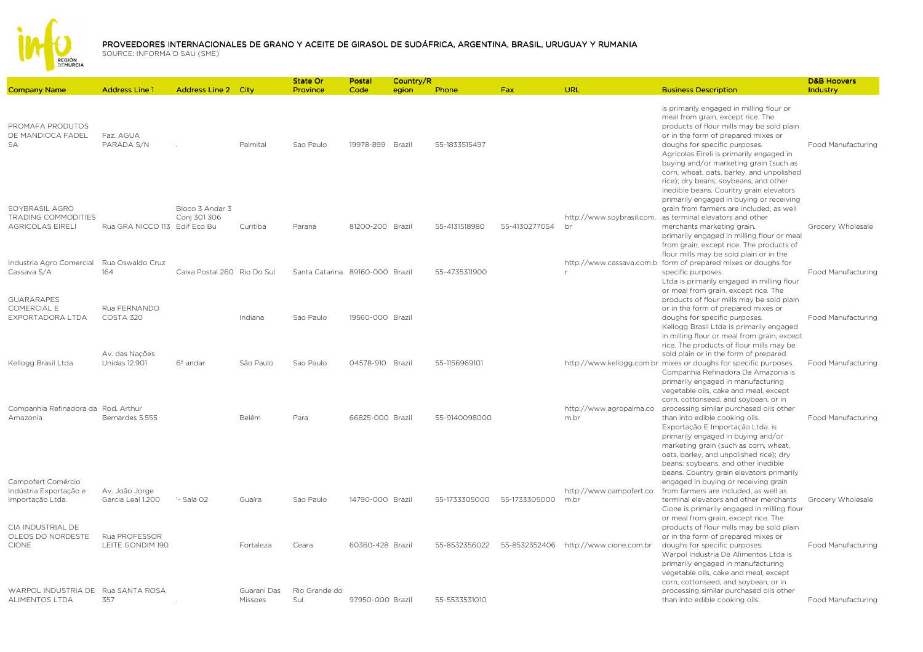

| <b>Company Name</b>                                              | <b>Address Line 1</b>                  | <b>Address Line 2 City</b>      |                        | <b>State Or</b><br>Province     | Postal<br>Code   | Country/R<br>egion | Phone         | <b>Fax</b>    | <b>URL</b>                      | <b>Business Description</b>                                                                                                                                                                                                                                                                                                                                                                                               | <b>D&amp;B Hoovers</b><br>Industry |
|------------------------------------------------------------------|----------------------------------------|---------------------------------|------------------------|---------------------------------|------------------|--------------------|---------------|---------------|---------------------------------|---------------------------------------------------------------------------------------------------------------------------------------------------------------------------------------------------------------------------------------------------------------------------------------------------------------------------------------------------------------------------------------------------------------------------|------------------------------------|
|                                                                  |                                        |                                 |                        |                                 |                  |                    |               |               |                                 |                                                                                                                                                                                                                                                                                                                                                                                                                           |                                    |
| PROMAFA PRODUTOS<br>DE MANDIOCA FADEL<br><b>SA</b>               | Faz. AGUA<br>PARADA S/N                |                                 | Palmital               | Sao Paulo                       | 19978-899 Brazil |                    | 55-1833515497 |               |                                 | is primarily engaged in milling flour or<br>meal from grain, except rice. The<br>products of flour mills may be sold plain<br>or in the form of prepared mixes or<br>doughs for specific purposes.<br>Agricolas Eireli is primarily engaged in<br>buying and/or marketing grain (such as<br>corn, wheat, oats, barley, and unpolished<br>rice); dry beans; soybeans, and other<br>inedible beans. Country grain elevators | Food Manufacturing                 |
| SOYBRASIL AGRO<br>TRADING COMMODITIES<br><b>AGRICOLAS EIRELI</b> | Rua GRA NICCO 113 Edif Eco Bu          | Bloco 3 Andar 3<br>Conj 301 306 | Curitiba               | Parana                          | 81200-200 Brazil |                    | 55-4131518980 | 55-4130277054 | http://www.soybrasil.com.<br>br | primarily engaged in buying or receiving<br>grain from farmers are included, as well<br>as terminal elevators and other<br>merchants marketing grain.<br>primarily engaged in milling flour or meal<br>from grain, except rice. The products of                                                                                                                                                                           | Grocery Wholesale                  |
| Industria Agro Comercial<br>Cassava S/A                          | Rua Oswaldo Cruz<br>164                | Caixa Postal 260 Rio Do Sul     |                        | Santa Catarina 89160-000 Brazil |                  |                    | 55-4735311900 |               |                                 | flour mills may be sold plain or in the<br>http://www.cassava.com.b form of prepared mixes or doughs for<br>specific purposes.<br>Ltda is primarily engaged in milling flour                                                                                                                                                                                                                                              | Food Manufacturing                 |
| <b>GUARARAPES</b><br>COMERCIAL E<br>EXPORTADORA LTDA             | Rua FERNANDO<br>COSTA 320              |                                 | Indiana                | Sao Paulo                       | 19560-000 Brazil |                    |               |               |                                 | or meal from grain, except rice. The<br>products of flour mills may be sold plain<br>or in the form of prepared mixes or<br>doughs for specific purposes.<br>Kellogg Brasil Ltda is primarily engaged<br>in milling flour or meal from grain, except                                                                                                                                                                      | Food Manufacturing                 |
| Kellogg Brasil Ltda                                              | Av. das Nações<br><b>Unidas 12.901</b> | $6°$ andar                      | São Paulo              | Sao Paulo                       | 04578-910 Brazil |                    | 55-1156969101 |               |                                 | rice. The products of flour mills may be<br>sold plain or in the form of prepared<br>http://www.kellogg.com.br mixes or doughs for specific purposes.<br>Companhia Refinadora Da Amazonia is<br>primarily engaged in manufacturing                                                                                                                                                                                        | Food Manufacturing                 |
| Companhia Refinadora da Rod, Arthur<br>Amazonia                  | Bernardes 5.555                        |                                 | Belém                  | Para                            | 66825-000 Brazil |                    | 55-9140098000 |               | http://www.agropalma.co<br>m.br | vegetable oils, cake and meal, except<br>corn, cottonseed, and soybean, or in<br>processing similar purchased oils other<br>than into edible cooking oils.<br>Exportação E Importação Ltda. is<br>primarily engaged in buying and/or<br>marketing grain (such as corn, wheat,<br>oats, barley, and unpolished rice); dry<br>beans; soybeans, and other inedible                                                           | Food Manufacturing                 |
| Campofert Comércio<br>Indústria Exportação e<br>Importação Ltda. | Av. João Jorge<br>Garcia Leal 1.200    | '- Sala 02                      | Guaíra                 | Sao Paulo                       | 14790-000 Brazil |                    | 55-1733305000 | 55-1733305000 | http://www.campofert.co<br>m.br | beans. Country grain elevators primarily<br>engaged in buying or receiving grain<br>from farmers are included, as well as<br>terminal elevators and other merchants<br>Cione is primarily engaged in milling flour<br>or meal from grain, except rice. The                                                                                                                                                                | Grocery Wholesale                  |
| CIA INDUSTRIAL DE<br>OLEOS DO NORDESTE<br><b>CIONE</b>           | Rua PROFESSOR<br>LEITE GONDIM 190      |                                 | Fortaleza              | Ceara                           | 60360-428 Brazil |                    | 55-8532356022 | 55-8532352406 | http://www.cione.com.br         | products of flour mills may be sold plain<br>or in the form of prepared mixes or<br>doughs for specific purposes.<br>Warpol Industria De Alimentos Ltda is<br>primarily engaged in manufacturing<br>vegetable oils, cake and meal, except                                                                                                                                                                                 | Food Manufacturing                 |
| WARPOL INDUSTRIA DE Rua SANTA ROSA<br>ALIMENTOS LTDA             | 357                                    |                                 | Guarani Das<br>Missoes | Rio Grande do<br>Sul            | 97950-000 Brazil |                    | 55-5533531010 |               |                                 | corn, cottonseed, and soybean, or in<br>processing similar purchased oils other<br>than into edible cooking oils.                                                                                                                                                                                                                                                                                                         | Food Manufacturing                 |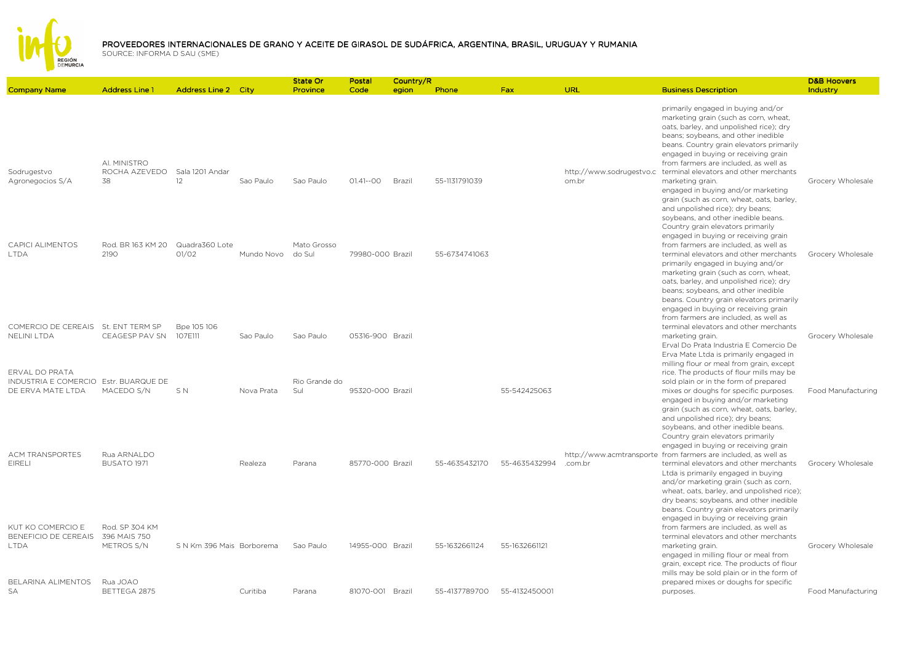

|                                                                              |                                     |                            |            | <b>State Or</b>       | Postal           | Country/R |               |               |                                   |                                                                                                                                                                                                                                                                                                                                                                                                                                                                                                                                                             | <b>D&amp;B Hoovers</b> |
|------------------------------------------------------------------------------|-------------------------------------|----------------------------|------------|-----------------------|------------------|-----------|---------------|---------------|-----------------------------------|-------------------------------------------------------------------------------------------------------------------------------------------------------------------------------------------------------------------------------------------------------------------------------------------------------------------------------------------------------------------------------------------------------------------------------------------------------------------------------------------------------------------------------------------------------------|------------------------|
| <b>Company Name</b>                                                          | <b>Address Line 1</b>               | <b>Address Line 2 City</b> |            | Province              | Code             | egion     | Phone         | <b>Fax</b>    | URL                               | <b>Business Description</b>                                                                                                                                                                                                                                                                                                                                                                                                                                                                                                                                 | Industry               |
| Sodrugestvo<br>Agronegocios S/A                                              | AI. MINISTRO<br>ROCHA AZEVEDO<br>38 | Sala 1201 Andar<br>12      | Sao Paulo  | Sao Paulo             | $01.41 - 00$     | Brazil    | 55-1131791039 |               | http://www.sodrugestvo.c<br>om.br | primarily engaged in buying and/or<br>marketing grain (such as corn, wheat,<br>oats, barley, and unpolished rice); dry<br>beans; soybeans, and other inedible<br>beans. Country grain elevators primarily<br>engaged in buying or receiving grain<br>from farmers are included, as well as<br>terminal elevators and other merchants<br>marketing grain.<br>engaged in buying and/or marketing<br>grain (such as corn, wheat, oats, barley,<br>and unpolished rice); dry beans;<br>soybeans, and other inedible beans.<br>Country grain elevators primarily | Grocery Wholesale      |
| <b>CAPICI ALIMENTOS</b><br><b>LTDA</b>                                       | Rod. BR 163 KM 20<br>2190           | Quadra360 Lote<br>O1/O2    | Mundo Novo | Mato Grosso<br>do Sul | 79980-000 Brazil |           | 55-6734741063 |               |                                   | engaged in buying or receiving grain<br>from farmers are included, as well as<br>terminal elevators and other merchants<br>primarily engaged in buying and/or<br>marketing grain (such as corn, wheat,<br>oats, barley, and unpolished rice); dry<br>beans; soybeans, and other inedible<br>beans. Country grain elevators primarily<br>engaged in buying or receiving grain                                                                                                                                                                                | Grocery Wholesale      |
| COMERCIO DE CEREAIS St. ENT TERM SP<br><b>NELINI LTDA</b>                    | CEAGESP PAV SN                      | Bpe 105 106<br>107E111     | Sao Paulo  | Sao Paulo             | 05316-900 Brazil |           |               |               |                                   | from farmers are included, as well as<br>terminal elevators and other merchants<br>marketing grain.<br>Erval Do Prata Industria E Comercio De<br>Erva Mate Ltda is primarily engaged in                                                                                                                                                                                                                                                                                                                                                                     | Grocery Wholesale      |
| ERVAL DO PRATA<br>INDUSTRIA E COMERCIO Estr. BUARQUE DE<br>DE ERVA MATE LTDA | MACEDO S/N                          | SN                         | Nova Prata | Rio Grande do<br>Sul  | 95320-000 Brazil |           |               | 55-542425063  |                                   | milling flour or meal from grain, except<br>rice. The products of flour mills may be<br>sold plain or in the form of prepared<br>mixes or doughs for specific purposes.<br>engaged in buying and/or marketing<br>grain (such as corn, wheat, oats, barley,<br>and unpolished rice); dry beans;<br>soybeans, and other inedible beans.                                                                                                                                                                                                                       | Food Manufacturing     |
| <b>ACM TRANSPORTES</b><br><b>EIRELI</b>                                      | Rua ARNALDO<br>BUSATO 1971          |                            | Realeza    | Parana                | 85770-000 Brazil |           | 55-4635432170 | 55-4635432994 | .com.br                           | Country grain elevators primarily<br>engaged in buying or receiving grain<br>http://www.acmtransporte from farmers are included, as well as<br>terminal elevators and other merchants<br>Ltda is primarily engaged in buying<br>and/or marketing grain (such as corn,<br>wheat, oats, barley, and unpolished rice);<br>dry beans; soybeans, and other inedible                                                                                                                                                                                              | Grocery Wholesale      |
| KUT KO COMERCIO E<br>BENEFICIO DE CEREAIS 396 MAIS 750<br><b>LTDA</b>        | Rod. SP 304 KM<br>METROS S/N        | S N Km 396 Mais Borborema  |            | Sao Paulo             | 14955-000 Brazil |           | 55-1632661124 | 55-1632661121 |                                   | beans. Country grain elevators primarily<br>engaged in buying or receiving grain<br>from farmers are included, as well as<br>terminal elevators and other merchants<br>marketing grain.<br>engaged in milling flour or meal from<br>grain, except rice. The products of flour<br>mills may be sold plain or in the form of                                                                                                                                                                                                                                  | Grocery Wholesale      |
| BELARINA ALIMENTOS<br>SA                                                     | Rua JOAO<br>BETTEGA 2875            |                            | Curitiba   | Parana                | 81070-001 Brazil |           | 55-4137789700 | 55-4132450001 |                                   | prepared mixes or doughs for specific<br>purposes.                                                                                                                                                                                                                                                                                                                                                                                                                                                                                                          | Food Manufacturing     |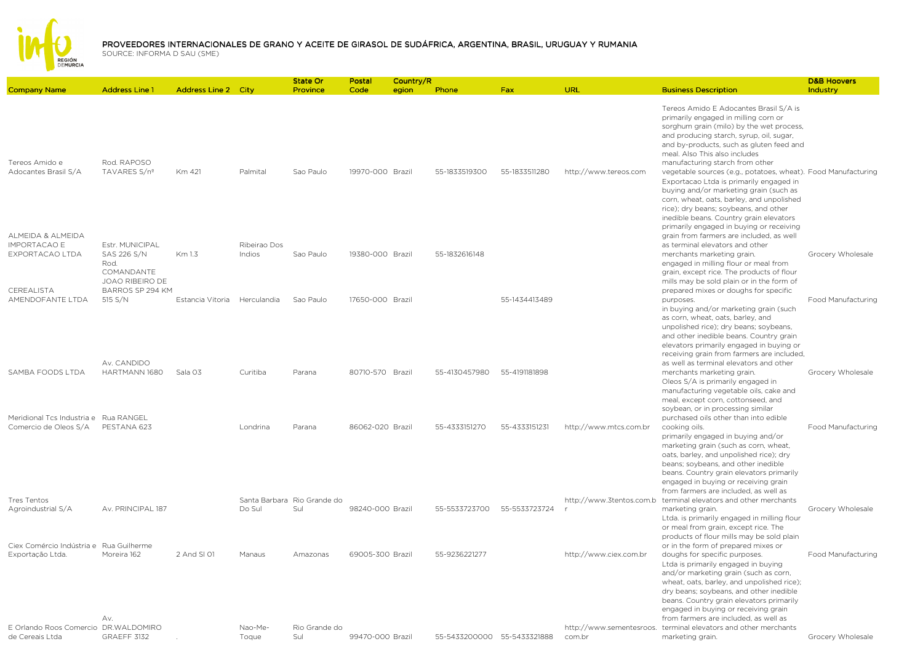

|                                                                |                                                                         |                              |                        | State Or                           | Postal           | Country/R |                             |               |                          |                                                                                                                                                                                                                                                                                                                                                                                                                                                                                                                                                                               | <b>D&amp;B Hoovers</b> |
|----------------------------------------------------------------|-------------------------------------------------------------------------|------------------------------|------------------------|------------------------------------|------------------|-----------|-----------------------------|---------------|--------------------------|-------------------------------------------------------------------------------------------------------------------------------------------------------------------------------------------------------------------------------------------------------------------------------------------------------------------------------------------------------------------------------------------------------------------------------------------------------------------------------------------------------------------------------------------------------------------------------|------------------------|
| <b>Company Name</b>                                            | <b>Address Line 1</b>                                                   | <b>Address Line 2 City</b>   |                        | Province                           | Code             | egion     | Phone                       | <b>Fax</b>    | URL                      | <b>Business Description</b>                                                                                                                                                                                                                                                                                                                                                                                                                                                                                                                                                   | Industry               |
| Tereos Amido e<br>Adocantes Brasil S/A                         | Rod. RAPOSO<br>TAVARES S/nº                                             | Km 421                       | Palmital               | Sao Paulo                          | 19970-000 Brazil |           | 55-1833519300               | 55-1833511280 | http://www.tereos.com    | Tereos Amido E Adocantes Brasil S/A is<br>primarily engaged in milling corn or<br>sorghum grain (milo) by the wet process,<br>and producing starch, syrup, oil, sugar,<br>and by-products, such as gluten feed and<br>meal. Also This also includes<br>manufacturing starch from other<br>vegetable sources (e.g., potatoes, wheat). Food Manufacturing<br>Exportacao Ltda is primarily engaged in<br>buying and/or marketing grain (such as<br>corn, wheat, oats, barley, and unpolished<br>rice); dry beans; soybeans, and other<br>inedible beans. Country grain elevators |                        |
| ALMEIDA & ALMEIDA<br><b>IMPORTACAO E</b><br>EXPORTACAO LTDA    | Estr. MUNICIPAL<br>SAS 226 S/N<br>Rod.<br>COMANDANTE<br>JOAO RIBEIRO DE | Km 1.3                       | Ribeirao Dos<br>Indios | Sao Paulo                          | 19380-000 Brazil |           | 55-1832616148               |               |                          | primarily engaged in buying or receiving<br>grain from farmers are included, as well<br>as terminal elevators and other<br>merchants marketing grain.<br>engaged in milling flour or meal from<br>grain, except rice. The products of flour<br>mills may be sold plain or in the form of                                                                                                                                                                                                                                                                                      | Grocery Wholesale      |
| CEREALISTA<br>AMENDOFANTE LTDA                                 | BARROS SP 294 KM<br>515 S/N                                             | Estancia Vitoria Herculandia |                        | Sao Paulo                          | 17650-000 Brazil |           |                             | 55-1434413489 |                          | prepared mixes or doughs for specific<br>purposes.<br>in buying and/or marketing grain (such<br>as corn, wheat, oats, barley, and<br>unpolished rice); dry beans; soybeans,<br>and other inedible beans. Country grain<br>elevators primarily engaged in buying or<br>receiving grain from farmers are included,                                                                                                                                                                                                                                                              | Food Manufacturing     |
| SAMBA FOODS LTDA                                               | Av. CANDIDO<br>HARTMANN 1680                                            | Sala 03                      | Curitiba               | Parana                             | 80710-570 Brazil |           | 55-4130457980               | 55-4191181898 |                          | as well as terminal elevators and other<br>merchants marketing grain.<br>Oleos S/A is primarily engaged in<br>manufacturing vegetable oils, cake and<br>meal, except corn, cottonseed, and<br>soybean, or in processing similar                                                                                                                                                                                                                                                                                                                                               | Grocery Wholesale      |
| Meridional Tcs Industria e Rua RANGEL<br>Comercio de Oleos S/A | PESTANA 623                                                             |                              | Londrina               | Parana                             | 86062-020 Brazil |           | 55-4333151270               | 55-4333151231 | http://www.mtcs.com.br   | purchased oils other than into edible<br>cooking oils.<br>primarily engaged in buying and/or<br>marketing grain (such as corn, wheat,<br>oats, barley, and unpolished rice); dry<br>beans; soybeans, and other inedible<br>beans. Country grain elevators primarily<br>engaged in buying or receiving grain<br>from farmers are included, as well as                                                                                                                                                                                                                          | Food Manufacturing     |
| Tres Tentos<br>Agroindustrial S/A                              | Av. PRINCIPAL 187                                                       |                              | Do Sul                 | Santa Barbara Rio Grande do<br>Sul | 98240-000 Brazil |           | 55-5533723700               | 55-5533723724 | http://www.3tentos.com.b | terminal elevators and other merchants<br>marketing grain.<br>Ltda. is primarily engaged in milling flour<br>or meal from grain, except rice. The<br>products of flour mills may be sold plain                                                                                                                                                                                                                                                                                                                                                                                | Grocery Wholesale      |
| Ciex Comércio Indústria e Rua Guilherme<br>Exportação Ltda.    | Moreira 162<br>Av.                                                      | 2 And SI 01                  | Manaus                 | Amazonas                           | 69005-300 Brazil |           | 55-9236221277               |               | http://www.ciex.com.br   | or in the form of prepared mixes or<br>doughs for specific purposes.<br>Ltda is primarily engaged in buying<br>and/or marketing grain (such as corn,<br>wheat, oats, barley, and unpolished rice);<br>dry beans; soybeans, and other inedible<br>beans. Country grain elevators primarily<br>engaged in buying or receiving grain<br>from farmers are included, as well as                                                                                                                                                                                                    | Food Manufacturing     |
| E Orlando Roos Comercio DR.WALDOMIRO<br>de Cereais Ltda        | GRAEFF 3132                                                             |                              | Nao-Me-<br>Toque       | Rio Grande do<br>Sul               | 99470-000 Brazil |           | 55-5433200000 55-5433321888 |               | com.br                   | http://www.sementesroos. terminal elevators and other merchants<br>marketing grain.                                                                                                                                                                                                                                                                                                                                                                                                                                                                                           | Grocery Wholesale      |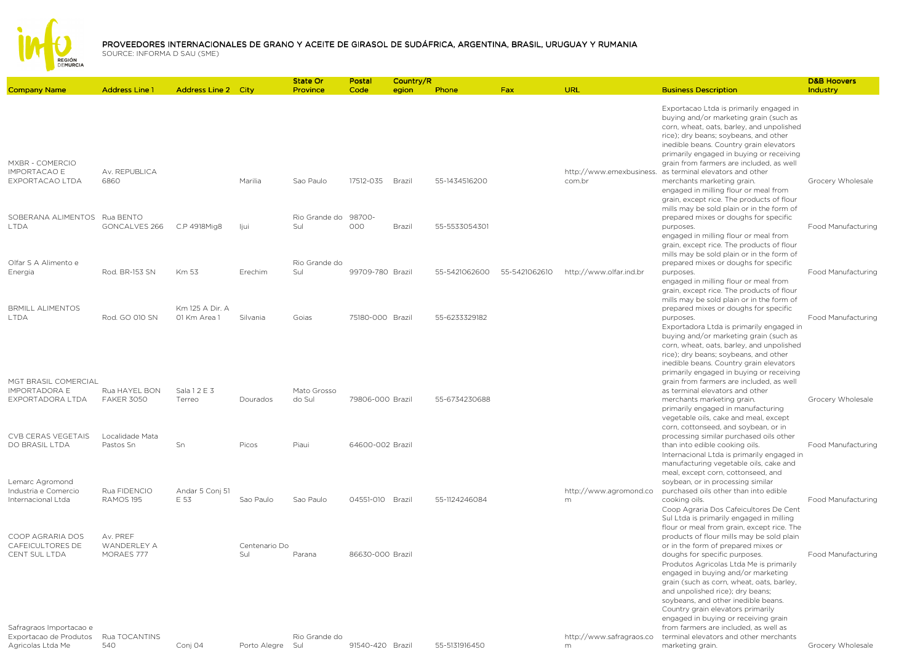

Company Name Address Line 1 Address Line 2 City State Or ProvincePostal CodeCountry/Region Phone egion Phone Fax URL Business Description D&B Hoovers IndustryMXBR - COMERCIO IMPORTACAO E EXPORTACAO LTDAAv. REPUBLICA 6860 Marilia Sao Paulo 17512-035 Brazil 55-1434516200 http://www.emexbusiness. as terminal elevators and other com.brExportacao Ltda is primarily engaged in buying and/or marketing grain (such as corn, wheat, oats, barley, and unpolished rice); dry beans; soybeans, and other inedible beans. Country grain elevators primarily engaged in buying or receiving grain from farmers are included, as well merchants marketing grain. Grocery Wholesale SOBERANA ALIMENTOS Rua BENTO LTDAGONCALVES 266 C.P 4918Mig8 Ijui Rio Grande do Sul98700-000 Brazil 55-5533054301 engaged in milling flour or meal from grain, except rice. The products of flour mills may be sold plain or in the form of prepared mixes or doughs for specific purposes. Food ManufacturingOlfar S A Alimento e Energia Rod. BR-153 SN Km 53 Erechim Rio Grande do Sul 99709-780 Brazil 55-5421062600 55-5421062610 http://www.olfar.ind.br engaged in milling flour or meal from grain, except rice. The products of flour mills may be sold plain or in the form of prepared mixes or doughs for specific purposes. Food ManufacturingBRMILL ALIMENTOS LTDA Rod. GO 010 SNKm 125 A Dir. A 01 Km Area 1 Silvania Goias 75180-000 Brazil 55-6233329182engaged in milling flour or meal from grain, except rice. The products of flour mills may be sold plain or in the form of prepared mixes or doughs for specific purposes. Food ManufacturingMGT BRASIL COMERCIAL IMPORTADORA E EXPORTADORA LTDARua HAYEL BON FAKER 3050Sala 1 2 E 3 Terreo Dourados Mato Grosso do Sul 79806-000 Brazil 55-6734230688Exportadora Ltda is primarily engaged in buying and/or marketing grain (such as corn, wheat, oats, barley, and unpolished rice); dry beans; soybeans, and other inedible beans. Country grain elevators primarily engaged in buying or receiving grain from farmers are included, as well as terminal elevators and other merchants marketing grain. Grocery Wholesale CVB CERAS VEGETAIS DO BRASIL LTDA Localidade Mata Pastos Sn Sn Picos Piaui 64600-002 Brazil primarily engaged in manufacturing vegetable oils, cake and meal, except corn, cottonseed, and soybean, or in processing similar purchased oils other than into edible cooking oils. Food ManufacturingLemarc Agromond Industria e Comercio Internacional LtdaRua FIDENCIO RAMOS 195Andar 5 Conj 51 E 53 Sao Paulo Sao Paulo 04551-010 Brazil 55-1124246084http://www.agromond.comInternacional Ltda is primarily engaged in manufacturing vegetable oils, cake and meal, except corn, cottonseed, and soybean, or in processing similar purchased oils other than into edible cooking oils. Food ManufacturingCOOP AGRARIA DOS CAFEICULTORES DE CENT SUL LTDAAv. PREF WANDERLEY A MORAES 777Centenario Do Sul Parana 86630-000 Brazil Coop Agraria Dos Cafeicultores De Cent Sul Ltda is primarily engaged in milling flour or meal from grain, except rice. The products of flour mills may be sold plain or in the form of prepared mixes or doughs for specific purposes. Food ManufacturingSafragraos Importacao e http://www.safragraos.coProdutos Agricolas Ltda Me is primarily engaged in buying and/or marketing grain (such as corn, wheat, oats, barley, and unpolished rice); dry beans; soybeans, and other inedible beans. Country grain elevators primarily engaged in buying or receiving grain from farmers are included, as well as terminal elevators and other merchants

 Exportacao de Produtos Agricolas Ltda MeRua TOCANTINS

540 Conj 04 Porto Alegre Sul Rio Grande do

91540-420 Brazil 55-5131916450

m

marketing grain. The contract of the Grocery Wholesale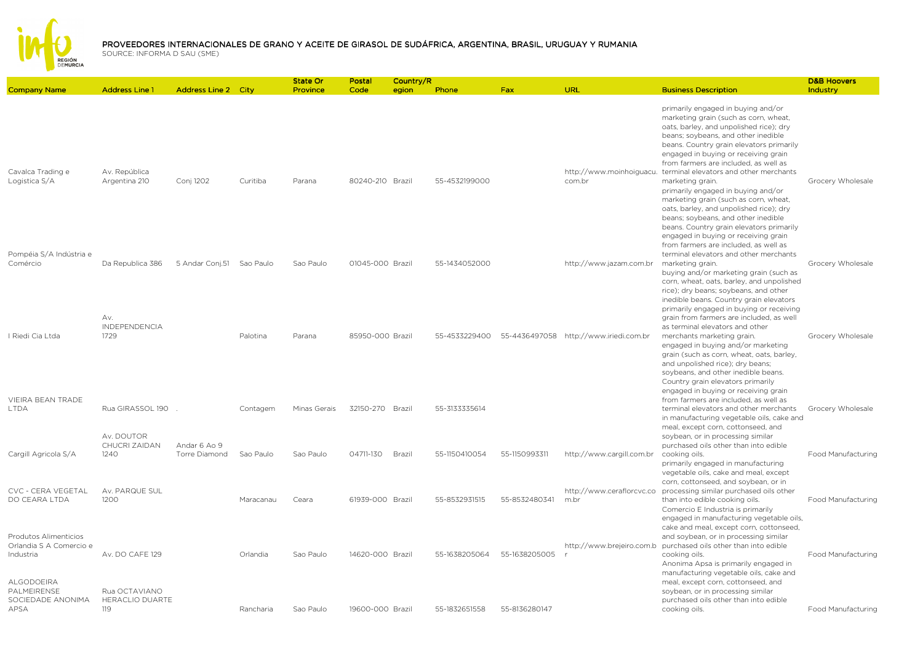

Company Name Address Line 1 Address Line 2 City State Or ProvincePostal CodeCountry/Region Phone egion Phone Fax URL Business Description D&B Hoovers IndustryCavalca Trading e Logistica S/AAv. República Argentina 210 Argentina 210 Conj 1202 Curitiba Parana 80240-210 Brazil 55-4532199000http://www.moinhoiguacu.com.brprimarily engaged in buying and/or marketing grain (such as corn, wheat, oats, barley, and unpolished rice); dry beans; soybeans, and other inedible beans. Country grain elevators primarily engaged in buying or receiving grain from farmers are included, as well as terminal elevators and other merchants marketing grain. The control of the Grocery Wholesale Pompéia S/A Indústria e Comércio Da Republica 386 5 Andar Conj.51 Sao Paulo Sao Paulo 01045-000 Brazil 55-1434052000 http://www.jazam.com.br primarily engaged in buying and/or marketing grain (such as corn, wheat, oats, barley, and unpolished rice); dry beans; soybeans, and other inedible beans. Country grain elevators primarily engaged in buying or receiving grain from farmers are included, as well as terminal elevators and other merchants marketing grain. The contract of the Grocery Wholesale I Riedi Cia LtdaAv. INDEPENDENCIA 1729 Palotina Parana 85950-000 Brazil 55-4533229400 55-4436497058 http://www.iriedi.com.br buying and/or marketing grain (such as corn, wheat, oats, barley, and unpolished rice); dry beans; soybeans, and other inedible beans. Country grain elevators primarily engaged in buying or receiving grain from farmers are included, as well as terminal elevators and other merchants marketing grain. Grocery Wholesale VIEIRA BEAN TRADE LTDA Rua GIRASSOL 190 . Contagem Minas Gerais 32150-270 Brazil 55-3133335614engaged in buying and/or marketing grain (such as corn, wheat, oats, barley, and unpolished rice); dry beans; soybeans, and other inedible beans. Country grain elevators primarily engaged in buying or receiving grain from farmers are included, as well as terminal elevators and other merchants Grocery Wholesale Cargill Agricola S/AAv. DOUTOR CHUCRI ZAIDAN 1240Andar 6 Ao 9 Torre Diamond Torre Diamond Sao Paulo Sao Paulo 04711-130 Brazil 55-1150410054 55-1150993311 http://www.cargill.com.br in manufacturing vegetable oils, cake and meal, except corn, cottonseed, and soybean, or in processing similar purchased oils other than into edible cooking oils. Food ManufacturingCVC - CERA VEGETAL DO CEARA LTDAAv. PARQUE SUL 1200 Maracanau Ceara 61939-000 Brazil 55-8532931515 55-8532480341 http://www.ceraflorcvc.co processing similar purchased oils other m.br primarily engaged in manufacturing vegetable oils, cake and meal, except corn, cottonseed, and soybean, or in than into edible cooking oils. Food ManufacturingProdutos Alimenticios Orlandia S A Comercio e Industria Av. DO CAFE 129 Orlandia Sao Paulo 14620-000 Brazil 55-1638205064 55-1638205005http://www.brejeiro.com.b purchased oils other than into edible rComercio E Industria is primarily engaged in manufacturing vegetable oils, cake and meal, except corn, cottonseed, and soybean, or in processing similar cooking oils. Food ManufacturingALGODOEIRA **PALMEIRENSE**  SOCIEDADE ANONIMA APSARua OCTAVIANO HERACLIO DUARTE 119 Rancharia Sao Paulo 19600-000 Brazil 55-1832651558 55-8136280147 Anonima Apsa is primarily engaged in manufacturing vegetable oils, cake and meal, except corn, cottonseed, and soybean, or in processing similar purchased oils other than into edible cooking oils. The cooking oils. The cooking of the cooking of the cooking of the cooking of the cooking of the cooking of the cooking of the cooking of the cooking of the cooking of the cooking of the cooking of the cookin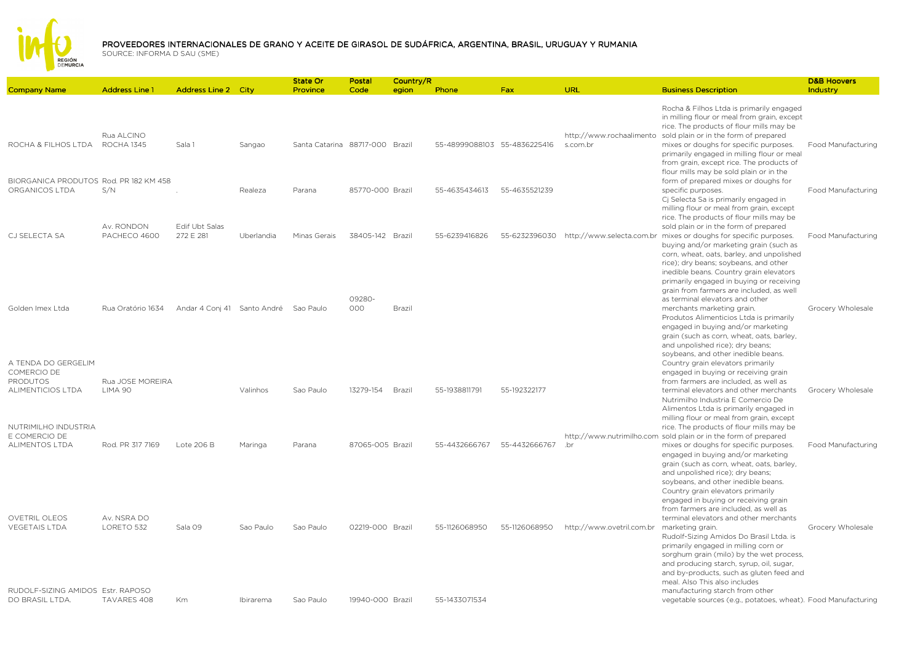

| <b>Company Name</b>                                                 | <b>Address Line 1</b>           | <b>Address Line 2 City</b>            |            | <b>State Or</b><br>Province     | Postal<br>Code   | Country/R<br>egion | Phone                        | Fax           | <b>URL</b>                           | <b>Business Description</b>                                                                                                                                                                                                                                                                                                                                        | <b>D&amp;B Hoovers</b><br>Industry |
|---------------------------------------------------------------------|---------------------------------|---------------------------------------|------------|---------------------------------|------------------|--------------------|------------------------------|---------------|--------------------------------------|--------------------------------------------------------------------------------------------------------------------------------------------------------------------------------------------------------------------------------------------------------------------------------------------------------------------------------------------------------------------|------------------------------------|
|                                                                     |                                 |                                       |            |                                 |                  |                    |                              |               |                                      |                                                                                                                                                                                                                                                                                                                                                                    |                                    |
| ROCHA & FILHOS LTDA                                                 | Rua ALCINO<br><b>ROCHA 1345</b> | Sala 1                                | Sangao     | Santa Catarina 88717-000 Brazil |                  |                    | 55-48999088103 55-4836225416 |               | http://www.rochaalimento<br>s.com.br | Rocha & Filhos Ltda is primarily engaged<br>in milling flour or meal from grain, except<br>rice. The products of flour mills may be<br>sold plain or in the form of prepared<br>mixes or doughs for specific purposes.<br>primarily engaged in milling flour or meal<br>from grain, except rice. The products of<br>flour mills may be sold plain or in the        | Food Manufacturing                 |
| BIORGANICA PRODUTOS Rod. PR 182 KM 458<br>ORGANICOS LTDA            | S/N                             |                                       | Realeza    | Parana                          | 85770-000 Brazil |                    | 55-4635434613                | 55-4635521239 |                                      | form of prepared mixes or doughs for<br>specific purposes.<br>Cj Selecta Sa is primarily engaged in                                                                                                                                                                                                                                                                | Food Manufacturing                 |
| CJ SELECTA SA                                                       | Av. RONDON<br>PACHECO 4600      | Edif Ubt Salas<br>272 E 281           | Uberlandia | Minas Gerais                    | 38405-142 Brazil |                    | 55-6239416826                | 55-6232396030 |                                      | milling flour or meal from grain, except<br>rice. The products of flour mills may be<br>sold plain or in the form of prepared<br>http://www.selecta.com.br mixes or doughs for specific purposes.<br>buying and/or marketing grain (such as<br>corn, wheat, oats, barley, and unpolished<br>rice); dry beans; soybeans, and other                                  | Food Manufacturing                 |
| Golden Imex Ltda                                                    | Rua Oratório 1634               | Andar 4 Conj 41 Santo André Sao Paulo |            |                                 | 09280-<br>000    | Brazil             |                              |               |                                      | inedible beans. Country grain elevators<br>primarily engaged in buying or receiving<br>grain from farmers are included, as well<br>as terminal elevators and other<br>merchants marketing grain.<br>Produtos Alimenticios Ltda is primarily<br>engaged in buying and/or marketing<br>grain (such as corn, wheat, oats, barley,<br>and unpolished rice); dry beans; | Grocery Wholesale                  |
| A TENDA DO GERGELIM<br>COMERCIO DE<br>PRODUTOS<br>ALIMENTICIOS LTDA | Rua JOSE MOREIRA<br>LIMA 90     |                                       | Valinhos   | Sao Paulo                       | 13279-154        | Brazil             | 55-1938811791                | 55-192322177  |                                      | soybeans, and other inedible beans.<br>Country grain elevators primarily<br>engaged in buying or receiving grain<br>from farmers are included, as well as<br>terminal elevators and other merchants<br>Nutrimilho Industria E Comercio De<br>Alimentos Ltda is primarily engaged in                                                                                | Grocery Wholesale                  |
| NUTRIMILHO INDUSTRIA<br>E COMERCIO DE<br><b>ALIMENTOS LTDA</b>      | Rod. PR 317 7169                | Lote 206 B                            | Maringa    | Parana                          | 87065-005 Brazil |                    | 55-4432666767                | 55-4432666767 | .br                                  | milling flour or meal from grain, except<br>rice. The products of flour mills may be<br>http://www.nutrimilho.com sold plain or in the form of prepared<br>mixes or doughs for specific purposes.<br>engaged in buying and/or marketing<br>grain (such as corn, wheat, oats, barley,                                                                               | Food Manufacturing                 |
| <b>OVETRIL OLEOS</b><br><b>VEGETAIS LTDA</b>                        | Av. NSRA DO<br>LORETO 532       | Sala 09                               | Sao Paulo  | Sao Paulo                       | 02219-000 Brazil |                    | 55-1126068950                | 55-1126068950 | http://www.ovetril.com.br            | and unpolished rice); dry beans;<br>soybeans, and other inedible beans.<br>Country grain elevators primarily<br>engaged in buying or receiving grain<br>from farmers are included, as well as<br>terminal elevators and other merchants<br>marketing grain.                                                                                                        | Grocery Wholesale                  |
| RUDOLF-SIZING AMIDOS Estr. RAPOSO                                   |                                 |                                       |            |                                 |                  |                    |                              |               |                                      | Rudolf-Sizing Amidos Do Brasil Ltda. is<br>primarily engaged in milling corn or<br>sorghum grain (milo) by the wet process,<br>and producing starch, syrup, oil, sugar,<br>and by-products, such as gluten feed and<br>meal. Also This also includes<br>manufacturing starch from other                                                                            |                                    |
| DO BRASIL LTDA.                                                     | TAVARES 408                     | <b>Km</b>                             | Ibirarema  | Sao Paulo                       | 19940-000 Brazil |                    | 55-1433071534                |               |                                      | vegetable sources (e.g., potatoes, wheat). Food Manufacturing                                                                                                                                                                                                                                                                                                      |                                    |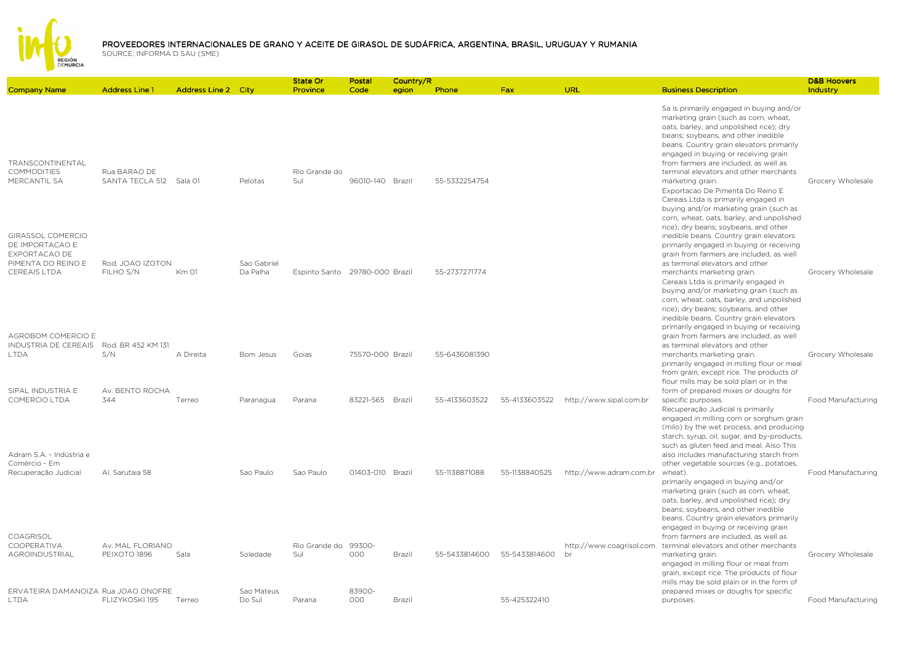

|                                                                                 |                                         |                            |                         | State Or                        | Postal           | Country/R |               |               |                         |                                                                                                                                                                                                                                                                                                                                                                          | <b>D&amp;B Hoovers</b> |
|---------------------------------------------------------------------------------|-----------------------------------------|----------------------------|-------------------------|---------------------------------|------------------|-----------|---------------|---------------|-------------------------|--------------------------------------------------------------------------------------------------------------------------------------------------------------------------------------------------------------------------------------------------------------------------------------------------------------------------------------------------------------------------|------------------------|
| <b>Company Name</b>                                                             | <b>Address Line 1</b>                   | <b>Address Line 2 City</b> |                         | Province                        | Code             | egion     | Phone         | <b>Fax</b>    | URL                     | <b>Business Description</b>                                                                                                                                                                                                                                                                                                                                              | Industry               |
| TRANSCONTINENTAL<br><b>COMMODITIES</b><br>MERCANTIL SA                          | Rua BARAO DE<br>SANTA TECLA 512 Sala 01 |                            | Pelotas                 | Rio Grande do<br>Sul            | 96010-140 Brazil |           | 55-5332254754 |               |                         | Sa is primarily engaged in buying and/or<br>marketing grain (such as corn, wheat,<br>oats, barley, and unpolished rice); dry<br>beans; soybeans, and other inedible<br>beans. Country grain elevators primarily<br>engaged in buying or receiving grain<br>from farmers are included, as well as<br>terminal elevators and other merchants<br>marketing grain.           | Grocery Wholesale      |
| <b>GIRASSOL COMERCIO</b><br>DE IMPORTACAO E<br>EXPORTACAO DE                    |                                         |                            |                         |                                 |                  |           |               |               |                         | Exportacao De Pimenta Do Reino E<br>Cereais Ltda is primarily engaged in<br>buying and/or marketing grain (such as<br>corn, wheat, oats, barley, and unpolished<br>rice); dry beans; soybeans, and other<br>inedible beans. Country grain elevators<br>primarily engaged in buying or receiving<br>grain from farmers are included, as well                              |                        |
| PIMENTA DO REINO E<br><b>CEREAIS LTDA</b><br>AGROBOM COMERCIO E                 | Rod. JOAO IZOTON<br>FILHO S/N           | Km 01                      | Sao Gabriel<br>Da Palha | Espirito Santo 29780-000 Brazil |                  |           | 55-2737271774 |               |                         | as terminal elevators and other<br>merchants marketing grain.<br>Cereais Ltda is primarily engaged in<br>buying and/or marketing grain (such as<br>corn, wheat, oats, barley, and unpolished<br>rice); dry beans; soybeans, and other<br>inedible beans. Country grain elevators<br>primarily engaged in buying or receiving<br>grain from farmers are included, as well | Grocery Wholesale      |
| INDUSTRIA DE CEREAIS<br><b>LTDA</b>                                             | Rod. BR 452 KM 131<br>S/N               | A Direita                  | Bom Jesus               | Goias                           | 75570-000 Brazil |           | 55-6436081390 |               |                         | as terminal elevators and other<br>merchants marketing grain.<br>primarily engaged in milling flour or meal<br>from grain, except rice. The products of<br>flour mills may be sold plain or in the                                                                                                                                                                       | Grocery Wholesale      |
| SIPAL INDUSTRIA E<br>COMERCIO LTDA<br>Adram S.A. - Indústria e<br>Comércio - Em | Av. BENTO ROCHA<br>344                  | Terreo                     | Paranagua               | Parana                          | 83221-565 Brazil |           | 55-4133603522 | 55-4133603522 | http://www.sipal.com.br | form of prepared mixes or doughs for<br>specific purposes.<br>Recuperação Judicial is primarily<br>engaged in milling corn or sorghum grain<br>(milo) by the wet process, and producing<br>starch, syrup, oil, sugar, and by-products,<br>such as gluten feed and meal. Also This<br>also includes manufacturing starch from<br>other vegetable sources (e.g., potatoes, | Food Manufacturing     |
| Recuperação Judicial<br>COAGRISOL                                               | Al. Sarutaia 58                         |                            | Sao Paulo               | Sao Paulo                       | 01403-010 Brazil |           | 55-1138871088 | 55-1138840525 | http://www.adram.com.br | wheat).<br>primarily engaged in buying and/or<br>marketing grain (such as corn, wheat,<br>oats, barley, and unpolished rice); dry<br>beans; soybeans, and other inedible<br>beans. Country grain elevators primarily<br>engaged in buying or receiving grain<br>from farmers are included, as well as                                                                    | Food Manufacturing     |
| COOPERATIVA<br>AGROINDUSTRIAL                                                   | Av. MAL FLORIANO<br>PEIXOTO 1896        | Sala                       | Soledade                | Rio Grande do<br>Sul            | 99300-<br>000    | Brazil    | 55-5433814600 | 55-5433814600 | br                      | http://www.coagrisol.com. terminal elevators and other merchants<br>marketing grain.<br>engaged in milling flour or meal from<br>grain, except rice. The products of flour<br>mills may be sold plain or in the form of                                                                                                                                                  | Grocery Wholesale      |
| ERVATEIRA DAMANOIZA Rua JOAO ONOFRE<br><b>LTDA</b>                              | FLIZYKOSKI 195                          | Terreo                     | Sao Mateus<br>Do Sul    | Parana                          | 83900-<br>000    | Brazil    |               | 55-425322410  |                         | prepared mixes or doughs for specific<br>purposes.                                                                                                                                                                                                                                                                                                                       | Food Manufacturing     |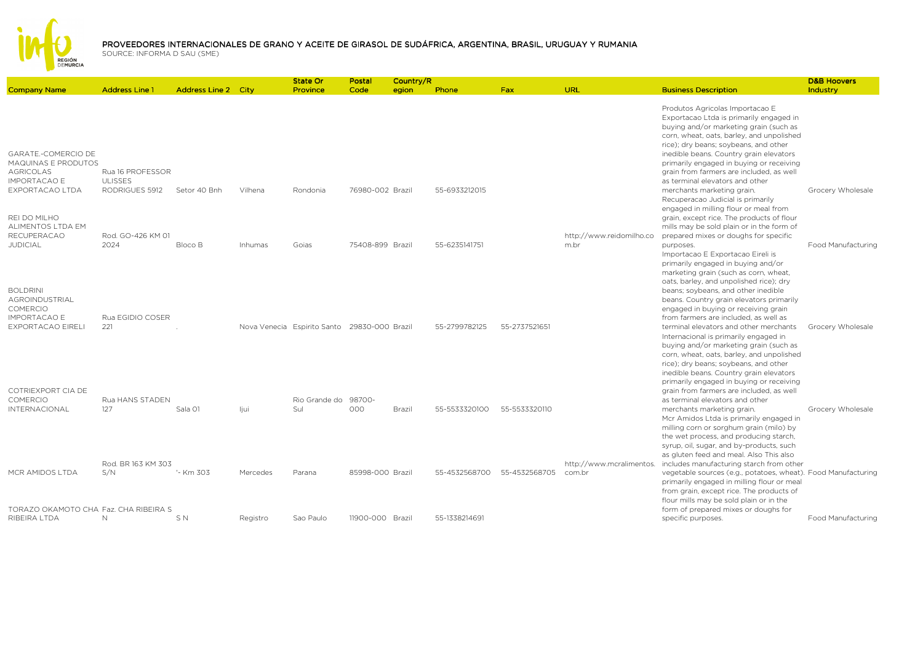

|                                                                                              |                                    |                     |          | State Or                                     | Postal           | Country/R |               |               |                                  |                                                                                                                                                                                                                                                                                        | <b>D&amp;B Hoovers</b>    |
|----------------------------------------------------------------------------------------------|------------------------------------|---------------------|----------|----------------------------------------------|------------------|-----------|---------------|---------------|----------------------------------|----------------------------------------------------------------------------------------------------------------------------------------------------------------------------------------------------------------------------------------------------------------------------------------|---------------------------|
| <b>Company Name</b>                                                                          | <b>Address Line 1</b>              | Address Line 2 City |          | Province                                     | Code             | egion     | Phone         | Fax           | URL                              | <b>Business Description</b>                                                                                                                                                                                                                                                            | Industry                  |
|                                                                                              |                                    |                     |          |                                              |                  |           |               |               |                                  | Produtos Agricolas Importacao E<br>Exportacao Ltda is primarily engaged in<br>buying and/or marketing grain (such as<br>corn, wheat, oats, barley, and unpolished                                                                                                                      |                           |
| GARATE.-COMERCIO DE<br><b>MAQUINAS E PRODUTOS</b><br><b>AGRICOLAS</b><br><b>IMPORTACAO E</b> | Rua 16 PROFESSOR<br><b>ULISSES</b> |                     |          |                                              |                  |           |               |               |                                  | rice); dry beans; soybeans, and other<br>inedible beans. Country grain elevators<br>primarily engaged in buying or receiving<br>grain from farmers are included, as well<br>as terminal elevators and other                                                                            |                           |
| EXPORTACAO LTDA<br>REI DO MILHO                                                              | RODRIGUES 5912                     | Setor 40 Bnh        | Vilhena  | Rondonia                                     | 76980-002 Brazil |           | 55-6933212015 |               |                                  | merchants marketing grain.<br>Recuperacao Judicial is primarily<br>engaged in milling flour or meal from<br>grain, except rice. The products of flour                                                                                                                                  | Grocery Wholesale         |
| ALIMENTOS LTDA EM<br><b>RECUPERACAO</b><br><b>JUDICIAL</b>                                   | Rod. GO-426 KM 01<br>2024          | Bloco B             | Inhumas  | Goias                                        | 75408-899 Brazil |           | 55-6235141751 |               | http://www.reidomilho.co<br>m.br | mills may be sold plain or in the form of<br>prepared mixes or doughs for specific<br>purposes.                                                                                                                                                                                        | Food Manufacturing        |
| <b>BOLDRINI</b><br>AGROINDUSTRIAL<br><b>COMERCIO</b>                                         |                                    |                     |          |                                              |                  |           |               |               |                                  | Importacao E Exportacao Eireli is<br>primarily engaged in buying and/or<br>marketing grain (such as corn, wheat,<br>oats, barley, and unpolished rice); dry<br>beans; soybeans, and other inedible<br>beans. Country grain elevators primarily<br>engaged in buying or receiving grain |                           |
| <b>IMPORTACAO E</b><br><b>EXPORTACAO EIRELI</b>                                              | Rua EGIDIO COSER<br>221            |                     |          | Nova Venecia Espirito Santo 29830-000 Brazil |                  |           | 55-2799782125 | 55-2737521651 |                                  | from farmers are included, as well as<br>terminal elevators and other merchants<br>Internacional is primarily engaged in<br>buying and/or marketing grain (such as<br>corn, wheat, oats, barley, and unpolished<br>rice); dry beans; soybeans, and other                               | Grocery Wholesale         |
| COTRIEXPORT CIA DE<br><b>COMERCIO</b>                                                        | Rua HANS STADEN                    |                     |          | Rio Grande do                                | 98700-           |           |               |               |                                  | inedible beans. Country grain elevators<br>primarily engaged in buying or receiving<br>grain from farmers are included, as well<br>as terminal elevators and other                                                                                                                     |                           |
| <b>INTERNACIONAL</b>                                                                         | 127                                | Sala 01             | ljui     | Sul                                          | 000              | Brazil    | 55-5533320100 | 55-5533320110 |                                  | merchants marketing grain.<br>Mcr Amidos Ltda is primarily engaged in<br>milling corn or sorghum grain (milo) by<br>the wet process, and producing starch,<br>syrup, oil, sugar, and by-products, such                                                                                 | Grocery Wholesale         |
|                                                                                              | Rod. BR 163 KM 303                 |                     |          |                                              |                  |           |               |               | http://www.mcralimentos.         | as gluten feed and meal. Also This also<br>includes manufacturing starch from other                                                                                                                                                                                                    |                           |
| MCR AMIDOS LTDA                                                                              | S/N                                | '- Km 303           | Mercedes | Parana                                       | 85998-000 Brazil |           | 55-4532568700 | 55-4532568705 | com.br                           | vegetable sources (e.g., potatoes, wheat). Food Manufacturing<br>primarily engaged in milling flour or meal<br>from grain, except rice. The products of<br>flour mills may be sold plain or in the                                                                                     |                           |
| TORAZO OKAMOTO CHA Faz. CHA RIBEIRA S<br>RIBEIRA LTDA                                        | N                                  | S N                 | Registro | Sao Paulo                                    | 11900-000 Brazil |           | 55-1338214691 |               |                                  | form of prepared mixes or doughs for<br>specific purposes.                                                                                                                                                                                                                             | <b>Food Manufacturing</b> |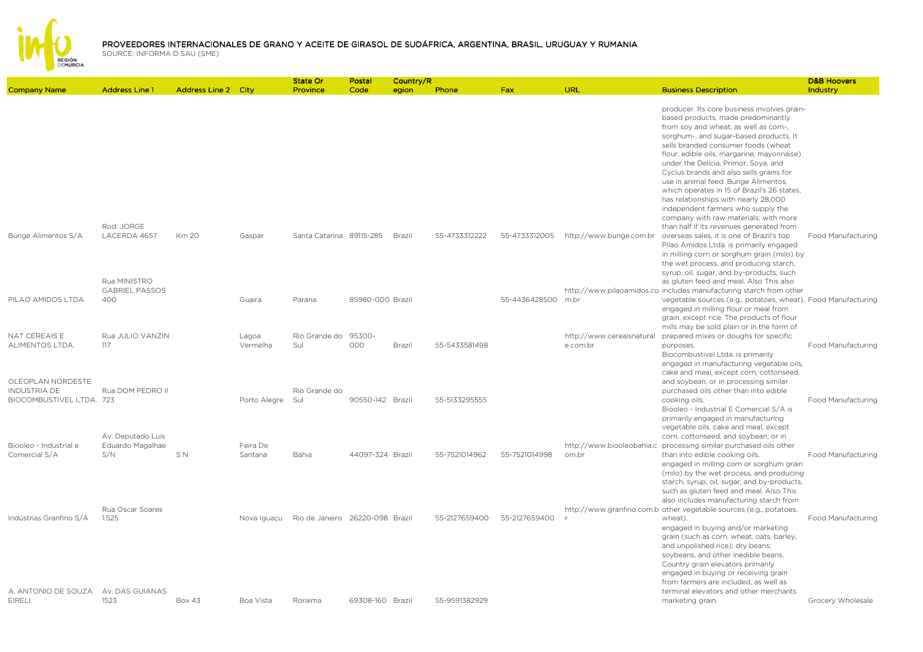

|                          |                       |                            |              | State Or                        | Postal           | Country/R |               |                    |                           |                                                                                     | <b>D&amp;B Hoovers</b>    |
|--------------------------|-----------------------|----------------------------|--------------|---------------------------------|------------------|-----------|---------------|--------------------|---------------------------|-------------------------------------------------------------------------------------|---------------------------|
| <b>Company Name</b>      | <b>Address Line 1</b> | <b>Address Line 2 City</b> |              | Province                        | Code             | egion     | Phone         | Fax                | URL                       | <b>Business Description</b>                                                         | Industry                  |
|                          |                       |                            |              |                                 |                  |           |               |                    |                           | producer. Its core business involves grain-<br>based products, made predominantly   |                           |
|                          |                       |                            |              |                                 |                  |           |               |                    |                           | from soy and wheat, as well as corn-,                                               |                           |
|                          |                       |                            |              |                                 |                  |           |               |                    |                           | sorghum-, and sugar-based products. It                                              |                           |
|                          |                       |                            |              |                                 |                  |           |               |                    |                           | sells branded consumer foods (wheat                                                 |                           |
|                          |                       |                            |              |                                 |                  |           |               |                    |                           | flour, edible oils, margarine, mayonnaise)                                          |                           |
|                          |                       |                            |              |                                 |                  |           |               |                    |                           | under the Delícia, Primor, Soya, and                                                |                           |
|                          |                       |                            |              |                                 |                  |           |               |                    |                           | Cyclus brands and also sells grains for                                             |                           |
|                          |                       |                            |              |                                 |                  |           |               |                    |                           | use in animal feed. Bunge Alimentos,                                                |                           |
|                          |                       |                            |              |                                 |                  |           |               |                    |                           | which operates in 15 of Brazil's 26 states,                                         |                           |
|                          |                       |                            |              |                                 |                  |           |               |                    |                           | has relationships with nearly 28,000                                                |                           |
|                          |                       |                            |              |                                 |                  |           |               |                    |                           | independent farmers who supply the                                                  |                           |
|                          |                       |                            |              |                                 |                  |           |               |                    |                           | company with raw materials; with more                                               |                           |
|                          | Rod. JORGE            |                            |              |                                 |                  |           |               |                    |                           | than half if its revenues generated from                                            |                           |
| Bunge Alimentos S/A      | LACERDA 4657          | Km 20                      | Gaspar       | Santa Catarina 89115-285        |                  | Brazil    | 55-4733312222 | 55-4733312005      | http://www.bunge.com.br   | overseas sales, it is one of Brazil's top                                           | <b>Food Manufacturing</b> |
|                          |                       |                            |              |                                 |                  |           |               |                    |                           | Pilao Amidos Ltda. is primarily engaged                                             |                           |
|                          |                       |                            |              |                                 |                  |           |               |                    |                           | in milling corn or sorghum grain (milo) by                                          |                           |
|                          |                       |                            |              |                                 |                  |           |               |                    |                           | the wet process, and producing starch,                                              |                           |
|                          | Rua MINISTRO          |                            |              |                                 |                  |           |               |                    |                           | syrup, oil, sugar, and by-products, such<br>as gluten feed and meal. Also This also |                           |
|                          | <b>GABRIEL PASSOS</b> |                            |              |                                 |                  |           |               |                    |                           | http://www.pilaoamidos.co includes manufacturing starch from other                  |                           |
| PILAO AMIDOS LTDA.       | 400                   |                            | Guaira       | Parana                          | 85980-000 Brazil |           |               | 55-4436428500 m.br |                           | vegetable sources (e.g., potatoes, wheat). Food Manufacturing                       |                           |
|                          |                       |                            |              |                                 |                  |           |               |                    |                           | engaged in milling flour or meal from                                               |                           |
|                          |                       |                            |              |                                 |                  |           |               |                    |                           | grain, except rice. The products of flour                                           |                           |
|                          |                       |                            |              |                                 |                  |           |               |                    |                           | mills may be sold plain or in the form of                                           |                           |
| NAT CEREAIS E            | Rua JULIO VANZIN      |                            | Lagoa        | Rio Grande do                   | 95300-           |           |               |                    | http://www.cereaisnatural | prepared mixes or doughs for specific                                               |                           |
| ALIMENTOS LTDA.          | 117                   |                            | Vermelha     | Sul                             | 000              | Brazil    | 55-5433581498 |                    | e.com.br                  | purposes.                                                                           | Food Manufacturing        |
|                          |                       |                            |              |                                 |                  |           |               |                    |                           | Biocombustivel Ltda. is primarily                                                   |                           |
|                          |                       |                            |              |                                 |                  |           |               |                    |                           | engaged in manufacturing vegetable oils,                                            |                           |
|                          |                       |                            |              |                                 |                  |           |               |                    |                           | cake and meal, except corn, cottonseed,                                             |                           |
| OLEOPLAN NORDESTE        |                       |                            |              |                                 |                  |           |               |                    |                           | and soybean, or in processing similar                                               |                           |
| <b>INDUSTRIA DE</b>      | Rua DOM PEDRO II      |                            |              | Rio Grande do                   |                  |           |               |                    |                           | purchased oils other than into edible                                               |                           |
| BIOCOMBUSTIVEL LTDA. 723 |                       |                            | Porto Alegre | Sul                             | 90550-142 Brazil |           | 55-5133295555 |                    |                           | cooking oils.                                                                       | Food Manufacturing        |
|                          |                       |                            |              |                                 |                  |           |               |                    |                           | Biooleo - Industrial E Comercial S/A is                                             |                           |
|                          |                       |                            |              |                                 |                  |           |               |                    |                           | primarily engaged in manufacturing<br>vegetable oils, cake and meal, except         |                           |
|                          | Av. Deputado Luis     |                            |              |                                 |                  |           |               |                    |                           | corn, cottonseed, and soybean, or in                                                |                           |
| Biooleo - Industrial e   | Eduardo Magalhae      |                            | Feira De     |                                 |                  |           |               |                    |                           | http://www.biooleobahia.c processing similar purchased oils other                   |                           |
| Comercial S/A            | S/N                   | SN                         | Santana      | Bahia                           | 44097-324 Brazil |           | 55-7521014962 | 55-7521014998      | om.br                     | than into edible cooking oils.                                                      | Food Manufacturing        |
|                          |                       |                            |              |                                 |                  |           |               |                    |                           | engaged in milling corn or sorghum grain                                            |                           |
|                          |                       |                            |              |                                 |                  |           |               |                    |                           | (milo) by the wet process, and producing                                            |                           |
|                          |                       |                            |              |                                 |                  |           |               |                    |                           | starch, syrup, oil, sugar, and by-products,                                         |                           |
|                          |                       |                            |              |                                 |                  |           |               |                    |                           | such as gluten feed and meal. Also This                                             |                           |
|                          |                       |                            |              |                                 |                  |           |               |                    |                           | also includes manufacturing starch from                                             |                           |
|                          | Rua Oscar Soares      |                            |              |                                 |                  |           |               |                    |                           | http://www.granfino.com.b other vegetable sources (e.g., potatoes,                  |                           |
| Indústrias Granfino S/A  | 1.525                 |                            | Nova Iguaçu  | Rio de Janeiro 26220-098 Brazil |                  |           | 55-2127659400 | 55-2127659400      |                           | wheat).                                                                             | <b>Food Manufacturing</b> |
|                          |                       |                            |              |                                 |                  |           |               |                    |                           | engaged in buying and/or marketing                                                  |                           |
|                          |                       |                            |              |                                 |                  |           |               |                    |                           | grain (such as corn, wheat, oats, barley,                                           |                           |
|                          |                       |                            |              |                                 |                  |           |               |                    |                           | and unpolished rice); dry beans;                                                    |                           |
|                          |                       |                            |              |                                 |                  |           |               |                    |                           | soybeans, and other inedible beans.                                                 |                           |
|                          |                       |                            |              |                                 |                  |           |               |                    |                           | Country grain elevators primarily<br>engaged in buying or receiving grain           |                           |
|                          |                       |                            |              |                                 |                  |           |               |                    |                           | from farmers are included, as well as                                               |                           |
| A. ANTONIO DE SOUZA      | Av. DAS GUIANAS       |                            |              |                                 |                  |           |               |                    |                           | terminal elevators and other merchants                                              |                           |
| <b>EIRELI</b>            | 1523                  | <b>Box 43</b>              | Boa Vista    | Roraima                         | 69308-160 Brazil |           | 55-9591382929 |                    |                           | marketing grain.                                                                    | Grocery Wholesale         |
|                          |                       |                            |              |                                 |                  |           |               |                    |                           |                                                                                     |                           |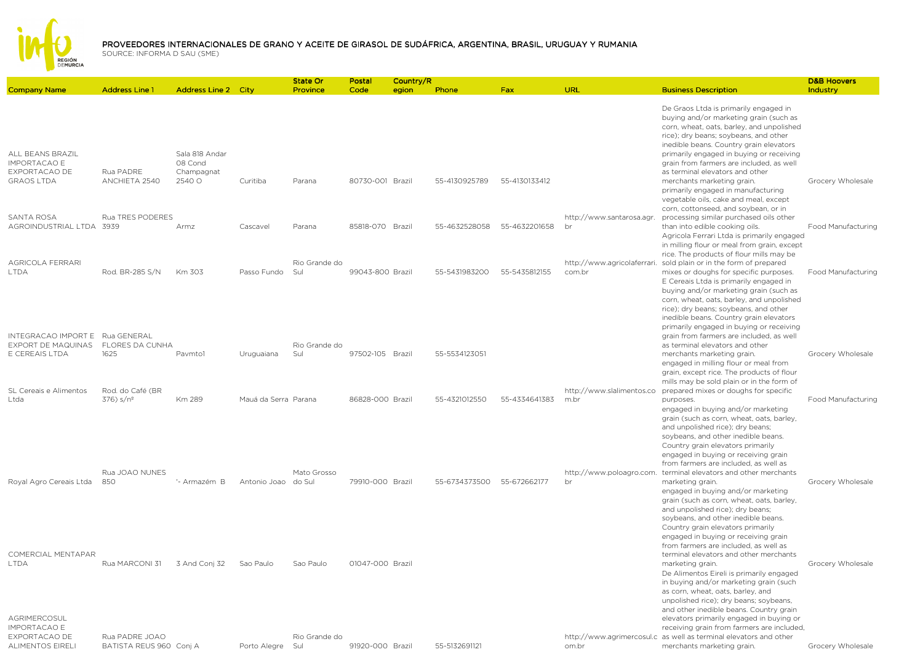

| <b>Company Name</b>                                                            | <b>Address Line 1</b>                     | Address Line 2 City                     |                      | <b>State Or</b><br>Province | Postal<br>Code   | Country/R<br>egion | Phone         | Fax           | URL                                   | <b>Business Description</b>                                                                                                                                                                                                                                                                                                                                             | <b>D&amp;B Hoovers</b><br>Industry |
|--------------------------------------------------------------------------------|-------------------------------------------|-----------------------------------------|----------------------|-----------------------------|------------------|--------------------|---------------|---------------|---------------------------------------|-------------------------------------------------------------------------------------------------------------------------------------------------------------------------------------------------------------------------------------------------------------------------------------------------------------------------------------------------------------------------|------------------------------------|
| ALL BEANS BRAZIL<br><b>IMPORTACAO E</b><br>EXPORTACAO DE                       | Rua PADRE                                 | Sala 818 Andar<br>08 Cond<br>Champagnat |                      |                             |                  |                    |               |               |                                       | De Graos Ltda is primarily engaged in<br>buying and/or marketing grain (such as<br>corn, wheat, oats, barley, and unpolished<br>rice); dry beans; soybeans, and other<br>inedible beans. Country grain elevators<br>primarily engaged in buying or receiving<br>grain from farmers are included, as well<br>as terminal elevators and other                             |                                    |
| <b>GRAOS LTDA</b>                                                              | ANCHIETA 2540                             | 2540 O                                  | Curitiba             | Parana                      | 80730-001 Brazil |                    | 55-4130925789 | 55-4130133412 |                                       | merchants marketing grain.<br>primarily engaged in manufacturing<br>vegetable oils, cake and meal, except<br>corn, cottonseed, and soybean, or in                                                                                                                                                                                                                       | Grocery Wholesale                  |
| SANTA ROSA<br>AGROINDUSTRIAL LTDA 3939                                         | Rua TRES PODERES                          | Armz                                    | Cascavel             | Parana                      | 85818-070 Brazil |                    | 55-4632528058 | 55-4632201658 | http://www.santarosa.agr.<br>br       | processing similar purchased oils other<br>than into edible cooking oils.<br>Agricola Ferrari Ltda is primarily engaged<br>in milling flour or meal from grain, except<br>rice. The products of flour mills may be                                                                                                                                                      | Food Manufacturing                 |
| AGRICOLA FERRARI<br><b>LTDA</b>                                                | Rod. BR-285 S/N                           | Km 303                                  | Passo Fundo          | Rio Grande do<br>Sul        | 99043-800 Brazil |                    | 55-5431983200 | 55-5435812155 | http://www.agricolaferrari.<br>com.br | sold plain or in the form of prepared<br>mixes or doughs for specific purposes.<br>E Cereais Ltda is primarily engaged in<br>buying and/or marketing grain (such as<br>corn, wheat, oats, barley, and unpolished<br>rice); dry beans; soybeans, and other<br>inedible beans. Country grain elevators<br>primarily engaged in buying or receiving                        | Food Manufacturing                 |
| INTEGRACAO IMPORT E Rua GENERAL<br><b>EXPORT DE MAQUINAS</b><br>E CEREAIS LTDA | <b>FLORES DA CUNHA</b><br>1625            | Pavmto1                                 | Uruguaiana           | Rio Grande do<br>Sul        | 97502-105 Brazil |                    | 55-5534123051 |               |                                       | grain from farmers are included, as well<br>as terminal elevators and other<br>merchants marketing grain.<br>engaged in milling flour or meal from<br>grain, except rice. The products of flour<br>mills may be sold plain or in the form of                                                                                                                            | Grocery Wholesale                  |
| SL Cereais e Alimentos<br>Ltda                                                 | Rod. do Café (BR<br>376) s/nº             | Km 289                                  | Mauá da Serra Parana |                             | 86828-000 Brazil |                    | 55-4321012550 | 55-4334641383 | http://www.slalimentos.co<br>m.br     | prepared mixes or doughs for specific<br>purposes.<br>engaged in buying and/or marketing<br>grain (such as corn, wheat, oats, barley,<br>and unpolished rice); dry beans;<br>soybeans, and other inedible beans.<br>Country grain elevators primarily<br>engaged in buying or receiving grain<br>from farmers are included, as well as                                  | Food Manufacturing                 |
| Royal Agro Cereais Ltda                                                        | Rua JOAO NUNES<br>850                     | '- Armazém B                            | Antonio Joao         | Mato Grosso<br>do Sul       | 79910-000 Brazil |                    | 55-6734373500 | 55-672662177  | br                                    | http://www.poloagro.com. terminal elevators and other merchants<br>marketing grain.<br>engaged in buying and/or marketing<br>grain (such as corn, wheat, oats, barley,<br>and unpolished rice); dry beans;<br>soybeans, and other inedible beans.<br>Country grain elevators primarily<br>engaged in buying or receiving grain<br>from farmers are included, as well as | Grocery Wholesale                  |
| COMERCIAL MENTAPAR<br><b>LTDA</b><br>AGRIMERCOSUL                              | Rua MARCONI 31                            | 3 And Conj 32                           | Sao Paulo            | Sao Paulo                   | 01047-000 Brazil |                    |               |               |                                       | terminal elevators and other merchants<br>marketing grain.<br>De Alimentos Eireli is primarily engaged<br>in buying and/or marketing grain (such<br>as corn, wheat, oats, barley, and<br>unpolished rice); dry beans; soybeans,<br>and other inedible beans. Country grain<br>elevators primarily engaged in buying or                                                  | Grocery Wholesale                  |
| <b>IMPORTACAO E</b><br>EXPORTACAO DE<br>ALIMENTOS EIRELI                       | Rua PADRE JOAO<br>BATISTA REUS 960 Conj A |                                         | Porto Aleare         | Rio Grande do<br>Sul        | 91920-000 Brazil |                    | 55-5132691121 |               | om.br                                 | receiving grain from farmers are included,<br>http://www.agrimercosul.c as well as terminal elevators and other<br>merchants marketing grain.                                                                                                                                                                                                                           | Grocery Wholesale                  |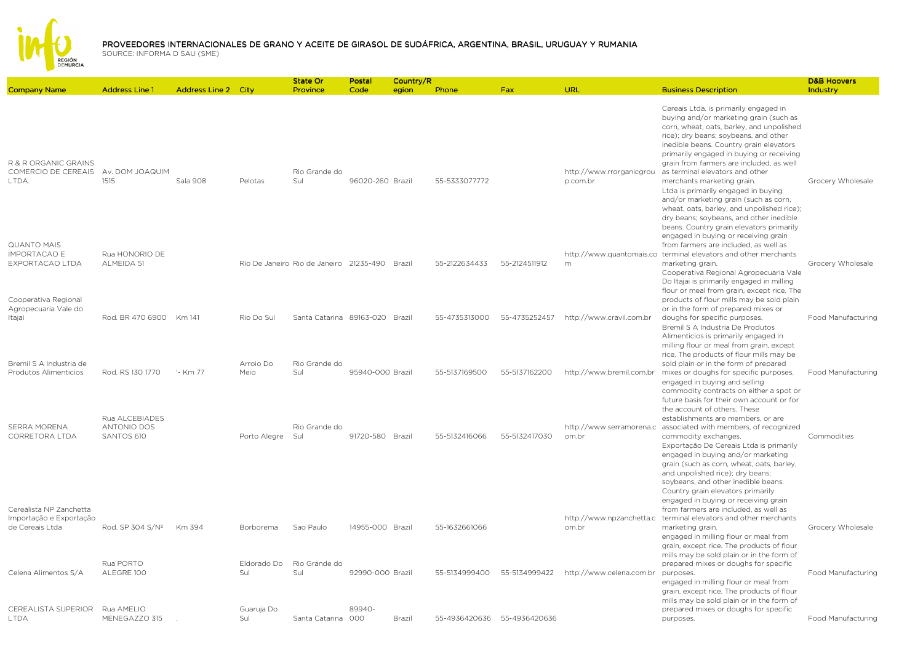

| <b>Company Name</b>                                                   | <b>Address Line 1</b>                              | <b>Address Line 2 City</b> |                    | State Or<br>Province                           | Postal<br>Code   | Country/R<br>egion | Phone         | <b>Fax</b>    | <b>URL</b>                           | <b>Business Description</b>                                                                                                                                                                                                                                                                                                                                                                                                                                                                                                                                                                    | <b>D&amp;B Hoovers</b><br>Industry |
|-----------------------------------------------------------------------|----------------------------------------------------|----------------------------|--------------------|------------------------------------------------|------------------|--------------------|---------------|---------------|--------------------------------------|------------------------------------------------------------------------------------------------------------------------------------------------------------------------------------------------------------------------------------------------------------------------------------------------------------------------------------------------------------------------------------------------------------------------------------------------------------------------------------------------------------------------------------------------------------------------------------------------|------------------------------------|
| R & R ORGANIC GRAINS<br>COMERCIO DE CEREAIS<br>LTDA.                  | Av. DOM JOAQUIM<br>1515                            | Sala 908                   | Pelotas            | Rio Grande do<br>Sul                           | 96020-260 Brazil |                    | 55-5333077772 |               | http://www.rrorganicgrou<br>p.com.br | Cereais Ltda. is primarily engaged in<br>buying and/or marketing grain (such as<br>corn, wheat, oats, barley, and unpolished<br>rice); dry beans; soybeans, and other<br>inedible beans. Country grain elevators<br>primarily engaged in buying or receiving<br>grain from farmers are included, as well<br>as terminal elevators and other<br>merchants marketing grain.<br>Ltda is primarily engaged in buying<br>and/or marketing grain (such as corn,<br>wheat, oats, barley, and unpolished rice);<br>dry beans; soybeans, and other inedible<br>beans. Country grain elevators primarily | Grocery Wholesale                  |
| <b>QUANTO MAIS</b><br><b>IMPORTACAO E</b><br>EXPORTACAO LTDA          | Rua HONORIO DE<br>ALMEIDA 51                       |                            |                    | Rio De Janeiro Rio de Janeiro 21235-490 Brazil |                  |                    | 55-2122634433 | 55-2124511912 | m                                    | engaged in buying or receiving grain<br>from farmers are included, as well as<br>http://www.quantomais.co terminal elevators and other merchants<br>marketing grain.<br>Cooperativa Regional Agropecuaria Vale<br>Do Itajai is primarily engaged in milling                                                                                                                                                                                                                                                                                                                                    | Grocery Wholesale                  |
| Cooperativa Regional<br>Agropecuaria Vale do<br>Itajai                | Rod. BR 470 6900                                   | Km 141                     | Rio Do Sul         | Santa Catarina 89163-020 Brazil                |                  |                    | 55-4735313000 | 55-4735252457 | http://www.cravil.com.br             | flour or meal from grain, except rice. The<br>products of flour mills may be sold plain<br>or in the form of prepared mixes or<br>doughs for specific purposes.<br>Bremil S A Industria De Produtos<br>Alimenticios is primarily engaged in<br>milling flour or meal from grain, except                                                                                                                                                                                                                                                                                                        | Food Manufacturing                 |
| Bremil S A Industria de<br>Produtos Alimenticios                      | Rod. RS 130 1770                                   | '- Km 77                   | Arroio Do<br>Meio  | Rio Grande do<br>Sul                           | 95940-000 Brazil |                    | 55-5137169500 | 55-5137162200 | http://www.bremil.com.br             | rice. The products of flour mills may be<br>sold plain or in the form of prepared<br>mixes or doughs for specific purposes.<br>engaged in buying and selling<br>commodity contracts on either a spot or<br>future basis for their own account or for                                                                                                                                                                                                                                                                                                                                           | Food Manufacturing                 |
| <b>SERRA MORENA</b><br>CORRETORA LTDA                                 | Rua ALCEBIADES<br><b>ANTONIO DOS</b><br>SANTOS 610 |                            | Porto Alegre       | Rio Grande do<br>Sul                           | 91720-580 Brazil |                    | 55-5132416066 | 55-5132417030 | om.br                                | the account of others. These<br>establishments are members, or are<br>http://www.serramorena.c associated with members, of recognized<br>commodity exchanges.<br>Exportação De Cereais Ltda is primarily<br>engaged in buying and/or marketing<br>grain (such as corn, wheat, oats, barley,<br>and unpolished rice); dry beans;<br>soybeans, and other inedible beans.<br>Country grain elevators primarily                                                                                                                                                                                    | Commodities                        |
| Cerealista NP Zanchetta<br>Importação e Exportação<br>de Cereais Ltda | Rod. SP 304 S/Nº                                   | Km 394                     | Borborema          | Sao Paulo                                      | 14955-000 Brazil |                    | 55-1632661066 |               | http://www.npzanchetta.c<br>om.br    | engaged in buying or receiving grain<br>from farmers are included, as well as<br>terminal elevators and other merchants<br>marketing grain.<br>engaged in milling flour or meal from<br>grain, except rice. The products of flour<br>mills may be sold plain or in the form of                                                                                                                                                                                                                                                                                                                 | Grocery Wholesale                  |
| Celena Alimentos S/A                                                  | Rua PORTO<br>ALEGRE 100                            |                            | Eldorado Do<br>Sul | Rio Grande do<br>Sul                           | 92990-000 Brazil |                    | 55-5134999400 | 55-5134999422 | http://www.celena.com.br             | prepared mixes or doughs for specific<br>purposes.<br>engaged in milling flour or meal from<br>grain, except rice. The products of flour<br>mills may be sold plain or in the form of                                                                                                                                                                                                                                                                                                                                                                                                          | Food Manufacturing                 |
| CEREALISTA SUPERIOR<br>LTDA                                           | Rua AMELIO<br>MENEGAZZO 315                        |                            | Guaruja Do<br>Sul  | Santa Catarina 000                             | 89940-           | Brazil             | 55-4936420636 | 55-4936420636 |                                      | prepared mixes or doughs for specific<br>purposes.                                                                                                                                                                                                                                                                                                                                                                                                                                                                                                                                             | Food Manufacturing                 |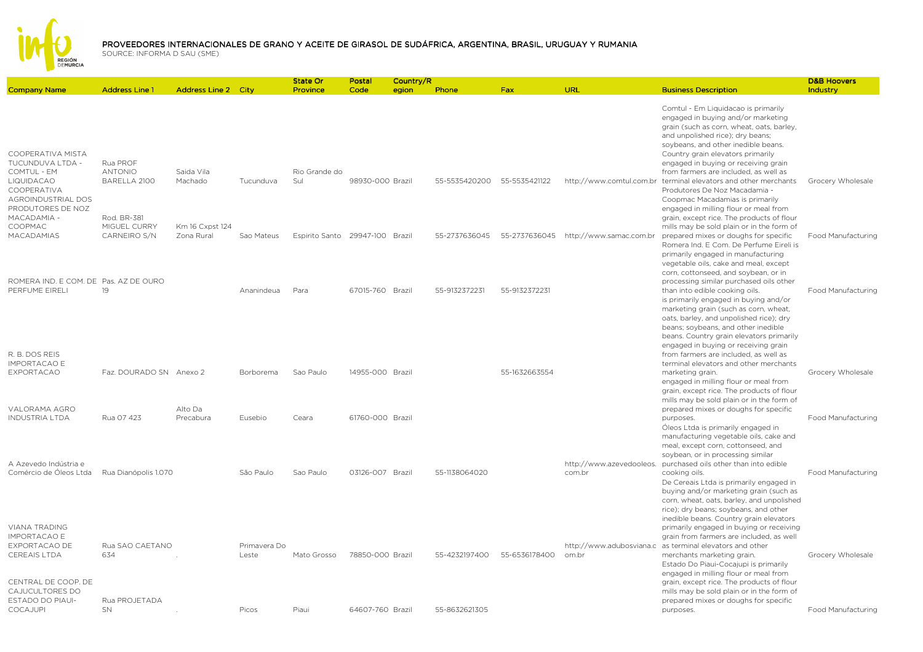

INDUSTRIA LTDA Rua 07 423

D&B Hoovers Industry

Food Manufacturing

Food Manufacturing

purposes.

purposes.

Company Name Address Line 1 Address Line 2 City State Or ProvincePostal CodeCountry/Region Phone egion Phone Fax URL Business Description COOPERATIVA MISTA TUCUNDUVA LTDA - COMTUL - EM LIQUIDACAO COOPERATIVA Rua PROF ANTONIO BARELLA 2100Saida Vila Machado TucunduvaRio Grande do Sul 98930-000 Brazil 55-5535420200 55-5535421122 http://www.comtul.com.br Comtul - Em Liquidacao is primarily engaged in buying and/or marketing grain (such as corn, wheat, oats, barley, and unpolished rice); dry beans; soybeans, and other inedible beans. Country grain elevators primarily engaged in buying or receiving grain from farmers are included, as well as terminal elevators and other merchants Grocery Wholesale AGROINDUSTRIAL DOS PRODUTORES DE NOZ MACADAMIA - COOPMAC MACADAMIASRod. BR-381 MIGUEL CURRY CARNEIRO S/NKm 16 Cxpst 124 Zona Rural Sao Mateus Espirito Santo 29947-100 Brazil 55-2737636045 55-2737636045 http://www.samac.com.br Produtores De Noz Macadamia - Coopmac Macadamias is primarily engaged in milling flour or meal from grain, except rice. The products of flour mills may be sold plain or in the form of prepared mixes or doughs for specific Food Manufacturing ROMERA IND. E COM. DE Pas. AZ DE OURO PERFUME EIRELI19 Ananindeua Para 67015-760 Brazil 55-9132372231 55-9132372231 Romera Ind. E Com. De Perfume Eireli is primarily engaged in manufacturing vegetable oils, cake and meal, except corn, cottonseed, and soybean, or in processing similar purchased oils other than into edible cooking oils. Food ManufacturingR. B. DOS REIS IMPORTACAO E EXPORTACAO Faz. DOURADO SN Anexo 2 Borborema Sao Paulo 14955-000 Brazil 55-1632663554is primarily engaged in buying and/or marketing grain (such as corn, wheat, oats, barley, and unpolished rice); dry beans; soybeans, and other inedible beans. Country grain elevators primarily engaged in buying or receiving grain from farmers are included, as well as terminal elevators and other merchants marketing grain. The contract of the Grocery Wholesale VALORAMA AGRO Alto Da engaged in milling flour or meal from grain, except rice. The products of flour mills may be sold plain or in the form of prepared mixes or doughs for specific

A Azevedo Indústria e Comércio de Óleos Ltda Rua Dianópolis 1.070 São PauloSão Paulo Sao Paulo 03126-007 Brazil 55-1138064020 http://www.azevedooleos. purchased oils other than into edible com.brÓleos Ltda is primarily engaged in manufacturing vegetable oils, cake and meal, except corn, cottonseed, and soybean, or in processing similar cooking oils. Food ManufacturingDe Cereais Ltda is primarily engaged in buying and/or marketing grain (such as corn, wheat, oats, barley, and unpolished

Pusebio Ceara 61760-000 Brazil

VIANA TRADING IMPORTACAO E EXPORTACAO DE CEREAIS LTDARua SAO CAETANO <sup>634</sup> . Primavera Do Leste Mato Grosso 78850-000 Brazil 55-4232197400 55-6536178400http://www.adubosviana.cas terminal elevators and other om.brrice); dry beans; soybeans, and other inedible beans. Country grain elevators primarily engaged in buying or receiving grain from farmers are included, as well merchants marketing grain. Grocery Wholesale CENTRAL DE COOP. DE CAJUCULTORES DO ESTADO DO PIAUI- Rua PROJETADA SN . Picos Piaui 64607-760 Brazil 55-8632621305Estado Do Piaui-Cocajupi is primarily engaged in milling flour or meal from grain, except rice. The products of flour mills may be sold plain or in the form of prepared mixes or doughs for specific

COCAJUPI

Precabura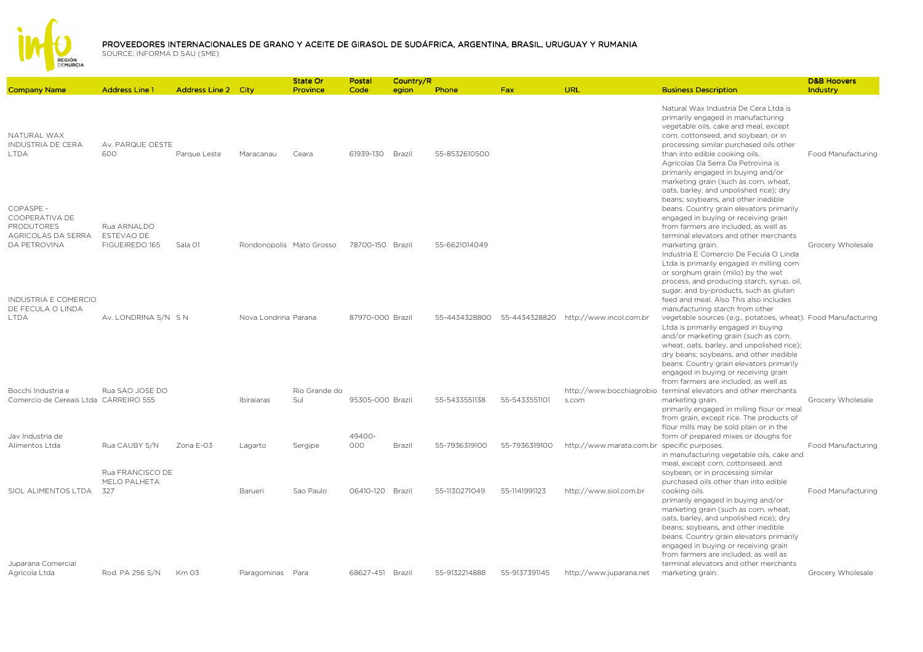

|                                                                                               |                                             |                            |                          | State Or             | Postal           | Country/R |               |               |                                             |                                                                                                                                                                                                                                                                                                                                                                                                                                                   | <b>D&amp;B Hoovers</b> |
|-----------------------------------------------------------------------------------------------|---------------------------------------------|----------------------------|--------------------------|----------------------|------------------|-----------|---------------|---------------|---------------------------------------------|---------------------------------------------------------------------------------------------------------------------------------------------------------------------------------------------------------------------------------------------------------------------------------------------------------------------------------------------------------------------------------------------------------------------------------------------------|------------------------|
| <b>Company Name</b>                                                                           | <b>Address Line 1</b>                       | <b>Address Line 2 City</b> |                          | Province             | Code             | egion     | Phone         | <b>Fax</b>    | <b>URL</b>                                  | <b>Business Description</b>                                                                                                                                                                                                                                                                                                                                                                                                                       | Industry               |
| NATURAL WAX<br><b>INDUSTRIA DE CERA</b><br><b>LTDA</b>                                        | Av. PARQUE OESTE<br>600                     | Parque Leste               | Maracanau                | Ceara                | 61939-130        | Brazil    | 55-8532610500 |               |                                             | Natural Wax Industria De Cera Ltda is<br>primarily engaged in manufacturing<br>vegetable oils, cake and meal, except<br>corn, cottonseed, and soybean, or in<br>processing similar purchased oils other<br>than into edible cooking oils.<br>Agricolas Da Serra Da Petrovina is<br>primarily engaged in buying and/or<br>marketing grain (such as corn, wheat,<br>oats, barley, and unpolished rice); dry                                         | Food Manufacturing     |
| COPASPE -<br>COOPERATIVA DE<br><b>PRODUTORES</b><br>AGRICOLAS DA SERRA<br><b>DA PETROVINA</b> | Rua ARNALDO<br>ESTEVAO DE<br>FIGUEIREDO 165 | Sala 01                    | Rondonopolis Mato Grosso |                      | 78700-150 Brazil |           | 55-6621014049 |               |                                             | beans; soybeans, and other inedible<br>beans. Country grain elevators primarily<br>engaged in buying or receiving grain<br>from farmers are included, as well as<br>terminal elevators and other merchants<br>marketing grain.<br>Industria E Comercio De Fecula O Linda<br>Ltda is primarily engaged in milling corn<br>or sorghum grain (milo) by the wet<br>process, and producing starch, syrup, oil,                                         | Grocery Wholesale      |
| <b>INDUSTRIA E COMERCIO</b><br>DE FECULA O LINDA<br><b>LTDA</b>                               | Av. LONDRINA S/N SN                         |                            | Nova Londrina Parana     |                      | 87970-000 Brazil |           | 55-4434328800 | 55-4434328820 | http://www.incol.com.br                     | sugar, and by-products, such as gluten<br>feed and meal. Also This also includes<br>manufacturing starch from other<br>vegetable sources (e.g., potatoes, wheat). Food Manufacturing<br>Ltda is primarily engaged in buying<br>and/or marketing grain (such as corn,<br>wheat, oats, barley, and unpolished rice);<br>dry beans; soybeans, and other inedible<br>beans. Country grain elevators primarily<br>engaged in buying or receiving grain |                        |
| Bocchi Industria e<br>Comercio de Cereais Ltda CARREIRO 555                                   | Rua SAO JOSE DO                             |                            | Ibiraiaras               | Rio Grande do<br>Sul | 95305-000 Brazil |           | 55-5433551138 | 55-5433551101 | s.com                                       | from farmers are included, as well as<br>http://www.bocchiagrobio terminal elevators and other merchants<br>marketing grain.<br>primarily engaged in milling flour or meal<br>from grain, except rice. The products of<br>flour mills may be sold plain or in the                                                                                                                                                                                 | Grocery Wholesale      |
| Jav Industria de<br>Alimentos Ltda                                                            | Rua CAUBY S/N                               | Zona E-03                  | Lagarto                  | Sergipe              | 49400-<br>000    | Brazil    | 55-7936319100 | 55-7936319100 | http://www.marata.com.br specific purposes. | form of prepared mixes or doughs for<br>in manufacturing vegetable oils, cake and                                                                                                                                                                                                                                                                                                                                                                 | Food Manufacturing     |
| SIOL ALIMENTOS LTDA                                                                           | Rua FRANCISCO DE<br>MELO PALHETA<br>327     |                            | Barueri                  | Sao Paulo            | 06410-120 Brazil |           | 55-1130271049 | 55-1141991123 | http://www.siol.com.br                      | meal, except corn, cottonseed, and<br>soybean, or in processing similar<br>purchased oils other than into edible<br>cooking oils.<br>primarily engaged in buying and/or<br>marketing grain (such as corn, wheat,<br>oats, barley, and unpolished rice); dry<br>beans; soybeans, and other inedible<br>beans. Country grain elevators primarily                                                                                                    | Food Manufacturing     |
| Juparana Comercial<br>Agricola Ltda                                                           | Rod. PA 256 S/N                             | <b>Km 03</b>               | Paragominas Para         |                      | 68627-451 Brazil |           | 55-9132214888 | 55-9137391145 | http://www.juparana.net                     | engaged in buying or receiving grain<br>from farmers are included, as well as<br>terminal elevators and other merchants<br>marketing grain.                                                                                                                                                                                                                                                                                                       | Grocery Wholesale      |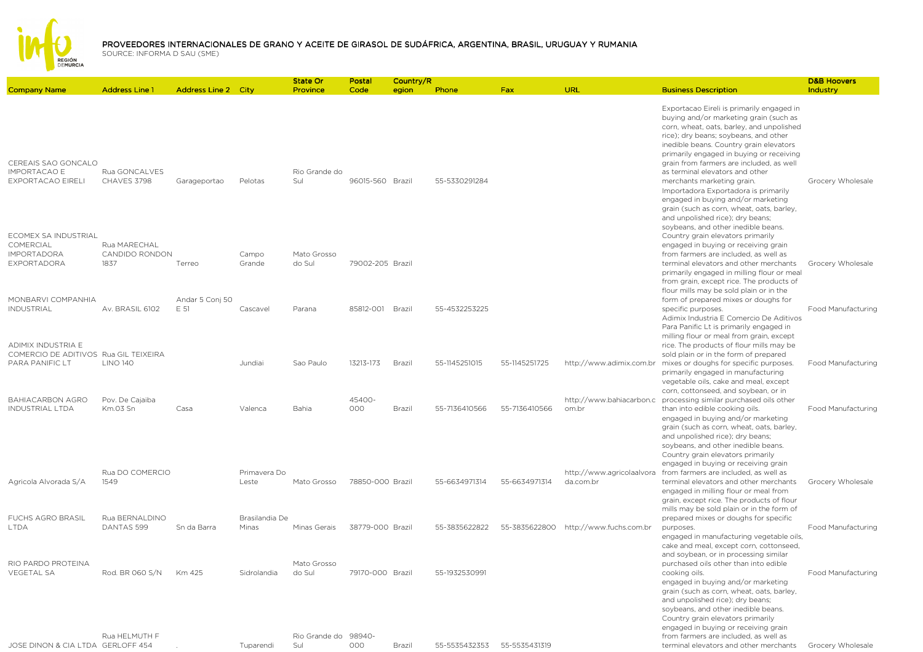

|                                                                        |                                        |                            |                       | <b>State Or</b>             | Postal           | Country/R |               |               |                                        |                                                                                                                                                                                                                                                                                                                                                                                                                                                                                                                                              | <b>D&amp;B Hoovers</b> |
|------------------------------------------------------------------------|----------------------------------------|----------------------------|-----------------------|-----------------------------|------------------|-----------|---------------|---------------|----------------------------------------|----------------------------------------------------------------------------------------------------------------------------------------------------------------------------------------------------------------------------------------------------------------------------------------------------------------------------------------------------------------------------------------------------------------------------------------------------------------------------------------------------------------------------------------------|------------------------|
| <b>Company Name</b>                                                    | <b>Address Line 1</b>                  | <b>Address Line 2 City</b> |                       | Province                    | Code             | egion     | Phone         | <b>Fax</b>    | URL                                    | <b>Business Description</b>                                                                                                                                                                                                                                                                                                                                                                                                                                                                                                                  | Industry               |
| CEREAIS SAO GONCALO<br><b>IMPORTACAO E</b><br>EXPORTACAO EIRELI        | Rua GONCALVES<br>CHAVES 3798           | Garageportao               | Pelotas               | Rio Grande do<br>Sul        | 96015-560 Brazil |           | 55-5330291284 |               |                                        | Exportacao Eireli is primarily engaged in<br>buying and/or marketing grain (such as<br>corn, wheat, oats, barley, and unpolished<br>rice); dry beans; soybeans, and other<br>inedible beans. Country grain elevators<br>primarily engaged in buying or receiving<br>grain from farmers are included, as well<br>as terminal elevators and other<br>merchants marketing grain.<br>Importadora Exportadora is primarily<br>engaged in buying and/or marketing<br>grain (such as corn, wheat, oats, barley,<br>and unpolished rice); dry beans; | Grocery Wholesale      |
| ECOMEX SA INDUSTRIAL<br>COMERCIAL<br><b>IMPORTADORA</b><br>EXPORTADORA | Rua MARECHAL<br>CANDIDO RONDON<br>1837 | Terreo                     | Campo<br>Grande       | Mato Grosso<br>do Sul       | 79002-205 Brazil |           |               |               |                                        | soybeans, and other inedible beans.<br>Country grain elevators primarily<br>engaged in buying or receiving grain<br>from farmers are included, as well as<br>terminal elevators and other merchants<br>primarily engaged in milling flour or meal<br>from grain, except rice. The products of                                                                                                                                                                                                                                                | Grocery Wholesale      |
| MONBARVI COMPANHIA                                                     |                                        | Andar 5 Conj 50            |                       |                             |                  |           |               |               |                                        | flour mills may be sold plain or in the<br>form of prepared mixes or doughs for                                                                                                                                                                                                                                                                                                                                                                                                                                                              |                        |
| <b>INDUSTRIAL</b>                                                      | Av. BRASIL 6102                        | F 51                       | Cascavel              | Parana                      | 85812-001 Brazil |           | 55-4532253225 |               |                                        | specific purposes.<br>Adimix Industria E Comercio De Aditivos<br>Para Panific Lt is primarily engaged in<br>milling flour or meal from grain, except                                                                                                                                                                                                                                                                                                                                                                                         | Food Manufacturing     |
| ADIMIX INDUSTRIA E                                                     |                                        |                            |                       |                             |                  |           |               |               |                                        | rice. The products of flour mills may be                                                                                                                                                                                                                                                                                                                                                                                                                                                                                                     |                        |
| COMERCIO DE ADITIVOS Rua GIL TEIXEIRA<br>PARA PANIFIC LT               | <b>LINO 140</b>                        |                            | Jundiai               | Sao Paulo                   | 13213-173        | Brazil    | 55-1145251015 | 55-1145251725 |                                        | sold plain or in the form of prepared<br>http://www.adimix.com.br mixes or doughs for specific purposes.<br>primarily engaged in manufacturing<br>vegetable oils, cake and meal, except                                                                                                                                                                                                                                                                                                                                                      | Food Manufacturing     |
| <b>BAHIACARBON AGRO</b><br><b>INDUSTRIAL LTDA</b>                      | Pov. De Cajaiba<br>Km.03 Sn            | Casa                       | Valenca               | Bahia                       | 45400-<br>000    | Brazil    | 55-7136410566 | 55-7136410566 | http://www.bahiacarbon.c<br>om.br      | corn, cottonseed, and soybean, or in<br>processing similar purchased oils other<br>than into edible cooking oils.<br>engaged in buying and/or marketing<br>grain (such as corn, wheat, oats, barley,<br>and unpolished rice); dry beans;<br>soybeans, and other inedible beans.                                                                                                                                                                                                                                                              | Food Manufacturing     |
|                                                                        |                                        |                            |                       |                             |                  |           |               |               |                                        | Country grain elevators primarily                                                                                                                                                                                                                                                                                                                                                                                                                                                                                                            |                        |
| Agricola Alvorada S/A                                                  | Rua DO COMERCIO<br>1549                |                            | Primavera Do<br>Leste | Mato Grosso                 | 78850-000 Brazil |           | 55-6634971314 | 55-6634971314 | http://www.agricolaalvora<br>da.com.br | engaged in buying or receiving grain<br>from farmers are included, as well as<br>terminal elevators and other merchants<br>engaged in milling flour or meal from<br>grain, except rice. The products of flour                                                                                                                                                                                                                                                                                                                                | Grocery Wholesale      |
| <b>FUCHS AGRO BRASIL</b>                                               | Rua BERNALDINO                         |                            | Brasilandia De        |                             |                  |           |               |               |                                        | mills may be sold plain or in the form of<br>prepared mixes or doughs for specific                                                                                                                                                                                                                                                                                                                                                                                                                                                           |                        |
| <b>I TDA</b>                                                           | DANTAS 599                             | Sn da Barra                | Minas                 | Minas Gerais                | 38779-000 Brazil |           | 55-3835622822 | 55-3835622800 | http://www.fuchs.com.br                | purposes.<br>engaged in manufacturing vegetable oils,<br>cake and meal, except corn, cottonseed,<br>and soybean, or in processing similar                                                                                                                                                                                                                                                                                                                                                                                                    | Food Manufacturing     |
| RIO PARDO PROTEINA<br><b>VEGETAL SA</b>                                | Rod. BR 060 S/N                        | Km 425                     | Sidrolandia           | Mato Grosso<br>do Sul       | 79170-000 Brazil |           | 55-1932530991 |               |                                        | purchased oils other than into edible<br>cooking oils.<br>engaged in buying and/or marketing<br>grain (such as corn, wheat, oats, barley,<br>and unpolished rice); dry beans;<br>soybeans, and other inedible beans.<br>Country grain elevators primarily<br>engaged in buying or receiving grain                                                                                                                                                                                                                                            | Food Manufacturing     |
| JOSE DINON & CIA LTDA GERLOFF 454                                      | Rua HFI MUTH F                         |                            | Tuparendi             | Rio Grande do 98940-<br>Sul | 000              | Brazil    | 55-5535432353 | 55-5535431319 |                                        | from farmers are included, as well as<br>terminal elevators and other merchants                                                                                                                                                                                                                                                                                                                                                                                                                                                              | Grocery Wholesale      |
|                                                                        |                                        |                            |                       |                             |                  |           |               |               |                                        |                                                                                                                                                                                                                                                                                                                                                                                                                                                                                                                                              |                        |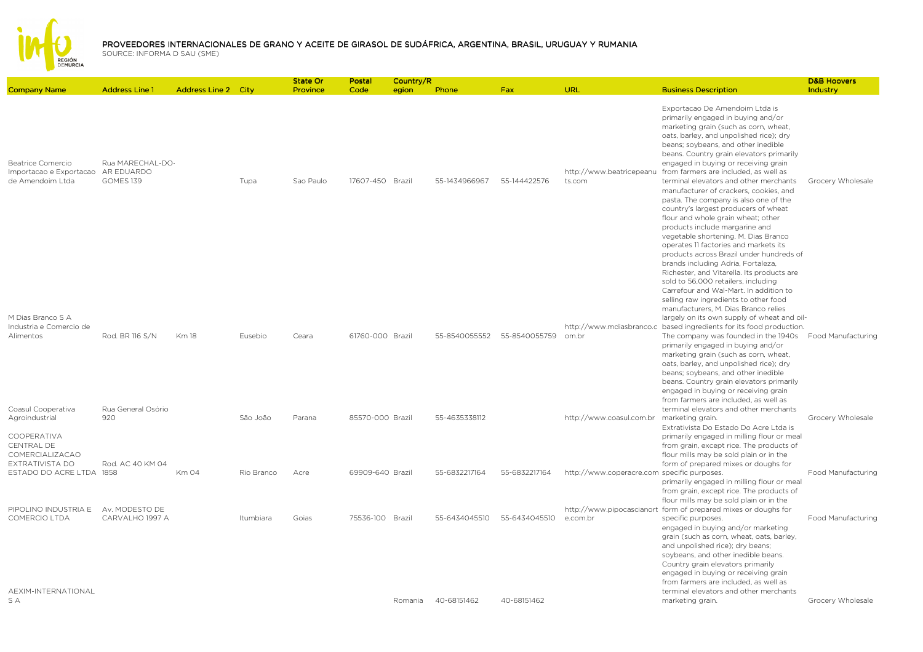

| <b>Company Name</b>                                                             | <b>Address Line 1</b>                       | <b>Address Line 2 City</b> |            | State Or<br>Province | Postal<br>Code   | Country/R<br>egion | Phone         | Fax           | URL                                         | <b>Business Description</b>                                                                                                                                                                                                                                                                                                                                                                                                                                                                                                                                                                                                                                                                                                                  | <b>D&amp;B Hoovers</b><br>Industry |
|---------------------------------------------------------------------------------|---------------------------------------------|----------------------------|------------|----------------------|------------------|--------------------|---------------|---------------|---------------------------------------------|----------------------------------------------------------------------------------------------------------------------------------------------------------------------------------------------------------------------------------------------------------------------------------------------------------------------------------------------------------------------------------------------------------------------------------------------------------------------------------------------------------------------------------------------------------------------------------------------------------------------------------------------------------------------------------------------------------------------------------------------|------------------------------------|
| Beatrice Comercio<br>Importacao e Exportacao<br>de Amendoim Ltda                | Rua MARECHAL-DO-<br>AR EDUARDO<br>GOMES 139 |                            | Tupa       | Sao Paulo            | 17607-450 Brazil |                    | 55-1434966967 | 55-144422576  | http://www.beatricepeanu<br>ts.com          | Exportacao De Amendoim Ltda is<br>primarily engaged in buying and/or<br>marketing grain (such as corn, wheat,<br>oats, barley, and unpolished rice); dry<br>beans; soybeans, and other inedible<br>beans. Country grain elevators primarily<br>engaged in buying or receiving grain<br>from farmers are included, as well as<br>terminal elevators and other merchants<br>manufacturer of crackers, cookies, and<br>pasta. The company is also one of the<br>country's largest producers of wheat<br>flour and whole grain wheat; other<br>products include margarine and<br>vegetable shortening. M. Dias Branco<br>operates 11 factories and markets its<br>products across Brazil under hundreds of<br>brands including Adria, Fortaleza, | Grocery Wholesale                  |
| M Dias Branco S A<br>Industria e Comercio de<br>Alimentos<br>Coasul Cooperativa | Rod. BR 116 S/N<br>Rua General Osório       | <b>Km18</b>                | Eusebio    | Ceara                | 61760-000 Brazil |                    | 55-8540055552 | 55-8540055759 | om.br                                       | Richester, and Vitarella. Its products are<br>sold to 56,000 retailers, including<br>Carrefour and Wal-Mart. In addition to<br>selling raw ingredients to other food<br>manufacturers, M. Dias Branco relies<br>largely on its own supply of wheat and oil-<br>http://www.mdiasbranco.c based ingredients for its food production.<br>The company was founded in the 1940s<br>primarily engaged in buying and/or<br>marketing grain (such as corn, wheat,<br>oats, barley, and unpolished rice); dry<br>beans; soybeans, and other inedible<br>beans. Country grain elevators primarily<br>engaged in buying or receiving grain<br>from farmers are included, as well as<br>terminal elevators and other merchants                           | Food Manufacturing                 |
| Agroindustrial<br>COOPERATIVA<br>CENTRAL DE                                     | 920                                         |                            | São João   | Parana               | 85570-000 Brazil |                    | 55-4635338112 |               | http://www.coasul.com.br                    | marketing grain.<br>Extrativista Do Estado Do Acre Ltda is<br>primarily engaged in milling flour or meal<br>from grain, except rice. The products of                                                                                                                                                                                                                                                                                                                                                                                                                                                                                                                                                                                         | Grocery Wholesale                  |
| COMERCIALIZACAO<br>EXTRATIVISTA DO<br>ESTADO DO ACRE LTDA 1858                  | Rod. AC 40 KM 04                            | Km 04                      | Rio Branco | Acre                 | 69909-640 Brazil |                    | 55-6832217164 | 55-6832217164 | http://www.coperacre.com specific purposes. | flour mills may be sold plain or in the<br>form of prepared mixes or doughs for<br>primarily engaged in milling flour or meal<br>from grain, except rice. The products of                                                                                                                                                                                                                                                                                                                                                                                                                                                                                                                                                                    | Food Manufacturing                 |
| PIPOLINO INDUSTRIA E<br><b>COMERCIO LTDA</b>                                    | Av. MODESTO DE<br>CARVALHO 1997 A           |                            | Itumbiara  | Goias                | 75536-100 Brazil |                    | 55-6434045510 | 55-6434045510 | e.com.br                                    | flour mills may be sold plain or in the<br>http://www.pipocascianort form of prepared mixes or doughs for<br>specific purposes.<br>engaged in buying and/or marketing<br>grain (such as corn, wheat, oats, barley,<br>and unpolished rice); dry beans;<br>soybeans, and other inedible beans.<br>Country grain elevators primarily<br>engaged in buying or receiving grain<br>from farmers are included, as well as                                                                                                                                                                                                                                                                                                                          | Food Manufacturing                 |
| AEXIM-INTERNATIONAL<br>S A                                                      |                                             |                            |            |                      |                  | Romania            | 40-68151462   | 40-68151462   |                                             | terminal elevators and other merchants<br>marketing grain.                                                                                                                                                                                                                                                                                                                                                                                                                                                                                                                                                                                                                                                                                   | Grocery Wholesale                  |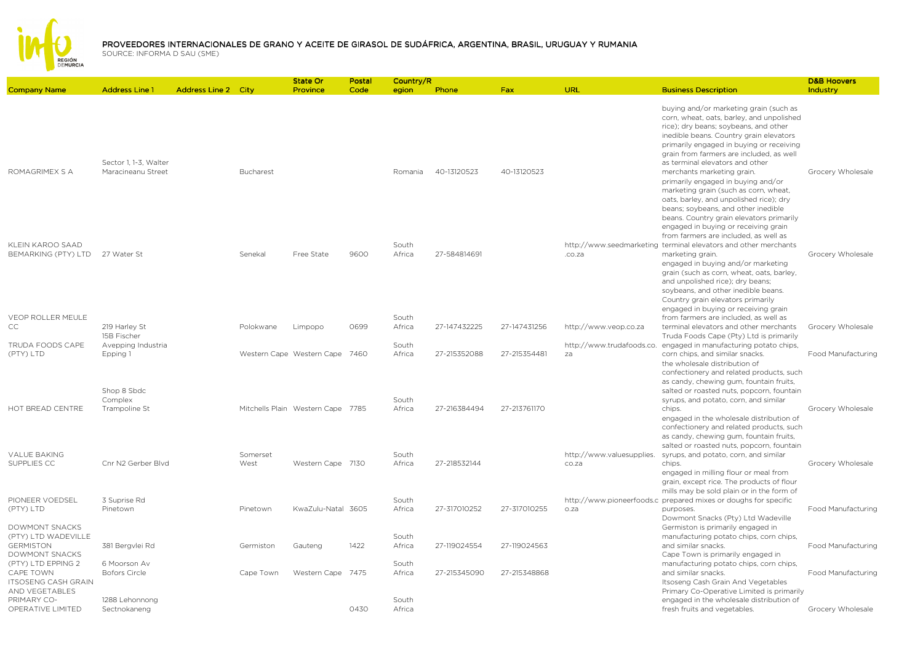

| <b>Company Name</b>                                                             | <b>Address Line 1</b>                         | <b>Address Line 2 City</b> |                  | State Or<br>Province              | Postal<br>Code | Country/R<br>egion       | Phone        | Fax          | URL                                | <b>Business Description</b>                                                                                                                                                                                                                                                                                                                                             | <b>D&amp;B Hoovers</b><br>Industry |
|---------------------------------------------------------------------------------|-----------------------------------------------|----------------------------|------------------|-----------------------------------|----------------|--------------------------|--------------|--------------|------------------------------------|-------------------------------------------------------------------------------------------------------------------------------------------------------------------------------------------------------------------------------------------------------------------------------------------------------------------------------------------------------------------------|------------------------------------|
|                                                                                 | Sector 1, 1-3, Walter                         |                            |                  |                                   |                |                          |              |              |                                    | buying and/or marketing grain (such as<br>corn, wheat, oats, barley, and unpolished<br>rice); dry beans; soybeans, and other<br>inedible beans. Country grain elevators<br>primarily engaged in buying or receiving<br>grain from farmers are included, as well<br>as terminal elevators and other                                                                      |                                    |
| ROMAGRIMEX S A                                                                  | Maracineanu Street                            |                            | <b>Bucharest</b> |                                   |                | Romania                  | 40-13120523  | 40-13120523  |                                    | merchants marketing grain.<br>primarily engaged in buying and/or<br>marketing grain (such as corn, wheat,<br>oats, barley, and unpolished rice); dry<br>beans; soybeans, and other inedible<br>beans. Country grain elevators primarily<br>engaged in buying or receiving grain<br>from farmers are included, as well as                                                | Grocery Wholesale                  |
| KLEIN KAROO SAAD<br>BEMARKING (PTY) LTD 27 Water St<br><b>VEOP ROLLER MEULE</b> |                                               |                            | Senekal          | Free State                        | 9600           | South<br>Africa<br>South | 27-584814691 |              | .co.za                             | http://www.seedmarketing terminal elevators and other merchants<br>marketing grain.<br>engaged in buying and/or marketing<br>grain (such as corn, wheat, oats, barley,<br>and unpolished rice); dry beans;<br>soybeans, and other inedible beans.<br>Country grain elevators primarily<br>engaged in buying or receiving grain<br>from farmers are included, as well as | Grocery Wholesale                  |
| CC                                                                              | 219 Harley St<br>15B Fischer                  |                            | Polokwane        | Limpopo                           | 0699           | Africa                   | 27-147432225 | 27-147431256 | http://www.veop.co.za              | terminal elevators and other merchants<br>Truda Foods Cape (Pty) Ltd is primarily                                                                                                                                                                                                                                                                                       | Grocery Wholesale                  |
| TRUDA FOODS CAPE<br>(PTY) LTD                                                   | Avepping Industria<br>Epping 1<br>Shop 8 Sbdc |                            |                  | Western Cape Western Cape 7460    |                | South<br>Africa          | 27-215352088 | 27-215354481 | za                                 | http://www.trudafoods.co. engaged in manufacturing potato chips,<br>corn chips, and similar snacks.<br>the wholesale distribution of<br>confectionery and related products, such<br>as candy, chewing gum, fountain fruits,<br>salted or roasted nuts, popcorn, fountain                                                                                                | Food Manufacturing                 |
| HOT BREAD CENTRE                                                                | Complex<br>Trampoline St                      |                            |                  | Mitchells Plain Western Cape 7785 |                | South<br>Africa          | 27-216384494 | 27-213761170 |                                    | syrups, and potato, corn, and similar<br>chips.<br>engaged in the wholesale distribution of<br>confectionery and related products, such<br>as candy, chewing gum, fountain fruits,<br>salted or roasted nuts, popcorn, fountain                                                                                                                                         | Grocery Wholesale                  |
| <b>VALUE BAKING</b><br>SUPPLIES CC                                              | Cnr N2 Gerber Blvd                            |                            | Somerset<br>West | Western Cape 7130                 |                | South<br>Africa          | 27-218532144 |              | http://www.valuesupplies.<br>co.za | syrups, and potato, corn, and similar<br>chips.<br>engaged in milling flour or meal from<br>grain, except rice. The products of flour<br>mills may be sold plain or in the form of                                                                                                                                                                                      | Grocery Wholesale                  |
| PIONEER VOEDSEL<br>(PTY) LTD                                                    | 3 Suprise Rd<br>Pinetown                      |                            | Pinetown         | KwaZulu-Natal 3605                |                | South<br>Africa          | 27-317010252 | 27-317010255 | o.za                               | http://www.pioneerfoods.c prepared mixes or doughs for specific<br>purposes.<br>Dowmont Snacks (Pty) Ltd Wadeville                                                                                                                                                                                                                                                      | Food Manufacturing                 |
| DOWMONT SNACKS<br>(PTY) LTD WADEVILLE<br><b>GERMISTON</b><br>DOWMONT SNACKS     | 381 Bergvlei Rd                               |                            | Germiston        | Gauteng                           | 1422           | South<br>Africa          | 27-119024554 | 27-119024563 |                                    | Germiston is primarily engaged in<br>manufacturing potato chips, corn chips,<br>and similar snacks.<br>Cape Town is primarily engaged in                                                                                                                                                                                                                                | Food Manufacturing                 |
| (PTY) LTD EPPING 2<br>CAPE TOWN<br><b>ITSOSENG CASH GRAIN</b><br>AND VEGETABLES | 6 Moorson Av<br><b>Bofors Circle</b>          |                            | Cape Town        | Western Cape 7475                 |                | South<br>Africa          | 27-215345090 | 27-215348868 |                                    | manufacturing potato chips, corn chips,<br>and similar snacks.<br>Itsoseng Cash Grain And Vegetables<br>Primary Co-Operative Limited is primarily                                                                                                                                                                                                                       | Food Manufacturing                 |
| PRIMARY CO-<br>OPERATIVE LIMITED                                                | 1288 Lehonnong<br>Sectnokaneng                |                            |                  |                                   | 0430           | South<br>Africa          |              |              |                                    | engaged in the wholesale distribution of<br>fresh fruits and vegetables.                                                                                                                                                                                                                                                                                                | Grocery Wholesale                  |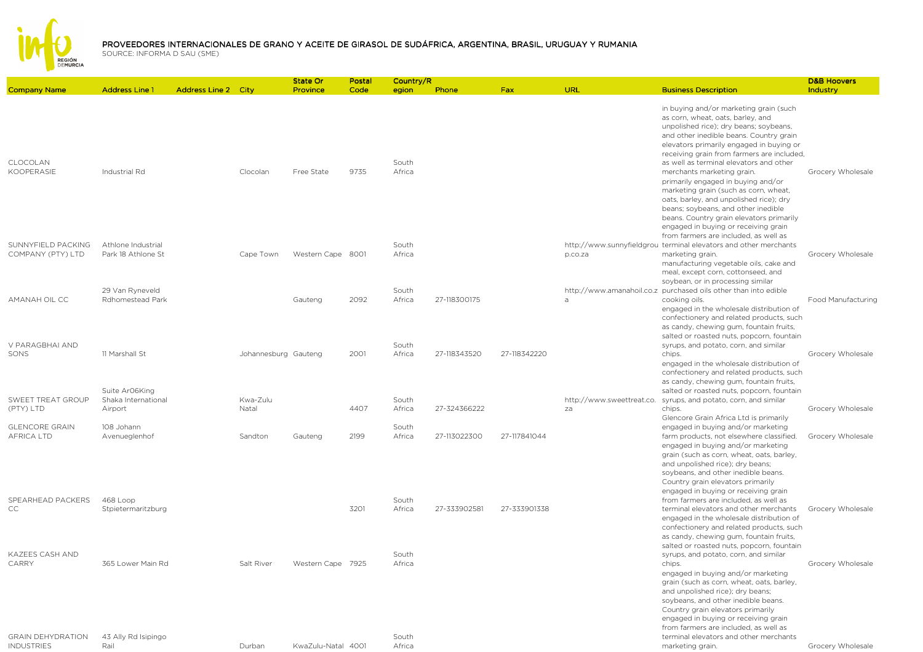

| <b>Company Name</b>                           | <b>Address Line 1</b>                            | <b>Address Line 2 City</b> |                      | State Or<br>Province | Postal<br>Code | Country/R<br>egion | Phone        | <b>Fax</b>   | URL                             | <b>Business Description</b>                                                                                                                                                                                                                                                                                                                                                                                                                                                                                                                                                              | <b>D&amp;B Hoovers</b><br>Industry |
|-----------------------------------------------|--------------------------------------------------|----------------------------|----------------------|----------------------|----------------|--------------------|--------------|--------------|---------------------------------|------------------------------------------------------------------------------------------------------------------------------------------------------------------------------------------------------------------------------------------------------------------------------------------------------------------------------------------------------------------------------------------------------------------------------------------------------------------------------------------------------------------------------------------------------------------------------------------|------------------------------------|
| CLOCOLAN<br>KOOPERASIE                        | Industrial Rd                                    |                            | Clocolan             | Free State           | 9735           | South<br>Africa    |              |              |                                 | in buying and/or marketing grain (such<br>as corn, wheat, oats, barley, and<br>unpolished rice); dry beans; soybeans,<br>and other inedible beans. Country grain<br>elevators primarily engaged in buying or<br>receiving grain from farmers are included,<br>as well as terminal elevators and other<br>merchants marketing grain.<br>primarily engaged in buying and/or<br>marketing grain (such as corn, wheat,<br>oats, barley, and unpolished rice); dry<br>beans; soybeans, and other inedible<br>beans. Country grain elevators primarily<br>engaged in buying or receiving grain | Grocery Wholesale                  |
| SUNNYFIELD PACKING<br>COMPANY (PTY) LTD       | Athlone Industrial<br>Park 18 Athlone St         |                            | Cape Town            | Western Cape 8001    |                | South<br>Africa    |              |              | p.co.za                         | from farmers are included, as well as<br>http://www.sunnyfieldgrou_terminal elevators and other merchants<br>marketing grain.<br>manufacturing vegetable oils, cake and<br>meal, except corn, cottonseed, and                                                                                                                                                                                                                                                                                                                                                                            | Grocery Wholesale                  |
| AMANAH OIL CC                                 | 29 Van Ryneveld<br>Rdhomestead Park              |                            |                      | Gauteng              | 2092           | South<br>Africa    | 27-118300175 |              | a                               | soybean, or in processing similar<br>http://www.amanahoil.co.z purchased oils other than into edible<br>cooking oils.<br>engaged in the wholesale distribution of<br>confectionery and related products, such<br>as candy, chewing gum, fountain fruits,                                                                                                                                                                                                                                                                                                                                 | Food Manufacturing                 |
| V PARAGBHAI AND<br>SONS                       | 11 Marshall St                                   |                            | Johannesburg Gauteng |                      | 2001           | South<br>Africa    | 27-118343520 | 27-118342220 |                                 | salted or roasted nuts, popcorn, fountain<br>syrups, and potato, corn, and similar<br>chips.<br>engaged in the wholesale distribution of<br>confectionery and related products, such<br>as candy, chewing gum, fountain fruits,                                                                                                                                                                                                                                                                                                                                                          | Grocery Wholesale                  |
| SWEET TREAT GROUP<br>(PTY) LTD                | Suite Ar06King<br>Shaka International<br>Airport |                            | Kwa-Zulu<br>Natal    |                      | 4407           | South<br>Africa    | 27-324366222 |              | http://www.sweettreat.co.<br>za | salted or roasted nuts, popcorn, fountain<br>syrups, and potato, corn, and similar<br>chips.<br>Glencore Grain Africa Ltd is primarily                                                                                                                                                                                                                                                                                                                                                                                                                                                   | Grocery Wholesale                  |
| <b>GLENCORE GRAIN</b><br><b>AFRICA LTD</b>    | 108 Johann<br>Avenueglenhof                      |                            | Sandton              | Gauteng              | 2199           | South<br>Africa    | 27-113022300 | 27-117841044 |                                 | engaged in buying and/or marketing<br>farm products, not elsewhere classified.<br>engaged in buying and/or marketing<br>grain (such as corn, wheat, oats, barley,<br>and unpolished rice); dry beans;<br>soybeans, and other inedible beans.<br>Country grain elevators primarily                                                                                                                                                                                                                                                                                                        | Grocery Wholesale                  |
| SPEARHEAD PACKERS<br>CC                       | 468 Loop<br>Stpietermaritzburg                   |                            |                      |                      | 3201           | South<br>Africa    | 27-333902581 | 27-333901338 |                                 | engaged in buying or receiving grain<br>from farmers are included, as well as<br>terminal elevators and other merchants<br>engaged in the wholesale distribution of<br>confectionery and related products, such<br>as candy, chewing gum, fountain fruits,<br>salted or roasted nuts, popcorn, fountain                                                                                                                                                                                                                                                                                  | Grocery Wholesale                  |
| <b>KAZEES CASH AND</b><br>CARRY               | 365 Lower Main Rd                                |                            | Salt River           | Western Cape 7925    |                | South<br>Africa    |              |              |                                 | syrups, and potato, corn, and similar<br>chips.<br>engaged in buying and/or marketing<br>grain (such as corn, wheat, oats, barley,<br>and unpolished rice); dry beans;<br>soybeans, and other inedible beans.<br>Country grain elevators primarily<br>engaged in buying or receiving grain<br>from farmers are included, as well as                                                                                                                                                                                                                                                      | Grocery Wholesale                  |
| <b>GRAIN DEHYDRATION</b><br><b>INDUSTRIES</b> | 43 Ally Rd Isipingo<br>Rail                      |                            | Durban               | KwaZulu-Natal 4001   |                | South<br>Africa    |              |              |                                 | terminal elevators and other merchants<br>marketing grain.                                                                                                                                                                                                                                                                                                                                                                                                                                                                                                                               | Grocery Wholesale                  |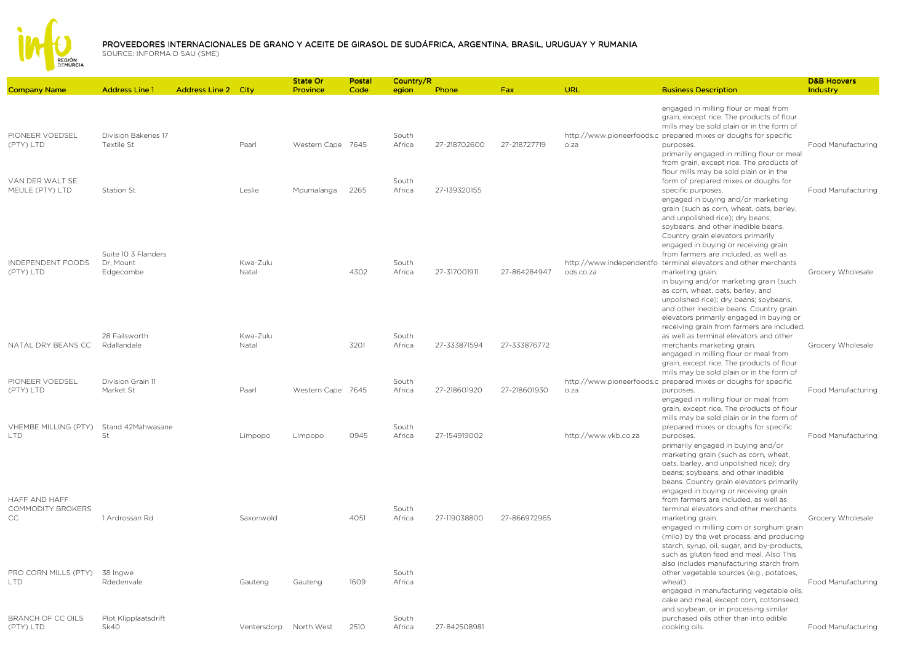

## PROVEEDORES INTERNACIONALES DE GRANO Y ACEITE DE GIRASOL DE SUDÁFRICA, ARGENTINA, BRASIL, URUGUAY Y RUMANIA<br>SOLIPCE: INFORMA D SALL(SME)

|                                                         |                                                |                            |                    | <b>State Or</b>   | Postal | Country/R                |              |              |                      |                                                                                                                                                                                                                                                                                                                                                                                              | <b>D&amp;B Hoovers</b> |
|---------------------------------------------------------|------------------------------------------------|----------------------------|--------------------|-------------------|--------|--------------------------|--------------|--------------|----------------------|----------------------------------------------------------------------------------------------------------------------------------------------------------------------------------------------------------------------------------------------------------------------------------------------------------------------------------------------------------------------------------------------|------------------------|
| <b>Company Name</b>                                     | <b>Address Line 1</b>                          | <b>Address Line 2 City</b> |                    | Province          | Code   | egion                    | Phone        | Fax          | URL                  | <b>Business Description</b>                                                                                                                                                                                                                                                                                                                                                                  | Industry               |
| PIONEER VOEDSEL<br>(PTY) LTD<br>VAN DER WALT SE         | Division Bakeries 17<br>Textile St             |                            | Paarl              | Western Cape 7645 |        | South<br>Africa<br>South | 27-218702600 | 27-218727719 | o.za                 | engaged in milling flour or meal from<br>grain, except rice. The products of flour<br>mills may be sold plain or in the form of<br>http://www.pioneerfoods.c prepared mixes or doughs for specific<br>purposes.<br>primarily engaged in milling flour or meal<br>from grain, except rice. The products of<br>flour mills may be sold plain or in the<br>form of prepared mixes or doughs for | Food Manufacturing     |
| MEULE (PTY) LTD<br>INDEPENDENT FOODS                    | Station St<br>Suite 10 3 Flanders<br>Dr. Mount |                            | Leslie<br>Kwa-Zulu | Mpumalanga        | 2265   | Africa<br>South          | 27-139320155 |              |                      | specific purposes.<br>engaged in buying and/or marketing<br>grain (such as corn, wheat, oats, barley,<br>and unpolished rice); dry beans;<br>soybeans, and other inedible beans.<br>Country grain elevators primarily<br>engaged in buying or receiving grain<br>from farmers are included, as well as<br>http://www.independentfo terminal elevators and other merchants                    | Food Manufacturing     |
| (PTY) LTD                                               | Edgecombe<br>28 Failsworth                     |                            | Natal<br>Kwa-Zulu  |                   | 4302   | Africa<br>South          | 27-317001911 | 27-864284947 | ods.co.za            | marketing grain.<br>in buying and/or marketing grain (such<br>as corn, wheat, oats, barley, and<br>unpolished rice); dry beans; soybeans,<br>and other inedible beans. Country grain<br>elevators primarily engaged in buying or<br>receiving grain from farmers are included,<br>as well as terminal elevators and other                                                                    | Grocery Wholesale      |
| NATAL DRY BEANS CC<br>PIONEER VOEDSEL                   | Rdallandale<br>Division Grain 11               |                            | Natal              |                   | 3201   | Africa<br>South          | 27-333871594 | 27-333876772 |                      | merchants marketing grain.<br>engaged in milling flour or meal from<br>grain, except rice. The products of flour<br>mills may be sold plain or in the form of                                                                                                                                                                                                                                | Grocery Wholesale      |
| (PTY) LTD<br>VHEMBE MILLING (PTY)                       | Market St<br>Stand 42Mahwasane                 |                            | Paarl              | Western Cape 7645 |        | Africa<br>South          | 27-218601920 | 27-218601930 | o.za                 | http://www.pioneerfoods.c prepared mixes or doughs for specific<br>purposes.<br>engaged in milling flour or meal from<br>grain, except rice. The products of flour<br>mills may be sold plain or in the form of<br>prepared mixes or doughs for specific                                                                                                                                     | Food Manufacturing     |
| <b>LTD</b><br>HAFF AND HAFF<br><b>COMMODITY BROKERS</b> | St                                             |                            | Limpopo            | Limpopo           | 0945   | Africa<br>South          | 27-154919002 |              | http://www.vkb.co.za | purposes.<br>primarily engaged in buying and/or<br>marketing grain (such as corn, wheat,<br>oats, barley, and unpolished rice); dry<br>beans; soybeans, and other inedible<br>beans. Country grain elevators primarily<br>engaged in buying or receiving grain<br>from farmers are included, as well as<br>terminal elevators and other merchants                                            | Food Manufacturing     |
| CC.<br>PRO CORN MILLS (PTY)                             | 1 Ardrossan Rd<br>38 Ingwe                     |                            | Saxonwold          |                   | 4051   | Africa<br>South          | 27-119038800 | 27-866972965 |                      | marketing grain.<br>engaged in milling corn or sorghum grain<br>(milo) by the wet process, and producing<br>starch, syrup, oil, sugar, and by-products,<br>such as gluten feed and meal. Also This<br>also includes manufacturing starch from<br>other vegetable sources (e.g., potatoes,                                                                                                    | Grocery Wholesale      |
| <b>LTD</b>                                              | Rdedenvale                                     |                            | Gauteng            | Gauteng           | 1609   | Africa                   |              |              |                      | wheat).<br>engaged in manufacturing vegetable oils,<br>cake and meal, except corn, cottonseed,<br>and soybean, or in processing similar                                                                                                                                                                                                                                                      | Food Manufacturing     |
| BRANCH OF CC OILS<br>(PTY) LTD                          | Plot Klipplaatsdrift<br>Sk40                   |                            | Ventersdorp        | North West        | 2510   | South<br>Africa          | 27-842508981 |              |                      | purchased oils other than into edible<br>cooking oils.                                                                                                                                                                                                                                                                                                                                       | Food Manufacturing     |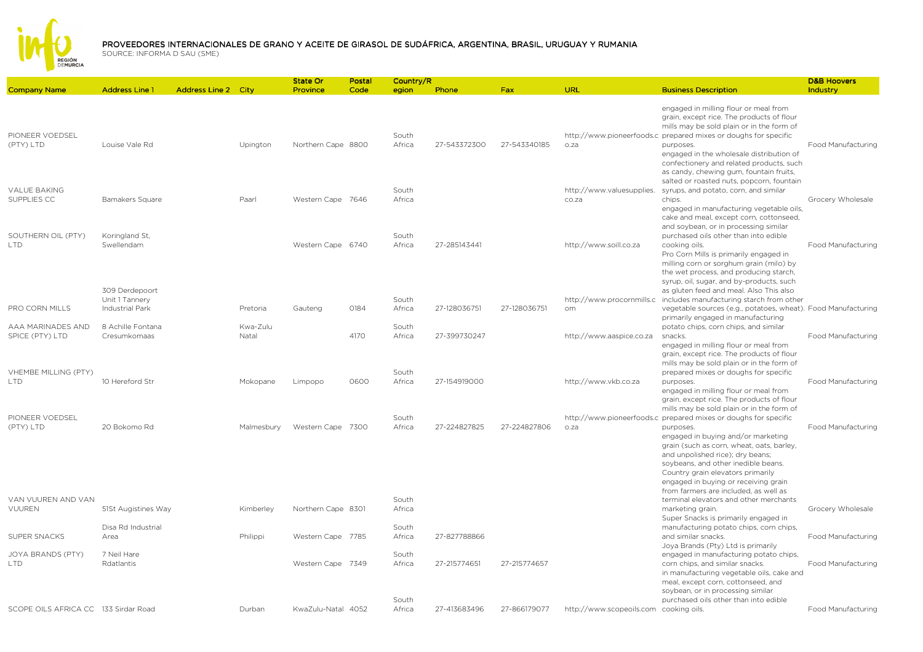

## PROVEEDORES INTERNACIONALES DE GRANO Y ACEITE DE GIRASOL DE SUDÁFRICA, ARGENTINA, BRASIL, URUGUAY Y RUMANIA<br>SOLIPCE: INFORMA D SALL(SME)

|                                      |                                                     |                            |                   | <b>State Or</b>    | Postal | Country/R       |              |              |                                        |                                                                                                                                                                                                                                                                                                                                                    | <b>D&amp;B Hoovers</b> |
|--------------------------------------|-----------------------------------------------------|----------------------------|-------------------|--------------------|--------|-----------------|--------------|--------------|----------------------------------------|----------------------------------------------------------------------------------------------------------------------------------------------------------------------------------------------------------------------------------------------------------------------------------------------------------------------------------------------------|------------------------|
| <b>Company Name</b>                  | <b>Address Line 1</b>                               | <b>Address Line 2 City</b> |                   | Province           | Code   | egion           | Phone        | <b>Fax</b>   | URL                                    | <b>Business Description</b>                                                                                                                                                                                                                                                                                                                        | Industry               |
| PIONEER VOEDSEL<br>(PTY) LTD         | Louise Vale Rd                                      |                            | Upington          | Northern Cape 8800 |        | South<br>Africa | 27-543372300 | 27-543340185 | o.za                                   | engaged in milling flour or meal from<br>grain, except rice. The products of flour<br>mills may be sold plain or in the form of<br>http://www.pioneerfoods.c prepared mixes or doughs for specific<br>purposes.<br>engaged in the wholesale distribution of<br>confectionery and related products, such<br>as candy, chewing gum, fountain fruits, | Food Manufacturing     |
| <b>VALUE BAKING</b><br>SUPPLIES CC   | Bamakers Square                                     |                            | Paarl             | Western Cape 7646  |        | South<br>Africa |              |              | http://www.valuesupplies.<br>co.za     | salted or roasted nuts, popcorn, fountain<br>syrups, and potato, corn, and similar<br>chips.<br>engaged in manufacturing vegetable oils,                                                                                                                                                                                                           | Grocery Wholesale      |
| SOUTHERN OIL (PTY)<br><b>LTD</b>     | Koringland St,<br>Swellendam                        |                            |                   | Western Cape 6740  |        | South<br>Africa | 27-285143441 |              | http://www.soill.co.za                 | cake and meal, except corn, cottonseed,<br>and soybean, or in processing similar<br>purchased oils other than into edible<br>cooking oils.<br>Pro Corn Mills is primarily engaged in<br>milling corn or sorghum grain (milo) by<br>the wet process, and producing starch,                                                                          | Food Manufacturing     |
| PRO CORN MILLS                       | 309 Derdepoort<br>Unit 1 Tannery<br>Industrial Park |                            | Pretoria          | Gauteng            | 0184   | South<br>Africa | 27-128036751 | 27-128036751 | http://www.procornmills.c<br>om        | syrup, oil, sugar, and by-products, such<br>as gluten feed and meal. Also This also<br>includes manufacturing starch from other<br>vegetable sources (e.g., potatoes, wheat). Food Manufacturing<br>primarily engaged in manufacturing                                                                                                             |                        |
| AAA MARINADES AND<br>SPICE (PTY) LTD | 8 Achille Fontana<br>Cresumkomaas                   |                            | Kwa-Zulu<br>Natal |                    | 4170   | South<br>Africa | 27-399730247 |              | http://www.aaspice.co.za               | potato chips, corn chips, and similar<br>snacks.<br>engaged in milling flour or meal from<br>grain, except rice. The products of flour                                                                                                                                                                                                             | Food Manufacturing     |
| VHEMBE MILLING (PTY)<br><b>LTD</b>   | 10 Hereford Str                                     |                            | Mokopane          | Limpopo            | 0600   | South<br>Africa | 27-154919000 |              | http://www.vkb.co.za                   | mills may be sold plain or in the form of<br>prepared mixes or doughs for specific<br>purposes.<br>engaged in milling flour or meal from<br>grain, except rice. The products of flour                                                                                                                                                              | Food Manufacturing     |
| PIONEER VOEDSEL<br>(PTY) LTD         | 20 Bokomo Rd                                        |                            | Malmesbury        | Western Cape 7300  |        | South<br>Africa | 27-224827825 | 27-224827806 | o.za                                   | mills may be sold plain or in the form of<br>http://www.pioneerfoods.c_prepared mixes or doughs for specific<br>purposes.<br>engaged in buying and/or marketing<br>grain (such as corn, wheat, oats, barley,                                                                                                                                       | Food Manufacturing     |
| VAN VUUREN AND VAN                   |                                                     |                            |                   |                    |        | South           |              |              |                                        | and unpolished rice); dry beans;<br>soybeans, and other inedible beans.<br>Country grain elevators primarily<br>engaged in buying or receiving grain<br>from farmers are included, as well as<br>terminal elevators and other merchants                                                                                                            |                        |
| <b>VUUREN</b>                        | 51St Augistines Way                                 |                            | Kimberley         | Northern Cape 8301 |        | Africa          |              |              |                                        | marketing grain.<br>Super Snacks is primarily engaged in                                                                                                                                                                                                                                                                                           | Grocery Wholesale      |
| SUPER SNACKS                         | Disa Rd Industrial<br>Area                          |                            | Philippi          | Western Cape 7785  |        | South<br>Africa | 27-827788866 |              |                                        | manufacturing potato chips, corn chips,<br>and similar snacks.<br>Joya Brands (Pty) Ltd is primarily                                                                                                                                                                                                                                               | Food Manufacturing     |
| JOYA BRANDS (PTY)<br><b>LTD</b>      | 7 Neil Hare<br>Rdatlantis                           |                            |                   | Western Cape 7349  |        | South<br>Africa | 27-215774651 | 27-215774657 |                                        | engaged in manufacturing potato chips,<br>corn chips, and similar snacks.<br>in manufacturing vegetable oils, cake and<br>meal, except corn, cottonseed, and<br>soybean, or in processing similar                                                                                                                                                  | Food Manufacturing     |
| SCOPE OILS AFRICA CC 133 Sirdar Road |                                                     |                            | Durban            | KwaZulu-Natal 4052 |        | South<br>Africa | 27-413683496 | 27-866179077 | http://www.scopeoils.com cooking oils. | purchased oils other than into edible                                                                                                                                                                                                                                                                                                              | Food Manufacturing     |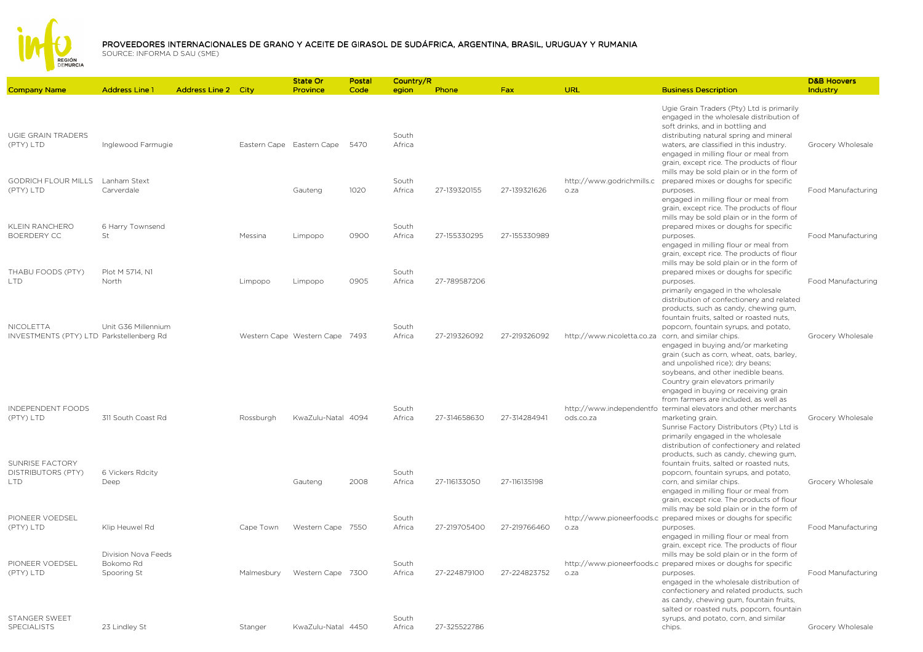

|                                                                   |                                                 |                            |            | <b>State Or</b>                | Postal | Country/R       |              |              |                                                     |                                                                                                                                                                                                                                                                                                        | <b>D&amp;B Hoovers</b> |
|-------------------------------------------------------------------|-------------------------------------------------|----------------------------|------------|--------------------------------|--------|-----------------|--------------|--------------|-----------------------------------------------------|--------------------------------------------------------------------------------------------------------------------------------------------------------------------------------------------------------------------------------------------------------------------------------------------------------|------------------------|
| <b>Company Name</b>                                               | <b>Address Line 1</b>                           | <b>Address Line 2 City</b> |            | Province                       | Code   | egion           | Phone        | Fax          | URL                                                 | <b>Business Description</b>                                                                                                                                                                                                                                                                            | Industry               |
| UGIE GRAIN TRADERS<br>(PTY) LTD                                   | Inglewood Farmugie                              |                            |            | Eastern Cape Eastern Cape      | 5470   | South<br>Africa |              |              |                                                     | Ugie Grain Traders (Pty) Ltd is primarily<br>engaged in the wholesale distribution of<br>soft drinks, and in bottling and<br>distributing natural spring and mineral<br>waters, are classified in this industry.<br>engaged in milling flour or meal from<br>grain, except rice. The products of flour | Grocery Wholesale      |
| <b>GODRICH FLOUR MILLS</b><br>(PTY) LTD                           | Lanham Stext<br>Carverdale                      |                            |            | Gauteng                        | 1020   | South<br>Africa | 27-139320155 | 27-139321626 | http://www.godrichmills.c<br>o.za                   | mills may be sold plain or in the form of<br>prepared mixes or doughs for specific<br>purposes.<br>engaged in milling flour or meal from<br>grain, except rice. The products of flour                                                                                                                  | Food Manufacturing     |
| KLEIN RANCHERO<br>BOERDERY CC                                     | 6 Harry Townsend<br>St                          |                            | Messina    | Limpopo                        | 0900   | South<br>Africa | 27-155330295 | 27-155330989 |                                                     | mills may be sold plain or in the form of<br>prepared mixes or doughs for specific<br>purposes.<br>engaged in milling flour or meal from<br>grain, except rice. The products of flour                                                                                                                  | Food Manufacturing     |
| THABU FOODS (PTY)<br><b>LTD</b>                                   | Plot M 5714, N1<br>North                        |                            | Limpopo    | Limpopo                        | 0905   | South<br>Africa | 27-789587206 |              |                                                     | mills may be sold plain or in the form of<br>prepared mixes or doughs for specific<br>purposes.<br>primarily engaged in the wholesale<br>distribution of confectionery and related<br>products, such as candy, chewing gum,                                                                            | Food Manufacturing     |
| NICOLETTA<br>INVESTMENTS (PTY) LTD Parkstellenberg Rd             | Unit G36 Millennium                             |                            |            | Western Cape Western Cape 7493 |        | South<br>Africa | 27-219326092 | 27-219326092 | http://www.nicoletta.co.za corn, and similar chips. | fountain fruits, salted or roasted nuts,<br>popcorn, fountain syrups, and potato,<br>engaged in buying and/or marketing<br>grain (such as corn, wheat, oats, barley,<br>and unpolished rice); dry beans;<br>soybeans, and other inedible beans.<br>Country grain elevators primarily                   | Grocery Wholesale      |
| INDEPENDENT FOODS<br>(PTY) LTD                                    | 311 South Coast Rd                              |                            | Rossburgh  | KwaZulu-Natal 4094             |        | South<br>Africa | 27-314658630 | 27-314284941 | ods.co.za                                           | engaged in buying or receiving grain<br>from farmers are included, as well as<br>http://www.independentfo terminal elevators and other merchants<br>marketing grain.<br>Sunrise Factory Distributors (Pty) Ltd is<br>primarily engaged in the wholesale<br>distribution of confectionery and related   | Grocery Wholesale      |
| <b>SUNRISE FACTORY</b><br><b>DISTRIBUTORS (PTY)</b><br><b>LTD</b> | 6 Vickers Rdcity<br>Deep                        |                            |            | Gauteng                        | 2008   | South<br>Africa | 27-116133050 | 27-116135198 |                                                     | products, such as candy, chewing gum,<br>fountain fruits, salted or roasted nuts,<br>popcorn, fountain syrups, and potato,<br>corn, and similar chips.<br>engaged in milling flour or meal from<br>grain, except rice. The products of flour                                                           | Grocery Wholesale      |
| PIONEER VOEDSEL<br>(PTY) LTD                                      | Klip Heuwel Rd                                  |                            | Cape Town  | Western Cape 7550              |        | South<br>Africa | 27-219705400 | 27-219766460 | o.za                                                | mills may be sold plain or in the form of<br>http://www.pioneerfoods.c_prepared mixes or doughs for specific<br>purposes.<br>engaged in milling flour or meal from<br>grain, except rice. The products of flour                                                                                        | Food Manufacturing     |
| PIONEER VOEDSEL<br>(PTY) LTD                                      | Division Nova Feeds<br>Bokomo Rd<br>Spooring St |                            | Malmesbury | Western Cape 7300              |        | South<br>Africa | 27-224879100 | 27-224823752 | o.za                                                | mills may be sold plain or in the form of<br>http://www.pioneerfoods.c_prepared mixes or doughs for specific<br>purposes.<br>engaged in the wholesale distribution of<br>confectionery and related products, such<br>as candy, chewing gum, fountain fruits,                                           | Food Manufacturing     |
| STANGER SWEET<br><b>SPECIALISTS</b>                               | 23 Lindley St                                   |                            | Stanger    | KwaZulu-Natal 4450             |        | South<br>Africa | 27-325522786 |              |                                                     | salted or roasted nuts, popcorn, fountain<br>syrups, and potato, corn, and similar<br>chips.                                                                                                                                                                                                           | Grocery Wholesale      |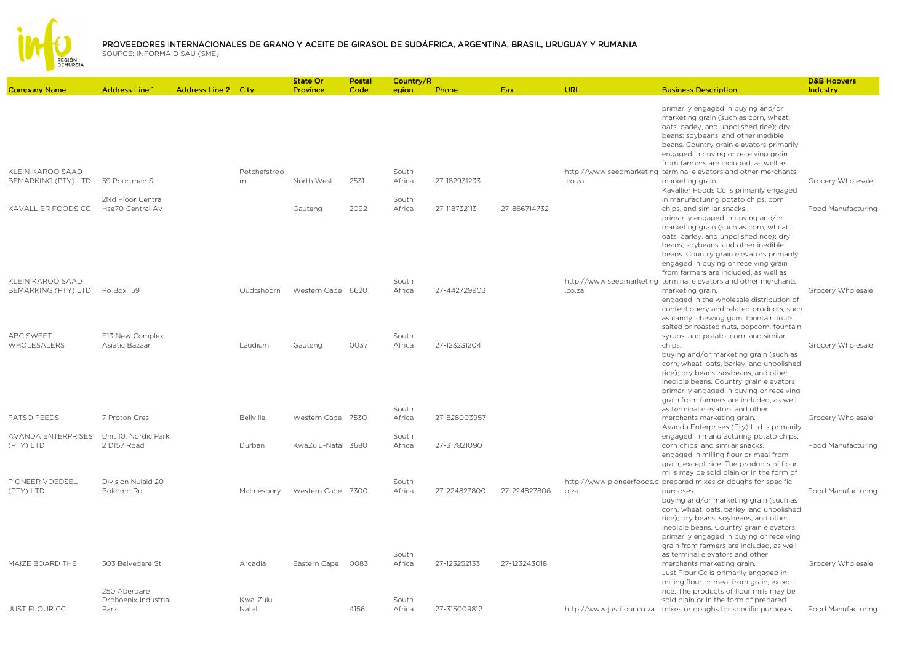

|                                |                       |                            |              | State Or           | Postal | Country/R |              |              |        |                                                                                                                                                                                                                                                   | <b>D&amp;B Hoovers</b> |
|--------------------------------|-----------------------|----------------------------|--------------|--------------------|--------|-----------|--------------|--------------|--------|---------------------------------------------------------------------------------------------------------------------------------------------------------------------------------------------------------------------------------------------------|------------------------|
| <b>Company Name</b>            | <b>Address Line 1</b> | <b>Address Line 2 City</b> |              | Province           | Code   | egion     | Phone        | Fax          | URL    | <b>Business Description</b>                                                                                                                                                                                                                       | Industry               |
|                                |                       |                            |              |                    |        |           |              |              |        | primarily engaged in buying and/or<br>marketing grain (such as corn, wheat,<br>oats, barley, and unpolished rice); dry<br>beans; soybeans, and other inedible<br>beans. Country grain elevators primarily<br>engaged in buying or receiving grain |                        |
|                                |                       |                            |              |                    |        |           |              |              |        | from farmers are included, as well as                                                                                                                                                                                                             |                        |
| KLEIN KAROO SAAD               |                       |                            | Potchefstroo |                    |        | South     |              |              |        | http://www.seedmarketing terminal elevators and other merchants                                                                                                                                                                                   |                        |
| BEMARKING (PTY) LTD            | 39 Poortman St        |                            | m            | North West         | 2531   | Africa    | 27-182931233 |              | .co.za | marketing grain.                                                                                                                                                                                                                                  | Grocery Wholesale      |
|                                | 2Nd Floor Central     |                            |              |                    |        | South     |              |              |        | Kavallier Foods Cc is primarily engaged                                                                                                                                                                                                           |                        |
| KAVALLIER FOODS CC             | Hse70 Central Av      |                            |              | Gauteng            | 2092   | Africa    | 27-118732113 | 27-866714732 |        | in manufacturing potato chips, corn<br>chips, and similar snacks.                                                                                                                                                                                 | Food Manufacturing     |
|                                |                       |                            |              |                    |        |           |              |              |        | primarily engaged in buying and/or                                                                                                                                                                                                                |                        |
|                                |                       |                            |              |                    |        |           |              |              |        | marketing grain (such as corn, wheat,                                                                                                                                                                                                             |                        |
|                                |                       |                            |              |                    |        |           |              |              |        | oats, barley, and unpolished rice); dry                                                                                                                                                                                                           |                        |
|                                |                       |                            |              |                    |        |           |              |              |        | beans; soybeans, and other inedible                                                                                                                                                                                                               |                        |
|                                |                       |                            |              |                    |        |           |              |              |        | beans. Country grain elevators primarily                                                                                                                                                                                                          |                        |
|                                |                       |                            |              |                    |        |           |              |              |        | engaged in buying or receiving grain                                                                                                                                                                                                              |                        |
|                                |                       |                            |              |                    |        |           |              |              |        | from farmers are included, as well as                                                                                                                                                                                                             |                        |
| KLEIN KAROO SAAD               |                       |                            |              |                    |        | South     |              |              |        | http://www.seedmarketing terminal elevators and other merchants                                                                                                                                                                                   |                        |
| BEMARKING (PTY) LTD Po Box 159 |                       |                            | Oudtshoorn   | Western Cape 6620  |        | Africa    | 27-442729903 |              | .co.za | marketing grain.                                                                                                                                                                                                                                  | Grocery Wholesale      |
|                                |                       |                            |              |                    |        |           |              |              |        | engaged in the wholesale distribution of                                                                                                                                                                                                          |                        |
|                                |                       |                            |              |                    |        |           |              |              |        | confectionery and related products, such                                                                                                                                                                                                          |                        |
|                                |                       |                            |              |                    |        |           |              |              |        | as candy, chewing gum, fountain fruits,<br>salted or roasted nuts, popcorn, fountain                                                                                                                                                              |                        |
| ABC SWEET                      | E13 New Complex       |                            |              |                    |        | South     |              |              |        | syrups, and potato, corn, and similar                                                                                                                                                                                                             |                        |
| WHOLESALERS                    | Asiatic Bazaar        |                            | Laudium      | Gauteng            | 0037   | Africa    | 27-123231204 |              |        | chips.                                                                                                                                                                                                                                            | Grocery Wholesale      |
|                                |                       |                            |              |                    |        |           |              |              |        | buying and/or marketing grain (such as                                                                                                                                                                                                            |                        |
|                                |                       |                            |              |                    |        |           |              |              |        | corn, wheat, oats, barley, and unpolished                                                                                                                                                                                                         |                        |
|                                |                       |                            |              |                    |        |           |              |              |        | rice); dry beans; soybeans, and other                                                                                                                                                                                                             |                        |
|                                |                       |                            |              |                    |        |           |              |              |        | inedible beans. Country grain elevators                                                                                                                                                                                                           |                        |
|                                |                       |                            |              |                    |        |           |              |              |        | primarily engaged in buying or receiving                                                                                                                                                                                                          |                        |
|                                |                       |                            |              |                    |        |           |              |              |        | grain from farmers are included, as well                                                                                                                                                                                                          |                        |
|                                |                       |                            |              |                    |        | South     |              |              |        | as terminal elevators and other                                                                                                                                                                                                                   |                        |
| <b>FATSO FEEDS</b>             | 7 Proton Cres         |                            | Bellville    | Western Cape 7530  |        | Africa    | 27-828003957 |              |        | merchants marketing grain.                                                                                                                                                                                                                        | Grocery Wholesale      |
| AVANDA ENTERPRISES             | Unit 10, Nordic Park, |                            |              |                    |        | South     |              |              |        | Avanda Enterprises (Pty) Ltd is primarily<br>engaged in manufacturing potato chips,                                                                                                                                                               |                        |
| (PTY) LTD                      | 2 D157 Road           |                            | Durban       | KwaZulu-Natal 3680 |        | Africa    | 27-317821090 |              |        | corn chips, and similar snacks.                                                                                                                                                                                                                   | Food Manufacturing     |
|                                |                       |                            |              |                    |        |           |              |              |        | engaged in milling flour or meal from                                                                                                                                                                                                             |                        |
|                                |                       |                            |              |                    |        |           |              |              |        | grain, except rice. The products of flour                                                                                                                                                                                                         |                        |
|                                |                       |                            |              |                    |        |           |              |              |        | mills may be sold plain or in the form of                                                                                                                                                                                                         |                        |
| PIONEER VOEDSEL                | Division Nulaid 20    |                            |              |                    |        | South     |              |              |        | http://www.pioneerfoods.c_prepared mixes or doughs for specific                                                                                                                                                                                   |                        |
| (PTY) LTD                      | Bokomo Rd             |                            | Malmesbury   | Western Cape 7300  |        | Africa    | 27-224827800 | 27-224827806 | o.za   | purposes.                                                                                                                                                                                                                                         | Food Manufacturing     |
|                                |                       |                            |              |                    |        |           |              |              |        | buying and/or marketing grain (such as                                                                                                                                                                                                            |                        |
|                                |                       |                            |              |                    |        |           |              |              |        | corn, wheat, oats, barley, and unpolished                                                                                                                                                                                                         |                        |
|                                |                       |                            |              |                    |        |           |              |              |        | rice); dry beans; soybeans, and other                                                                                                                                                                                                             |                        |
|                                |                       |                            |              |                    |        |           |              |              |        | inedible beans. Country grain elevators                                                                                                                                                                                                           |                        |
|                                |                       |                            |              |                    |        |           |              |              |        | primarily engaged in buying or receiving<br>grain from farmers are included, as well                                                                                                                                                              |                        |
|                                |                       |                            |              |                    |        | South     |              |              |        | as terminal elevators and other                                                                                                                                                                                                                   |                        |
| MAIZE BOARD THE                | 503 Belvedere St      |                            | Arcadia      | Eastern Cape       | 0083   | Africa    | 27-123252133 | 27-123243018 |        | merchants marketing grain.                                                                                                                                                                                                                        | Grocery Wholesale      |
|                                |                       |                            |              |                    |        |           |              |              |        | Just Flour Cc is primarily engaged in                                                                                                                                                                                                             |                        |
|                                |                       |                            |              |                    |        |           |              |              |        | milling flour or meal from grain, except                                                                                                                                                                                                          |                        |
|                                | 250 Aberdare          |                            |              |                    |        |           |              |              |        | rice. The products of flour mills may be                                                                                                                                                                                                          |                        |
|                                | Drphoenix Industrial  |                            | Kwa-Zulu     |                    |        | South     |              |              |        | sold plain or in the form of prepared                                                                                                                                                                                                             |                        |
| JUST FLOUR CC                  | Park                  |                            | Natal        |                    | 4156   | Africa    | 27-315009812 |              |        | http://www.justflour.co.za mixes or doughs for specific purposes.                                                                                                                                                                                 | Food Manufacturing     |
|                                |                       |                            |              |                    |        |           |              |              |        |                                                                                                                                                                                                                                                   |                        |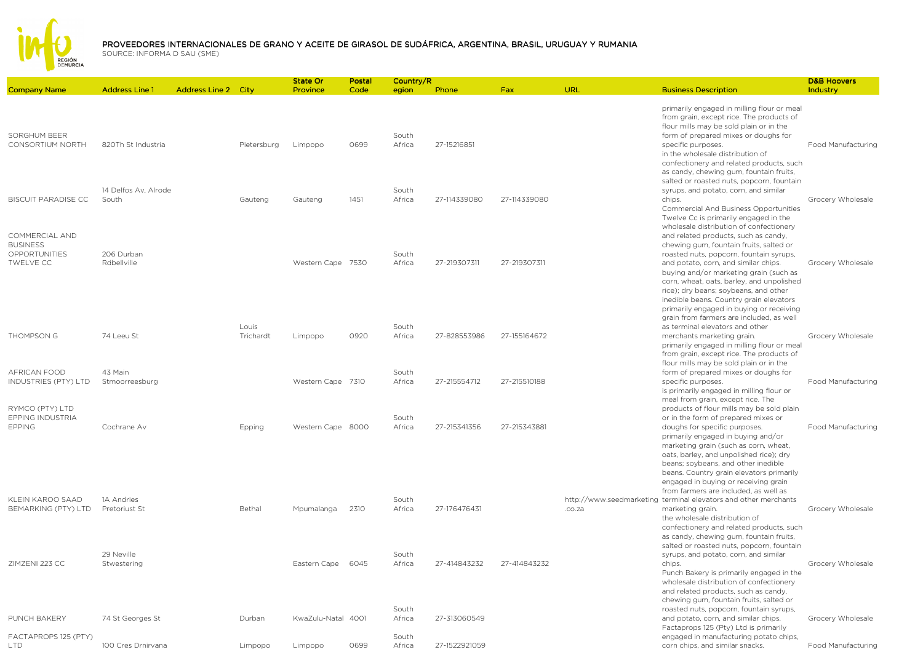

|                                                             |                                    |                            |                    | State Or           | Postal | Country/R       |               |              |        |                                                                                                                                                                                                                                                                                                                                                                         | <b>D&amp;B Hoovers</b> |
|-------------------------------------------------------------|------------------------------------|----------------------------|--------------------|--------------------|--------|-----------------|---------------|--------------|--------|-------------------------------------------------------------------------------------------------------------------------------------------------------------------------------------------------------------------------------------------------------------------------------------------------------------------------------------------------------------------------|------------------------|
| <b>Company Name</b>                                         | <b>Address Line 1</b>              | <b>Address Line 2 City</b> |                    | <b>Province</b>    | Code   | egion           | Phone         | Fax          | URL    | <b>Business Description</b>                                                                                                                                                                                                                                                                                                                                             | Industry               |
| SORGHUM BEER<br><b>CONSORTIUM NORTH</b>                     | 820Th St Industria                 |                            | Pietersburg        | Limpopo            | 0699   | South<br>Africa | 27-15216851   |              |        | primarily engaged in milling flour or meal<br>from grain, except rice. The products of<br>flour mills may be sold plain or in the<br>form of prepared mixes or doughs for<br>specific purposes.<br>in the wholesale distribution of<br>confectionery and related products, such<br>as candy, chewing gum, fountain fruits,<br>salted or roasted nuts, popcorn, fountain | Food Manufacturing     |
| <b>BISCUIT PARADISE CC</b><br>COMMERCIAL AND                | 14 Delfos Av. Alrode<br>South      |                            | Gauteng            | Gauteng            | 1451   | South<br>Africa | 27-114339080  | 27-114339080 |        | syrups, and potato, corn, and similar<br>chips.<br>Commercial And Business Opportunities<br>Twelve Cc is primarily engaged in the<br>wholesale distribution of confectionery<br>and related products, such as candy,                                                                                                                                                    | Grocery Wholesale      |
| <b>BUSINESS</b><br><b>OPPORTUNITIES</b><br>TWELVE CC        | 206 Durban<br>Rdbellville          |                            |                    | Western Cape 7530  |        | South<br>Africa | 27-219307311  | 27-219307311 |        | chewing gum, fountain fruits, salted or<br>roasted nuts, popcorn, fountain syrups,<br>and potato, corn, and similar chips.<br>buying and/or marketing grain (such as<br>corn, wheat, oats, barley, and unpolished<br>rice); dry beans; soybeans, and other<br>inedible beans. Country grain elevators<br>primarily engaged in buying or receiving                       | Grocery Wholesale      |
| THOMPSON G                                                  | 74 Leeu St                         |                            | Louis<br>Trichardt | Limpopo            | 0920   | South<br>Africa | 27-828553986  | 27-155164672 |        | grain from farmers are included, as well<br>as terminal elevators and other<br>merchants marketing grain.<br>primarily engaged in milling flour or meal<br>from grain, except rice. The products of                                                                                                                                                                     | Grocery Wholesale      |
| AFRICAN FOOD<br>INDUSTRIES (PTY) LTD                        | 43 Main<br>Stmoorreesburg          |                            |                    | Western Cape 7310  |        | South<br>Africa | 27-215554712  | 27-215510188 |        | flour mills may be sold plain or in the<br>form of prepared mixes or doughs for<br>specific purposes.<br>is primarily engaged in milling flour or<br>meal from grain, except rice. The                                                                                                                                                                                  | Food Manufacturing     |
| RYMCO (PTY) LTD<br><b>EPPING INDUSTRIA</b><br><b>EPPING</b> | Cochrane Av                        |                            | Epping             | Western Cape 8000  |        | South<br>Africa | 27-215341356  | 27-215343881 |        | products of flour mills may be sold plain<br>or in the form of prepared mixes or<br>doughs for specific purposes<br>primarily engaged in buying and/or<br>marketing grain (such as corn, wheat,<br>oats, barley, and unpolished rice); dry<br>beans; soybeans, and other inedible<br>beans. Country grain elevators primarily<br>engaged in buying or receiving grain   | Food Manufacturing     |
| KLEIN KAROO SAAD<br>BEMARKING (PTY) LTD                     | 1A Andries<br><b>Pretoriust St</b> |                            | Bethal             | Mpumalanga         | 2310   | South<br>Africa | 27-176476431  |              | .co.za | from farmers are included, as well as<br>http://www.seedmarketing terminal elevators and other merchants<br>marketing grain.<br>the wholesale distribution of<br>confectionery and related products, such<br>as candy, chewing gum, fountain fruits,<br>salted or roasted nuts, popcorn, fountain                                                                       | Grocery Wholesale      |
| ZIMZENI 223 CC                                              | 29 Neville<br>Stwestering          |                            |                    | Eastern Cape       | 6045   | South<br>Africa | 27-414843232  | 27-414843232 |        | syrups, and potato, corn, and similar<br>chips.<br>Punch Bakery is primarily engaged in the<br>wholesale distribution of confectionery<br>and related products, such as candy,<br>chewing gum, fountain fruits, salted or                                                                                                                                               | Grocery Wholesale      |
| PUNCH BAKERY                                                | 74 St Georges St                   |                            | Durban             | KwaZulu-Natal 4001 |        | South<br>Africa | 27-313060549  |              |        | roasted nuts, popcorn, fountain syrups,<br>and potato, corn, and similar chips.<br>Factaprops 125 (Pty) Ltd is primarily                                                                                                                                                                                                                                                | Grocery Wholesale      |
| FACTAPROPS 125 (PTY)<br><b>LTD</b>                          | 100 Cres Drnirvana                 |                            | Limpopo            | Limpopo            | 0699   | South<br>Africa | 27-1522921059 |              |        | engaged in manufacturing potato chips,<br>corn chips, and similar snacks.                                                                                                                                                                                                                                                                                               | Food Manufacturing     |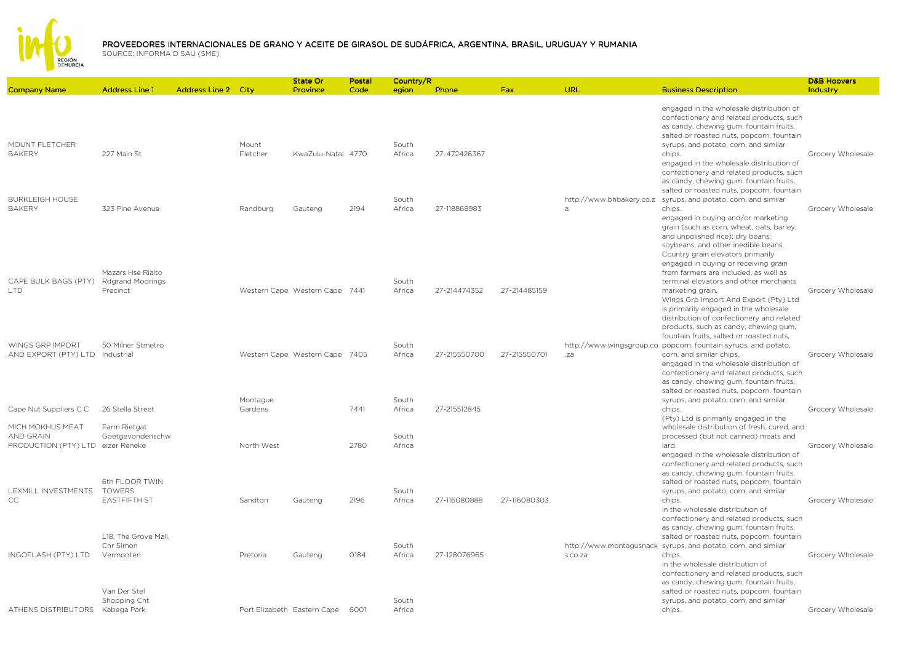

|                                                     |                                                          |                            |                     | State Or                       | Postal | Country/R       |              |              |                                            |                                                                                                                                                                                                                                                                                                                                                                                                                                                                                                                        | <b>D&amp;B Hoovers</b> |
|-----------------------------------------------------|----------------------------------------------------------|----------------------------|---------------------|--------------------------------|--------|-----------------|--------------|--------------|--------------------------------------------|------------------------------------------------------------------------------------------------------------------------------------------------------------------------------------------------------------------------------------------------------------------------------------------------------------------------------------------------------------------------------------------------------------------------------------------------------------------------------------------------------------------------|------------------------|
| <b>Company Name</b>                                 | <b>Address Line 1</b>                                    | <b>Address Line 2 City</b> |                     | Province                       | Code   | egion           | Phone        | <b>Fax</b>   | URL                                        | <b>Business Description</b>                                                                                                                                                                                                                                                                                                                                                                                                                                                                                            | Industry               |
| MOUNT FLETCHER<br><b>BAKERY</b>                     | 227 Main St                                              |                            | Mount<br>Fletcher   | KwaZulu-Natal 4770             |        | South<br>Africa | 27-472426367 |              |                                            | engaged in the wholesale distribution of<br>confectionery and related products, such<br>as candy, chewing gum, fountain fruits,<br>salted or roasted nuts, popcorn, fountain<br>syrups, and potato, corn, and similar<br>chips.<br>engaged in the wholesale distribution of<br>confectionery and related products, such<br>as candy, chewing gum, fountain fruits,<br>salted or roasted nuts, popcorn, fountain                                                                                                        | Grocery Wholesale      |
| <b>BURKLEIGH HOUSE</b><br><b>BAKERY</b>             | 323 Pine Avenue                                          |                            | Randburg            | Gauteng                        | 2194   | South<br>Africa | 27-118868983 |              | http://www.bhbakery.co.z<br>$\overline{a}$ | syrups, and potato, corn, and similar<br>chips.                                                                                                                                                                                                                                                                                                                                                                                                                                                                        | Grocery Wholesale      |
| CAPE BULK BAGS (PTY)<br><b>LTD</b>                  | Mazars Hse Rialto<br><b>Rdgrand Moorings</b><br>Precinct |                            |                     | Western Cape Western Cape 7441 |        | South<br>Africa | 27-214474352 | 27-214485159 |                                            | engaged in buying and/or marketing<br>grain (such as corn, wheat, oats, barley,<br>and unpolished rice); dry beans;<br>soybeans, and other inedible beans.<br>Country grain elevators primarily<br>engaged in buying or receiving grain<br>from farmers are included, as well as<br>terminal elevators and other merchants<br>marketing grain.<br>Wings Grp Import And Export (Pty) Ltd<br>is primarily engaged in the wholesale<br>distribution of confectionery and related<br>products, such as candy, chewing gum, | Grocery Wholesale      |
| WINGS GRP IMPORT<br>AND EXPORT (PTY) LTD Industrial | 50 Milner Stmetro                                        |                            |                     | Western Cape Western Cape 7405 |        | South<br>Africa | 27-215550700 | 27-215550701 | .za                                        | fountain fruits, salted or roasted nuts,<br>http://www.wingsgroup.co_popcorn, fountain syrups, and potato,<br>corn, and similar chips.                                                                                                                                                                                                                                                                                                                                                                                 | Grocery Wholesale      |
|                                                     |                                                          |                            |                     |                                |        |                 |              |              |                                            | engaged in the wholesale distribution of<br>confectionery and related products, such<br>as candy, chewing gum, fountain fruits,<br>salted or roasted nuts, popcorn, fountain                                                                                                                                                                                                                                                                                                                                           |                        |
| Cape Nut Suppliers C C                              | 26 Stella Street                                         |                            | Montague<br>Gardens |                                | 7441   | South<br>Africa | 27-215512845 |              |                                            | syrups, and potato, corn, and similar<br>chips.<br>(Pty) Ltd is primarily engaged in the                                                                                                                                                                                                                                                                                                                                                                                                                               | Grocery Wholesale      |
| MICH MOKHUS MEAT<br><b>AND GRAIN</b>                | Farm Rietgat<br>Goetgevondenschw                         |                            |                     |                                |        | South           |              |              |                                            | wholesale distribution of fresh, cured, and<br>processed (but not canned) meats and                                                                                                                                                                                                                                                                                                                                                                                                                                    |                        |
| PRODUCTION (PTY) LTD eizer Reneke                   |                                                          |                            | North West          |                                | 2780   | Africa          |              |              |                                            | lard.<br>engaged in the wholesale distribution of<br>confectionery and related products, such<br>as candy, chewing gum, fountain fruits,                                                                                                                                                                                                                                                                                                                                                                               | Grocery Wholesale      |
| LEXMILL INVESTMENTS<br>CC                           | 6th FLOOR TWIN<br><b>TOWERS</b><br><b>EASTFIFTH ST</b>   |                            | Sandton             | Gauteng                        | 2196   | South<br>Africa | 27-116080888 | 27-116080303 |                                            | salted or roasted nuts, popcorn, fountain<br>syrups, and potato, corn, and similar<br>chips.                                                                                                                                                                                                                                                                                                                                                                                                                           | Grocery Wholesale      |
|                                                     |                                                          |                            |                     |                                |        |                 |              |              |                                            | in the wholesale distribution of<br>confectionery and related products, such<br>as candy, chewing gum, fountain fruits,                                                                                                                                                                                                                                                                                                                                                                                                |                        |
|                                                     | L18, The Grove Mall,<br>Cnr Simon                        |                            |                     |                                |        | South           |              |              |                                            | salted or roasted nuts, popcorn, fountain<br>http://www.montagusnack syrups, and potato, corn, and similar                                                                                                                                                                                                                                                                                                                                                                                                             |                        |
| INGOFLASH (PTY) LTD                                 | Vermooten                                                |                            | Pretoria            | Gauteng                        | 0184   | Africa          | 27-128076965 |              | s.co.za                                    | chips.<br>in the wholesale distribution of<br>confectionery and related products, such<br>as candy, chewing gum, fountain fruits,                                                                                                                                                                                                                                                                                                                                                                                      | Grocery Wholesale      |
|                                                     | Van Der Stel                                             |                            |                     |                                |        |                 |              |              |                                            | salted or roasted nuts, popcorn, fountain                                                                                                                                                                                                                                                                                                                                                                                                                                                                              |                        |
| ATHENS DISTRIBUTORS                                 | Shopping Cnt<br>Kabega Park                              |                            |                     | Port Elizabeth Eastern Cape    | 6001   | South<br>Africa |              |              |                                            | syrups, and potato, corn, and similar<br>chips.                                                                                                                                                                                                                                                                                                                                                                                                                                                                        | Grocery Wholesale      |
|                                                     |                                                          |                            |                     |                                |        |                 |              |              |                                            |                                                                                                                                                                                                                                                                                                                                                                                                                                                                                                                        |                        |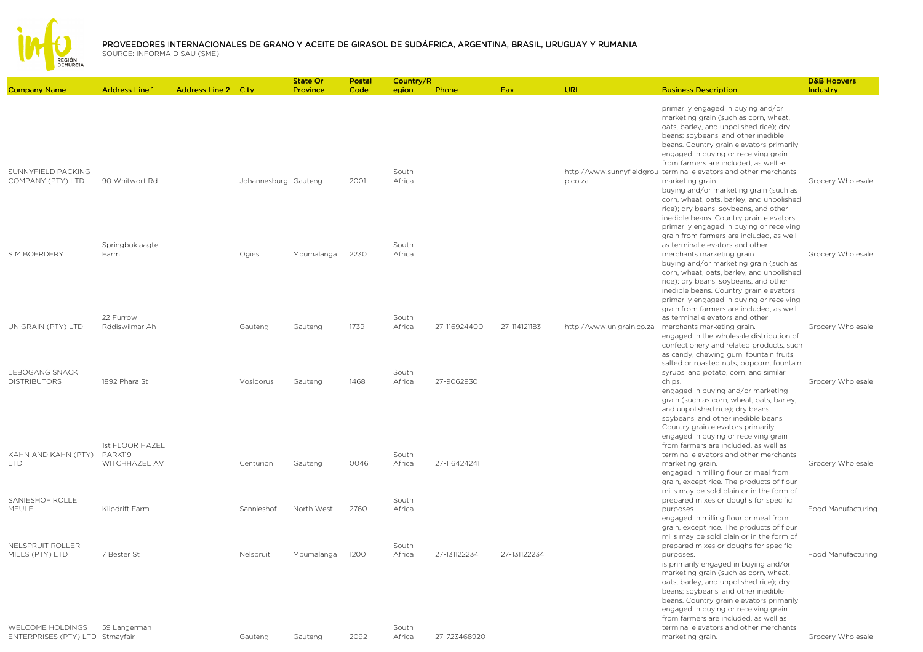

|                                                            |                                             |                            |                      | State Or   | Postal | Country/R       |              |              |                           |                                                                                                                                                                                                                                                                                                                                                                                                                                                                                                                                                               | <b>D&amp;B Hoovers</b> |
|------------------------------------------------------------|---------------------------------------------|----------------------------|----------------------|------------|--------|-----------------|--------------|--------------|---------------------------|---------------------------------------------------------------------------------------------------------------------------------------------------------------------------------------------------------------------------------------------------------------------------------------------------------------------------------------------------------------------------------------------------------------------------------------------------------------------------------------------------------------------------------------------------------------|------------------------|
| <b>Company Name</b>                                        | <b>Address Line 1</b>                       | <b>Address Line 2 City</b> |                      | Province   | Code   | egion           | Phone        | Fax          | URL                       | <b>Business Description</b>                                                                                                                                                                                                                                                                                                                                                                                                                                                                                                                                   | Industry               |
| SUNNYFIELD PACKING<br>COMPANY (PTY) LTD                    | 90 Whitwort Rd                              |                            | Johannesburg Gauteng |            | 2001   | South<br>Africa |              |              | p.co.za                   | primarily engaged in buying and/or<br>marketing grain (such as corn, wheat,<br>oats, barley, and unpolished rice); dry<br>beans; soybeans, and other inedible<br>beans. Country grain elevators primarily<br>engaged in buying or receiving grain<br>from farmers are included, as well as<br>http://www.sunnyfieldgrou_terminal elevators and other merchants<br>marketing grain.<br>buying and/or marketing grain (such as<br>corn, wheat, oats, barley, and unpolished<br>rice); dry beans; soybeans, and other<br>inedible beans. Country grain elevators | Grocery Wholesale      |
| S M BOERDERY                                               | Springboklaagte<br>Farm                     |                            | Ogies                | Mpumalanga | 2230   | South<br>Africa |              |              |                           | primarily engaged in buying or receiving<br>grain from farmers are included, as well<br>as terminal elevators and other<br>merchants marketing grain.<br>buying and/or marketing grain (such as<br>corn, wheat, oats, barley, and unpolished<br>rice); dry beans; soybeans, and other<br>inedible beans. Country grain elevators<br>primarily engaged in buying or receiving                                                                                                                                                                                  | Grocery Wholesale      |
| UNIGRAIN (PTY) LTD                                         | 22 Furrow<br>Rddiswilmar Ah                 |                            | Gauteng              | Gauteng    | 1739   | South<br>Africa | 27-116924400 | 27-114121183 | http://www.unigrain.co.za | grain from farmers are included, as well<br>as terminal elevators and other<br>merchants marketing grain.<br>engaged in the wholesale distribution of<br>confectionery and related products, such<br>as candy, chewing gum, fountain fruits,<br>salted or roasted nuts, popcorn, fountain                                                                                                                                                                                                                                                                     | Grocery Wholesale      |
| LEBOGANG SNACK<br><b>DISTRIBUTORS</b>                      | 1892 Phara St                               |                            | Vosloorus            | Gauteng    | 1468   | South<br>Africa | 27-9062930   |              |                           | syrups, and potato, corn, and similar<br>chips.<br>engaged in buying and/or marketing<br>grain (such as corn, wheat, oats, barley,<br>and unpolished rice); dry beans;<br>soybeans, and other inedible beans.<br>Country grain elevators primarily<br>engaged in buying or receiving grain                                                                                                                                                                                                                                                                    | Grocery Wholesale      |
| KAHN AND KAHN (PTY)<br>LTD.                                | 1st FLOOR HAZEL<br>PARK119<br>WITCHHAZEL AV |                            | Centurion            | Gauteng    | 0046   | South<br>Africa | 27-116424241 |              |                           | from farmers are included, as well as<br>terminal elevators and other merchants<br>marketing grain.<br>engaged in milling flour or meal from<br>grain, except rice. The products of flour<br>mills may be sold plain or in the form of                                                                                                                                                                                                                                                                                                                        | Grocery Wholesale      |
| SANIESHOF ROLLE<br>MEULE                                   | Klipdrift Farm                              |                            | Sannieshof           | North West | 2760   | South<br>Africa |              |              |                           | prepared mixes or doughs for specific<br>purposes.<br>engaged in milling flour or meal from<br>grain, except rice. The products of flour<br>mills may be sold plain or in the form of                                                                                                                                                                                                                                                                                                                                                                         | Food Manufacturing     |
| NELSPRUIT ROLLER<br>MILLS (PTY) LTD                        | 7 Bester St                                 |                            | Nelspruit            | Mpumalanga | 1200   | South<br>Africa | 27-131122234 | 27-131122234 |                           | prepared mixes or doughs for specific<br>purposes.<br>is primarily engaged in buying and/or<br>marketing grain (such as corn, wheat,<br>oats, barley, and unpolished rice); dry<br>beans; soybeans, and other inedible<br>beans. Country grain elevators primarily<br>engaged in buying or receiving grain<br>from farmers are included, as well as                                                                                                                                                                                                           | Food Manufacturing     |
| <b>WELCOME HOLDINGS</b><br>ENTERPRISES (PTY) LTD Stmayfair | 59 Langerman                                |                            | Gauteng              | Gauteng    | 2092   | South<br>Africa | 27-723468920 |              |                           | terminal elevators and other merchants<br>marketing grain.                                                                                                                                                                                                                                                                                                                                                                                                                                                                                                    | Grocery Wholesale      |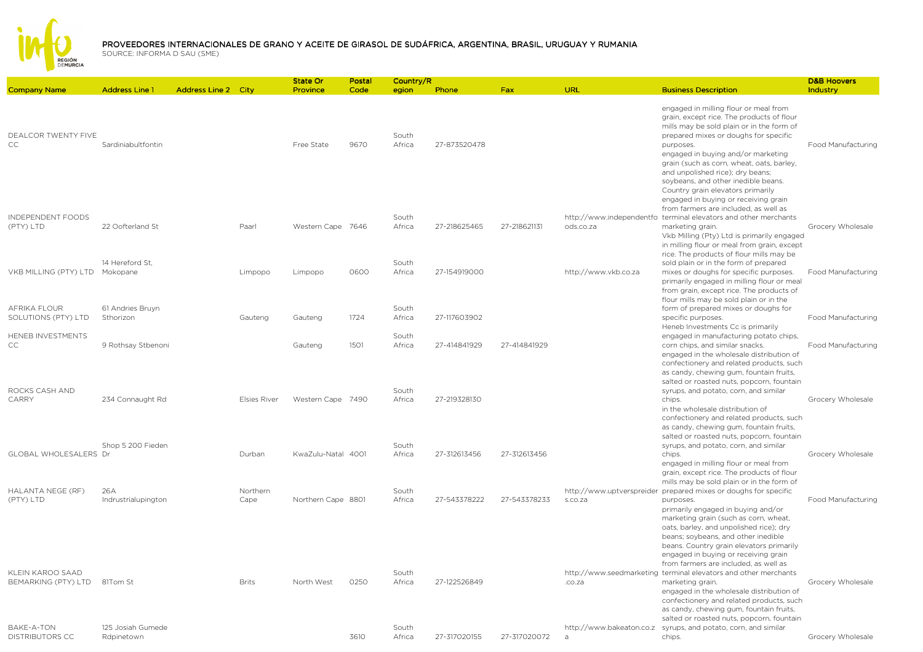

| <b>Company Name</b>                         | <b>Address Line 1</b>           | <b>Address Line 2 City</b> |                     | <b>State Or</b><br>Province | Postal<br>Code | Country/R<br>egion | Phone        | Fax          | URL                                        | <b>Business Description</b>                                                                                                                                                                                                                                                                                                                                                                      | <b>D&amp;B Hoovers</b><br>Industry |
|---------------------------------------------|---------------------------------|----------------------------|---------------------|-----------------------------|----------------|--------------------|--------------|--------------|--------------------------------------------|--------------------------------------------------------------------------------------------------------------------------------------------------------------------------------------------------------------------------------------------------------------------------------------------------------------------------------------------------------------------------------------------------|------------------------------------|
| <b>DEALCOR TWENTY FIVE</b><br><b>CC</b>     | Sardiniabultfontin              |                            |                     | Free State                  | 9670           | South<br>Africa    | 27-873520478 |              |                                            | engaged in milling flour or meal from<br>grain, except rice. The products of flour<br>mills may be sold plain or in the form of<br>prepared mixes or doughs for specific<br>purposes.<br>engaged in buying and/or marketing<br>grain (such as corn, wheat, oats, barley,<br>and unpolished rice); dry beans;<br>soybeans, and other inedible beans.<br>Country grain elevators primarily         | Food Manufacturing                 |
| INDEPENDENT FOODS<br>(PTY) LTD              | 22 Oofterland St                |                            | Paarl               | Western Cape 7646           |                | South<br>Africa    | 27-218625465 | 27-218621131 | ods.co.za                                  | engaged in buying or receiving grain<br>from farmers are included, as well as<br>http://www.independentfo terminal elevators and other merchants<br>marketing grain.<br>Vkb Milling (Pty) Ltd is primarily engaged<br>in milling flour or meal from grain, except                                                                                                                                | Grocery Wholesale                  |
| VKB MILLING (PTY) LTD                       | 14 Hereford St.<br>Mokopane     |                            | Limpopo             | Limpopo                     | 0600           | South<br>Africa    | 27-154919000 |              | http://www.vkb.co.za                       | rice. The products of flour mills may be<br>sold plain or in the form of prepared<br>mixes or doughs for specific purposes.<br>primarily engaged in milling flour or meal<br>from grain, except rice. The products of                                                                                                                                                                            | Food Manufacturing                 |
| AFRIKA FLOUR<br>SOLUTIONS (PTY) LTD         | 61 Andries Bruyn<br>Sthorizon   |                            | Gauteng             | Gauteng                     | 1724           | South<br>Africa    | 27-117603902 |              |                                            | flour mills may be sold plain or in the<br>form of prepared mixes or doughs for<br>specific purposes.                                                                                                                                                                                                                                                                                            | Food Manufacturing                 |
| HENEB INVESTMENTS<br>CC                     | 9 Rothsay Stbenoni              |                            |                     | Gauteng                     | 1501           | South<br>Africa    | 27-414841929 | 27-414841929 |                                            | Heneb Investments Cc is primarily<br>engaged in manufacturing potato chips,<br>corn chips, and similar snacks.<br>engaged in the wholesale distribution of<br>confectionery and related products, such<br>as candy, chewing gum, fountain fruits,                                                                                                                                                | Food Manufacturing                 |
| ROCKS CASH AND<br><b>CARRY</b>              | 234 Connaught Rd                |                            | <b>Elsies River</b> | Western Cape 7490           |                | South<br>Africa    | 27-219328130 |              |                                            | salted or roasted nuts, popcorn, fountain<br>syrups, and potato, corn, and similar<br>chips.<br>in the wholesale distribution of<br>confectionery and related products, such<br>as candy, chewing gum, fountain fruits,                                                                                                                                                                          | Grocery Wholesale                  |
| GLOBAL WHOLESALERS Dr                       | Shop 5 200 Fieden               |                            | Durban              | KwaZulu-Natal 4001          |                | South<br>Africa    | 27-312613456 | 27-312613456 |                                            | salted or roasted nuts, popcorn, fountain<br>syrups, and potato, corn, and similar<br>chips.<br>engaged in milling flour or meal from<br>grain, except rice. The products of flour                                                                                                                                                                                                               | Grocery Wholesale                  |
| HALANTA NEGE (RF)<br>(PTY) LTD              | 26A<br>Indrustrialupington      |                            | Northern<br>Cape    | Northern Cape 8801          |                | South<br>Africa    | 27-543378222 | 27-543378233 | s.co.za                                    | mills may be sold plain or in the form of<br>http://www.uptverspreider prepared mixes or doughs for specific<br>purposes.<br>primarily engaged in buying and/or<br>marketing grain (such as corn, wheat,<br>oats, barley, and unpolished rice); dry<br>beans; soybeans, and other inedible                                                                                                       | Food Manufacturing                 |
| KLEIN KAROO SAAD<br>BEMARKING (PTY) LTD     | 81Tom St                        |                            | <b>Brits</b>        | North West                  | 0250           | South<br>Africa    | 27-122526849 |              | .co.za                                     | beans. Country grain elevators primarily<br>engaged in buying or receiving grain<br>from farmers are included, as well as<br>http://www.seedmarketing terminal elevators and other merchants<br>marketing grain.<br>engaged in the wholesale distribution of<br>confectionery and related products, such<br>as candy, chewing gum, fountain fruits,<br>salted or roasted nuts, popcorn, fountain | Grocery Wholesale                  |
| <b>BAKE-A-TON</b><br><b>DISTRIBUTORS CC</b> | 125 Josiah Gumede<br>Rdpinetown |                            |                     |                             | 3610           | South<br>Africa    | 27-317020155 | 27-317020072 | http://www.bakeaton.co.z<br>$\overline{a}$ | syrups, and potato, corn, and similar<br>chips.                                                                                                                                                                                                                                                                                                                                                  | Grocery Wholesale                  |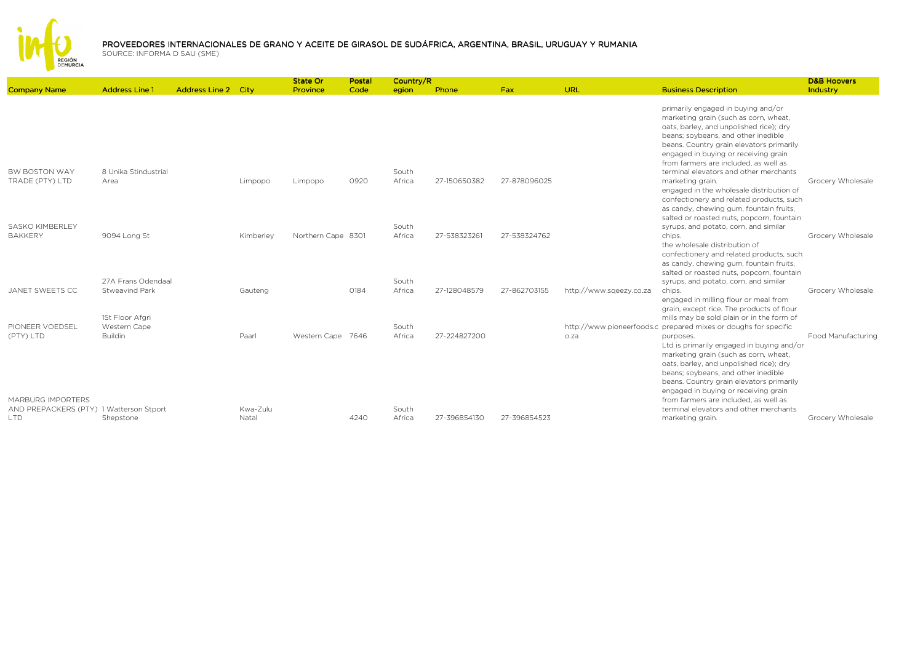

|                                                                                  |                                                                                |                            |                   | State Or           | Postal | Country/R                |              |              |                         |                                                                                                                                                                                                                                                                                                                                                          | <b>D&amp;B Hoovers</b> |
|----------------------------------------------------------------------------------|--------------------------------------------------------------------------------|----------------------------|-------------------|--------------------|--------|--------------------------|--------------|--------------|-------------------------|----------------------------------------------------------------------------------------------------------------------------------------------------------------------------------------------------------------------------------------------------------------------------------------------------------------------------------------------------------|------------------------|
| <b>Company Name</b>                                                              | <b>Address Line 1</b>                                                          | <b>Address Line 2 City</b> |                   | Province           | Code   | egion                    | Phone        | Fax          | <b>URL</b>              | <b>Business Description</b>                                                                                                                                                                                                                                                                                                                              | Industry               |
|                                                                                  |                                                                                |                            |                   |                    |        |                          |              |              |                         | primarily engaged in buying and/or<br>marketing grain (such as corn, wheat,<br>oats, barley, and unpolished rice); dry<br>beans; soybeans, and other inedible<br>beans. Country grain elevators primarily<br>engaged in buying or receiving grain<br>from farmers are included, as well as                                                               |                        |
| <b>BW BOSTON WAY</b><br>TRADE (PTY) LTD                                          | 8 Unika Stindustrial<br>Area                                                   |                            | Limpopo           | Limpopo            | 0920   | South<br>Africa          | 27-150650382 | 27-878096025 |                         | terminal elevators and other merchants<br>marketing grain.<br>engaged in the wholesale distribution of<br>confectionery and related products, such<br>as candy, chewing gum, fountain fruits,<br>salted or roasted nuts, popcorn, fountain                                                                                                               | Grocery Wholesale      |
| <b>SASKO KIMBERLEY</b><br><b>BAKKERY</b>                                         | 9094 Long St                                                                   |                            | Kimberley         | Northern Cape 8301 |        | South<br>Africa          | 27-538323261 | 27-538324762 |                         | syrups, and potato, corn, and similar<br>chips.<br>the wholesale distribution of<br>confectionery and related products, such<br>as candy, chewing gum, fountain fruits,<br>salted or roasted nuts, popcorn, fountain                                                                                                                                     | Grocery Wholesale      |
| JANET SWEETS CC<br>PIONEER VOEDSEL                                               | 27A Frans Odendaal<br><b>Stweavind Park</b><br>1St Floor Afgri<br>Western Cape |                            | Gauteng           |                    | 0184   | South<br>Africa<br>South | 27-128048579 | 27-862703155 | http://www.sqeezy.co.za | syrups, and potato, corn, and similar<br>chips.<br>engaged in milling flour or meal from<br>grain, except rice. The products of flour<br>mills may be sold plain or in the form of<br>http://www.pioneerfoods.c_prepared mixes or doughs for specific                                                                                                    | Grocery Wholesale      |
| (PTY) LTD<br><b>MARBURG IMPORTERS</b><br>AND PREPACKERS (PTY) 1 Watterson Stport | <b>Buildin</b>                                                                 |                            | Paarl<br>Kwa-Zulu | Western Cape 7646  |        | Africa<br>South          | 27-224827200 |              | o.za                    | purposes.<br>Ltd is primarily engaged in buying and/or<br>marketing grain (such as corn, wheat,<br>oats, barley, and unpolished rice); dry<br>beans; soybeans, and other inedible<br>beans. Country grain elevators primarily<br>engaged in buying or receiving grain<br>from farmers are included, as well as<br>terminal elevators and other merchants | Food Manufacturing     |
| <b>LTD</b>                                                                       | Shepstone                                                                      |                            | Natal             |                    | 4240   | Africa                   | 27-396854130 | 27-396854523 |                         | marketing grain.                                                                                                                                                                                                                                                                                                                                         | Grocery Wholesale      |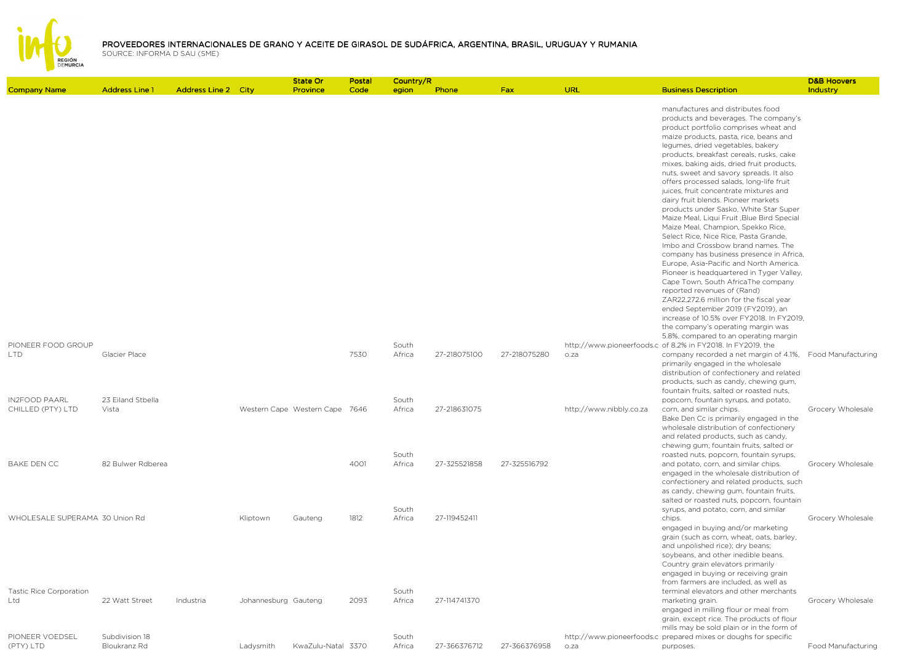

| <b>Company Name</b>                                      | <b>Address Line 1</b>            | <b>Address Line 2 City</b> |                      | State Or<br>Province           | Postal<br>Code | Country/R<br>egion       | Phone        | <b>Fax</b>   | URL                     | <b>Business Description</b>                                                                                                                                                                                                                                                                                                                                                                                                                                                                                                                                                                                                                                                                                                                                                                                                                                                                                                                                                                                                                                   | <b>D&amp;B Hoovers</b><br>Industry |
|----------------------------------------------------------|----------------------------------|----------------------------|----------------------|--------------------------------|----------------|--------------------------|--------------|--------------|-------------------------|---------------------------------------------------------------------------------------------------------------------------------------------------------------------------------------------------------------------------------------------------------------------------------------------------------------------------------------------------------------------------------------------------------------------------------------------------------------------------------------------------------------------------------------------------------------------------------------------------------------------------------------------------------------------------------------------------------------------------------------------------------------------------------------------------------------------------------------------------------------------------------------------------------------------------------------------------------------------------------------------------------------------------------------------------------------|------------------------------------|
|                                                          |                                  |                            |                      |                                |                |                          |              |              |                         | manufactures and distributes food<br>products and beverages. The company's<br>product portfolio comprises wheat and<br>maize products, pasta, rice, beans and<br>legumes, dried vegetables, bakery<br>products, breakfast cereals, rusks, cake<br>mixes, baking aids, dried fruit products,<br>nuts, sweet and savory spreads. It also<br>offers processed salads, long-life fruit<br>juices, fruit concentrate mixtures and<br>dairy fruit blends. Pioneer markets<br>products under Sasko, White Star Super<br>Maize Meal, Liqui Fruit , Blue Bird Special<br>Maize Meal, Champion, Spekko Rice,<br>Select Rice, Nice Rice, Pasta Grande,<br>Imbo and Crossbow brand names. The<br>company has business presence in Africa,<br>Europe, Asia-Pacific and North America.<br>Pioneer is headquartered in Tyger Valley,<br>Cape Town, South AfricaThe company<br>reported revenues of (Rand)<br>ZAR22,272.6 million for the fiscal year<br>ended September 2019 (FY2019), an<br>increase of 10.5% over FY2018. In FY2019,<br>the company's operating margin was |                                    |
| PIONEER FOOD GROUP<br>LTD.                               | Glacier Place                    |                            |                      |                                | 7530           | South<br>Africa          | 27-218075100 | 27-218075280 | o.za                    | 5.8%, compared to an operating margin<br>http://www.pioneerfoods.c of 8.2% in FY2018. In FY2019, the<br>company recorded a net margin of 4.1%, Food Manufacturing<br>primarily engaged in the wholesale<br>distribution of confectionery and related<br>products, such as candy, chewing gum,                                                                                                                                                                                                                                                                                                                                                                                                                                                                                                                                                                                                                                                                                                                                                                 |                                    |
| <b>IN2FOOD PAARL</b><br>CHILLED (PTY) LTD                | 23 Eiland Stbella<br>Vista       |                            |                      | Western Cape Western Cape 7646 |                | South<br>Africa          | 27-218631075 |              | http://www.nibbly.co.za | fountain fruits, salted or roasted nuts,<br>popcorn, fountain syrups, and potato,<br>corn, and similar chips.<br>Bake Den Cc is primarily engaged in the<br>wholesale distribution of confectionery<br>and related products, such as candy,                                                                                                                                                                                                                                                                                                                                                                                                                                                                                                                                                                                                                                                                                                                                                                                                                   | Grocery Wholesale                  |
| <b>BAKE DEN CC</b>                                       | 82 Bulwer Rdberea                |                            |                      |                                | 4001           | South<br>Africa          | 27-325521858 | 27-325516792 |                         | chewing gum, fountain fruits, salted or<br>roasted nuts, popcorn, fountain syrups,<br>and potato, corn, and similar chips.<br>engaged in the wholesale distribution of<br>confectionery and related products, such<br>as candy, chewing gum, fountain fruits,                                                                                                                                                                                                                                                                                                                                                                                                                                                                                                                                                                                                                                                                                                                                                                                                 | Grocery Wholesale                  |
| WHOLESALE SUPERAMA 30 Union Rd                           |                                  |                            | Kliptown             | Gauteng                        | 1812           | South<br>Africa          | 27-119452411 |              |                         | salted or roasted nuts, popcorn, fountain<br>syrups, and potato, corn, and similar<br>chips.<br>engaged in buying and/or marketing<br>grain (such as corn, wheat, oats, barley,<br>and unpolished rice); dry beans;<br>soybeans, and other inedible beans.<br>Country grain elevators primarily<br>engaged in buying or receiving grain                                                                                                                                                                                                                                                                                                                                                                                                                                                                                                                                                                                                                                                                                                                       | Grocery Wholesale                  |
| <b>Tastic Rice Corporation</b><br>Ltd<br>PIONEER VOEDSEL | 22 Watt Street<br>Subdivision 18 | Industria                  | Johannesburg Gauteng |                                | 2093           | South<br>Africa<br>South | 27-114741370 |              |                         | from farmers are included, as well as<br>terminal elevators and other merchants<br>marketing grain.<br>engaged in milling flour or meal from<br>grain, except rice. The products of flour<br>mills may be sold plain or in the form of<br>http://www.pioneerfoods.c prepared mixes or doughs for specific                                                                                                                                                                                                                                                                                                                                                                                                                                                                                                                                                                                                                                                                                                                                                     | Grocery Wholesale                  |
| (PTY) LTD                                                | Bloukranz Rd                     |                            | Ladysmith            | KwaZulu-Natal 3370             |                | Africa                   | 27-366376712 | 27-366376958 | o.za                    | purposes.                                                                                                                                                                                                                                                                                                                                                                                                                                                                                                                                                                                                                                                                                                                                                                                                                                                                                                                                                                                                                                                     | Food Manufacturing                 |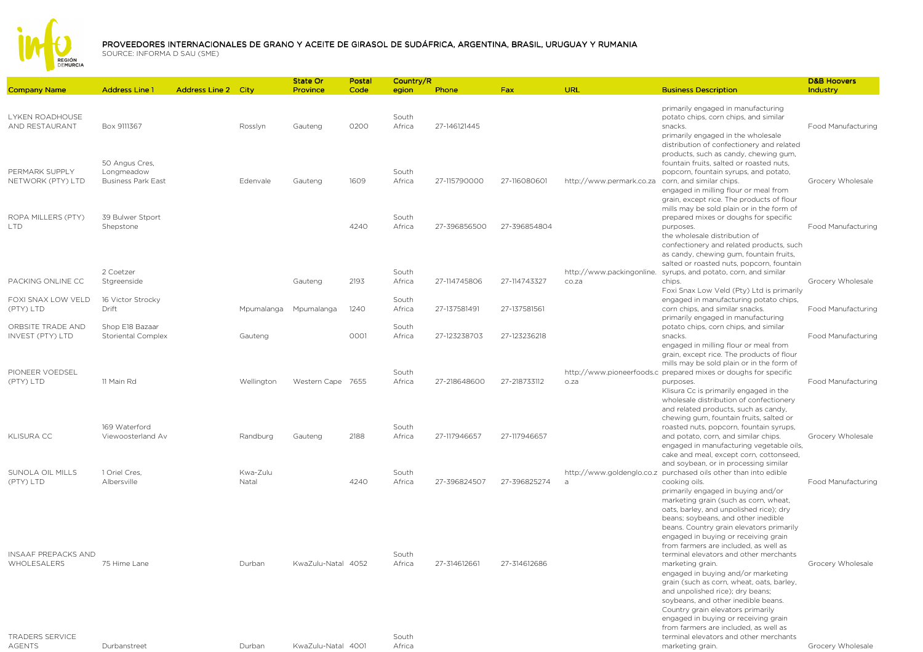

|                                          |                                                           |                            |                   | <b>State Or</b>    | Postal | Country/R       |              |              |                          |                                                                                                                                                                                                                                                                                                          | <b>D&amp;B Hoovers</b>    |
|------------------------------------------|-----------------------------------------------------------|----------------------------|-------------------|--------------------|--------|-----------------|--------------|--------------|--------------------------|----------------------------------------------------------------------------------------------------------------------------------------------------------------------------------------------------------------------------------------------------------------------------------------------------------|---------------------------|
| <b>Company Name</b>                      | <b>Address Line 1</b>                                     | <b>Address Line 2 City</b> |                   | Province           | Code   | egion           | Phone        | Fax          | <b>URL</b>               | <b>Business Description</b>                                                                                                                                                                                                                                                                              | Industry                  |
| <b>LYKEN ROADHOUSE</b><br>AND RESTAURANT | Box 9111367                                               |                            | Rosslyn           | Gauteng            | 0200   | South<br>Africa | 27-146121445 |              |                          | primarily engaged in manufacturing<br>potato chips, corn chips, and similar<br>snacks.<br>primarily engaged in the wholesale<br>distribution of confectionery and related<br>products, such as candy, chewing gum,                                                                                       | Food Manufacturing        |
| PERMARK SUPPLY<br>NETWORK (PTY) LTD      | 50 Angus Cres,<br>Longmeadow<br><b>Business Park East</b> |                            | Edenvale          | Gauteng            | 1609   | South<br>Africa | 27-115790000 | 27-116080601 | http://www.permark.co.za | fountain fruits, salted or roasted nuts,<br>popcorn, fountain syrups, and potato,<br>corn, and similar chips.<br>engaged in milling flour or meal from<br>grain, except rice. The products of flour                                                                                                      | Grocery Wholesale         |
| ROPA MILLERS (PTY)<br><b>LTD</b>         | 39 Bulwer Stport<br>Shepstone                             |                            |                   |                    | 4240   | South<br>Africa | 27-396856500 | 27-396854804 |                          | mills may be sold plain or in the form of<br>prepared mixes or doughs for specific<br>purposes.<br>the wholesale distribution of<br>confectionery and related products, such<br>as candy, chewing gum, fountain fruits,                                                                                  | <b>Food Manufacturing</b> |
| PACKING ONLINE CC                        | 2 Coetzer<br>Stgreenside                                  |                            |                   | Gauteng            | 2193   | South<br>Africa | 27-114745806 | 27-114743327 | co.za                    | salted or roasted nuts, popcorn, fountain<br>http://www.packingonline. syrups, and potato, corn, and similar<br>chips.<br>Foxi Snax Low Veld (Pty) Ltd is primarily                                                                                                                                      | Grocery Wholesale         |
| FOXI SNAX LOW VELD<br>(PTY) LTD          | 16 Victor Strocky<br>Drift                                |                            | Mpumalanga        | Mpumalanga         | 1240   | South<br>Africa | 27-137581491 | 27-137581561 |                          | engaged in manufacturing potato chips,<br>corn chips, and similar snacks.<br>primarily engaged in manufacturing                                                                                                                                                                                          | Food Manufacturing        |
| ORBSITE TRADE AND<br>INVEST (PTY) LTD    | Shop E18 Bazaar<br><b>Storiental Complex</b>              |                            | Gauteng           |                    | 0001   | South<br>Africa | 27-123238703 | 27-123236218 |                          | potato chips, corn chips, and similar<br>snacks.<br>engaged in milling flour or meal from<br>grain, except rice. The products of flour                                                                                                                                                                   | Food Manufacturing        |
| PIONEER VOEDSEL<br>(PTY) LTD             | 11 Main Rd                                                |                            | Wellington        | Western Cape 7655  |        | South<br>Africa | 27-218648600 | 27-218733112 | o.za                     | mills may be sold plain or in the form of<br>http://www.pioneerfoods.c_prepared mixes or doughs for specific<br>purposes.<br>Klisura Cc is primarily engaged in the<br>wholesale distribution of confectionery<br>and related products, such as candy,                                                   | <b>Food Manufacturing</b> |
| <b>KLISURA CC</b>                        | 169 Waterford<br>Viewoosterland Av                        |                            | Randburg          | Gauteng            | 2188   | South<br>Africa | 27-117946657 | 27-117946657 |                          | chewing gum, fountain fruits, salted or<br>roasted nuts, popcorn, fountain syrups,<br>and potato, corn, and similar chips.<br>engaged in manufacturing vegetable oils,<br>cake and meal, except corn, cottonseed,                                                                                        | Grocery Wholesale         |
| SUNOLA OIL MILLS<br>(PTY) LTD            | 1 Oriel Cres,<br>Albersville                              |                            | Kwa-Zulu<br>Natal |                    | 4240   | South<br>Africa | 27-396824507 | 27-396825274 |                          | and soybean, or in processing similar<br>http://www.goldenglo.co.z purchased oils other than into edible<br>cooking oils.<br>primarily engaged in buying and/or<br>marketing grain (such as corn, wheat,<br>oats, barley, and unpolished rice); dry<br>beans; soybeans, and other inedible               | Food Manufacturing        |
| INSAAF PREPACKS AND<br>WHOLESALERS       | 75 Hime Lane                                              |                            | Durban            | KwaZulu-Natal 4052 |        | South<br>Africa | 27-314612661 | 27-314612686 |                          | beans. Country grain elevators primarily<br>engaged in buying or receiving grain<br>from farmers are included, as well as<br>terminal elevators and other merchants<br>marketing grain.<br>engaged in buying and/or marketing                                                                            | Grocery Wholesale         |
| <b>TRADERS SERVICE</b><br><b>AGENTS</b>  | Durbanstreet                                              |                            | Durban            | KwaZulu-Natal 4001 |        | South<br>Africa |              |              |                          | grain (such as corn, wheat, oats, barley,<br>and unpolished rice); dry beans;<br>soybeans, and other inedible beans.<br>Country grain elevators primarily<br>engaged in buying or receiving grain<br>from farmers are included, as well as<br>terminal elevators and other merchants<br>marketing grain. | Grocery Wholesale         |
|                                          |                                                           |                            |                   |                    |        |                 |              |              |                          |                                                                                                                                                                                                                                                                                                          |                           |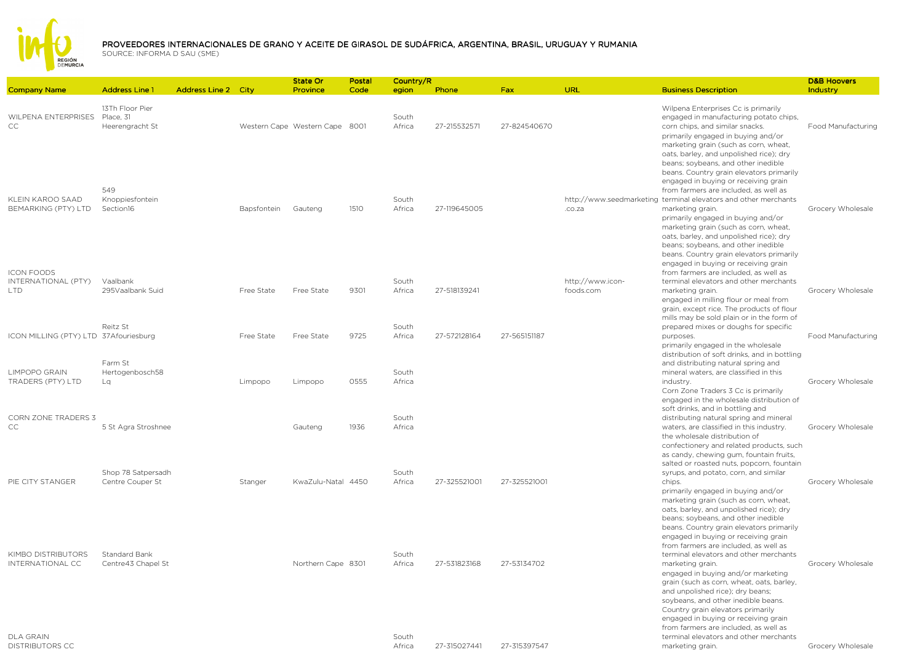

|                                         | <b>Address Line 1</b>                           |                            |             | State Or                       | Postal | Country/R       | Phone        |              | URL                           |                                                                                                                                                                                                                                                                                                                                                                                                                                                                                                              | <b>D&amp;B Hoovers</b> |
|-----------------------------------------|-------------------------------------------------|----------------------------|-------------|--------------------------------|--------|-----------------|--------------|--------------|-------------------------------|--------------------------------------------------------------------------------------------------------------------------------------------------------------------------------------------------------------------------------------------------------------------------------------------------------------------------------------------------------------------------------------------------------------------------------------------------------------------------------------------------------------|------------------------|
| <b>Company Name</b>                     |                                                 | <b>Address Line 2 City</b> |             | Province                       | Code   | egion           |              | <b>Fax</b>   |                               | <b>Business Description</b>                                                                                                                                                                                                                                                                                                                                                                                                                                                                                  | Industry               |
| WILPENA ENTERPRISES<br>CC               | 13Th Floor Pier<br>Place, 31<br>Heerengracht St |                            |             | Western Cape Western Cape 8001 |        | South<br>Africa | 27-215532571 | 27-824540670 |                               | Wilpena Enterprises Cc is primarily<br>engaged in manufacturing potato chips,<br>corn chips, and similar snacks.<br>primarily engaged in buying and/or                                                                                                                                                                                                                                                                                                                                                       | Food Manufacturing     |
| KLEIN KAROO SAAD<br>BEMARKING (PTY) LTD | 549<br>Knoppiesfontein<br>Section16             |                            | Bapsfontein | Gauteng                        | 1510   | South<br>Africa | 27-119645005 |              | .co.za                        | marketing grain (such as corn, wheat,<br>oats, barley, and unpolished rice); dry<br>beans; soybeans, and other inedible<br>beans. Country grain elevators primarily<br>engaged in buying or receiving grain<br>from farmers are included, as well as<br>http://www.seedmarketing terminal elevators and other merchants<br>marketing grain.<br>primarily engaged in buying and/or<br>marketing grain (such as corn, wheat,<br>oats, barley, and unpolished rice); dry<br>beans; soybeans, and other inedible | Grocery Wholesale      |
| <b>ICON FOODS</b>                       |                                                 |                            |             |                                |        |                 |              |              |                               | beans. Country grain elevators primarily<br>engaged in buying or receiving grain<br>from farmers are included, as well as                                                                                                                                                                                                                                                                                                                                                                                    |                        |
| INTERNATIONAL (PTY)<br><b>LTD</b>       | Vaalbank<br>295Vaalbank Suid                    |                            | Free State  | Free State                     | 9301   | South<br>Africa | 27-518139241 |              | http://www.icon-<br>foods.com | terminal elevators and other merchants<br>marketing grain.<br>engaged in milling flour or meal from                                                                                                                                                                                                                                                                                                                                                                                                          | Grocery Wholesale      |
| ICON MILLING (PTY) LTD 37Afouriesburg   | Reitz St                                        |                            | Free State  | Free State                     | 9725   | South<br>Africa | 27-572128164 | 27-565151187 |                               | grain, except rice. The products of flour<br>mills may be sold plain or in the form of<br>prepared mixes or doughs for specific<br>purposes.                                                                                                                                                                                                                                                                                                                                                                 | Food Manufacturing     |
|                                         | Farm St                                         |                            |             |                                |        |                 |              |              |                               | primarily engaged in the wholesale<br>distribution of soft drinks, and in bottling<br>and distributing natural spring and                                                                                                                                                                                                                                                                                                                                                                                    |                        |
| LIMPOPO GRAIN<br>TRADERS (PTY) LTD      | Hertogenbosch58<br>La                           |                            | Limpopo     | Limpopo                        | 0555   | South<br>Africa |              |              |                               | mineral waters, are classified in this<br>industry.<br>Corn Zone Traders 3 Cc is primarily                                                                                                                                                                                                                                                                                                                                                                                                                   | Grocery Wholesale      |
| <b>CORN ZONE TRADERS 3</b><br>CC        | 5 St Agra Stroshnee                             |                            |             | Gauteng                        | 1936   | South<br>Africa |              |              |                               | engaged in the wholesale distribution of<br>soft drinks, and in bottling and<br>distributing natural spring and mineral<br>waters, are classified in this industry.                                                                                                                                                                                                                                                                                                                                          | Grocery Wholesale      |
|                                         |                                                 |                            |             |                                |        |                 |              |              |                               | the wholesale distribution of<br>confectionery and related products, such<br>as candy, chewing gum, fountain fruits,                                                                                                                                                                                                                                                                                                                                                                                         |                        |
| PIE CITY STANGER                        | Shop 78 Satpersadh<br>Centre Couper St          |                            | Stanger     | KwaZulu-Natal 4450             |        | South<br>Africa | 27-325521001 | 27-325521001 |                               | salted or roasted nuts, popcorn, fountain<br>syrups, and potato, corn, and similar<br>chips.                                                                                                                                                                                                                                                                                                                                                                                                                 | Grocery Wholesale      |
|                                         |                                                 |                            |             |                                |        |                 |              |              |                               | primarily engaged in buying and/or<br>marketing grain (such as corn, wheat,<br>oats, barley, and unpolished rice); dry<br>beans; soybeans, and other inedible<br>beans. Country grain elevators primarily<br>engaged in buying or receiving grain                                                                                                                                                                                                                                                            |                        |
| KIMBO DISTRIBUTORS                      | Standard Bank                                   |                            |             |                                |        | South           |              |              |                               | from farmers are included, as well as<br>terminal elevators and other merchants                                                                                                                                                                                                                                                                                                                                                                                                                              |                        |
| INTERNATIONAL CC                        | Centre43 Chapel St                              |                            |             | Northern Cape 8301             |        | Africa          | 27-531823168 | 27-53134702  |                               | marketing grain.<br>engaged in buying and/or marketing<br>grain (such as corn, wheat, oats, barley,<br>and unpolished rice); dry beans;<br>soybeans, and other inedible beans.<br>Country grain elevators primarily<br>engaged in buying or receiving grain                                                                                                                                                                                                                                                  | Grocery Wholesale      |
| DI A GRAIN                              |                                                 |                            |             |                                |        | South           |              |              |                               | from farmers are included, as well as<br>terminal elevators and other merchants                                                                                                                                                                                                                                                                                                                                                                                                                              |                        |

DLA GRAIN DISTRIBUTORS CC South Africa

27-315027441 27-315397547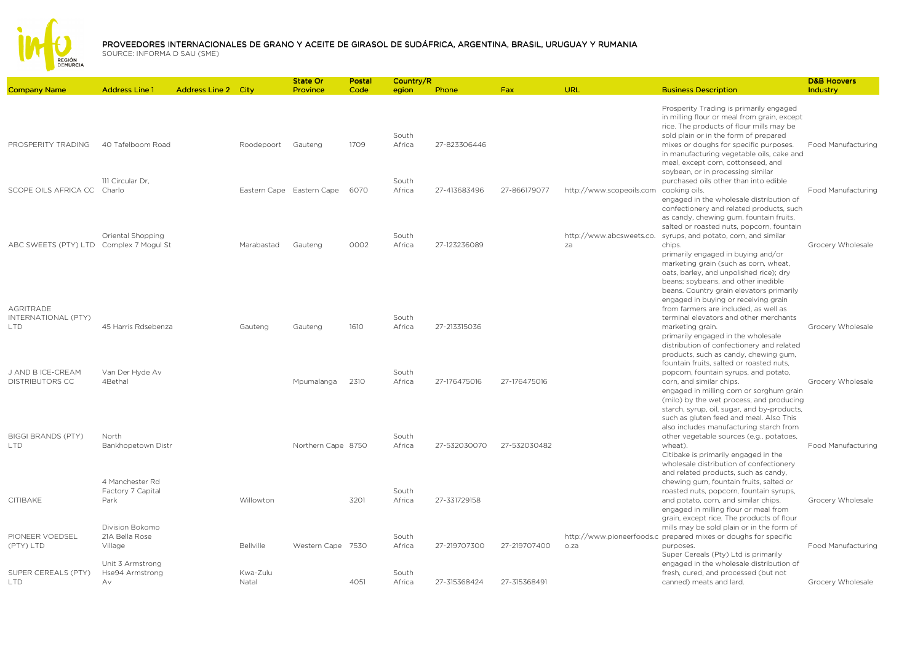

|                                                       |                                                                 |                            |                   | State Or                  | Postal | Country/R       |              |              |                                        |                                                                                                                                                                                                                                                                                                                     | <b>D&amp;B Hoovers</b> |
|-------------------------------------------------------|-----------------------------------------------------------------|----------------------------|-------------------|---------------------------|--------|-----------------|--------------|--------------|----------------------------------------|---------------------------------------------------------------------------------------------------------------------------------------------------------------------------------------------------------------------------------------------------------------------------------------------------------------------|------------------------|
| <b>Company Name</b>                                   | <b>Address Line 1</b>                                           | <b>Address Line 2 City</b> |                   | Province                  | Code   | egion           | Phone        | <b>Fax</b>   | <b>URL</b>                             | <b>Business Description</b>                                                                                                                                                                                                                                                                                         | Industry               |
| PROSPERITY TRADING                                    | 40 Tafelboom Road                                               |                            | Roodepoort        | Gauteng                   | 1709   | South<br>Africa | 27-823306446 |              |                                        | Prosperity Trading is primarily engaged<br>in milling flour or meal from grain, except<br>rice. The products of flour mills may be<br>sold plain or in the form of prepared<br>mixes or doughs for specific purposes.<br>in manufacturing vegetable oils, cake and<br>meal, except corn, cottonseed, and            | Food Manufacturing     |
| SCOPE OILS AFRICA CC Charlo                           | 111 Circular Dr.                                                |                            |                   | Eastern Cape Eastern Cape | 6070   | South<br>Africa | 27-413683496 | 27-866179077 | http://www.scopeoils.com cooking oils. | soybean, or in processing similar<br>purchased oils other than into edible<br>engaged in the wholesale distribution of<br>confectionery and related products, such<br>as candy, chewing gum, fountain fruits,<br>salted or roasted nuts, popcorn, fountain                                                          | Food Manufacturing     |
| ABC SWEETS (PTY) LTD Complex 7 Mogul St               | Oriental Shopping                                               |                            | Marabastad        | Gauteng                   | 0002   | South<br>Africa | 27-123236089 |              | http://www.abcsweets.co.<br>za         | syrups, and potato, corn, and similar<br>chips.<br>primarily engaged in buying and/or<br>marketing grain (such as corn, wheat,<br>oats, barley, and unpolished rice); dry<br>beans; soybeans, and other inedible<br>beans. Country grain elevators primarily                                                        | Grocery Wholesale      |
| <b>AGRITRADE</b><br>INTERNATIONAL (PTY)<br><b>LTD</b> | 45 Harris Rdsebenza                                             |                            | Gauteng           | Gauteng                   | 1610   | South<br>Africa | 27-213315036 |              |                                        | engaged in buying or receiving grain<br>from farmers are included, as well as<br>terminal elevators and other merchants<br>marketing grain.<br>primarily engaged in the wholesale<br>distribution of confectionery and related<br>products, such as candy, chewing gum,<br>fountain fruits, salted or roasted nuts, | Grocery Wholesale      |
| J AND B ICE-CREAM<br><b>DISTRIBUTORS CC</b>           | Van Der Hyde Av<br>4Bethal                                      |                            |                   | Mpumalanga                | 2310   | South<br>Africa | 27-176475016 | 27-176475016 |                                        | popcorn, fountain syrups, and potato,<br>corn, and similar chips.<br>engaged in milling corn or sorghum grain<br>(milo) by the wet process, and producing<br>starch, syrup, oil, sugar, and by-products,<br>such as gluten feed and meal. Also This<br>also includes manufacturing starch from                      | Grocery Wholesale      |
| <b>BIGGI BRANDS (PTY)</b><br><b>LTD</b>               | North<br>Bankhopetown Distr                                     |                            |                   | Northern Cape 8750        |        | South<br>Africa | 27-532030070 | 27-532030482 |                                        | other vegetable sources (e.g., potatoes,<br>wheat).<br>Citibake is primarily engaged in the<br>wholesale distribution of confectionery<br>and related products, such as candy,                                                                                                                                      | Food Manufacturing     |
| CITIBAKE                                              | 4 Manchester Rd<br>Factory 7 Capital<br>Park<br>Division Bokomo |                            | Willowton         |                           | 3201   | South<br>Africa | 27-331729158 |              |                                        | chewing gum, fountain fruits, salted or<br>roasted nuts, popcorn, fountain syrups,<br>and potato, corn, and similar chips.<br>engaged in milling flour or meal from<br>grain, except rice. The products of flour<br>mills may be sold plain or in the form of                                                       | Grocery Wholesale      |
| PIONEER VOEDSEL<br>(PTY) LTD                          | 21A Bella Rose<br>Village<br>Unit 3 Armstrong                   |                            | <b>Bellville</b>  | Western Cape 7530         |        | South<br>Africa | 27-219707300 | 27-219707400 | o.za                                   | http://www.pioneerfoods.c_prepared mixes or doughs for specific<br>purposes.<br>Super Cereals (Pty) Ltd is primarily<br>engaged in the wholesale distribution of                                                                                                                                                    | Food Manufacturing     |
| SUPER CEREALS (PTY)<br><b>LTD</b>                     | Hse94 Armstrong<br>Av.                                          |                            | Kwa-Zulu<br>Natal |                           | 4051   | South<br>Africa | 27-315368424 | 27-315368491 |                                        | fresh, cured, and processed (but not<br>canned) meats and lard.                                                                                                                                                                                                                                                     | Grocery Wholesale      |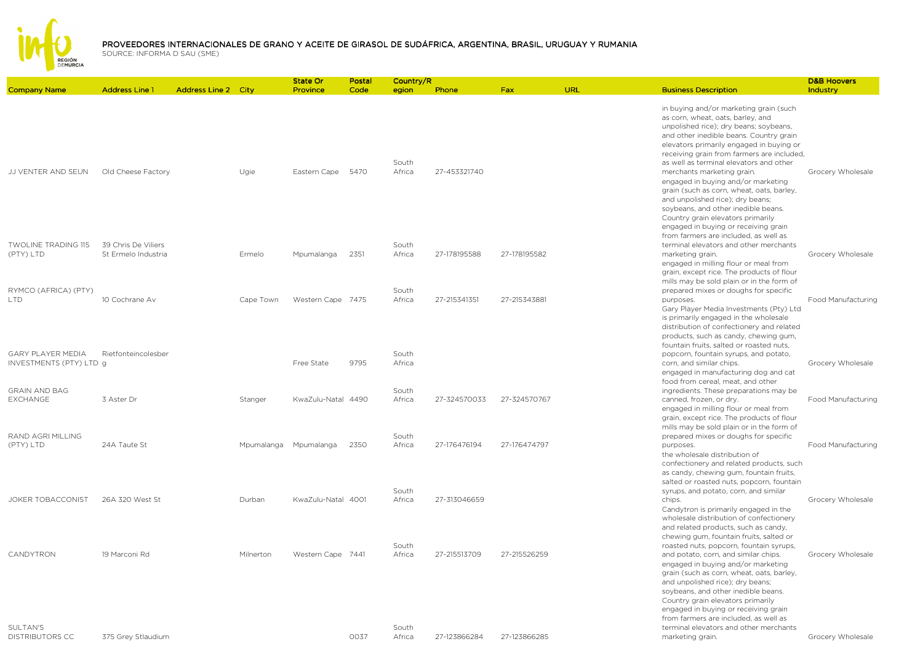

| <b>Company Name</b>                          | <b>Address Line 1</b> | <b>Address Line 2 City</b> |            | State Or<br>Province | Postal<br>Code | Country/R       | Phone        | <b>Fax</b>   | <b>URL</b> | <b>Business Description</b>                                                                                                                                                                                                                                                                                                                                                                                                                                                                                                                                                    | <b>D&amp;B Hoovers</b><br>Industry |
|----------------------------------------------|-----------------------|----------------------------|------------|----------------------|----------------|-----------------|--------------|--------------|------------|--------------------------------------------------------------------------------------------------------------------------------------------------------------------------------------------------------------------------------------------------------------------------------------------------------------------------------------------------------------------------------------------------------------------------------------------------------------------------------------------------------------------------------------------------------------------------------|------------------------------------|
|                                              |                       |                            |            |                      |                | egion           |              |              |            |                                                                                                                                                                                                                                                                                                                                                                                                                                                                                                                                                                                |                                    |
| JJ VENTER AND SEUN                           | Old Cheese Factory    |                            | Ugie       | Eastern Cape         | 5470           | South<br>Africa | 27-453321740 |              |            | in buying and/or marketing grain (such<br>as corn, wheat, oats, barley, and<br>unpolished rice); dry beans; soybeans,<br>and other inedible beans. Country grain<br>elevators primarily engaged in buying or<br>receiving grain from farmers are included,<br>as well as terminal elevators and other<br>merchants marketing grain.<br>engaged in buying and/or marketing<br>grain (such as corn, wheat, oats, barley,<br>and unpolished rice); dry beans;<br>soybeans, and other inedible beans.<br>Country grain elevators primarily<br>engaged in buying or receiving grain | Grocery Wholesale                  |
| <b>TWOLINE TRADING 115</b>                   | 39 Chris De Viliers   |                            |            |                      |                | South           |              |              |            | from farmers are included, as well as<br>terminal elevators and other merchants                                                                                                                                                                                                                                                                                                                                                                                                                                                                                                |                                    |
| (PTY) LTD<br>RYMCO (AFRICA) (PTY)            | St Ermelo Industria   |                            | Ermelo     | Mpumalanga           | 2351           | Africa<br>South | 27-178195588 | 27-178195582 |            | marketing grain.<br>engaged in milling flour or meal from<br>grain, except rice. The products of flour<br>mills may be sold plain or in the form of                                                                                                                                                                                                                                                                                                                                                                                                                            | Grocery Wholesale                  |
| LTD.                                         | 10 Cochrane Av        |                            | Cape Town  | Western Cape 7475    |                | Africa          | 27-215341351 | 27-215343881 |            | prepared mixes or doughs for specific<br>purposes.<br>Gary Player Media Investments (Pty) Ltd<br>is primarily engaged in the wholesale<br>distribution of confectionery and related<br>products, such as candy, chewing gum,<br>fountain fruits, salted or roasted nuts,                                                                                                                                                                                                                                                                                                       | Food Manufacturing                 |
| GARY PLAYER MEDIA<br>INVESTMENTS (PTY) LTD g | Rietfonteincolesber   |                            |            | Free State           | 9795           | South<br>Africa |              |              |            | popcorn, fountain syrups, and potato,<br>corn, and similar chips.<br>engaged in manufacturing dog and cat<br>food from cereal, meat, and other                                                                                                                                                                                                                                                                                                                                                                                                                                 | Grocery Wholesale                  |
| <b>GRAIN AND BAG</b><br><b>EXCHANGE</b>      | 3 Aster Dr            |                            | Stanger    | KwaZulu-Natal 4490   |                | South<br>Africa | 27-324570033 | 27-324570767 |            | ingredients. These preparations may be<br>canned, frozen, or dry.<br>engaged in milling flour or meal from<br>grain, except rice. The products of flour<br>mills may be sold plain or in the form of                                                                                                                                                                                                                                                                                                                                                                           | Food Manufacturing                 |
| RAND AGRI MILLING<br>(PTY) LTD               | 24A Taute St          |                            | Mpumalanga | Mpumalanga           | 2350           | South<br>Africa | 27-176476194 | 27-176474797 |            | prepared mixes or doughs for specific<br>purposes.<br>the wholesale distribution of<br>confectionery and related products, such<br>as candy, chewing gum, fountain fruits,<br>salted or roasted nuts, popcorn, fountain                                                                                                                                                                                                                                                                                                                                                        | Food Manufacturing                 |
| JOKER TOBACCONIST                            | 26A 320 West St       |                            | Durban     | KwaZulu-Natal 4001   |                | South<br>Africa | 27-313046659 |              |            | syrups, and potato, corn, and similar<br>chips.<br>Candytron is primarily engaged in the<br>wholesale distribution of confectionery<br>and related products, such as candy,<br>chewing gum, fountain fruits, salted or                                                                                                                                                                                                                                                                                                                                                         | Grocery Wholesale                  |
| CANDYTRON                                    | 19 Marconi Rd         |                            | Milnerton  | Western Cape 7441    |                | South<br>Africa | 27-215513709 | 27-215526259 |            | roasted nuts, popcorn, fountain syrups,<br>and potato, corn, and similar chips.<br>engaged in buying and/or marketing<br>grain (such as corn, wheat, oats, barley,<br>and unpolished rice); dry beans;<br>soybeans, and other inedible beans.<br>Country grain elevators primarily<br>engaged in buying or receiving grain<br>from farmers are included, as well as                                                                                                                                                                                                            | Grocery Wholesale                  |
| SULTAN'S<br><b>DISTRIBUTORS CC</b>           | 375 Grey Stlaudium    |                            |            |                      | 0037           | South<br>Africa | 27-123866284 | 27-123866285 |            | terminal elevators and other merchants<br>marketing grain.                                                                                                                                                                                                                                                                                                                                                                                                                                                                                                                     | Grocery Wholesale                  |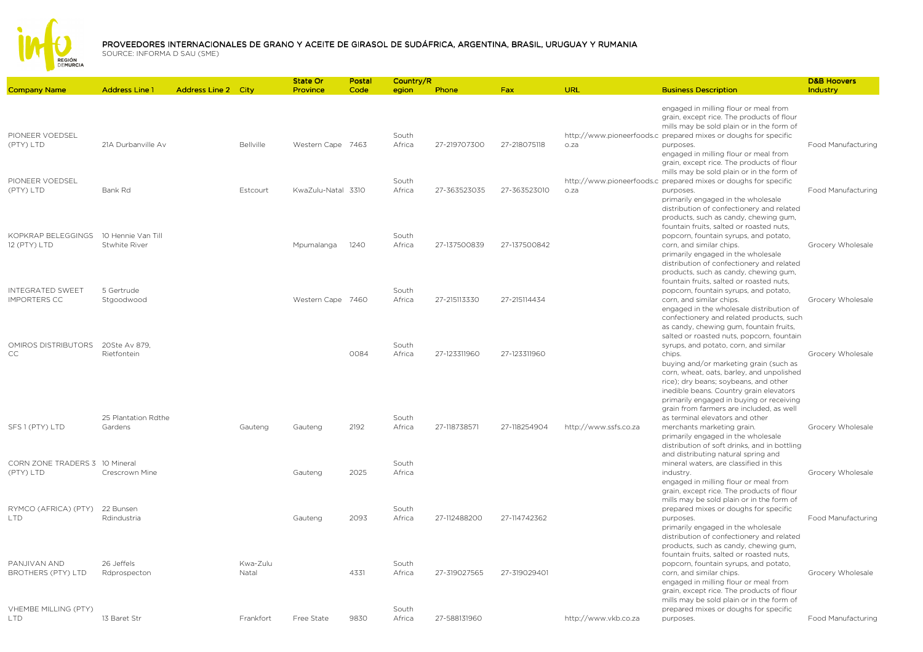

## PROVEEDORES INTERNACIONALES DE GRANO Y ACEITE DE GIRASOL DE SUDÁFRICA, ARGENTINA, BRASIL, URUGUAY Y RUMANIA<br>SOLIPCE: INFORMA D SALL(SME)

|                                                |                                     |                            |                   | <b>State Or</b>    | Postal | Country/R       |              |              |                       |                                                                                                                                                                                                                                                                                                                    | <b>D&amp;B Hoovers</b>    |
|------------------------------------------------|-------------------------------------|----------------------------|-------------------|--------------------|--------|-----------------|--------------|--------------|-----------------------|--------------------------------------------------------------------------------------------------------------------------------------------------------------------------------------------------------------------------------------------------------------------------------------------------------------------|---------------------------|
| <b>Company Name</b>                            | <b>Address Line 1</b>               | <b>Address Line 2 City</b> |                   | Province           | Code   | egion           | Phone        | <b>Fax</b>   | URL                   | <b>Business Description</b>                                                                                                                                                                                                                                                                                        | Industry                  |
| PIONEER VOEDSEL                                |                                     |                            |                   |                    |        | South           |              |              |                       | engaged in milling flour or meal from<br>grain, except rice. The products of flour<br>mills may be sold plain or in the form of<br>http://www.pioneerfoods.c_prepared mixes or doughs for specific                                                                                                                 |                           |
| (PTY) LTD                                      | 21A Durbanville Av                  |                            | Bellville         | Western Cape 7463  |        | Africa          | 27-219707300 | 27-218075118 | o.za                  | purposes.<br>engaged in milling flour or meal from<br>grain, except rice. The products of flour<br>mills may be sold plain or in the form of                                                                                                                                                                       | Food Manufacturing        |
| PIONEER VOEDSEL<br>(PTY) LTD                   | Bank Rd                             |                            | Estcourt          | KwaZulu-Natal 3310 |        | South<br>Africa | 27-363523035 | 27-363523010 | o.za                  | http://www.pioneerfoods.c prepared mixes or doughs for specific<br>purposes.<br>primarily engaged in the wholesale<br>distribution of confectionery and related<br>products, such as candy, chewing gum,<br>fountain fruits, salted or roasted nuts,                                                               | Food Manufacturing        |
| KOPKRAP BELFGGINGS<br>12 (PTY) LTD             | 10 Hennie Van Till<br>Stwhite River |                            |                   | Mpumalanga         | 1240   | South<br>Africa | 27-137500839 | 27-137500842 |                       | popcorn, fountain syrups, and potato,<br>corn, and similar chips.<br>primarily engaged in the wholesale<br>distribution of confectionery and related<br>products, such as candy, chewing gum,<br>fountain fruits, salted or roasted nuts,                                                                          | Grocery Wholesale         |
| <b>INTEGRATED SWEET</b><br><b>IMPORTERS CC</b> | 5 Gertrude<br>Stgoodwood            |                            |                   | Western Cape 7460  |        | South<br>Africa | 27-215113330 | 27-215114434 |                       | popcorn, fountain syrups, and potato,<br>corn, and similar chips.<br>engaged in the wholesale distribution of<br>confectionery and related products, such<br>as candy, chewing gum, fountain fruits,<br>salted or roasted nuts, popcorn, fountain                                                                  | Grocery Wholesale         |
| OMIROS DISTRIBUTORS 20Ste Av 879,<br>CC        | Rietfontein                         |                            |                   |                    | 0084   | South<br>Africa | 27-123311960 | 27-123311960 |                       | syrups, and potato, corn, and similar<br>chips.<br>buying and/or marketing grain (such as<br>corn, wheat, oats, barley, and unpolished<br>rice); dry beans; soybeans, and other<br>inedible beans. Country grain elevators<br>primarily engaged in buying or receiving<br>grain from farmers are included, as well | Grocery Wholesale         |
| SFS 1 (PTY) LTD                                | 25 Plantation Rdthe<br>Gardens      |                            | Gauteng           | Gauteng            | 2192   | South<br>Africa | 27-118738571 | 27-118254904 | http://www.ssfs.co.za | as terminal elevators and other<br>merchants marketing grain.<br>primarily engaged in the wholesale<br>distribution of soft drinks, and in bottling<br>and distributing natural spring and                                                                                                                         | Grocery Wholesale         |
| CORN ZONE TRADERS 3 10 Mineral<br>(PTY) LTD    | Crescrown Mine                      |                            |                   | Gauteng            | 2025   | South<br>Africa |              |              |                       | mineral waters, are classified in this<br>industry.<br>engaged in milling flour or meal from<br>grain, except rice. The products of flour<br>mills may be sold plain or in the form of                                                                                                                             | Grocery Wholesale         |
| RYMCO (AFRICA) (PTY)<br><b>LTD</b>             | 22 Bunsen<br>Rdindustria            |                            |                   | Gauteng            | 2093   | South<br>Africa | 27-112488200 | 27-114742362 |                       | prepared mixes or doughs for specific<br>purposes.<br>primarily engaged in the wholesale<br>distribution of confectionery and related<br>products, such as candy, chewing gum,<br>fountain fruits, salted or roasted nuts,                                                                                         | <b>Food Manufacturing</b> |
| PANJIVAN AND<br>BROTHERS (PTY) LTD             | 26 Jeffels<br>Rdprospecton          |                            | Kwa-Zulu<br>Natal |                    | 4331   | South<br>Africa | 27-319027565 | 27-319029401 |                       | popcorn, fountain syrups, and potato,<br>corn, and similar chips.<br>engaged in milling flour or meal from<br>grain, except rice. The products of flour<br>mills may be sold plain or in the form of                                                                                                               | Grocery Wholesale         |
| VHEMBE MILLING (PTY)<br><b>LTD</b>             | 13 Baret Str                        |                            | Frankfort         | Free State         | 9830   | South<br>Africa | 27-588131960 |              | http://www.vkb.co.za  | prepared mixes or doughs for specific<br>purposes.                                                                                                                                                                                                                                                                 | Food Manufacturing        |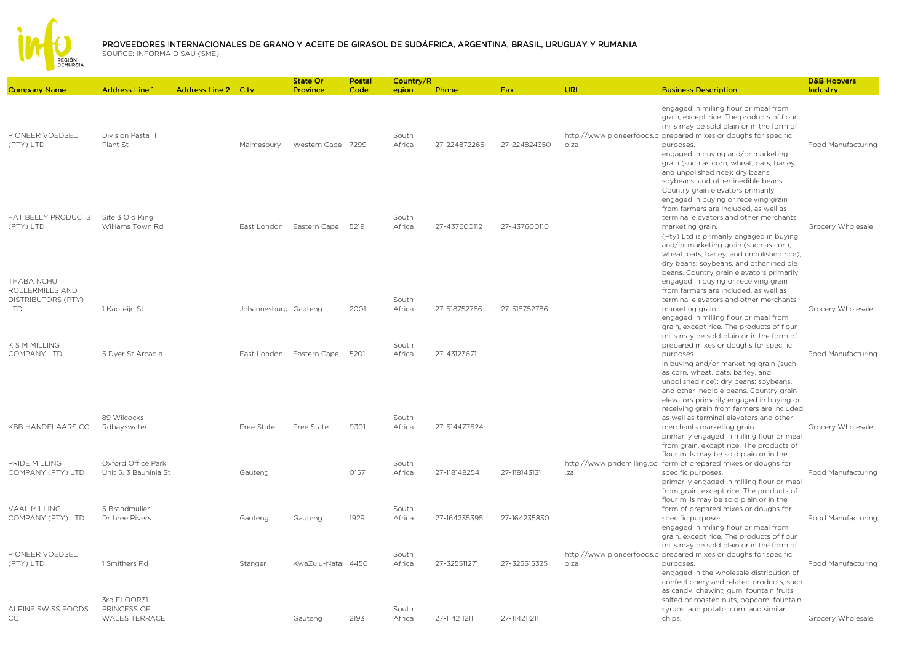

## PROVEEDORES INTERNACIONALES DE GRANO Y ACEITE DE GIRASOL DE SUDÁFRICA, ARGENTINA, BRASIL, URUGUAY Y RUMANIA<br>SOLIPCE: INFORMA D SALL(SME)

|                                                             |                                                    |                            |                      | State Or           | Postal | Country/R       |              |              |      |                                                                                                                                                                                                                                                                                                                                                                                                            | <b>D&amp;B Hoovers</b> |
|-------------------------------------------------------------|----------------------------------------------------|----------------------------|----------------------|--------------------|--------|-----------------|--------------|--------------|------|------------------------------------------------------------------------------------------------------------------------------------------------------------------------------------------------------------------------------------------------------------------------------------------------------------------------------------------------------------------------------------------------------------|------------------------|
| <b>Company Name</b>                                         | <b>Address Line 1</b>                              | <b>Address Line 2 City</b> |                      | <b>Province</b>    | Code   | egion           | Phone        | <b>Fax</b>   | URL  | <b>Business Description</b>                                                                                                                                                                                                                                                                                                                                                                                | Industry               |
| PIONEER VOEDSEL<br>(PTY) LTD                                | Division Pasta 11<br>Plant St                      |                            | Malmesbury           | Western Cape 7299  |        | South<br>Africa | 27-224872265 | 27-224824350 | o.za | engaged in milling flour or meal from<br>grain, except rice. The products of flour<br>mills may be sold plain or in the form of<br>http://www.pioneerfoods.c prepared mixes or doughs for specific<br>purposes.<br>engaged in buying and/or marketing<br>grain (such as corn, wheat, oats, barley,<br>and unpolished rice); dry beans;<br>soybeans, and other inedible beans.                              | Food Manufacturing     |
| FAT BELLY PRODUCTS<br>(PTY) LTD                             | Site 3 Old King<br>Williams Town Rd                |                            | East London          | Eastern Cape       | 5219   | South<br>Africa | 27-437600112 | 27-437600110 |      | Country grain elevators primarily<br>engaged in buying or receiving grain<br>from farmers are included, as well as<br>terminal elevators and other merchants<br>marketing grain.<br>(Pty) Ltd is primarily engaged in buying<br>and/or marketing grain (such as corn,<br>wheat, oats, barley, and unpolished rice);<br>dry beans; soybeans, and other inedible<br>beans. Country grain elevators primarily | Grocery Wholesale      |
| THABA NCHU<br>ROLLERMILLS AND<br>DISTRIBUTORS (PTY)<br>LTD. | 1 Kapteijn St                                      |                            | Johannesburg Gauteng |                    | 2001   | South<br>Africa | 27-518752786 | 27-518752786 |      | engaged in buying or receiving grain<br>from farmers are included, as well as<br>terminal elevators and other merchants<br>marketing grain.<br>engaged in milling flour or meal from<br>grain, except rice. The products of flour                                                                                                                                                                          | Grocery Wholesale      |
| K S M MILLING<br><b>COMPANY LTD</b>                         | 5 Dyer St Arcadia                                  |                            | East London          | Eastern Cape       | 5201   | South<br>Africa | 27-43123671  |              |      | mills may be sold plain or in the form of<br>prepared mixes or doughs for specific<br>purposes.<br>in buying and/or marketing grain (such<br>as corn, wheat, oats, barley, and<br>unpolished rice); dry beans; soybeans,                                                                                                                                                                                   | Food Manufacturing     |
| KBB HANDELAARS CC                                           | 89 Wilcocks<br>Rdbayswater                         |                            | Free State           | Free State         | 9301   | South<br>Africa | 27-514477624 |              |      | and other inedible beans. Country grain<br>elevators primarily engaged in buying or<br>receiving grain from farmers are included,<br>as well as terminal elevators and other<br>merchants marketing grain.<br>primarily engaged in milling flour or meal<br>from grain, except rice. The products of                                                                                                       | Grocery Wholesale      |
| PRIDE MILLING<br>COMPANY (PTY) LTD                          | Oxford Office Park<br>Unit 5, 3 Bauhinia St        |                            | Gauteng              |                    | 0157   | South<br>Africa | 27-118148254 | 27-118143131 | .za  | flour mills may be sold plain or in the<br>http://www.pridemilling.co form of prepared mixes or doughs for<br>specific purposes.<br>primarily engaged in milling flour or meal<br>from grain, except rice. The products of<br>flour mills may be sold plain or in the                                                                                                                                      | Food Manufacturing     |
| <b>VAAL MILLING</b><br>COMPANY (PTY) LTD                    | 5 Brandmuller<br><b>Drthree Rivers</b>             |                            | Gauteng              | Gauteng            | 1929   | South<br>Africa | 27-164235395 | 27-164235830 |      | form of prepared mixes or doughs for<br>specific purposes.<br>engaged in milling flour or meal from<br>grain, except rice. The products of flour                                                                                                                                                                                                                                                           | Food Manufacturing     |
| PIONEER VOEDSEL<br>(PTY) LTD                                | 1 Smithers Rd                                      |                            | Stanger              | KwaZulu-Natal 4450 |        | South<br>Africa | 27-325511271 | 27-325515325 | o.za | mills may be sold plain or in the form of<br>http://www.pioneerfoods.c prepared mixes or doughs for specific<br>purposes.<br>engaged in the wholesale distribution of<br>confectionery and related products, such<br>as candy, chewing gum, fountain fruits,                                                                                                                                               | Food Manufacturing     |
| ALPINE SWISS FOODS<br>CC                                    | 3rd FLOOR31<br>PRINCESS OF<br><b>WALES TERRACE</b> |                            |                      | Gauteng            | 2193   | South<br>Africa | 27-114211211 | 27-114211211 |      | salted or roasted nuts, popcorn, fountain<br>syrups, and potato, corn, and similar<br>chips.                                                                                                                                                                                                                                                                                                               | Grocery Wholesale      |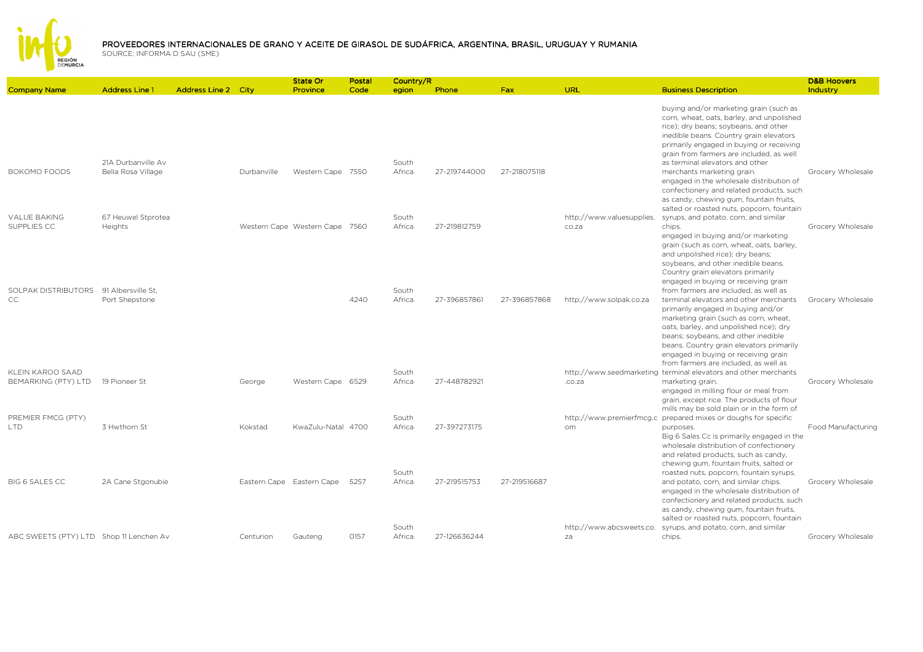

|                                         |                                          |                            |             | State Or                       | Postal | Country/R       |              |              |                                    |                                                                                                                                                                                                                                                                                                                                      | <b>D&amp;B Hoovers</b>    |
|-----------------------------------------|------------------------------------------|----------------------------|-------------|--------------------------------|--------|-----------------|--------------|--------------|------------------------------------|--------------------------------------------------------------------------------------------------------------------------------------------------------------------------------------------------------------------------------------------------------------------------------------------------------------------------------------|---------------------------|
| <b>Company Name</b>                     | <b>Address Line 1</b>                    | <b>Address Line 2 City</b> |             | Province                       | Code   | egion           | Phone        | Fax:         | URL                                | <b>Business Description</b>                                                                                                                                                                                                                                                                                                          | Industry                  |
|                                         |                                          |                            |             |                                |        |                 |              |              |                                    | buying and/or marketing grain (such as<br>corn, wheat, oats, barley, and unpolished<br>rice); dry beans; soybeans, and other<br>inedible beans. Country grain elevators<br>primarily engaged in buying or receiving<br>grain from farmers are included, as well                                                                      |                           |
| BOKOMO FOODS                            | 21A Durbanville Av<br>Bella Rosa Village |                            | Durbanville | Western Cape 7550              |        | South<br>Africa | 27-219744000 | 27-218075118 |                                    | as terminal elevators and other<br>merchants marketing grain.<br>engaged in the wholesale distribution of<br>confectionery and related products, such<br>as candy, chewing gum, fountain fruits,<br>salted or roasted nuts, popcorn, fountain                                                                                        | Grocery Wholesale         |
| <b>VALUE BAKING</b><br>SUPPLIES CC      | 67 Heuwel Stprotea<br>Heights            |                            |             | Western Cape Western Cape 7560 |        | South<br>Africa | 27-219812759 |              | http://www.valuesupplies.<br>co.za | syrups, and potato, corn, and similar<br>chips.<br>engaged in buying and/or marketing                                                                                                                                                                                                                                                | Grocery Wholesale         |
| SOLPAK DISTRIBUTORS                     | 91 Albersville St.                       |                            |             |                                |        | South           |              |              |                                    | grain (such as corn, wheat, oats, barley,<br>and unpolished rice); dry beans;<br>soybeans, and other inedible beans.<br>Country grain elevators primarily<br>engaged in buying or receiving grain<br>from farmers are included, as well as                                                                                           |                           |
| CC                                      | Port Shepstone                           |                            |             |                                | 4240   | Africa          | 27-396857861 | 27-396857868 | http://www.solpak.co.za            | terminal elevators and other merchants<br>primarily engaged in buying and/or<br>marketing grain (such as corn, wheat,<br>oats, barley, and unpolished rice); dry<br>beans; soybeans, and other inedible<br>beans. Country grain elevators primarily<br>engaged in buying or receiving grain<br>from farmers are included, as well as | Grocery Wholesale         |
| KLEIN KAROO SAAD<br>BEMARKING (PTY) LTD | 19 Pioneer St                            |                            | George      | Western Cape 6529              |        | South<br>Africa | 27-448782921 |              | .co.za                             | http://www.seedmarketing terminal elevators and other merchants<br>marketing grain.<br>engaged in milling flour or meal from<br>grain, except rice. The products of flour                                                                                                                                                            | Grocery Wholesale         |
| PREMIER FMCG (PTY)<br><b>ITD</b>        | 3 Hwthorn St                             |                            | Kokstad     | KwaZulu-Natal 4700             |        | South<br>Africa | 27-397273175 |              | om                                 | mills may be sold plain or in the form of<br>http://www.premierfmcg.c_prepared mixes or doughs for specific<br>purposes.<br>Big 6 Sales Cc is primarily engaged in the<br>wholesale distribution of confectionery<br>and related products, such as candy,                                                                            | <b>Food Manufacturing</b> |
| BIG 6 SALES CC                          | 2A Cane Stgonubie                        |                            |             | Eastern Cape Eastern Cape      | 5257   | South<br>Africa | 27-219515753 | 27-219516687 |                                    | chewing gum, fountain fruits, salted or<br>roasted nuts, popcorn, fountain syrups,<br>and potato, corn, and similar chips.<br>engaged in the wholesale distribution of<br>confectionery and related products, such<br>as candy, chewing gum, fountain fruits,<br>salted or roasted nuts, popcorn, fountain                           | Grocery Wholesale         |
| ABC SWEETS (PTY) LTD Shop 11 Lenchen Av |                                          |                            | Centurion   | Gauteng                        | 0157   | South<br>Africa | 27-126636244 |              | za                                 | http://www.abcsweets.co. syrups, and potato, corn, and similar<br>chips.                                                                                                                                                                                                                                                             | Grocery Wholesale         |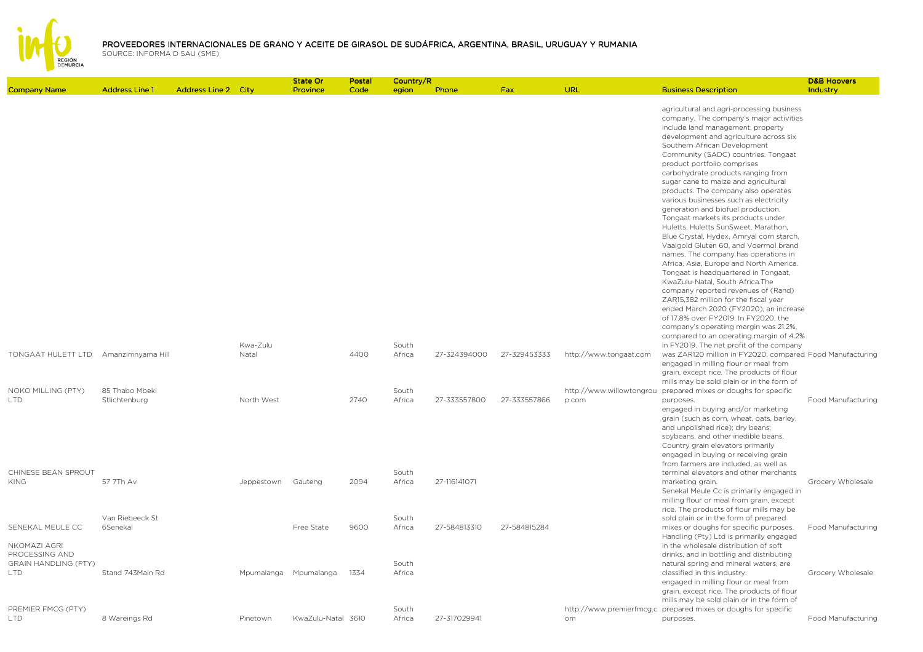

|                                                                             |                       |                            |                   | State Or              | Postal | Country/R       |              |              |                          |                                                                                                                                                                                                                                                                                                                                                                                                                                                                                                                                                                                                                                                                                                                                                                                                                                                                                                                                                                                   | <b>D&amp;B Hoovers</b>    |
|-----------------------------------------------------------------------------|-----------------------|----------------------------|-------------------|-----------------------|--------|-----------------|--------------|--------------|--------------------------|-----------------------------------------------------------------------------------------------------------------------------------------------------------------------------------------------------------------------------------------------------------------------------------------------------------------------------------------------------------------------------------------------------------------------------------------------------------------------------------------------------------------------------------------------------------------------------------------------------------------------------------------------------------------------------------------------------------------------------------------------------------------------------------------------------------------------------------------------------------------------------------------------------------------------------------------------------------------------------------|---------------------------|
| <b>Company Name</b>                                                         | <b>Address Line 1</b> | <b>Address Line 2 City</b> |                   | Province              | Code   | egion           | Phone        | Fax          | URL                      | <b>Business Description</b>                                                                                                                                                                                                                                                                                                                                                                                                                                                                                                                                                                                                                                                                                                                                                                                                                                                                                                                                                       | Industry                  |
|                                                                             |                       |                            |                   |                       |        |                 |              |              |                          | agricultural and agri-processing business<br>company. The company's major activities<br>include land management, property<br>development and agriculture across six<br>Southern African Development<br>Community (SADC) countries. Tongaat<br>product portfolio comprises<br>carbohydrate products ranging from<br>sugar cane to maize and agricultural<br>products. The company also operates<br>various businesses such as electricity<br>generation and biofuel production.<br>Tongaat markets its products under<br>Huletts, Huletts SunSweet, Marathon,<br>Blue Crystal, Hydex, Amryal corn starch,<br>Vaalgold Gluten 60, and Voermol brand<br>names. The company has operations in<br>Africa, Asia, Europe and North America.<br>Tongaat is headquartered in Tongaat,<br>KwaZulu-Natal, South Africa.The<br>company reported revenues of (Rand)<br>ZAR15,382 million for the fiscal year<br>ended March 2020 (FY2020), an increase<br>of 17.8% over FY2019. In FY2020, the |                           |
|                                                                             |                       |                            |                   |                       |        |                 |              |              |                          | company's operating margin was 21.2%,                                                                                                                                                                                                                                                                                                                                                                                                                                                                                                                                                                                                                                                                                                                                                                                                                                                                                                                                             |                           |
|                                                                             |                       |                            |                   |                       |        |                 |              |              |                          | compared to an operating margin of 4.2%                                                                                                                                                                                                                                                                                                                                                                                                                                                                                                                                                                                                                                                                                                                                                                                                                                                                                                                                           |                           |
| TONGAAT HULETT LTD Amanzimnyama Hill                                        |                       |                            | Kwa-Zulu<br>Natal |                       | 4400   | South<br>Africa | 27-324394000 | 27-329453333 | http://www.tongaat.com   | in FY2019. The net profit of the company<br>was ZAR120 million in FY2020, compared Food Manufacturing<br>engaged in milling flour or meal from<br>grain, except rice. The products of flour                                                                                                                                                                                                                                                                                                                                                                                                                                                                                                                                                                                                                                                                                                                                                                                       |                           |
| NOKO MILLING (PTY)                                                          | 85 Thabo Mbeki        |                            |                   |                       |        | South           |              |              |                          | mills may be sold plain or in the form of<br>http://www.willowtongrou prepared mixes or doughs for specific                                                                                                                                                                                                                                                                                                                                                                                                                                                                                                                                                                                                                                                                                                                                                                                                                                                                       |                           |
| LTD.                                                                        | Stlichtenburg         |                            | North West        |                       | 2740   | Africa          | 27-333557800 | 27-333557866 | p.com                    | purposes.<br>engaged in buying and/or marketing<br>grain (such as corn, wheat, oats, barley,<br>and unpolished rice); dry beans;<br>soybeans, and other inedible beans.<br>Country grain elevators primarily<br>engaged in buying or receiving grain<br>from farmers are included, as well as                                                                                                                                                                                                                                                                                                                                                                                                                                                                                                                                                                                                                                                                                     | Food Manufacturing        |
| CHINESE BEAN SPROUT<br><b>KING</b>                                          | 57 7Th Av             |                            | Jeppestown        | Gauteng               | 2094   | South<br>Africa | 27-116141071 |              |                          | terminal elevators and other merchants<br>marketing grain.<br>Senekal Meule Cc is primarily engaged in<br>milling flour or meal from grain, except<br>rice. The products of flour mills may be                                                                                                                                                                                                                                                                                                                                                                                                                                                                                                                                                                                                                                                                                                                                                                                    | Grocery Wholesale         |
|                                                                             | Van Riebeeck St       |                            |                   |                       |        | South           |              |              |                          | sold plain or in the form of prepared                                                                                                                                                                                                                                                                                                                                                                                                                                                                                                                                                                                                                                                                                                                                                                                                                                                                                                                                             |                           |
| SENEKAL MEULE CC                                                            | 6Senekal              |                            |                   | Free State            | 9600   | Africa          | 27-584813310 | 27-584815284 |                          | mixes or doughs for specific purposes.<br>Handling (Pty) Ltd is primarily engaged                                                                                                                                                                                                                                                                                                                                                                                                                                                                                                                                                                                                                                                                                                                                                                                                                                                                                                 | <b>Food Manufacturing</b> |
| NKOMAZI AGRI<br>PROCESSING AND<br><b>GRAIN HANDLING (PTY)</b><br><b>LTD</b> | Stand 743Main Rd      |                            |                   | Mpumalanga Mpumalanga | 1334   | South<br>Africa |              |              |                          | in the wholesale distribution of soft<br>drinks, and in bottling and distributing<br>natural spring and mineral waters, are<br>classified in this industry.<br>engaged in milling flour or meal from<br>grain, except rice. The products of flour<br>mills may be sold plain or in the form of                                                                                                                                                                                                                                                                                                                                                                                                                                                                                                                                                                                                                                                                                    | Grocery Wholesale         |
| PREMIER FMCG (PTY)                                                          |                       |                            |                   |                       |        | South           |              |              | http://www.premierfmcg.c | prepared mixes or doughs for specific                                                                                                                                                                                                                                                                                                                                                                                                                                                                                                                                                                                                                                                                                                                                                                                                                                                                                                                                             |                           |
| <b>LTD</b>                                                                  | 8 Wareings Rd         |                            | Pinetown          | KwaZulu-Natal 3610    |        | Africa          | 27-317029941 |              | om.                      | purposes.                                                                                                                                                                                                                                                                                                                                                                                                                                                                                                                                                                                                                                                                                                                                                                                                                                                                                                                                                                         | Food Manufacturing        |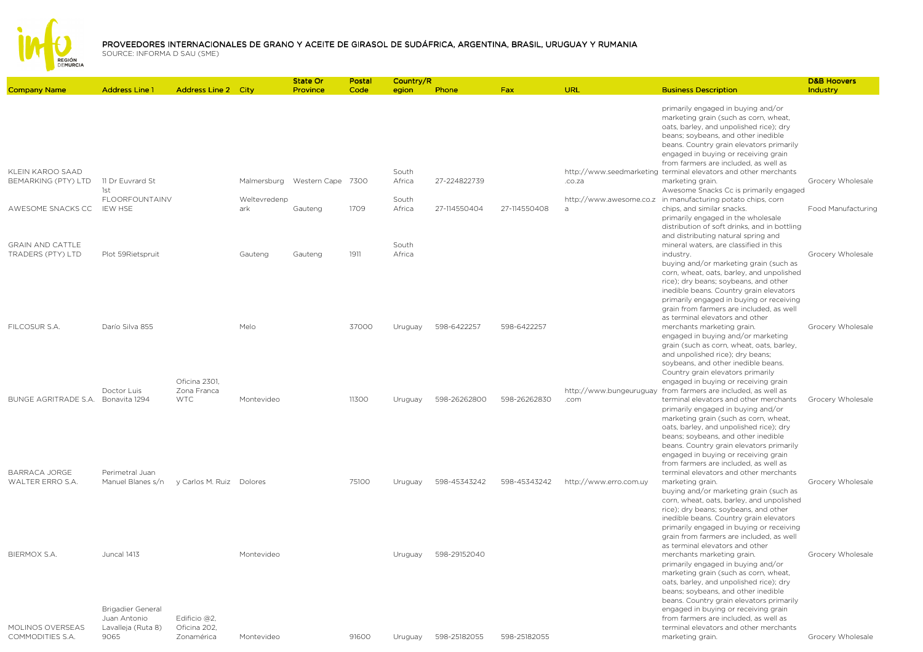

|                                              |                                                                               |                              |                     | <b>State Or</b>   | Postal | Country/R       |              |              |                                 |                                                                                                                                                                                                                                                                                                                                                                               | <b>D&amp;B Hoovers</b>    |
|----------------------------------------------|-------------------------------------------------------------------------------|------------------------------|---------------------|-------------------|--------|-----------------|--------------|--------------|---------------------------------|-------------------------------------------------------------------------------------------------------------------------------------------------------------------------------------------------------------------------------------------------------------------------------------------------------------------------------------------------------------------------------|---------------------------|
| <b>Company Name</b>                          | <b>Address Line 1</b>                                                         | <b>Address Line 2 City</b>   |                     | Province          | Code   | egion           | Phone        | Fax          | URL                             | <b>Business Description</b>                                                                                                                                                                                                                                                                                                                                                   | Industry                  |
|                                              |                                                                               |                              |                     |                   |        |                 |              |              |                                 | primarily engaged in buying and/or<br>marketing grain (such as corn, wheat,<br>oats, barley, and unpolished rice); dry<br>beans; soybeans, and other inedible<br>beans. Country grain elevators primarily<br>engaged in buying or receiving grain<br>from farmers are included, as well as                                                                                    |                           |
| KLEIN KAROO SAAD<br>BEMARKING (PTY) LTD      | 11 Dr Euvrard St<br>1st                                                       |                              | Malmersburg         | Western Cape 7300 |        | South<br>Africa | 27-224822739 |              | .co.za                          | http://www.seedmarketing terminal elevators and other merchants<br>marketing grain.<br>Awesome Snacks Cc is primarily engaged                                                                                                                                                                                                                                                 | Grocery Wholesale         |
| AWESOME SNACKS CC                            | <b>FLOORFOUNTAINV</b><br><b>IEW HSE</b>                                       |                              | Weltevredenp<br>ark | Gauteng           | 1709   | South<br>Africa | 27-114550404 | 27-114550408 | $\overline{a}$                  | http://www.awesome.co.z in manufacturing potato chips, corn<br>chips, and similar snacks.<br>primarily engaged in the wholesale<br>distribution of soft drinks, and in bottling<br>and distributing natural spring and                                                                                                                                                        | <b>Food Manufacturing</b> |
| <b>GRAIN AND CATTLE</b><br>TRADERS (PTY) LTD | Plot 59Rietspruit                                                             |                              | Gauteng             | Gauteng           | 1911   | South<br>Africa |              |              |                                 | mineral waters, are classified in this<br>industry.<br>buying and/or marketing grain (such as<br>corn, wheat, oats, barley, and unpolished<br>rice); dry beans; soybeans, and other<br>inedible beans. Country grain elevators<br>primarily engaged in buying or receiving<br>grain from farmers are included, as well<br>as terminal elevators and other                     | Grocery Wholesale         |
| FILCOSUR S.A.                                | Darío Silva 855                                                               | Oficina 2301.                | Melo                |                   | 37000  | Uruguay         | 598-6422257  | 598-6422257  |                                 | merchants marketing grain.<br>engaged in buying and/or marketing<br>grain (such as corn, wheat, oats, barley,<br>and unpolished rice); dry beans;<br>soybeans, and other inedible beans.<br>Country grain elevators primarily<br>engaged in buying or receiving grain                                                                                                         | Grocery Wholesale         |
| BUNGE AGRITRADE S.A. Bonavita 1294           | Doctor Luis                                                                   | Zona Franca<br><b>WTC</b>    | Montevideo          |                   | 11300  | Uruguay         | 598-26262800 | 598-26262830 | http://www.bungeuruguay<br>.com | from farmers are included, as well as<br>terminal elevators and other merchants<br>primarily engaged in buying and/or<br>marketing grain (such as corn, wheat,<br>oats, barley, and unpolished rice); dry<br>beans; soybeans, and other inedible<br>beans. Country grain elevators primarily<br>engaged in buying or receiving grain<br>from farmers are included, as well as | Grocery Wholesale         |
| <b>BARRACA JORGE</b><br>WALTER ERRO S.A.     | Perimetral Juan<br>Manuel Blanes s/n                                          | y Carlos M. Ruiz Dolores     |                     |                   | 75100  | Uruguay         | 598-45343242 | 598-45343242 | http://www.erro.com.uy          | terminal elevators and other merchants<br>marketing grain.<br>buying and/or marketing grain (such as<br>corn, wheat, oats, barley, and unpolished<br>rice); dry beans; soybeans, and other<br>inedible beans. Country grain elevators<br>primarily engaged in buying or receiving<br>grain from farmers are included, as well<br>as terminal elevators and other              | Grocery Wholesale         |
| <b>BIERMOX S.A.</b><br>MOLINOS OVERSEAS      | Juncal 1413<br><b>Brigadier General</b><br>Juan Antonio<br>Lavalleja (Ruta 8) | Edificio @2,<br>Oficina 202, | Montevideo          |                   |        | Uruguay         | 598-29152040 |              |                                 | merchants marketing grain.<br>primarily engaged in buying and/or<br>marketing grain (such as corn, wheat,<br>oats, barley, and unpolished rice); dry<br>beans; soybeans, and other inedible<br>beans. Country grain elevators primarily<br>engaged in buying or receiving grain<br>from farmers are included, as well as<br>terminal elevators and other merchants            | Grocery Wholesale         |
| COMMODITIES S.A.                             | 9065                                                                          | Zonamérica                   | Montevideo          |                   | 91600  | Uruguay         | 598-25182055 | 598-25182055 |                                 | marketing grain.                                                                                                                                                                                                                                                                                                                                                              | Grocery Wholesale         |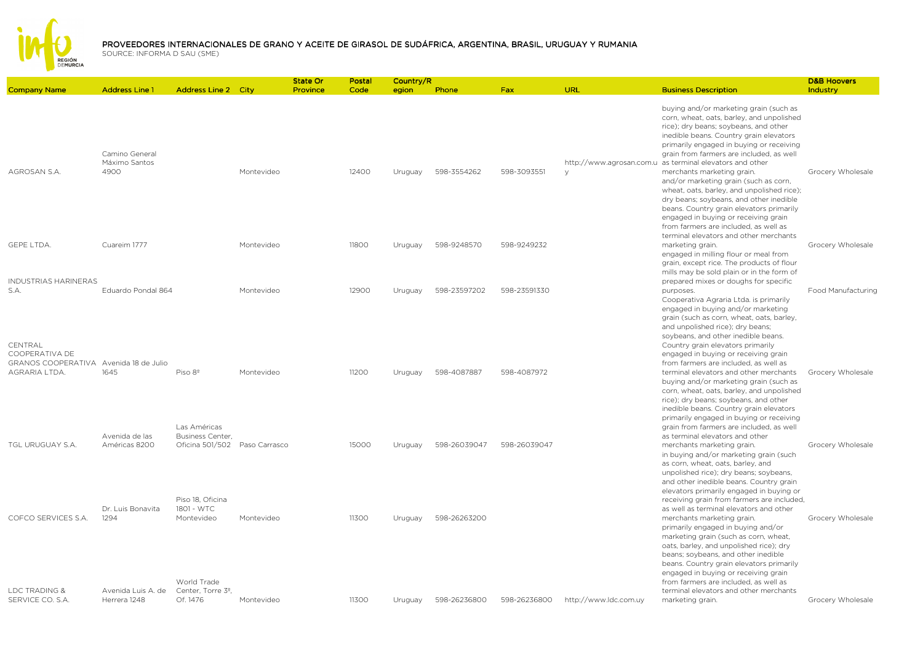

|                                                                                      |                                         |                                               |            | State Or | Postal | Country/R |              |              |                       |                                                                                                                                                                                                                                                                                                                                                                                                                                                  | <b>D&amp;B Hoovers</b> |
|--------------------------------------------------------------------------------------|-----------------------------------------|-----------------------------------------------|------------|----------|--------|-----------|--------------|--------------|-----------------------|--------------------------------------------------------------------------------------------------------------------------------------------------------------------------------------------------------------------------------------------------------------------------------------------------------------------------------------------------------------------------------------------------------------------------------------------------|------------------------|
| <b>Company Name</b>                                                                  | <b>Address Line 1</b>                   | <b>Address Line 2 City</b>                    |            | Province | Code   | egion     | Phone        | Fax          | URL                   | <b>Business Description</b>                                                                                                                                                                                                                                                                                                                                                                                                                      | Industry               |
| AGROSAN S.A.                                                                         | Camino General<br>Máximo Santos<br>4900 |                                               | Montevideo |          | 12400  | Uruguay   | 598-3554262  | 598-3093551  | $\vee$                | buying and/or marketing grain (such as<br>corn, wheat, oats, barley, and unpolished<br>rice); dry beans; soybeans, and other<br>inedible beans. Country grain elevators<br>primarily engaged in buying or receiving<br>grain from farmers are included, as well<br>http://www.agrosan.com.u as terminal elevators and other<br>merchants marketing grain.<br>and/or marketing grain (such as corn,<br>wheat, oats, barley, and unpolished rice); | Grocery Wholesale      |
| GEPE LTDA.                                                                           | Cuareim 1777                            |                                               | Montevideo |          | 11800  | Uruguay   | 598-9248570  | 598-9249232  |                       | dry beans; soybeans, and other inedible<br>beans. Country grain elevators primarily<br>engaged in buying or receiving grain<br>from farmers are included, as well as<br>terminal elevators and other merchants<br>marketing grain.<br>engaged in milling flour or meal from<br>grain, except rice. The products of flour                                                                                                                         | Grocery Wholesale      |
| <b>INDUSTRIAS HARINERAS</b>                                                          |                                         |                                               |            |          |        |           |              |              |                       | mills may be sold plain or in the form of<br>prepared mixes or doughs for specific                                                                                                                                                                                                                                                                                                                                                               |                        |
| S.A.                                                                                 | Eduardo Pondal 864                      |                                               | Montevideo |          | 12900  | Uruguay   | 598-23597202 | 598-23591330 |                       | purposes.<br>Cooperativa Agraria Ltda. is primarily                                                                                                                                                                                                                                                                                                                                                                                              | Food Manufacturing     |
| CENTRAL<br>COOPERATIVA DE<br>GRANOS COOPERATIVA Avenida 18 de Julio<br>AGRARIA LTDA. | 1645                                    | Piso 8 <sup>°</sup>                           | Montevideo |          | 11200  | Uruguay   | 598-4087887  | 598-4087972  |                       | engaged in buying and/or marketing<br>grain (such as corn, wheat, oats, barley,<br>and unpolished rice); dry beans;<br>soybeans, and other inedible beans.<br>Country grain elevators primarily<br>engaged in buying or receiving grain<br>from farmers are included, as well as<br>terminal elevators and other merchants<br>buying and/or marketing grain (such as<br>corn, wheat, oats, barley, and unpolished                                | Grocery Wholesale      |
|                                                                                      | Avenida de las                          | Las Américas<br>Business Center,              |            |          |        |           |              |              |                       | rice); dry beans; soybeans, and other<br>inedible beans. Country grain elevators<br>primarily engaged in buying or receiving<br>grain from farmers are included, as well<br>as terminal elevators and other                                                                                                                                                                                                                                      |                        |
| TGL URUGUAY S.A.                                                                     | Américas 8200                           | Oficina 501/502 Paso Carrasco                 |            |          | 15000  | Uruguay   | 598-26039047 | 598-26039047 |                       | merchants marketing grain.<br>in buying and/or marketing grain (such<br>as corn, wheat, oats, barley, and<br>unpolished rice); dry beans; soybeans,<br>and other inedible beans. Country grain<br>elevators primarily engaged in buying or                                                                                                                                                                                                       | Grocery Wholesale      |
| COFCO SERVICES S.A.                                                                  | Dr. Luis Bonavita<br>1294               | Piso 18. Oficina<br>1801 - WTC<br>Montevideo  | Montevideo |          | 11300  | Uruguay   | 598-26263200 |              |                       | receiving grain from farmers are included,<br>as well as terminal elevators and other<br>merchants marketing grain.<br>primarily engaged in buying and/or<br>marketing grain (such as corn, wheat,<br>oats, barley, and unpolished rice); dry<br>beans; soybeans, and other inedible<br>beans. Country grain elevators primarily<br>engaged in buying or receiving grain                                                                         | Grocery Wholesale      |
| LDC TRADING &                                                                        | Avenida Luis A. de                      | World Trade<br>Center, Torre 3 <sup>º</sup> , |            |          |        |           |              |              |                       | from farmers are included, as well as<br>terminal elevators and other merchants                                                                                                                                                                                                                                                                                                                                                                  |                        |
| SERVICE CO. S.A.                                                                     | Herrera 1248                            | Of. 1476                                      | Montevideo |          | 11300  | Uruguay   | 598-26236800 | 598-26236800 | http://www.ldc.com.uy | marketing grain.                                                                                                                                                                                                                                                                                                                                                                                                                                 | Grocery Wholesale      |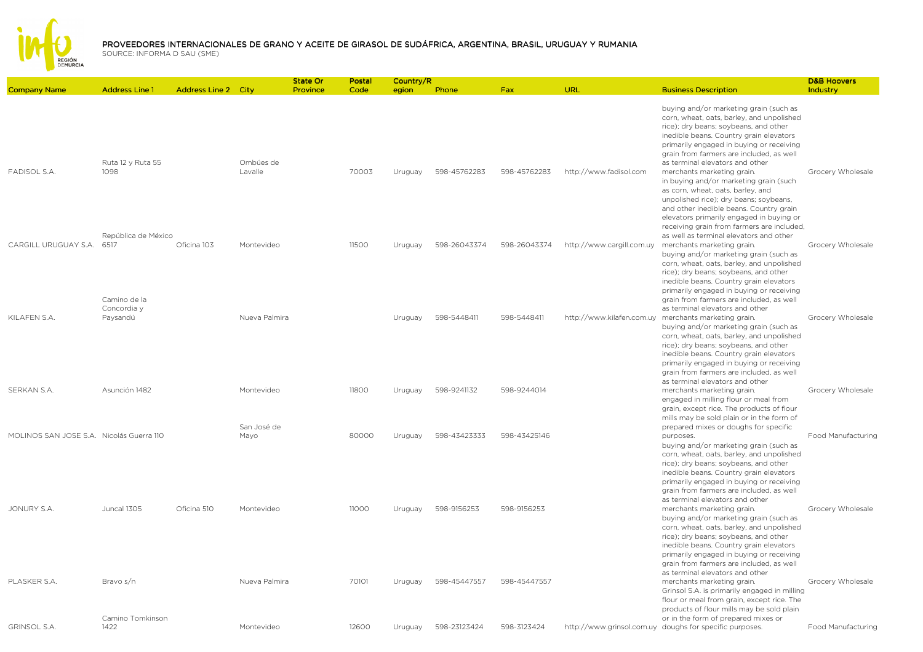

|                                          |                                             |                            |                           | <b>State Or</b> | Postal | Country/R |              |              |                           |                                                                                                                                                                                                                                                                                                                                                                                                                                                                                                                                                                                                | <b>D&amp;B Hoovers</b> |
|------------------------------------------|---------------------------------------------|----------------------------|---------------------------|-----------------|--------|-----------|--------------|--------------|---------------------------|------------------------------------------------------------------------------------------------------------------------------------------------------------------------------------------------------------------------------------------------------------------------------------------------------------------------------------------------------------------------------------------------------------------------------------------------------------------------------------------------------------------------------------------------------------------------------------------------|------------------------|
| <b>Company Name</b>                      | <b>Address Line 1</b>                       | <b>Address Line 2 City</b> |                           | Province        | Code   | egion     | Phone        | Fax          | <b>URL</b>                | <b>Business Description</b>                                                                                                                                                                                                                                                                                                                                                                                                                                                                                                                                                                    | Industry               |
| <b>FADISOL S.A</b>                       | Ruta 12 y Ruta 55<br>1098                   |                            | Ombúes de<br>Lavalle      |                 | 70003  | Uruguay   | 598-45762283 | 598-45762283 | http://www.fadisol.com    | buying and/or marketing grain (such as<br>corn, wheat, oats, barley, and unpolished<br>rice); dry beans; soybeans, and other<br>inedible beans. Country grain elevators<br>primarily engaged in buying or receiving<br>grain from farmers are included, as well<br>as terminal elevators and other<br>merchants marketing grain.<br>in buying and/or marketing grain (such<br>as corn, wheat, oats, barley, and<br>unpolished rice); dry beans; soybeans,<br>and other inedible beans. Country grain<br>elevators primarily engaged in buying or<br>receiving grain from farmers are included, | Grocery Wholesale      |
| CARGILL URUGUAY S.A.                     | República de México<br>6517<br>Camino de la | Oficina 103                | Montevideo                |                 | 11500  | Uruguay   | 598-26043374 | 598-26043374 | http://www.cargill.com.uy | as well as terminal elevators and other<br>merchants marketing grain.<br>buying and/or marketing grain (such as<br>corn, wheat, oats, barley, and unpolished<br>rice); dry beans; soybeans, and other<br>inedible beans. Country grain elevators<br>primarily engaged in buying or receiving<br>grain from farmers are included, as well                                                                                                                                                                                                                                                       | Grocery Wholesale      |
| KILAFEN S.A.                             | Concordia y<br>Paysandú                     |                            | Nueva Palmira             |                 |        | Uruguay   | 598-5448411  | 598-5448411  | http://www.kilafen.com.uy | as terminal elevators and other<br>merchants marketing grain.<br>buying and/or marketing grain (such as<br>corn, wheat, oats, barley, and unpolished<br>rice); dry beans; soybeans, and other<br>inedible beans. Country grain elevators<br>primarily engaged in buying or receiving<br>grain from farmers are included, as well<br>as terminal elevators and other                                                                                                                                                                                                                            | Grocery Wholesale      |
| SERKAN S.A.                              | Asunción 1482                               |                            | Montevideo<br>San José de |                 | 11800  | Uruguay   | 598-9241132  | 598-9244014  |                           | merchants marketing grain.<br>engaged in milling flour or meal from<br>grain, except rice. The products of flour<br>mills may be sold plain or in the form of<br>prepared mixes or doughs for specific                                                                                                                                                                                                                                                                                                                                                                                         | Grocery Wholesale      |
| MOLINOS SAN JOSE S.A. Nicolás Guerra 110 |                                             |                            | Mayo                      |                 | 80000  | Uruguay   | 598-43423333 | 598-43425146 |                           | purposes.<br>buying and/or marketing grain (such as<br>corn, wheat, oats, barley, and unpolished<br>rice); dry beans; soybeans, and other<br>inedible beans. Country grain elevators<br>primarily engaged in buying or receiving<br>grain from farmers are included, as well<br>as terminal elevators and other                                                                                                                                                                                                                                                                                | Food Manufacturing     |
| JONURY S.A.                              | Juncal 1305                                 | Oficina 510                | Montevideo                |                 | 11000  | Uruguay   | 598-9156253  | 598-9156253  |                           | merchants marketing grain.<br>buying and/or marketing grain (such as<br>corn, wheat, oats, barley, and unpolished<br>rice); dry beans; soybeans, and other<br>inedible beans. Country grain elevators<br>primarily engaged in buying or receiving<br>grain from farmers are included, as well<br>as terminal elevators and other                                                                                                                                                                                                                                                               | Grocery Wholesale      |
| PLASKER S.A.                             | Bravo s/n<br>Camino Tomkinson               |                            | Nueva Palmira             |                 | 70101  | Uruguay   | 598-45447557 | 598-45447557 |                           | merchants marketing grain.<br>Grinsol S.A. is primarily engaged in milling<br>flour or meal from grain, except rice. The<br>products of flour mills may be sold plain<br>or in the form of prepared mixes or                                                                                                                                                                                                                                                                                                                                                                                   | Grocery Wholesale      |
| <b>GRINSOL S.A.</b>                      | 1422                                        |                            | Montevideo                |                 | 12600  | Uruguay   | 598-23123424 | 598-3123424  |                           | http://www.grinsol.com.uy doughs for specific purposes.                                                                                                                                                                                                                                                                                                                                                                                                                                                                                                                                        | Food Manufacturing     |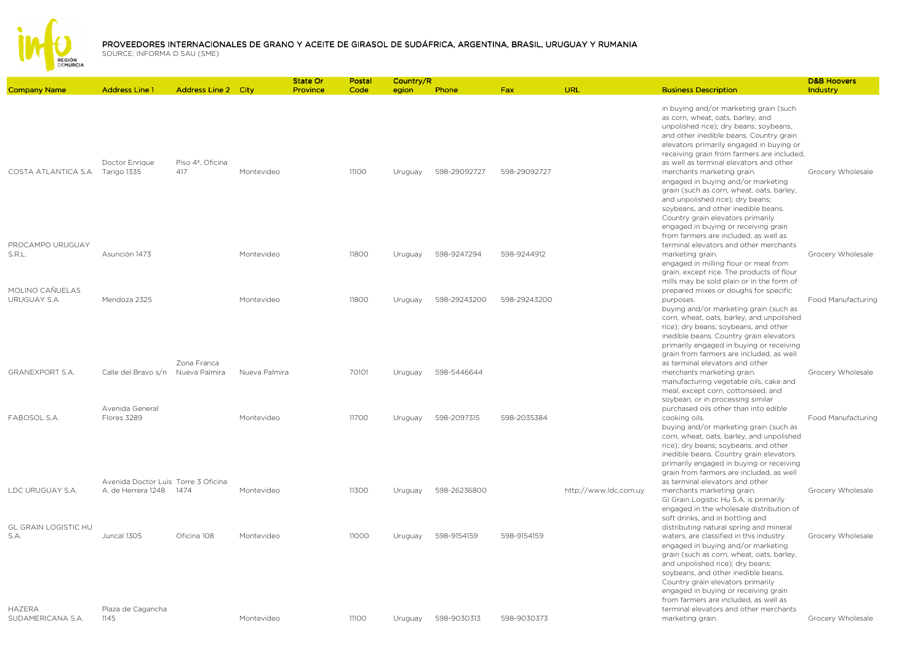

|                                     |                                                           |                            |               | State Or | Postal | Country/R |              |              |                       |                                                                                                                                                                                                                                                                                                                                                                         | <b>D&amp;B Hoovers</b> |
|-------------------------------------|-----------------------------------------------------------|----------------------------|---------------|----------|--------|-----------|--------------|--------------|-----------------------|-------------------------------------------------------------------------------------------------------------------------------------------------------------------------------------------------------------------------------------------------------------------------------------------------------------------------------------------------------------------------|------------------------|
| <b>Company Name</b>                 | <b>Address Line 1</b>                                     | <b>Address Line 2 City</b> |               | Province | Code   | egion     | <b>Phone</b> | <b>Fax</b>   | <b>URL</b>            | <b>Business Description</b>                                                                                                                                                                                                                                                                                                                                             | Industry               |
| COSTA ATLANTICA S.A.                | Doctor Enrique<br>Tarigo 1335                             | Piso 4º, Oficina<br>417    | Montevideo    |          | 11100  | Uruguay   | 598-29092727 | 598-29092727 |                       | in buying and/or marketing grain (such<br>as corn, wheat, oats, barley, and<br>unpolished rice); dry beans; soybeans,<br>and other inedible beans. Country grain<br>elevators primarily engaged in buying or<br>receiving grain from farmers are included,<br>as well as terminal elevators and other<br>merchants marketing grain.                                     | Grocery Wholesale      |
| PROCAMPO URUGUAY                    |                                                           |                            |               |          |        |           |              |              |                       | engaged in buying and/or marketing<br>grain (such as corn, wheat, oats, barley,<br>and unpolished rice); dry beans;<br>soybeans, and other inedible beans.<br>Country grain elevators primarily<br>engaged in buying or receiving grain<br>from farmers are included, as well as<br>terminal elevators and other merchants                                              |                        |
| S.R.L.<br>MOLINO CAÑUELAS           | Asunción 1473                                             |                            | Montevideo    |          | 11800  | Uruguay   | 598-9247294  | 598-9244912  |                       | marketing grain.<br>engaged in milling flour or meal from<br>grain, except rice. The products of flour<br>mills may be sold plain or in the form of<br>prepared mixes or doughs for specific                                                                                                                                                                            | Grocery Wholesale      |
| URUGUAY S.A                         | Mendoza 2325                                              | Zona Franca                | Montevideo    |          | 11800  | Uruguay   | 598-29243200 | 598-29243200 |                       | purposes.<br>buying and/or marketing grain (such as<br>corn, wheat, oats, barley, and unpolished<br>rice); dry beans; soybeans, and other<br>inedible beans. Country grain elevators<br>primarily engaged in buying or receiving<br>grain from farmers are included, as well<br>as terminal elevators and other                                                         | Food Manufacturing     |
| <b>GRANEXPORT S.A.</b>              | Calle del Bravo s/n Nueva Palmira                         |                            | Nueva Palmira |          | 70101  | Uruguay   | 598-5446644  |              |                       | merchants marketing grain.<br>manufacturing vegetable oils, cake and<br>meal, except corn, cottonseed, and<br>soybean, or in processing similar                                                                                                                                                                                                                         | Grocery Wholesale      |
| FABOSOL S.A.                        | Avenida General<br>Flores 3289                            |                            | Montevideo    |          | 11700  | Uruguay   | 598-2097315  | 598-2035384  |                       | purchased oils other than into edible<br>cooking oils.<br>buying and/or marketing grain (such as<br>corn, wheat, oats, barley, and unpolished<br>rice); dry beans; soybeans, and other<br>inedible beans. Country grain elevators<br>primarily engaged in buying or receiving<br>grain from farmers are included, as well                                               | Food Manufacturing     |
| LDC URUGUAY S.A.                    | Avenida Doctor Luis Torre 3 Oficina<br>A. de Herrera 1248 | 1474                       | Montevideo    |          | 11300  | Uruguay   | 598-26236800 |              | http://www.ldc.com.uy | as terminal elevators and other<br>merchants marketing grain.<br>GI Grain Logistic Hu S.A. is primarily<br>engaged in the wholesale distribution of<br>soft drinks, and in bottling and                                                                                                                                                                                 | Grocery Wholesale      |
| <b>GL GRAIN LOGISTIC HU</b><br>S.A. | Juncal 1305                                               | Oficina 108                | Montevideo    |          | 11000  | Uruguay   | 598-9154159  | 598-9154159  |                       | distributing natural spring and mineral<br>waters, are classified in this industry.<br>engaged in buying and/or marketing<br>grain (such as corn, wheat, oats, barley,<br>and unpolished rice); dry beans;<br>soybeans, and other inedible beans.<br>Country grain elevators primarily<br>engaged in buying or receiving grain<br>from farmers are included, as well as | Grocery Wholesale      |
| <b>HAZERA</b><br>SUDAMERICANA S.A.  | Plaza de Cagancha<br>1145                                 |                            | Montevideo    |          | 11100  | Uruguay   | 598-9030313  | 598-9030373  |                       | terminal elevators and other merchants<br>marketing grain.                                                                                                                                                                                                                                                                                                              | Grocery Wholesale      |